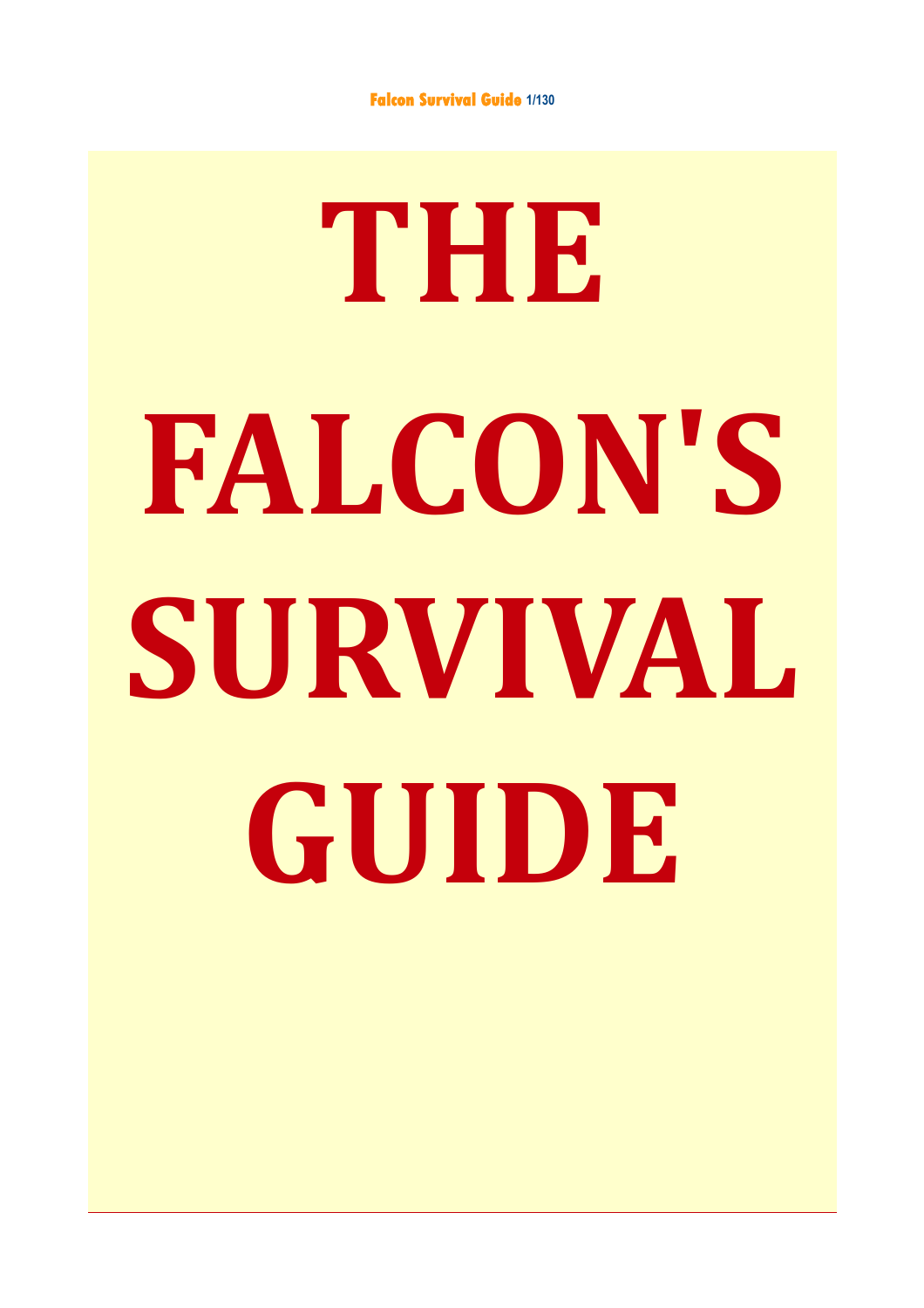# **THE FALCON'S SURVIVAL GUIDE**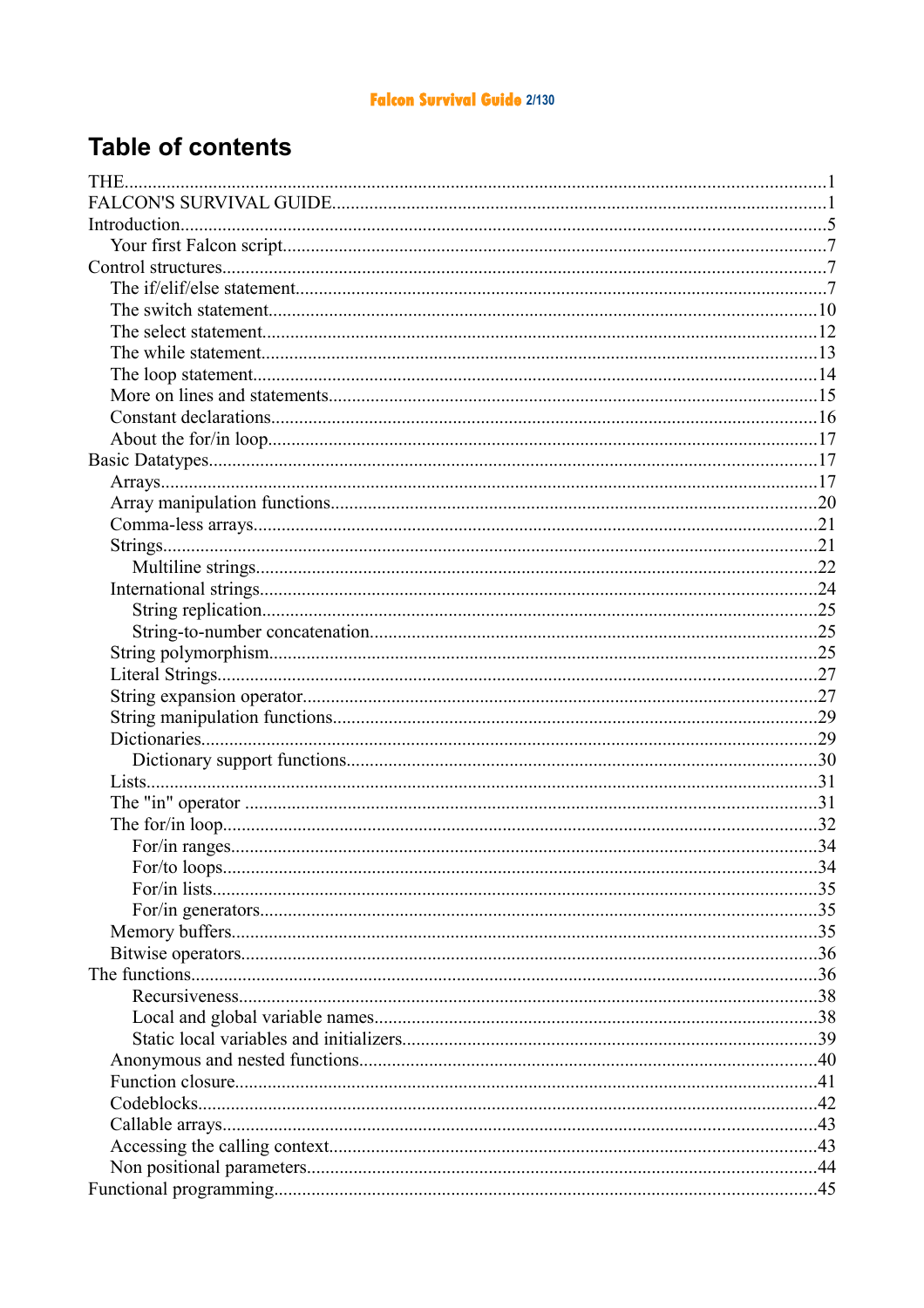#### **Falcon Survival Guide 2/130**

## **Table of contents**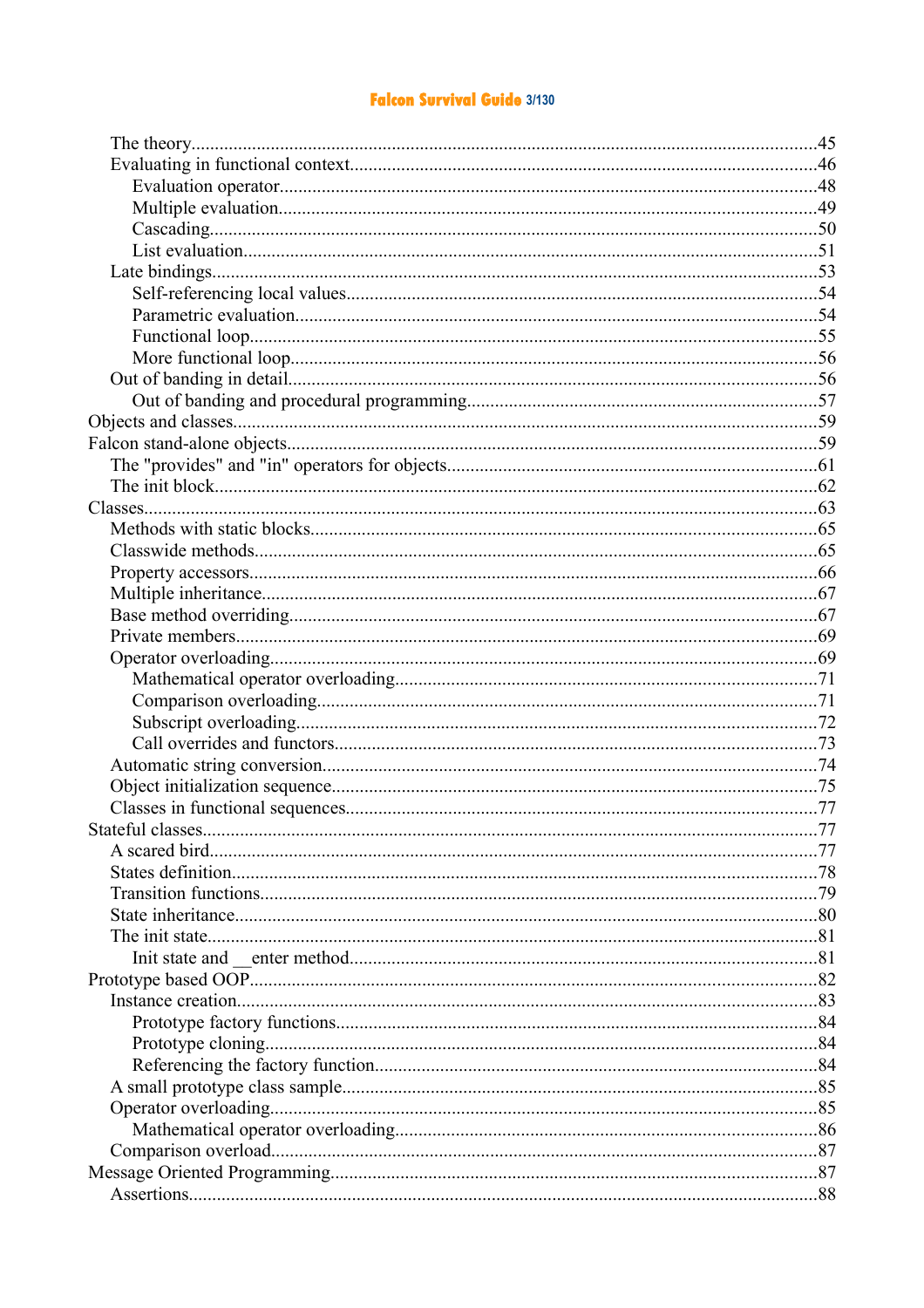#### **Falcon Survival Guide 3/130**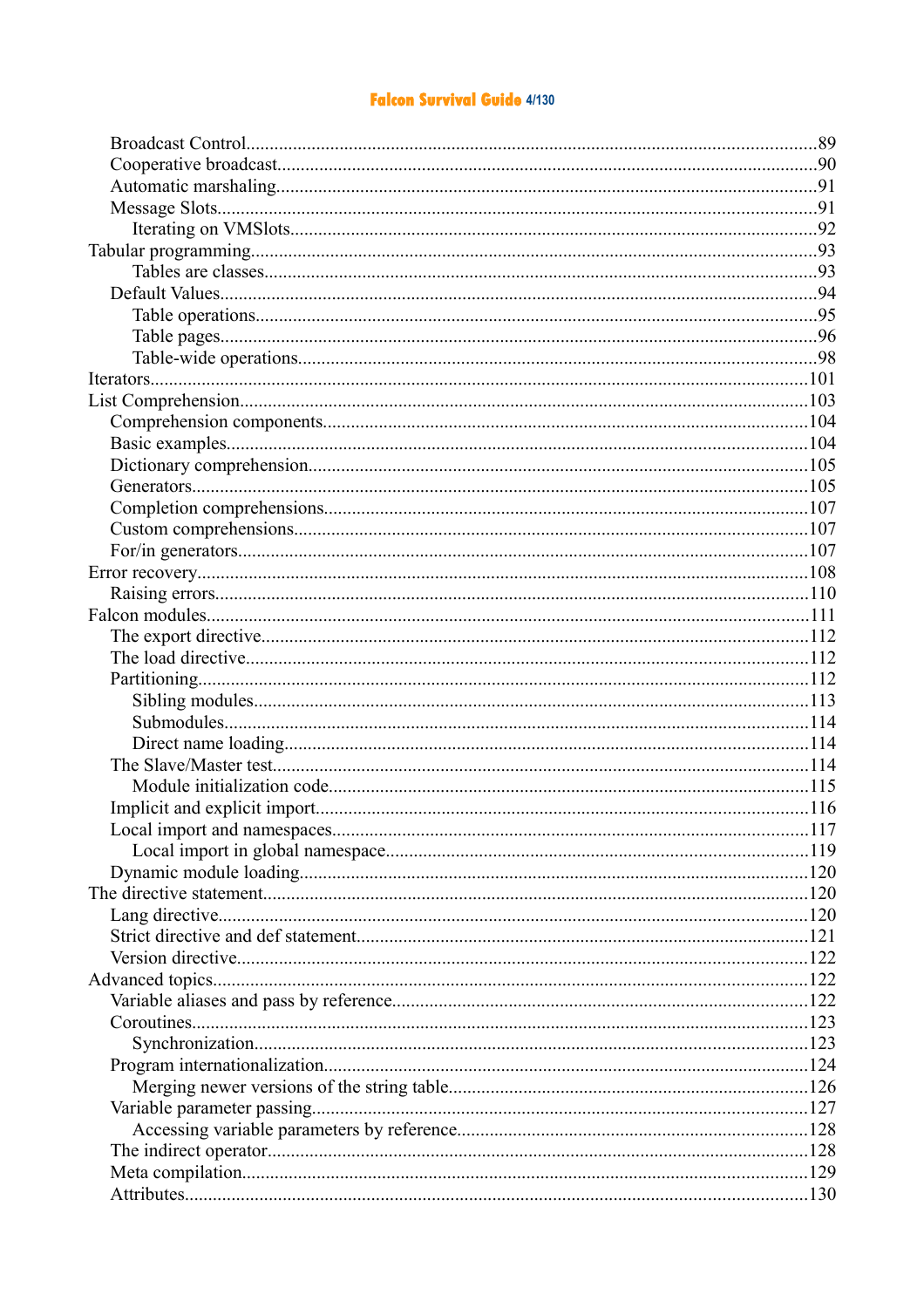#### **Falcon Survival Guide 4/130**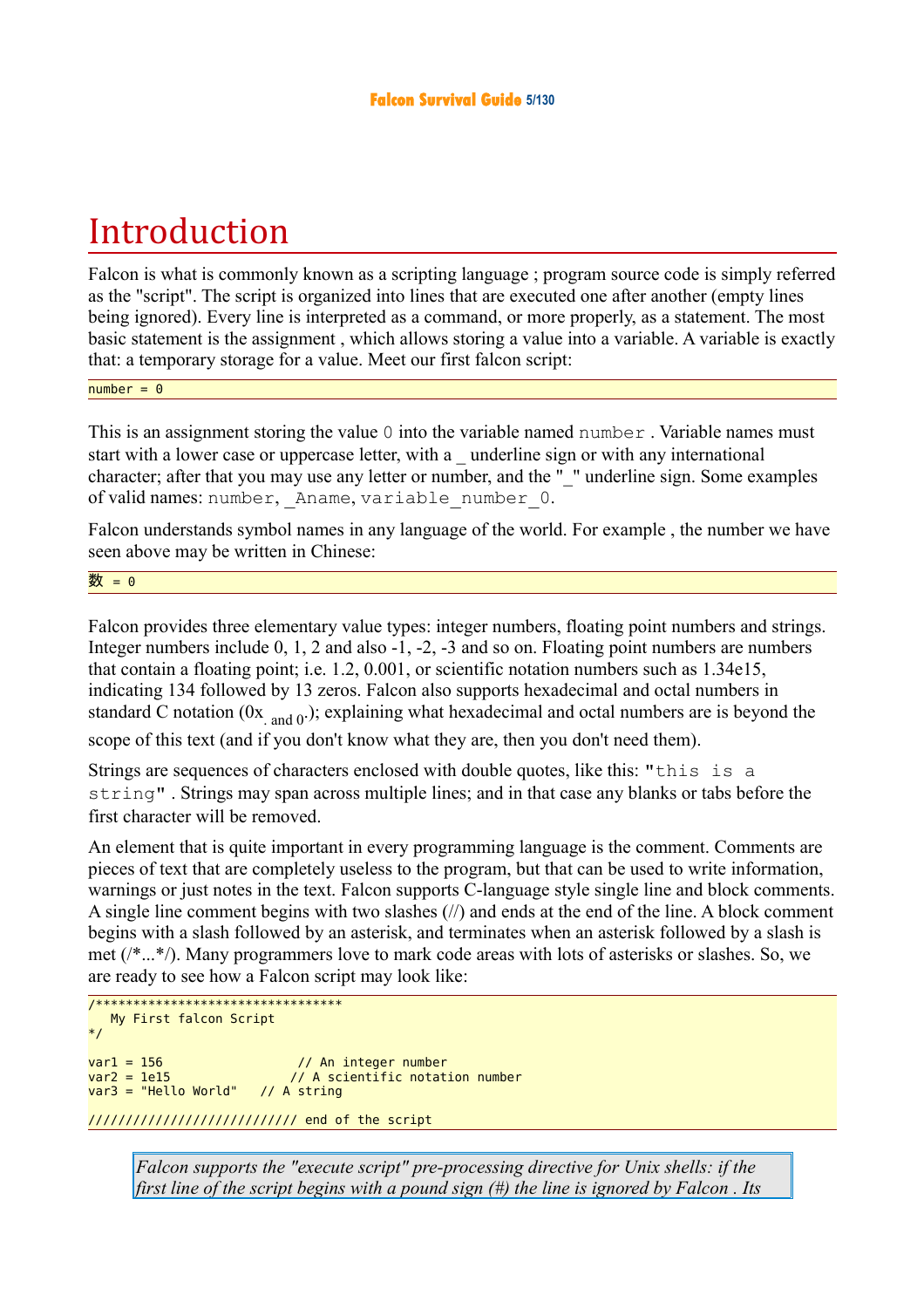# Introduction

Falcon is what is commonly known as a scripting language ; program source code is simply referred as the "script". The script is organized into lines that are executed one after another (empty lines being ignored). Every line is interpreted as a command, or more properly, as a statement. The most basic statement is the assignment , which allows storing a value into a variable. A variable is exactly that: a temporary storage for a value. Meet our first falcon script:

 $number = 0$ 

This is an assignment storing the value 0 into the variable named number. Variable names must start with a lower case or uppercase letter, with a \_ underline sign or with any international character; after that you may use any letter or number, and the "\_" underline sign. Some examples of valid names: number, Aname, variable number 0.

Falcon understands symbol names in any language of the world. For example , the number we have seen above may be written in Chinese:

数 = 0

Falcon provides three elementary value types: integer numbers, floating point numbers and strings. Integer numbers include 0, 1, 2 and also -1, -2, -3 and so on. Floating point numbers are numbers that contain a floating point; i.e. 1.2, 0.001, or scientific notation numbers such as 1.34e15, indicating 134 followed by 13 zeros. Falcon also supports hexadecimal and octal numbers in standard C notation  $(0x_{and 0})$ ; explaining what hexadecimal and octal numbers are is beyond the scope of this text (and if you don't know what they are, then you don't need them).

Strings are sequences of characters enclosed with double quotes, like this: "this is a string" . Strings may span across multiple lines; and in that case any blanks or tabs before the first character will be removed.

An element that is quite important in every programming language is the comment. Comments are pieces of text that are completely useless to the program, but that can be used to write information, warnings or just notes in the text. Falcon supports C-language style single line and block comments. A single line comment begins with two slashes (//) and ends at the end of the line. A block comment begins with a slash followed by an asterisk, and terminates when an asterisk followed by a slash is met (/\*...\*/). Many programmers love to mark code areas with lots of asterisks or slashes. So, we are ready to see how a Falcon script may look like:

```
/********************************* 
    My First falcon Script
*/ 
var1 = 156 // An integer number<br>var2 = 1e15 // A scientific notat
                                \frac{1}{2} A scientific notation number
var3 = "Hello World" // A string
```
//////////////////////////// end of the script

*Falcon supports the "execute script" pre-processing directive for Unix shells: if the first line of the script begins with a pound sign (#) the line is ignored by Falcon . Its*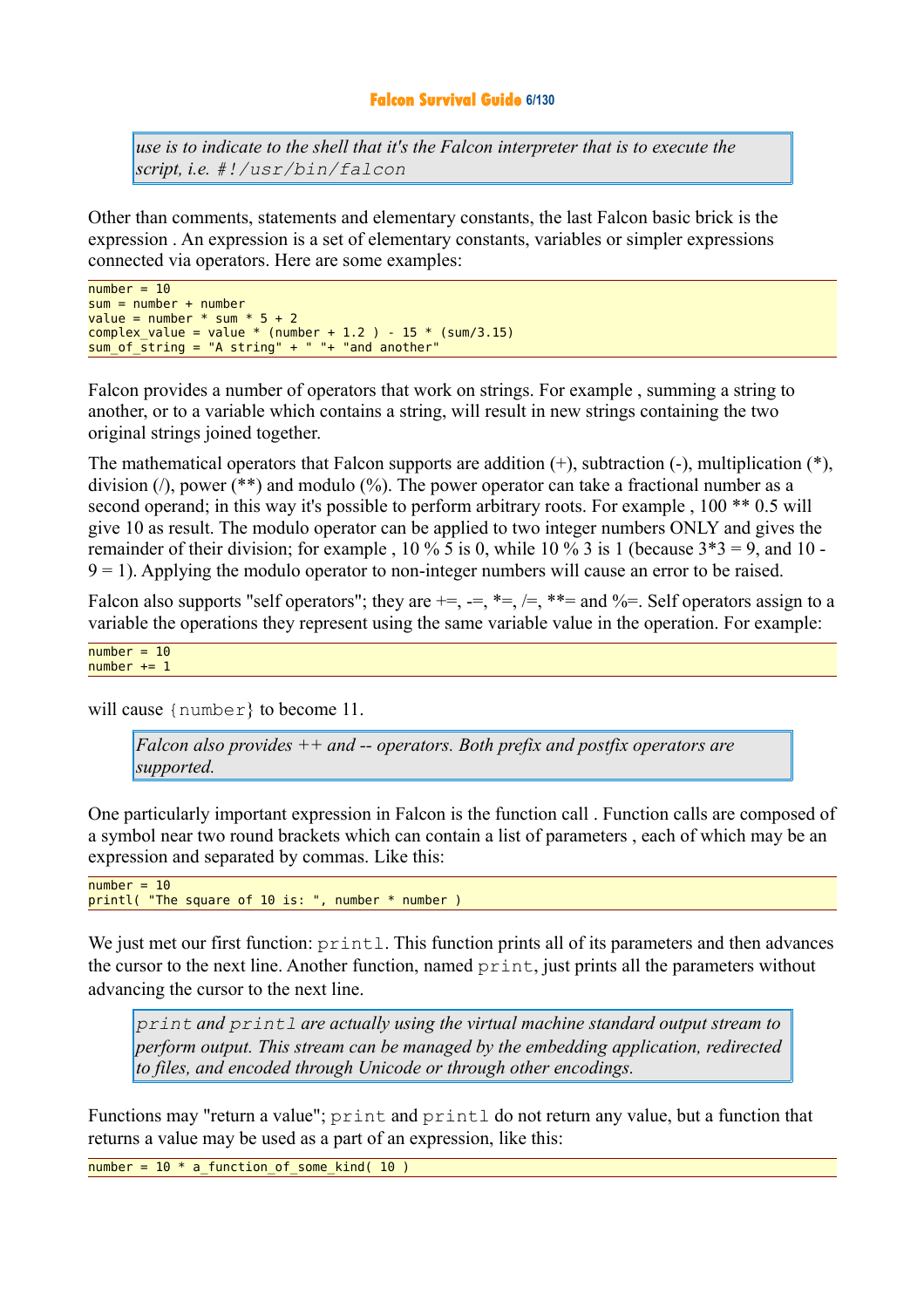#### **Falcon Survival Guide 6/130**

*use is to indicate to the shell that it's the Falcon interpreter that is to execute the script, i.e. #!/usr/bin/falcon*

Other than comments, statements and elementary constants, the last Falcon basic brick is the expression . An expression is a set of elementary constants, variables or simpler expressions connected via operators. Here are some examples:

```
number = 10sum = number + numbervalue = number * sum * 5 + 2
complex_value = value * (number + 1.2 ) - 15 * (sum/3.15)sum of string = "A string" + " "+ "and another"
```
Falcon provides a number of operators that work on strings. For example , summing a string to another, or to a variable which contains a string, will result in new strings containing the two original strings joined together.

The mathematical operators that Falcon supports are addition (+), subtraction (-), multiplication (\*), division ( $\ell$ ), power (\*\*) and modulo (%). The power operator can take a fractional number as a second operand; in this way it's possible to perform arbitrary roots. For example, 100 \*\* 0.5 will give 10 as result. The modulo operator can be applied to two integer numbers ONLY and gives the remainder of their division; for example,  $10\%$  5 is 0, while 10 % 3 is 1 (because  $3*3 = 9$ , and 10 - $9 = 1$ ). Applying the modulo operator to non-integer numbers will cause an error to be raised.

Falcon also supports "self operators"; they are  $+=, =, *=, /=, **=$  and  $%=$ . Self operators assign to a variable the operations they represent using the same variable value in the operation. For example:

```
number = 10number += 1
```
will cause { $number$ } to become 11.

*Falcon also provides ++ and -- operators. Both prefix and postfix operators are supported.* 

One particularly important expression in Falcon is the function call . Function calls are composed of a symbol near two round brackets which can contain a list of parameters , each of which may be an expression and separated by commas. Like this:

```
number = 10printl( "The square of 10 is: ", number * number )
```
We just met our first function:  $print$ . This function prints all of its parameters and then advances the cursor to the next line. Another function, named print, just prints all the parameters without advancing the cursor to the next line.

*print and printl are actually using the virtual machine standard output stream to perform output. This stream can be managed by the embedding application, redirected to files, and encoded through Unicode or through other encodings.* 

Functions may "return a value"; print and printl do not return any value, but a function that returns a value may be used as a part of an expression, like this:

number =  $10 * a$  function of some kind( 10 )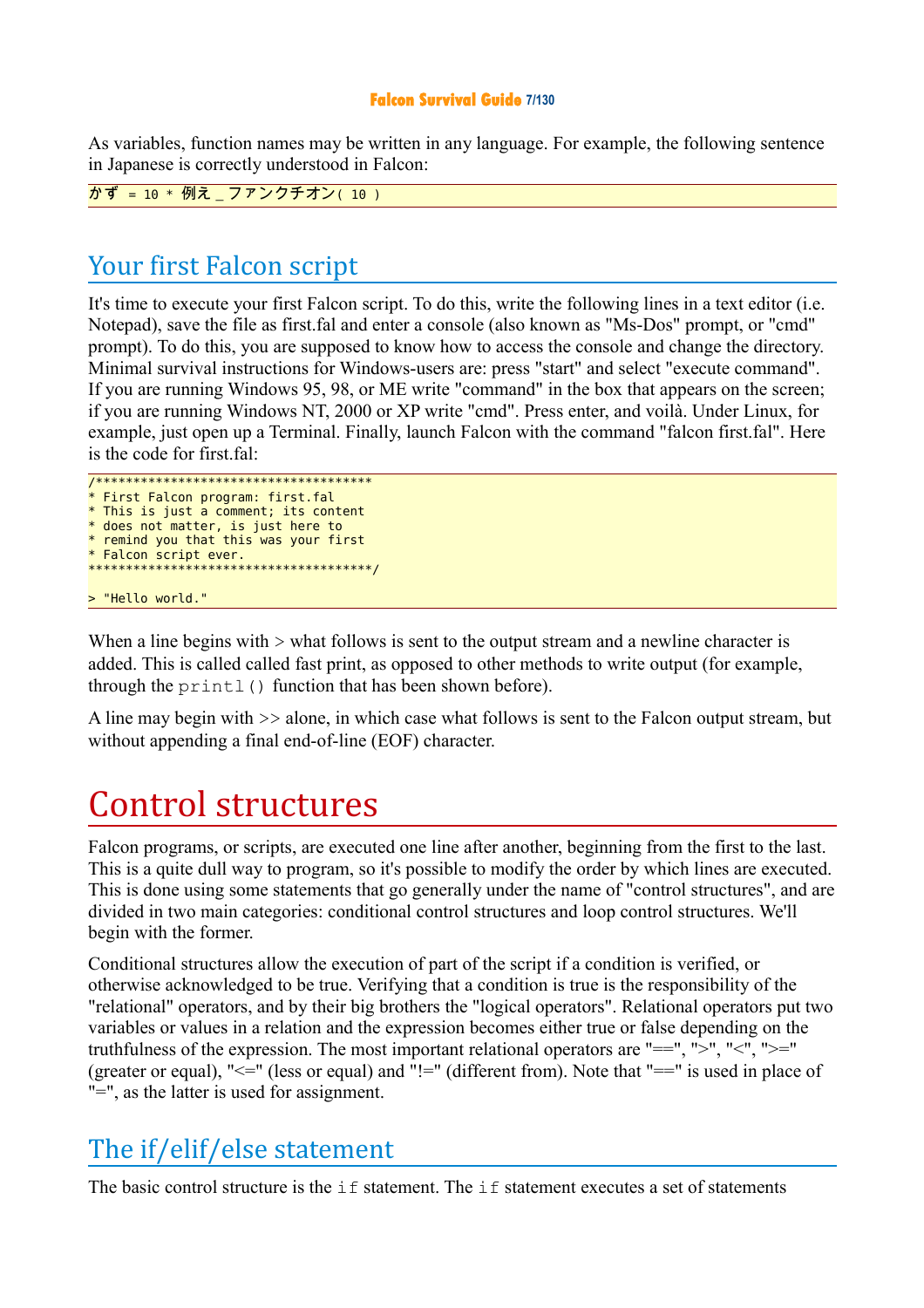#### **Falcon Survival Guide 7/130**

As variables, function names may be written in any language. For example, the following sentence in Japanese is correctly understood in Falcon:

かず = 10 \* 例え\_ファンクチオン( 10 )

## Your first Falcon script

It's time to execute your first Falcon script. To do this, write the following lines in a text editor (i.e. Notepad), save the file as first.fal and enter a console (also known as "Ms-Dos" prompt, or "cmd" prompt). To do this, you are supposed to know how to access the console and change the directory. Minimal survival instructions for Windows-users are: press "start" and select "execute command". If you are running Windows 95, 98, or ME write "command" in the box that appears on the screen; if you are running Windows NT, 2000 or XP write "cmd". Press enter, and voilà. Under Linux, for example, just open up a Terminal. Finally, launch Falcon with the command "falcon first.fal". Here is the code for first fal:

```
/************************************* 
* First Falcon program: first.fal 
* This is just a comment; its content 
* does not matter, is just here to
* remind you that this was your first 
* Falcon script ever. 
**************************************/ 
> "Hello world."
```
When a line begins with  $>$  what follows is sent to the output stream and a newline character is added. This is called called fast print, as opposed to other methods to write output (for example, through the  $print()$  function that has been shown before).

A line may begin with >> alone, in which case what follows is sent to the Falcon output stream, but without appending a final end-of-line (EOF) character.

# Control structures

Falcon programs, or scripts, are executed one line after another, beginning from the first to the last. This is a quite dull way to program, so it's possible to modify the order by which lines are executed. This is done using some statements that go generally under the name of "control structures", and are divided in two main categories: conditional control structures and loop control structures. We'll begin with the former.

Conditional structures allow the execution of part of the script if a condition is verified, or otherwise acknowledged to be true. Verifying that a condition is true is the responsibility of the "relational" operators, and by their big brothers the "logical operators". Relational operators put two variables or values in a relation and the expression becomes either true or false depending on the truthfulness of the expression. The most important relational operators are "==", ">", "<", ">=" (greater or equal), "<=" (less or equal) and "!=" (different from). Note that "==" is used in place of "=", as the latter is used for assignment.

## The if/elif/else statement

The basic control structure is the  $\pm$  f statement. The  $\pm$  f statement executes a set of statements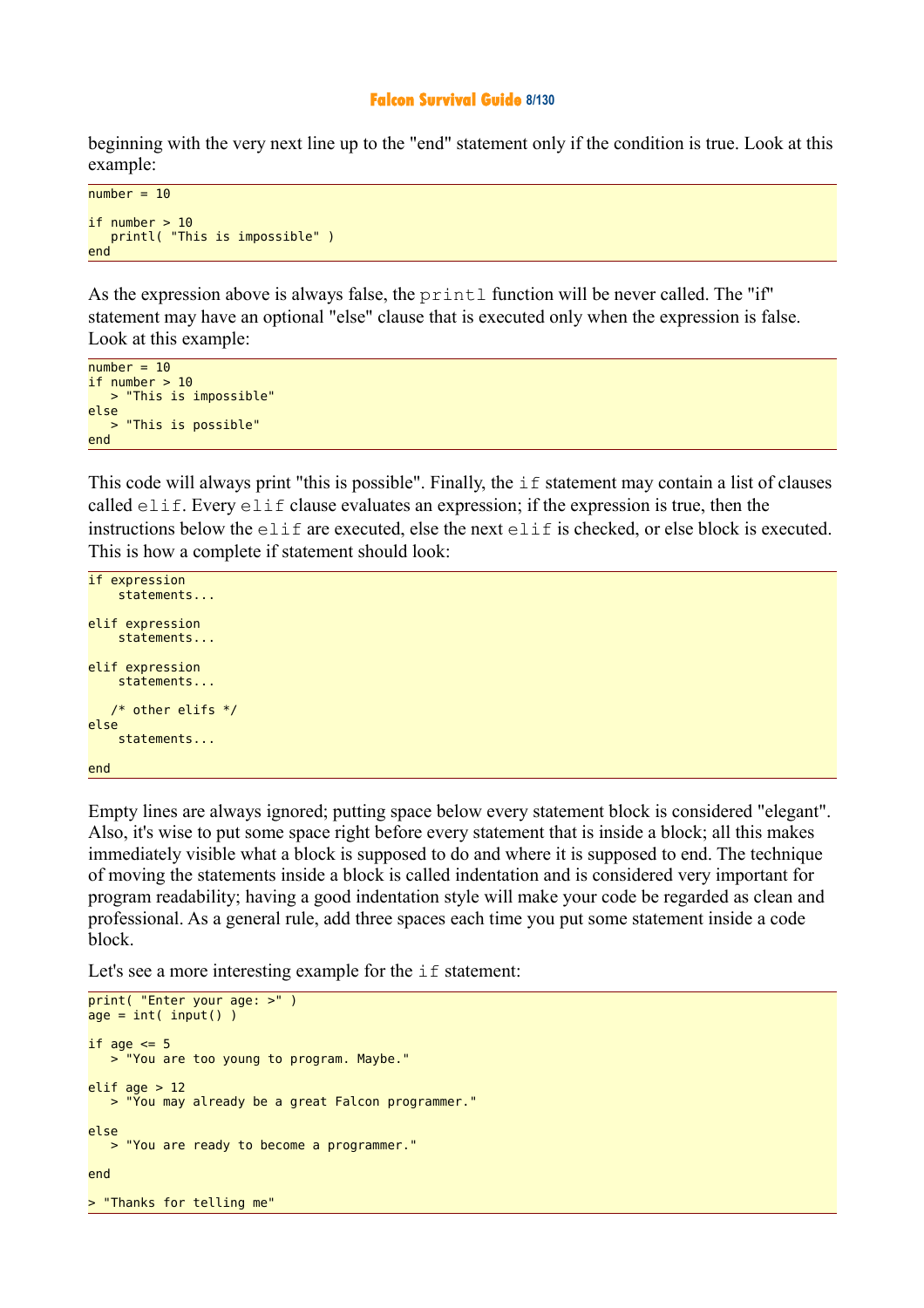#### **Falcon Survival Guide 8/130**

beginning with the very next line up to the "end" statement only if the condition is true. Look at this example:

```
number = 10if number > 10 printl( "This is impossible" )
end
```
As the expression above is always false, the printl function will be never called. The "if" statement may have an optional "else" clause that is executed only when the expression is false. Look at this example:

```
number = 10if number > 10 > "This is impossible"
else 
   > "This is possible"
end
```
This code will always print "this is possible". Finally, the  $\pm$  f statement may contain a list of clauses called elif. Every elif clause evaluates an expression; if the expression is true, then the instructions below the elif are executed, else the next elif is checked, or else block is executed. This is how a complete if statement should look:

```
if expression 
     statements... 
elif expression 
     statements... 
elif expression 
     statements... 
    /* other elifs */
else 
     statements... 
end
```
Empty lines are always ignored; putting space below every statement block is considered "elegant". Also, it's wise to put some space right before every statement that is inside a block; all this makes immediately visible what a block is supposed to do and where it is supposed to end. The technique of moving the statements inside a block is called indentation and is considered very important for program readability; having a good indentation style will make your code be regarded as clean and professional. As a general rule, add three spaces each time you put some statement inside a code block.

Let's see a more interesting example for the  $if$  statement:

```
print( "Enter your age: >" )
age = int( input() )if age \leq 5
    > "You are too young to program. Maybe."
elif age > 12 > "You may already be a great Falcon programmer."
else 
    > "You are ready to become a programmer."
end
> "Thanks for telling me"
```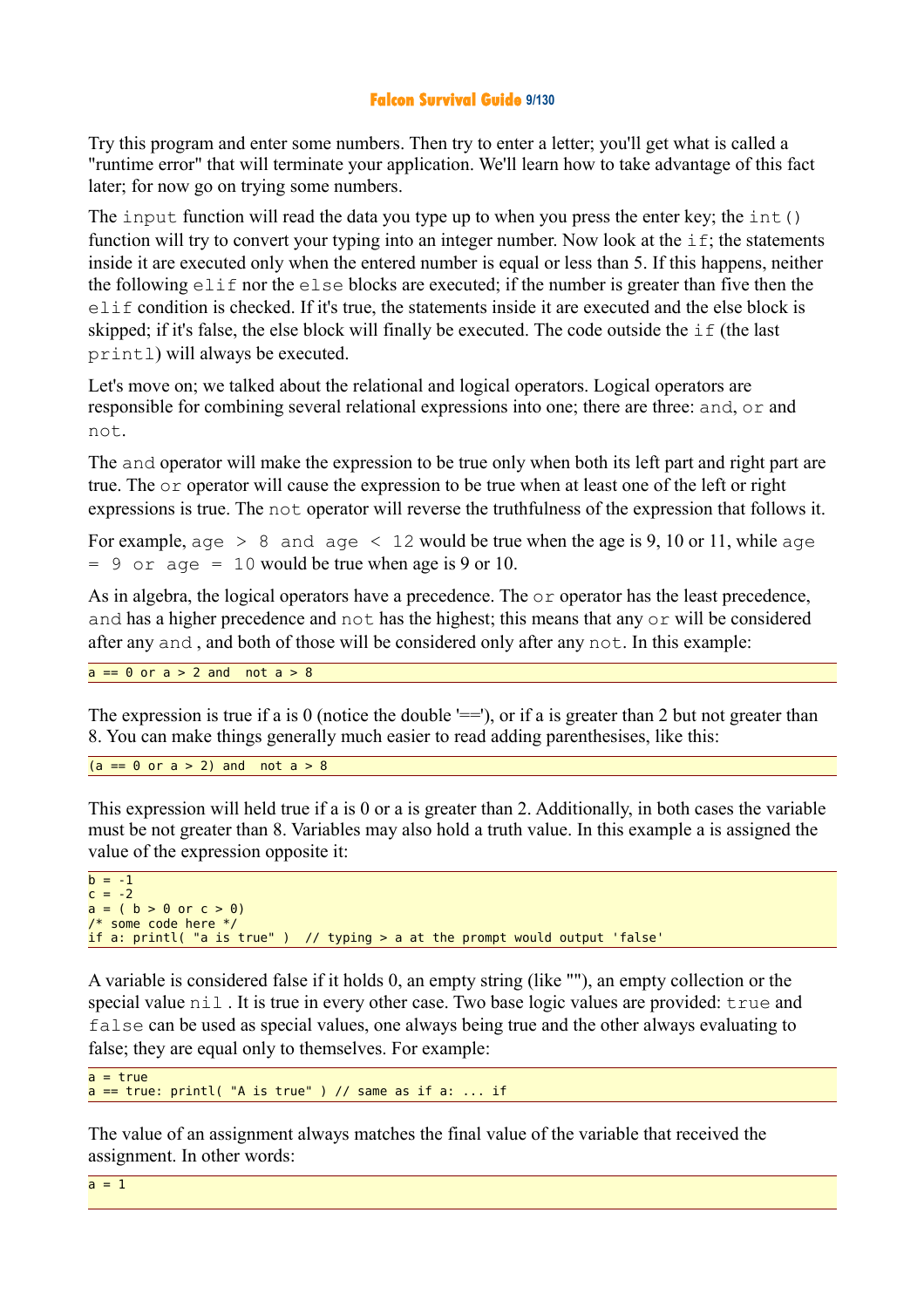#### **Falcon Survival Guide 9/130**

Try this program and enter some numbers. Then try to enter a letter; you'll get what is called a "runtime error" that will terminate your application. We'll learn how to take advantage of this fact later; for now go on trying some numbers.

The input function will read the data you type up to when you press the enter key; the int() function will try to convert your typing into an integer number. Now look at the  $if$ ; the statements inside it are executed only when the entered number is equal or less than 5. If this happens, neither the following elif nor the else blocks are executed; if the number is greater than five then the elif condition is checked. If it's true, the statements inside it are executed and the else block is skipped; if it's false, the else block will finally be executed. The code outside the if (the last printl) will always be executed.

Let's move on; we talked about the relational and logical operators. Logical operators are responsible for combining several relational expressions into one; there are three: and, or and not.

The and operator will make the expression to be true only when both its left part and right part are true. The or operator will cause the expression to be true when at least one of the left or right expressions is true. The not operator will reverse the truthfulness of the expression that follows it.

For example,  $aqe > 8$  and  $aqe < 12$  would be true when the age is 9, 10 or 11, while  $aqe$  $= 9$  or age  $= 10$  would be true when age is 9 or 10.

As in algebra, the logical operators have a precedence. The  $\circ$  r operator has the least precedence, and has a higher precedence and not has the highest; this means that any or will be considered after any and , and both of those will be considered only after any not. In this example:

 $a == 0$  or  $a > 2$  and not  $a > 8$ 

The expression is true if a is 0 (notice the double  $=$ ), or if a is greater than 2 but not greater than 8. You can make things generally much easier to read adding parenthesises, like this:

```
(a == 0 \text{ or } a > 2) and not a > 8
```
This expression will held true if a is 0 or a is greater than 2. Additionally, in both cases the variable must be not greater than 8. Variables may also hold a truth value. In this example a is assigned the value of the expression opposite it:

```
b = -1c = -2a = (b > 0 \text{ or } c > 0)/* some code here */ 
if a: printl( "a is true" ) // typing > a at the prompt would output 'false'
```
A variable is considered false if it holds 0, an empty string (like ""), an empty collection or the special value  $n \in \mathbb{I}$ . It is true in every other case. Two base logic values are provided: true and false can be used as special values, one always being true and the other always evaluating to false; they are equal only to themselves. For example:

```
a = truea == true: print( "A is true") // same as if a: ... if
```
The value of an assignment always matches the final value of the variable that received the assignment. In other words:

 $a = 1$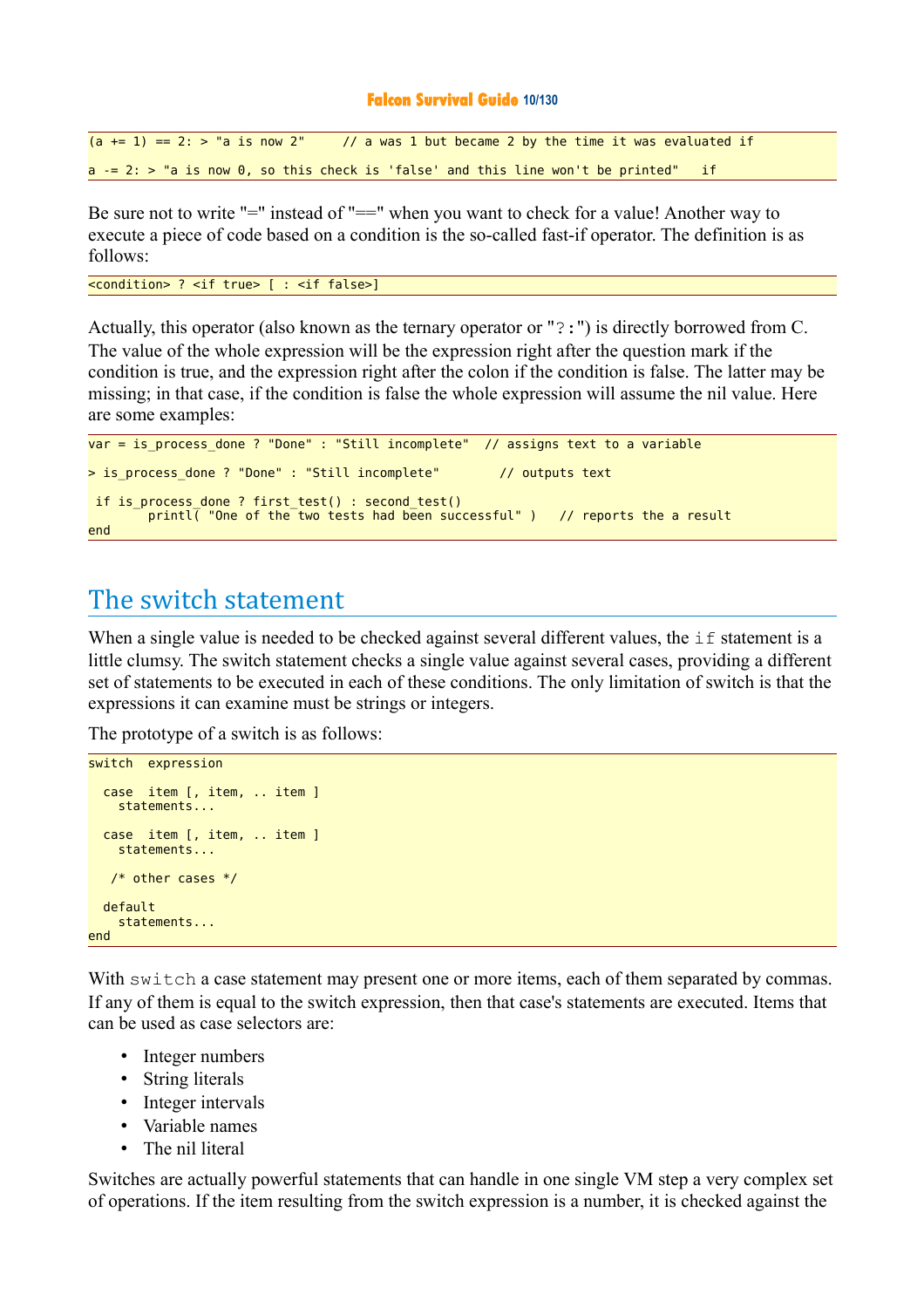#### **Falcon Survival Guide 10/130**

```
(a \leftarrow 1) == 2: > "a is now 2" // a was 1 but became 2 by the time it was evaluated if
a = 2: > "a is now 0, so this check is 'false' and this line won't be printed" if
```
Be sure not to write "=" instead of "==" when you want to check for a value! Another way to execute a piece of code based on a condition is the so-called fast-if operator. The definition is as follows:

```
<condition> ? <if true> [ : <if false>]
```
Actually, this operator (also known as the ternary operator or "?:") is directly borrowed from C. The value of the whole expression will be the expression right after the question mark if the condition is true, and the expression right after the colon if the condition is false. The latter may be missing; in that case, if the condition is false the whole expression will assume the nil value. Here are some examples:

```
var = is process done ? "Done" : "Still incomplete" // assigns text to a variable
> is_process_done ? "Done" : "Still incomplete" // outputs text
  if is_process_done ? first_test() : second_test() 
       printl( "One of the two tests had been successful" ) // reports the a result
end
```
## The switch statement

When a single value is needed to be checked against several different values, the  $if$  statement is a little clumsy. The switch statement checks a single value against several cases, providing a different set of statements to be executed in each of these conditions. The only limitation of switch is that the expressions it can examine must be strings or integers.

The prototype of a switch is as follows:

```
switch expression 
   case item [, item, .. item ] 
     statements... 
   case item [, item, .. item ] 
     statements... 
    /* other cases */
   default
     statements... 
end
```
With switch a case statement may present one or more items, each of them separated by commas. If any of them is equal to the switch expression, then that case's statements are executed. Items that can be used as case selectors are:

- Integer numbers
- String literals
- Integer intervals
- Variable names
- The nil literal

Switches are actually powerful statements that can handle in one single VM step a very complex set of operations. If the item resulting from the switch expression is a number, it is checked against the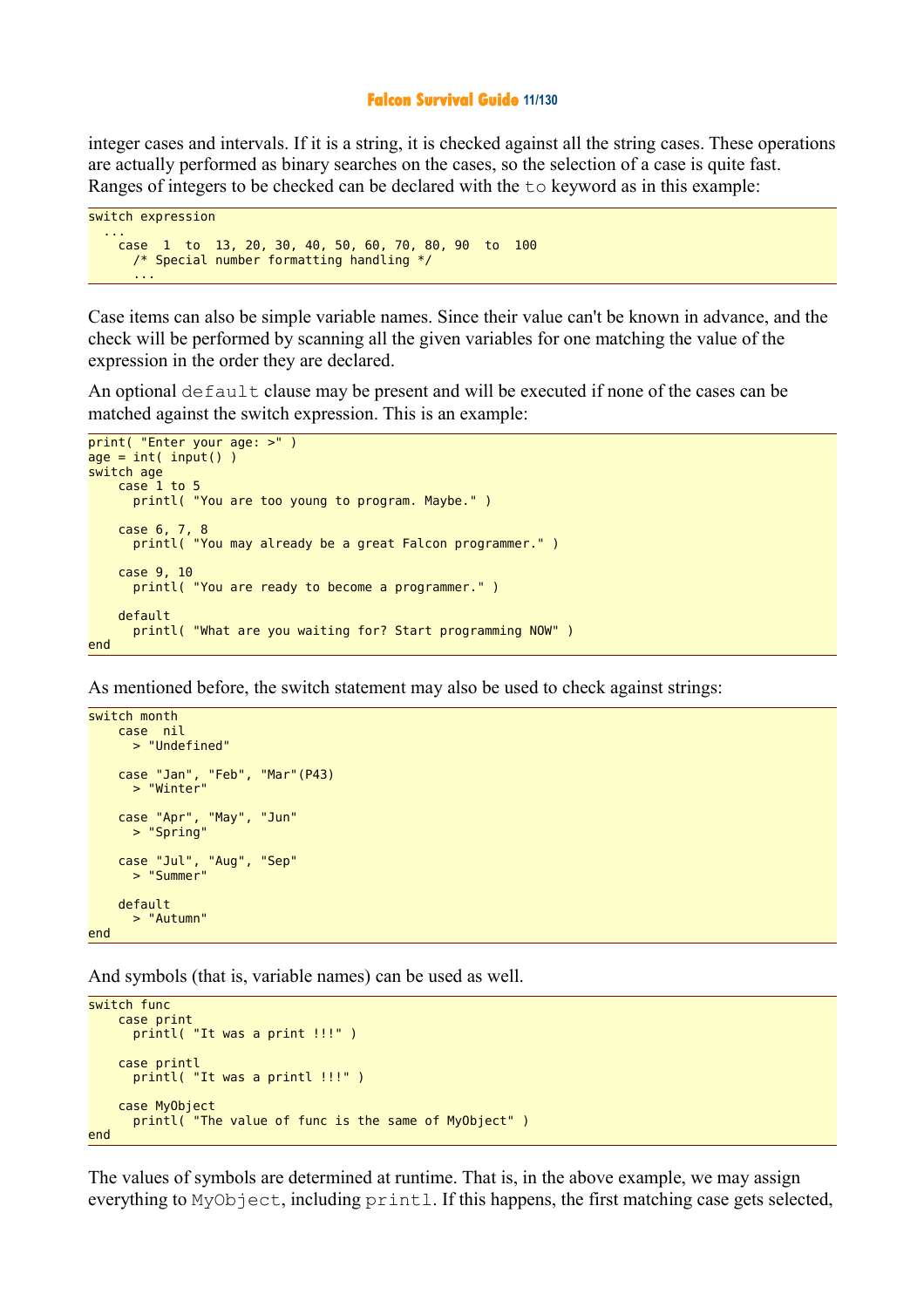#### **Falcon Survival Guide 11/130**

integer cases and intervals. If it is a string, it is checked against all the string cases. These operations are actually performed as binary searches on the cases, so the selection of a case is quite fast. Ranges of integers to be checked can be declared with the to keyword as in this example:

```
switch expression 
  ...
 case 1 to 13, 20, 30, 40, 50, 60, 70, 80, 90 to 100 
 /* Special number formatting handling */ 
 ...
```
Case items can also be simple variable names. Since their value can't be known in advance, and the check will be performed by scanning all the given variables for one matching the value of the expression in the order they are declared.

An optional default clause may be present and will be executed if none of the cases can be matched against the switch expression. This is an example:

```
print( "Enter your age: >" ) 
age = int( input() )switch age
     case 1 to 5
       printl( "You are too young to program. Maybe." )
     case 6, 7, 8
       printl( "You may already be a great Falcon programmer." )
     case 9, 10
       printl( "You are ready to become a programmer." )
     default 
       printl( "What are you waiting for? Start programming NOW" )
end
```
As mentioned before, the switch statement may also be used to check against strings:

```
switch month
 case nil 
 > "Undefined"
 case "Jan", "Feb", "Mar"(P43) 
 > "Winter"
 case "Apr", "May", "Jun"
 > "Spring"
    case "Jul", "Aug", "Sep"
      > "Summer"
    default 
      > "Autumn"
end
```
And symbols (that is, variable names) can be used as well.

```
switch func
     case print 
       printl( "It was a print !!!" )
     case printl
      printl( "It was a printl !!!" )
     case MyObject
       printl( "The value of func is the same of MyObject" )
end
```
The values of symbols are determined at runtime. That is, in the above example, we may assign everything to MyObject, including printl. If this happens, the first matching case gets selected,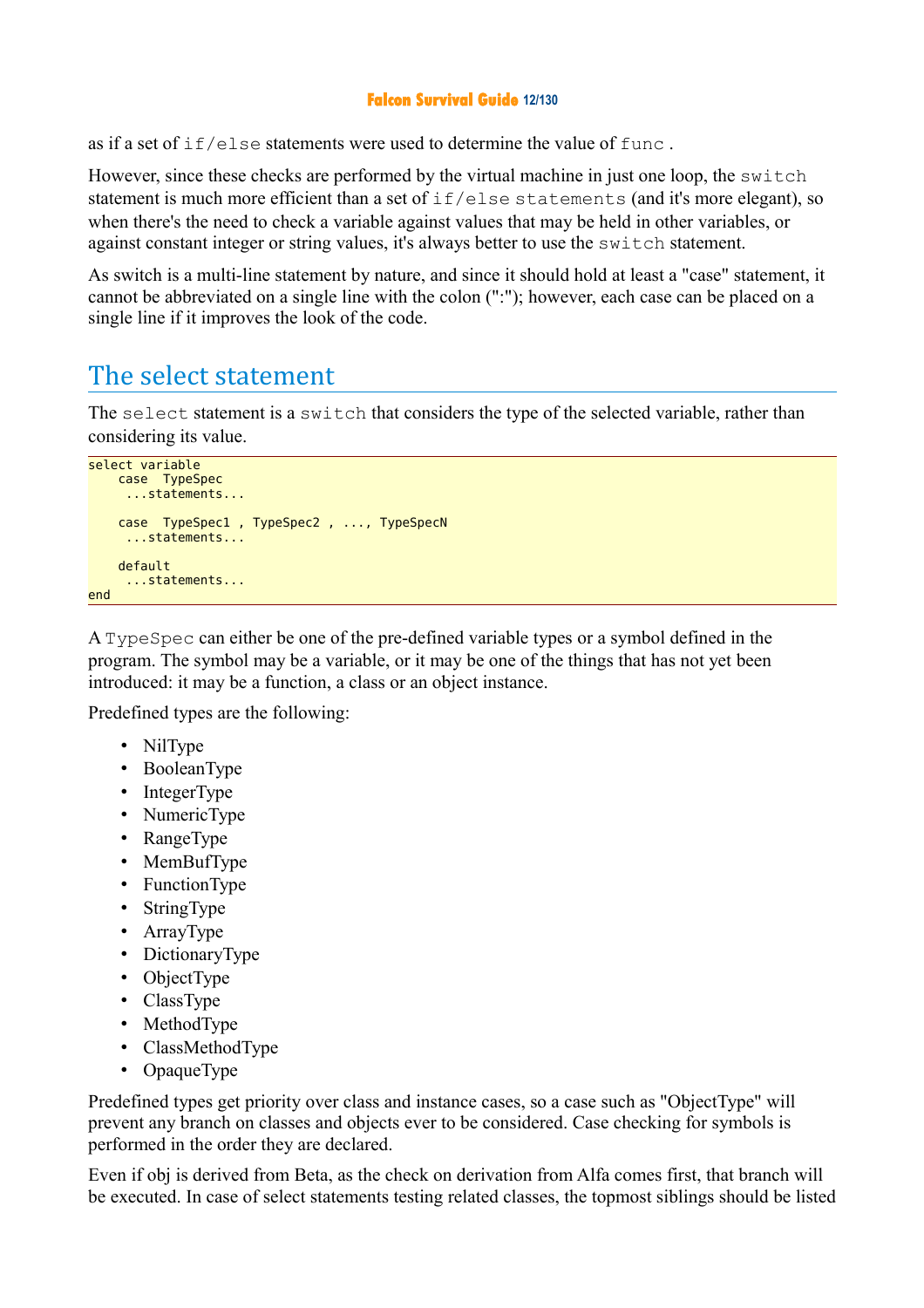#### **Falcon Survival Guide 12/130**

as if a set of  $if/else$  statements were used to determine the value of  $func$ .

However, since these checks are performed by the virtual machine in just one loop, the switch statement is much more efficient than a set of if/else statements (and it's more elegant), so when there's the need to check a variable against values that may be held in other variables, or against constant integer or string values, it's always better to use the switch statement.

As switch is a multi-line statement by nature, and since it should hold at least a "case" statement, it cannot be abbreviated on a single line with the colon (":"); however, each case can be placed on a single line if it improves the look of the code.

## The select statement

The select statement is a switch that considers the type of the selected variable, rather than considering its value.

```
select variable
     case TypeSpec 
      ...statements...
     case TypeSpec1 , TypeSpec2 , ..., TypeSpecN 
      ...statements...
     default 
      ...statements...
end
```
A TypeSpec can either be one of the pre-defined variable types or a symbol defined in the program. The symbol may be a variable, or it may be one of the things that has not yet been introduced: it may be a function, a class or an object instance.

Predefined types are the following:

- NilType
- BooleanType
- IntegerType
- NumericType
- RangeType
- MemBufType
- FunctionType
- StringType
- ArrayType
- DictionaryType
- ObjectType
- ClassType
- MethodType
- ClassMethodType
- OpaqueType

Predefined types get priority over class and instance cases, so a case such as "ObjectType" will prevent any branch on classes and objects ever to be considered. Case checking for symbols is performed in the order they are declared.

Even if obj is derived from Beta, as the check on derivation from Alfa comes first, that branch will be executed. In case of select statements testing related classes, the topmost siblings should be listed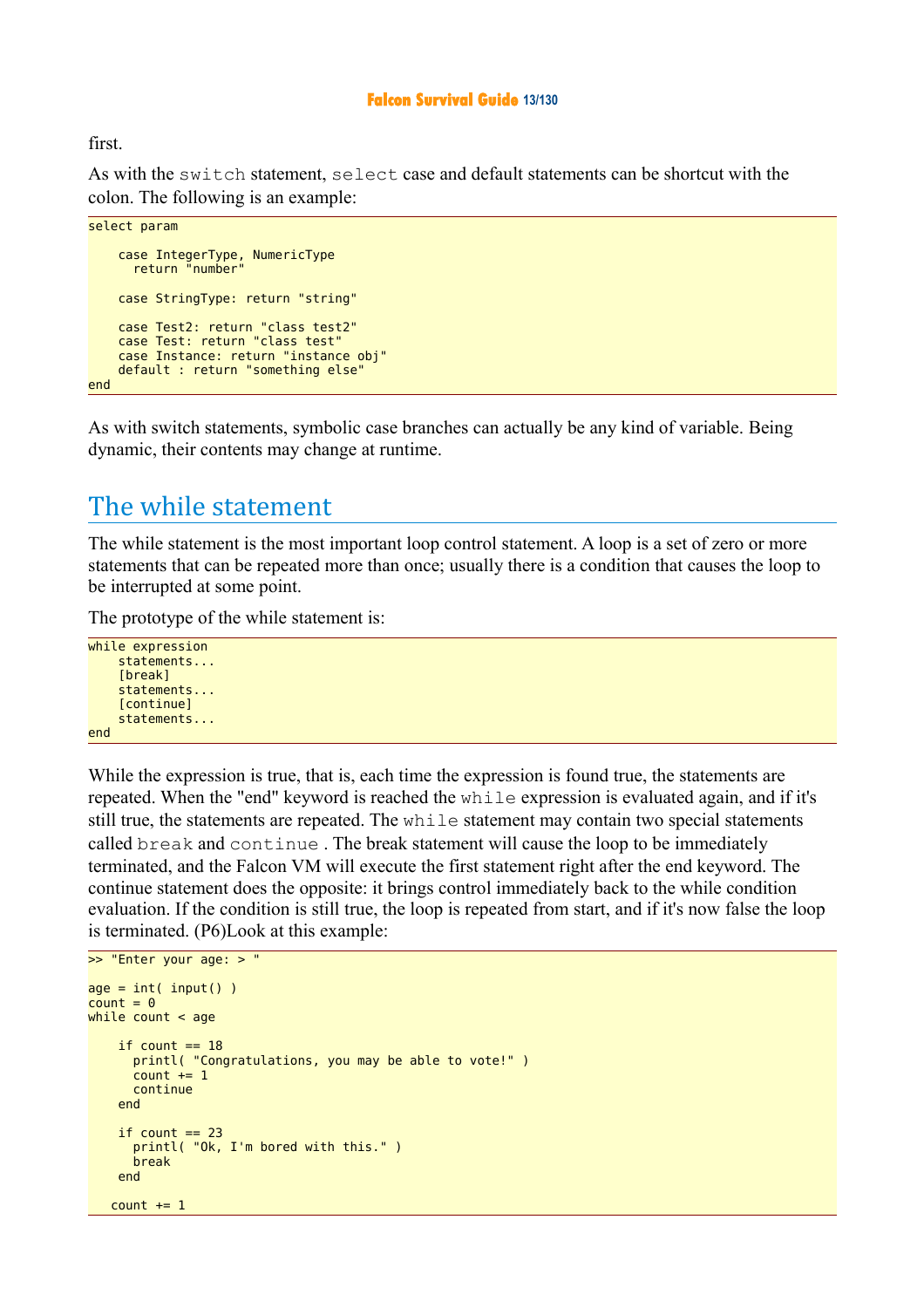#### **Falcon Survival Guide 13/130**

first.

As with the switch statement, select case and default statements can be shortcut with the colon. The following is an example:

```
select param
     case IntegerType, NumericType
      return "number
     case StringType: return "string"
     case Test2: return "class test2"
     case Test: return "class test"
     case Instance: return "instance obj"
     default : return "something else"
end
```
As with switch statements, symbolic case branches can actually be any kind of variable. Being dynamic, their contents may change at runtime.

## The while statement

The while statement is the most important loop control statement. A loop is a set of zero or more statements that can be repeated more than once; usually there is a condition that causes the loop to be interrupted at some point.

The prototype of the while statement is:

```
while expression 
     statements... 
      [break]
     statements... 
     [continue] 
     statements... 
end
```
While the expression is true, that is, each time the expression is found true, the statements are repeated. When the "end" keyword is reached the while expression is evaluated again, and if it's still true, the statements are repeated. The while statement may contain two special statements called break and continue . The break statement will cause the loop to be immediately terminated, and the Falcon VM will execute the first statement right after the end keyword. The continue statement does the opposite: it brings control immediately back to the while condition evaluation. If the condition is still true, the loop is repeated from start, and if it's now false the loop is terminated. (P6)Look at this example:

```
>> "Enter your age: > " 
age = int( input() )count = 0while count < age
    if count == 18 printl( "Congratulations, you may be able to vote!" )
      count += 1 continue 
     end 
    if count == 23 printl( "Ok, I'm bored with this." )
       break
     end 
   count += 1
```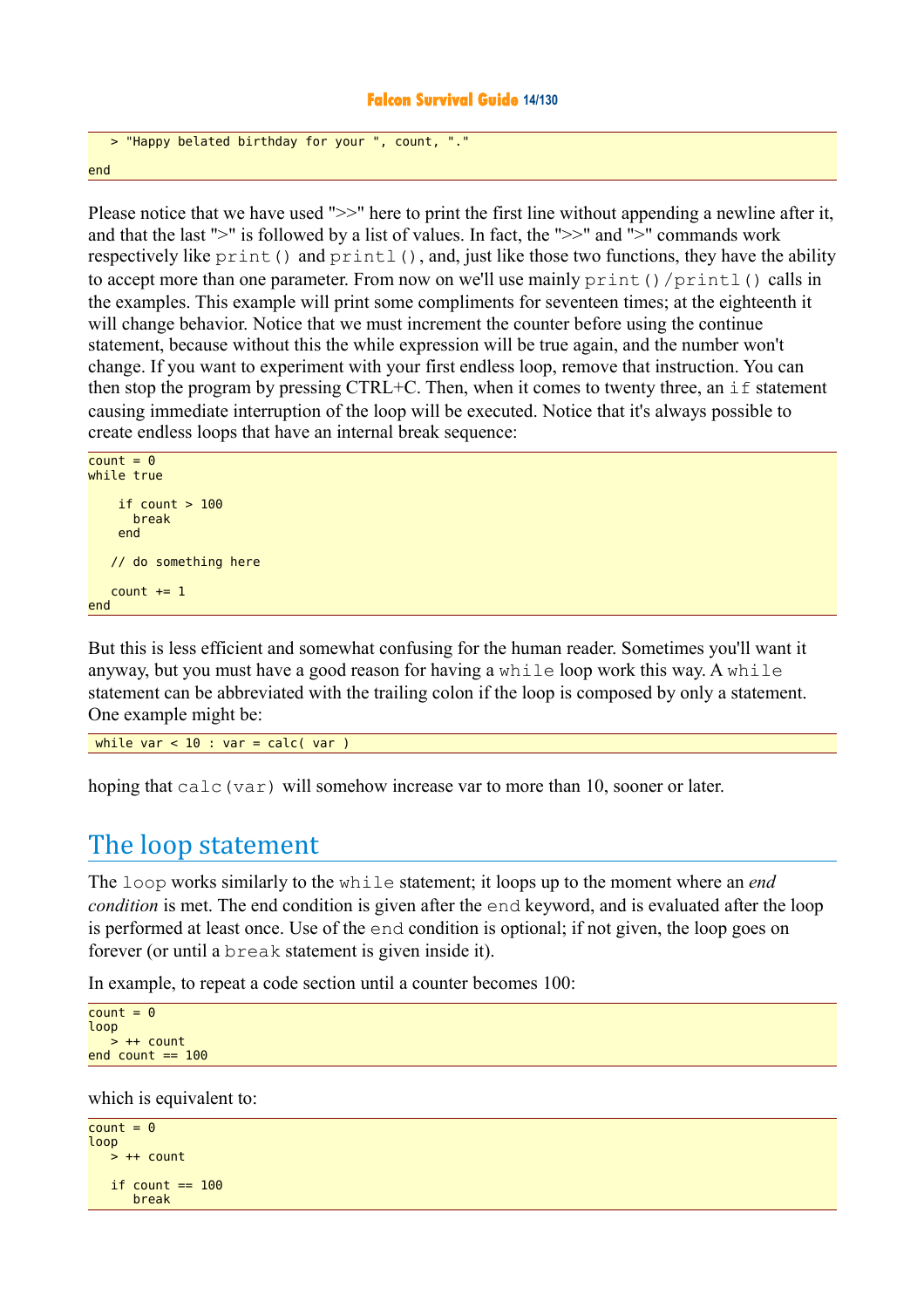#### **Falcon Survival Guide 14/130**

```
 > "Happy belated birthday for your ", count, "."
end
```
Please notice that we have used ">>" here to print the first line without appending a newline after it, and that the last ">" is followed by a list of values. In fact, the ">>" and ">" commands work respectively like print() and printl(), and, just like those two functions, they have the ability to accept more than one parameter. From now on we'll use mainly print ()/printl() calls in the examples. This example will print some compliments for seventeen times; at the eighteenth it will change behavior. Notice that we must increment the counter before using the continue statement, because without this the while expression will be true again, and the number won't change. If you want to experiment with your first endless loop, remove that instruction. You can then stop the program by pressing CTRL+C. Then, when it comes to twenty three, an if statement causing immediate interruption of the loop will be executed. Notice that it's always possible to create endless loops that have an internal break sequence:

```
count = 0while true
    if count > 100 break
     end 
    // do something here
   count += 1end
```
But this is less efficient and somewhat confusing for the human reader. Sometimes you'll want it anyway, but you must have a good reason for having a while loop work this way. A while statement can be abbreviated with the trailing colon if the loop is composed by only a statement. One example might be:

while var  $< 10$  : var = calc( var )

hoping that calc(var) will somehow increase var to more than 10, sooner or later.

## The loop statement

The loop works similarly to the while statement; it loops up to the moment where an *end condition* is met. The end condition is given after the end keyword, and is evaluated after the loop is performed at least once. Use of the end condition is optional; if not given, the loop goes on forever (or until a break statement is given inside it).

In example, to repeat a code section until a counter becomes 100:

```
count = 0loop 
   > ++ count
end count == 100
```
which is equivalent to:

```
count = 0loop 
  > ++ count
   if count == 100 break
```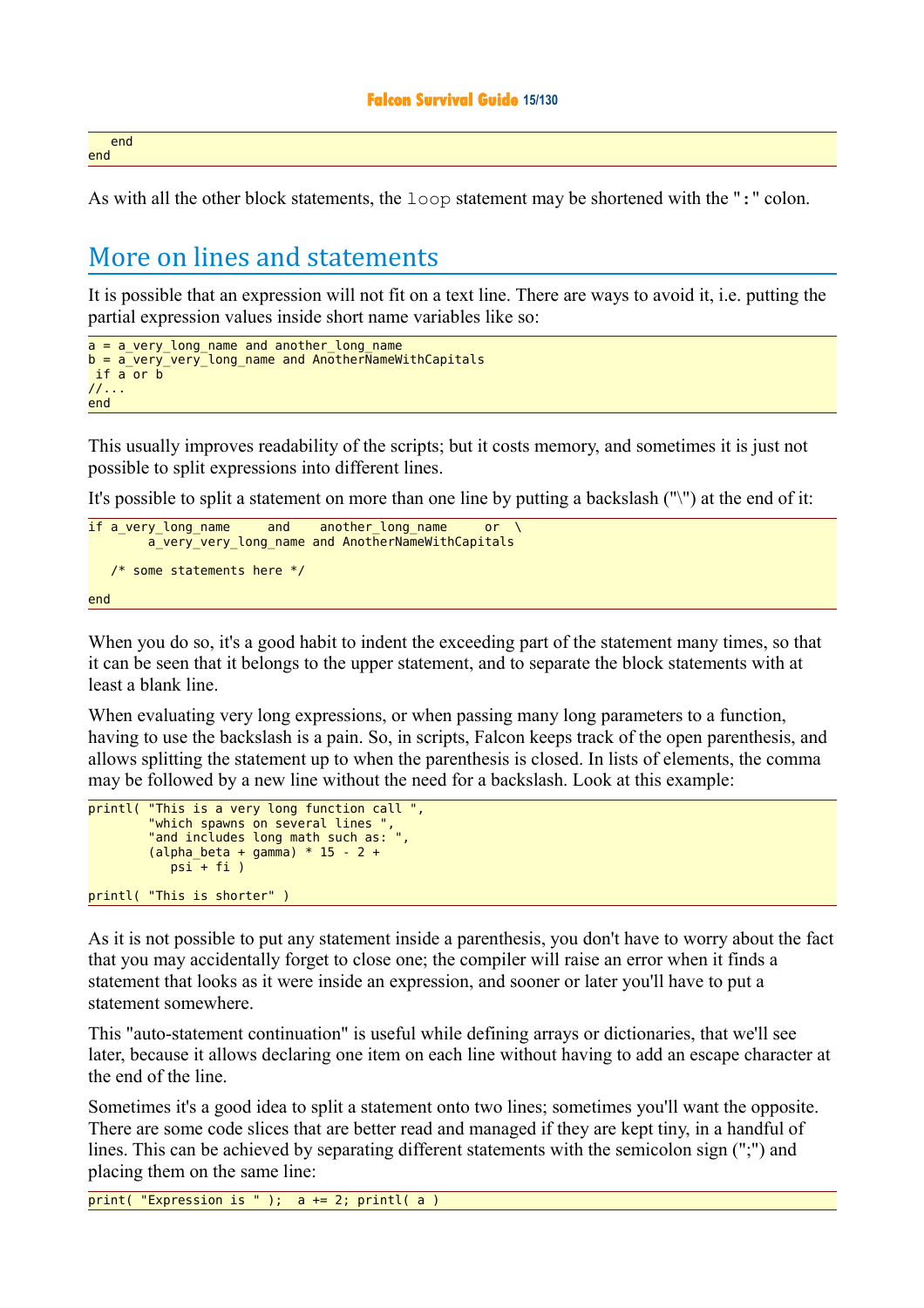end end

As with all the other block statements, the loop statement may be shortened with the ":" colon.

## More on lines and statements

It is possible that an expression will not fit on a text line. There are ways to avoid it, i.e. putting the partial expression values inside short name variables like so:

```
a = a very long name and another long name
b = a_very_very_long_name and AnotherNameWithCapitals
if a or b
//... 
end
```
This usually improves readability of the scripts; but it costs memory, and sometimes it is just not possible to split expressions into different lines.

It's possible to split a statement on more than one line by putting a backslash ("\") at the end of it:

```
if a very long name and another long name or
       a_very_very_long_name and AnotherNameWithCapitals
   /* some statements here */
end
```
When you do so, it's a good habit to indent the exceeding part of the statement many times, so that it can be seen that it belongs to the upper statement, and to separate the block statements with at least a blank line.

When evaluating very long expressions, or when passing many long parameters to a function, having to use the backslash is a pain. So, in scripts, Falcon keeps track of the open parenthesis, and allows splitting the statement up to when the parenthesis is closed. In lists of elements, the comma may be followed by a new line without the need for a backslash. Look at this example:

```
printl( "This is a very long function call ",<br>"which spawns on several lines ",
 "which spawns on several lines ",
 "and includes long math such as: ",
         (alpha_beta + gamma) * 15 - 2 +psi + fi)printl( "This is shorter" )
```
As it is not possible to put any statement inside a parenthesis, you don't have to worry about the fact that you may accidentally forget to close one; the compiler will raise an error when it finds a statement that looks as it were inside an expression, and sooner or later you'll have to put a statement somewhere.

This "auto-statement continuation" is useful while defining arrays or dictionaries, that we'll see later, because it allows declaring one item on each line without having to add an escape character at the end of the line.

Sometimes it's a good idea to split a statement onto two lines; sometimes you'll want the opposite. There are some code slices that are better read and managed if they are kept tiny, in a handful of lines. This can be achieved by separating different statements with the semicolon sign (";") and placing them on the same line:

print( "Expression is " );  $a == 2$ ; printl( $a$ )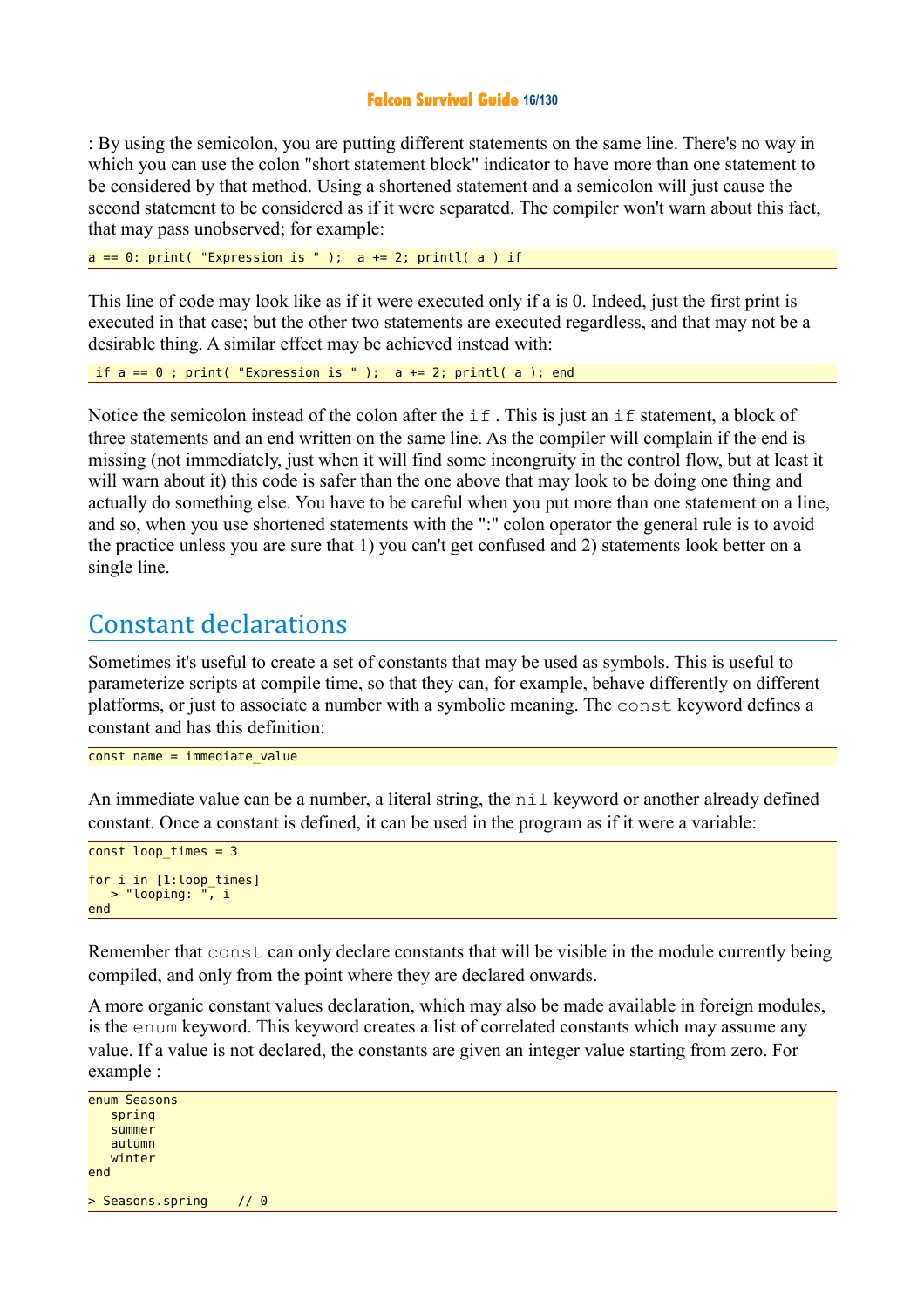#### **Falcon Survival Guide 16/130**

: By using the semicolon, you are putting different statements on the same line. There's no way in which you can use the colon "short statement block" indicator to have more than one statement to be considered by that method. Using a shortened statement and a semicolon will just cause the second statement to be considered as if it were separated. The compiler won't warn about this fact, that may pass unobserved; for example:

 $a == 0$ : print( "Expression is " );  $a += 2$ ; printl( a ) if

This line of code may look like as if it were executed only if a is 0. Indeed, just the first print is executed in that case; but the other two statements are executed regardless, and that may not be a desirable thing. A similar effect may be achieved instead with:

if  $a == 0$ ; print( "Expression is " );  $a += 2$ ; printl( a ); end

Notice the semicolon instead of the colon after the  $if$ . This is just an if statement, a block of three statements and an end written on the same line. As the compiler will complain if the end is missing (not immediately, just when it will find some incongruity in the control flow, but at least it will warn about it) this code is safer than the one above that may look to be doing one thing and actually do something else. You have to be careful when you put more than one statement on a line, and so, when you use shortened statements with the ":" colon operator the general rule is to avoid the practice unless you are sure that 1) you can't get confused and 2) statements look better on a single line.

## Constant declarations

Sometimes it's useful to create a set of constants that may be used as symbols. This is useful to parameterize scripts at compile time, so that they can, for example, behave differently on different platforms, or just to associate a number with a symbolic meaning. The const keyword defines a constant and has this definition:

 $const$  name = immediate value

An immediate value can be a number, a literal string, the nil keyword or another already defined constant. Once a constant is defined, it can be used in the program as if it were a variable:

```
const loop_times = 3
for i in [1:loop times]
    > "looping: ", i
end
```
Remember that const can only declare constants that will be visible in the module currently being compiled, and only from the point where they are declared onwards.

A more organic constant values declaration, which may also be made available in foreign modules, is the enum keyword. This keyword creates a list of correlated constants which may assume any value. If a value is not declared, the constants are given an integer value starting from zero. For example :

```
enum Seasons 
    spring
    summer
    autumn
    winter
end 
> Seasons.spring // 0
```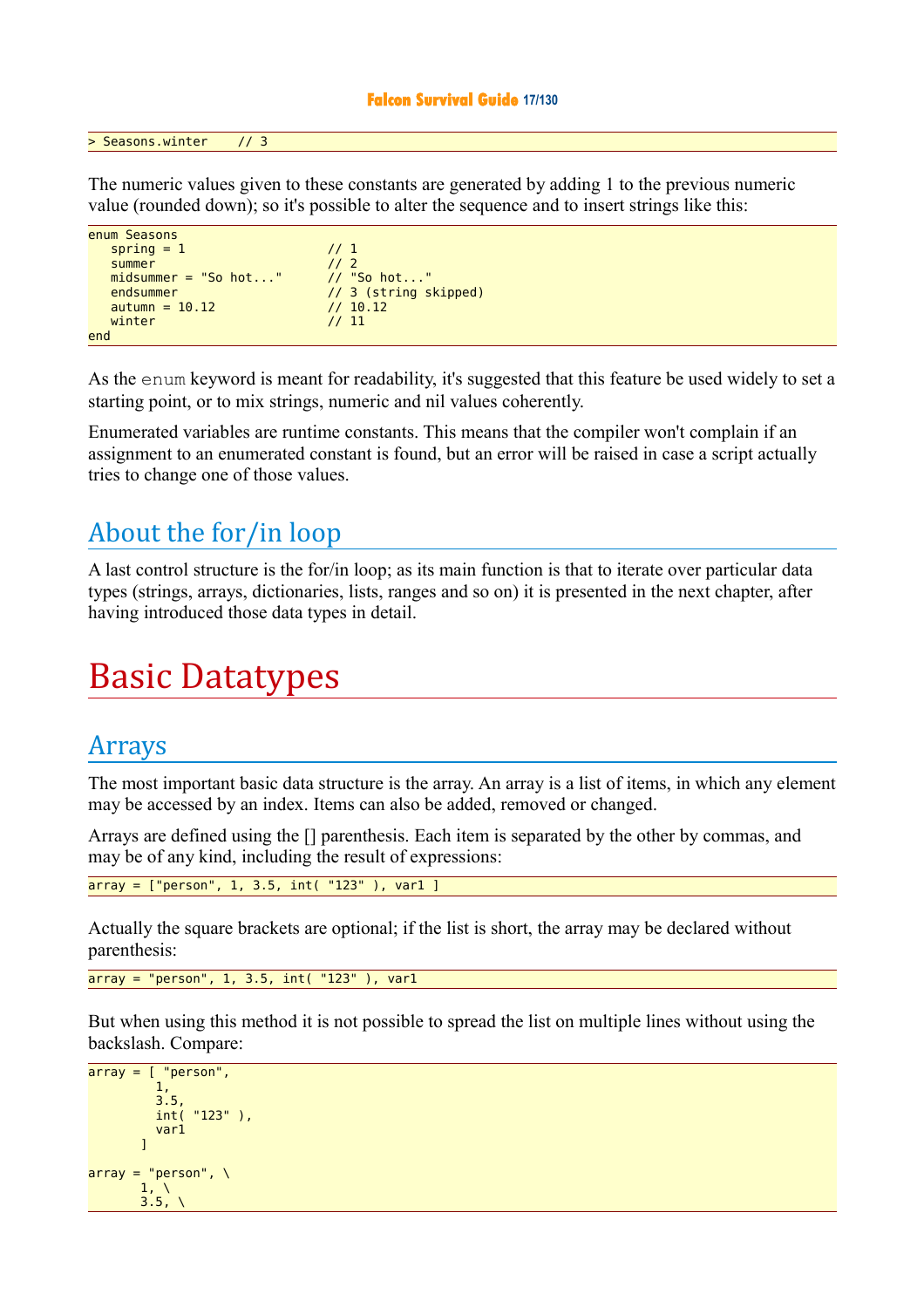#### **Falcon Survival Guide 17/130**

> Seasons.winter // 3

The numeric values given to these constants are generated by adding 1 to the previous numeric value (rounded down); so it's possible to alter the sequence and to insert strings like this:

```
enum Seasons 
  spring = 1 // 1
  summer // 2<br>midsummer = "So hot..." // "So hot..."
  midsummer = "So hot..."endsummer // 3 (string skipped)<br>autumn = 10.12 // 10.12 // 10.12
  autumn = 10.12winter \frac{1}{11}end
```
As the enum keyword is meant for readability, it's suggested that this feature be used widely to set a starting point, or to mix strings, numeric and nil values coherently.

Enumerated variables are runtime constants. This means that the compiler won't complain if an assignment to an enumerated constant is found, but an error will be raised in case a script actually tries to change one of those values.

## About the for/in loop

A last control structure is the for/in loop; as its main function is that to iterate over particular data types (strings, arrays, dictionaries, lists, ranges and so on) it is presented in the next chapter, after having introduced those data types in detail.

## Basic Datatypes

## Arrays

The most important basic data structure is the array. An array is a list of items, in which any element may be accessed by an index. Items can also be added, removed or changed.

Arrays are defined using the [] parenthesis. Each item is separated by the other by commas, and may be of any kind, including the result of expressions:

 $array =$  ["person", 1, 3.5,  $int($  "123" ),  $var1$ ]

Actually the square brackets are optional; if the list is short, the array may be declared without parenthesis:

 $array = "person", 1, 3.5, int("123")$ , varl

But when using this method it is not possible to spread the list on multiple lines without using the backslash. Compare:

```
array = [ "person",
               1,
               3.5,
                int( "123" ),
           \frac{var1}{1}\sim \sim \sim \sim \sim \simarray = "person", \n\end{aligned}1, \lambda3.5,
```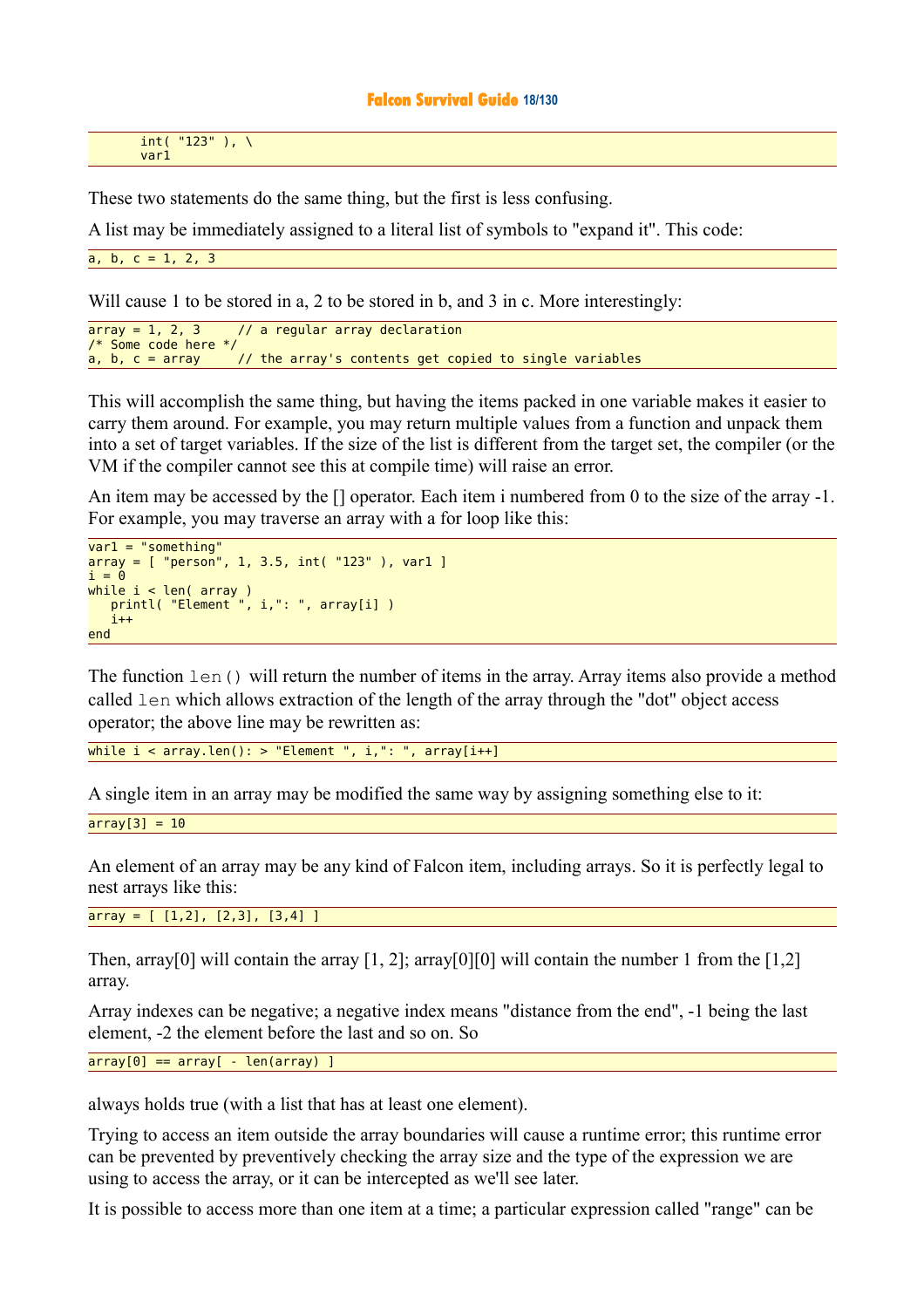#### **Falcon Survival Guide 18/130**

 $int('123'')$ , \ var1

These two statements do the same thing, but the first is less confusing.

A list may be immediately assigned to a literal list of symbols to "expand it". This code:

a, b,  $c = 1, 2, 3$ 

Will cause 1 to be stored in a, 2 to be stored in b, and 3 in c. More interestingly:

 $array = 1, 2, 3$  // a regular array declaration /\* Some code here \*/  $a, b, c = array$  // the array's contents get copied to single variables

This will accomplish the same thing, but having the items packed in one variable makes it easier to carry them around. For example, you may return multiple values from a function and unpack them into a set of target variables. If the size of the list is different from the target set, the compiler (or the VM if the compiler cannot see this at compile time) will raise an error.

An item may be accessed by the  $\Box$  operator. Each item i numbered from 0 to the size of the array -1. For example, you may traverse an array with a for loop like this:

```
var1 = "something'array = [ "person", 1, 3.5, int( "123" ), var1 ]
i = 0while i < len( array )
 printl( "Element ", i,": ", array[i] )
  i++end
```
The function  $l$ en() will return the number of items in the array. Array items also provide a method called len which allows extraction of the length of the array through the "dot" object access operator; the above line may be rewritten as:

while  $i < array.length()$ : > "Element ",  $i,$  ": ", array[ $i++$ ]

A single item in an array may be modified the same way by assigning something else to it:

 $array[3] = 10$ 

An element of an array may be any kind of Falcon item, including arrays. So it is perfectly legal to nest arrays like this:

 $array = [1,2], [2,3], [3,4] ]$ 

Then, array [0] will contain the array  $[1, 2]$ ; array [0] [0] will contain the number 1 from the  $[1,2]$ array.

Array indexes can be negative; a negative index means "distance from the end", -1 being the last element, -2 the element before the last and so on. So

 $array[0] == array[-len(array)]$ 

always holds true (with a list that has at least one element).

Trying to access an item outside the array boundaries will cause a runtime error; this runtime error can be prevented by preventively checking the array size and the type of the expression we are using to access the array, or it can be intercepted as we'll see later.

It is possible to access more than one item at a time; a particular expression called "range" can be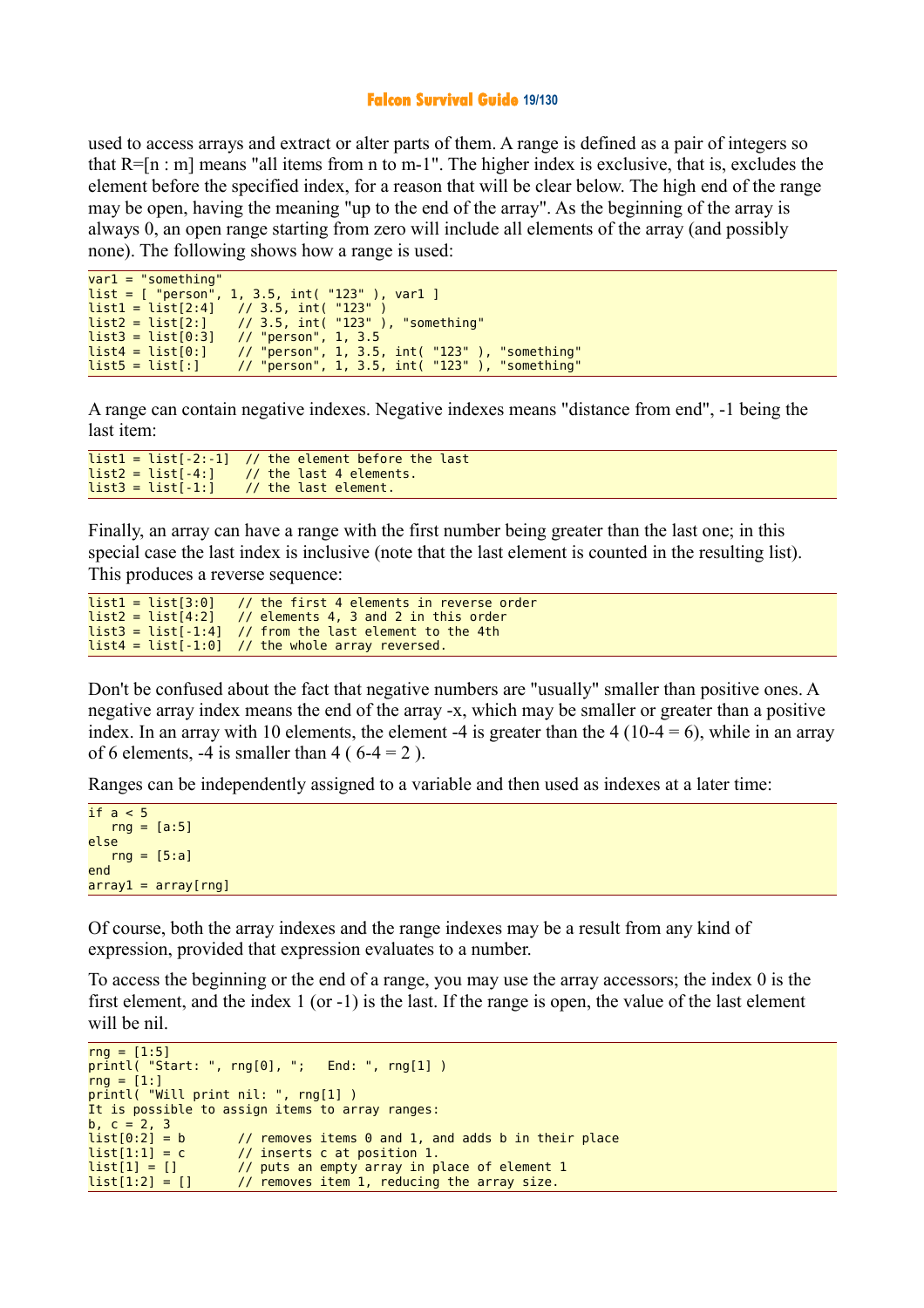#### **Falcon Survival Guide 19/130**

used to access arrays and extract or alter parts of them. A range is defined as a pair of integers so that  $R=[n : m]$  means "all items from n to m-1". The higher index is exclusive, that is, excludes the element before the specified index, for a reason that will be clear below. The high end of the range may be open, having the meaning "up to the end of the array". As the beginning of the array is always 0, an open range starting from zero will include all elements of the array (and possibly none). The following shows how a range is used:

```
var1 = "something"<br>list = [ "person", 1,
list = [\n    "person", 1, 3.5, int("123" ), var1 ]\n  list1 = list[2:4]  // 3.5. int("123" )\frac{1}{2} 3.5, int( "123")
list2 = list[2:] // 3.5, int('123"), "something"<br>list3 = list[0:3] // "person", 1, 3.5
list3 = list[0:3] // "person", 1, 3.5
list4 = list[0:] // "person", 1, 3.5, int( "123" ), "something"
list5 = list[:] // "person", 1, 3.5, int( "123" ), "something"
```
A range can contain negative indexes. Negative indexes means "distance from end", -1 being the last item:

```
list1 = list[-2:-1] // the element before the last
list2 = list[-4:] // the last 4 elements.<br>list3 = list[-1:] // the last element.
                            1/ the last element.
```
Finally, an array can have a range with the first number being greater than the last one; in this special case the last index is inclusive (note that the last element is counted in the resulting list). This produces a reverse sequence:

```
list1 = list[3:0] // the first 4 elements in reverse order<br>list2 = list[4:2] // elements 4, 3 and 2 in this order
                                 \frac{1}{2} elements 4, 3 and 2 in this order
list3 = list[-1:4] // from the last element to the 4th list4 = list[-1:0] // the whole array reversed.
                                 \frac{1}{2} the whole array reversed.
```
Don't be confused about the fact that negative numbers are "usually" smaller than positive ones. A negative array index means the end of the array -x, which may be smaller or greater than a positive index. In an array with 10 elements, the element -4 is greater than the  $4(10-4=6)$ , while in an array of 6 elements,  $-4$  is smaller than  $4$  (6 $-4 = 2$ ).

Ranges can be independently assigned to a variable and then used as indexes at a later time:

```
if a < 5rnq = [a:5]else
  rng = [5:a]end
array1 = array[rng]
```
Of course, both the array indexes and the range indexes may be a result from any kind of expression, provided that expression evaluates to a number.

To access the beginning or the end of a range, you may use the array accessors; the index 0 is the first element, and the index 1 (or -1) is the last. If the range is open, the value of the last element will be nil.

```
rnq = [1:5]printl( "Start: ", rng[0], "; End: ", rng[1] )
rng = [1:]printl( "Will print nil: ", rng[1] )
It is possible to assign items to array ranges:
b, c = 2, 3<br>list[0:2] = b
                       \frac{1}{2} removes items 0 and 1, and adds b in their place
list[1:1] = c // inserts c at position 1.
list[1] = [] // puts an empty array in place of element 1<br>list[1:2] = [] // removes item 1, reducing the array size.
                       1/ removes item 1, reducing the array size.
```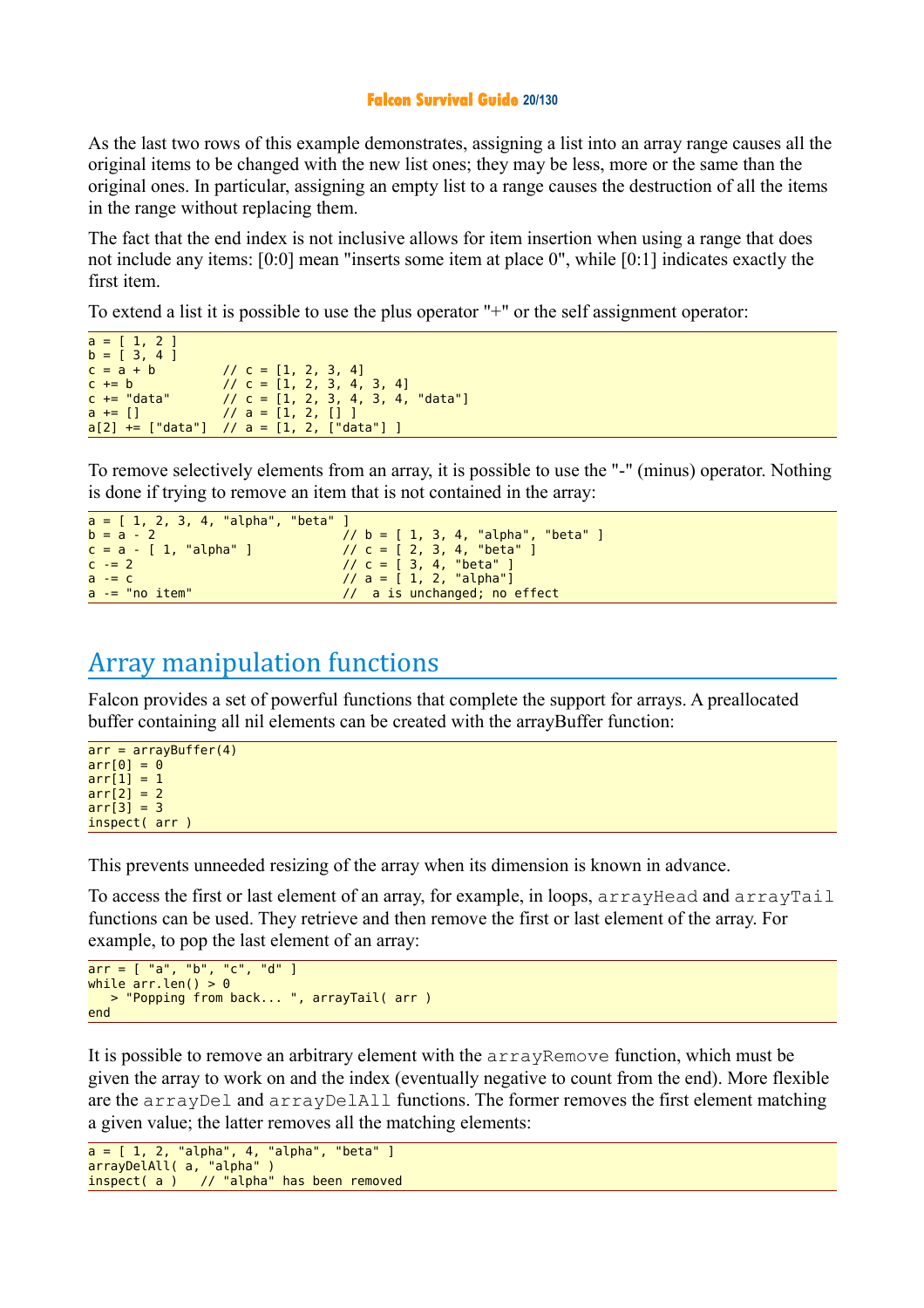#### **Falcon Survival Guide 20/130**

As the last two rows of this example demonstrates, assigning a list into an array range causes all the original items to be changed with the new list ones; they may be less, more or the same than the original ones. In particular, assigning an empty list to a range causes the destruction of all the items in the range without replacing them.

The fact that the end index is not inclusive allows for item insertion when using a range that does not include any items: [0:0] mean "inserts some item at place 0", while [0:1] indicates exactly the first item.

To extend a list it is possible to use the plus operator "+" or the self assignment operator:

```
a = [ 1, 2 ]b = [3, 4]<br>c = a + bc = a + b // c = [1, 2, 3, 4]<br>
c + b // c = [1, 2, 3, 4, 4]c += b // c = [1, 2, 3, 4, 3, 4]
c += "data" // c = [1, 2, 3, 4, 3, 4, "data"]
a += [] \qquad \qquad// a = [1, 2, [] ]<br>a[2] += ["data"] // a = [1, 2, ["da
                        \frac{1}{2} a = [1, 2, ["data"] ]
```
To remove selectively elements from an array, it is possible to use the "-" (minus) operator. Nothing is done if trying to remove an item that is not contained in the array:

```
a = [ 1, 2, 3, 4, 'alpha', 'beta'']<br>
b = a - 2b = a - 2 // b = [ 1, 3, 4, "alpha", "beta" ]
c = a - [ 1, "alpha" ] // c = [ 2, 3, 4, "beta" ]
c -= 2 \angle // c = [ 3, 4, "beta" ]
a -= c // a = [ 1, 2, "alpha"]
a = "no item" \frac{1}{a} a is unchanged; no effect
```
## Array manipulation functions

Falcon provides a set of powerful functions that complete the support for arrays. A preallocated buffer containing all nil elements can be created with the arrayBuffer function:

```
arr = arrayBuffer(4)arr[0] = 0arr[1] = 1arr[2] = 2arr[3] = 3inspect( arr )
```
This prevents unneeded resizing of the array when its dimension is known in advance.

To access the first or last element of an array, for example, in loops, arrayHead and arrayTail functions can be used. They retrieve and then remove the first or last element of the array. For example, to pop the last element of an array:

```
arr = [ "a", "b", "c", "d" ]while arr.length() > 0 > "Popping from back... ", arrayTail( arr )
end
```
It is possible to remove an arbitrary element with the arrayRemove function, which must be given the array to work on and the index (eventually negative to count from the end). More flexible are the arrayDel and arrayDelAll functions. The former removes the first element matching a given value; the latter removes all the matching elements:

```
a = [ 1, 2, "alpha", 4, "alpha", "beta" ]
arrayDelAll( a, "alpha" )
inspect( a ) // "alpha" has been removed
```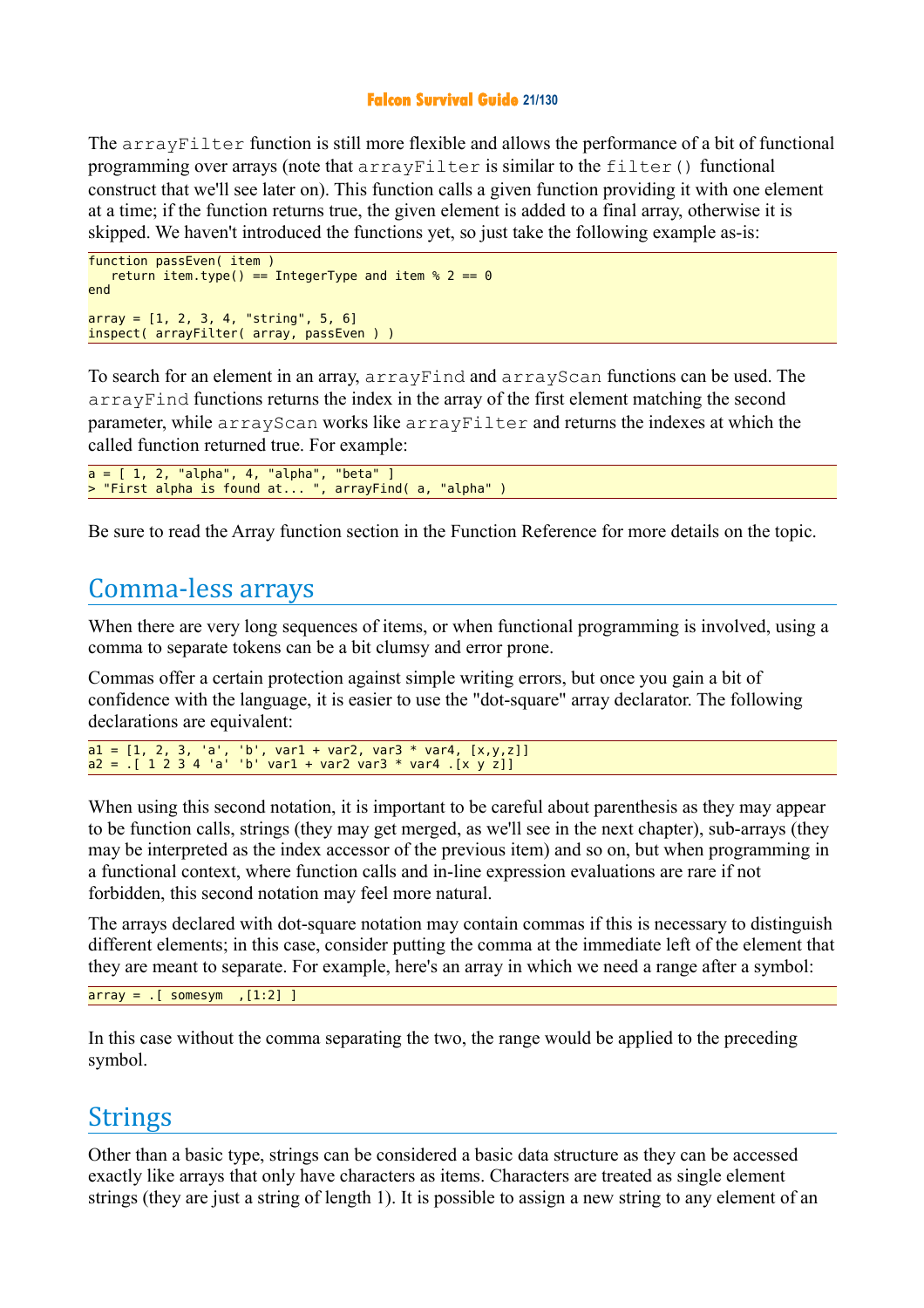#### **Falcon Survival Guide 21/130**

The arrayFilter function is still more flexible and allows the performance of a bit of functional programming over arrays (note that  $arrayF$ ilter is similar to the filter() functional construct that we'll see later on). This function calls a given function providing it with one element at a time; if the function returns true, the given element is added to a final array, otherwise it is skipped. We haven't introduced the functions yet, so just take the following example as-is:

```
function passEven( item )
  return item.type() == IntegerType and item % 2 = 0end
array = [1, 2, 3, 4, "string", 5, 6]inspect( arrayFilter( array, passEven ) )
```
To search for an element in an array, arrayFind and arrayScan functions can be used. The arrayFind functions returns the index in the array of the first element matching the second parameter, while arrayScan works like arrayFilter and returns the indexes at which the called function returned true. For example:

```
a = [ 1, 2, "alpha", 4, "alpha", "beta" ]
> "First alpha is found at... ", arrayFind( a, "alpha" )
```
Be sure to read the Array function section in the Function Reference for more details on the topic.

## Comma-less arrays

When there are very long sequences of items, or when functional programming is involved, using a comma to separate tokens can be a bit clumsy and error prone.

Commas offer a certain protection against simple writing errors, but once you gain a bit of confidence with the language, it is easier to use the "dot-square" array declarator. The following declarations are equivalent:

```
a1 = [1, 2, 3, 'a', 'b', var1 + var2, var3 * var4, [x,y,z]]
a2 = .[ 1 2 3 4 'a' 'b' var1 + var2 var3 * var4 .[x y z]]
```
When using this second notation, it is important to be careful about parenthesis as they may appear to be function calls, strings (they may get merged, as we'll see in the next chapter), sub-arrays (they may be interpreted as the index accessor of the previous item) and so on, but when programming in a functional context, where function calls and in-line expression evaluations are rare if not forbidden, this second notation may feel more natural.

The arrays declared with dot-square notation may contain commas if this is necessary to distinguish different elements; in this case, consider putting the comma at the immediate left of the element that they are meant to separate. For example, here's an array in which we need a range after a symbol:

```
array = .[ somesym , [1:2] ]
```
In this case without the comma separating the two, the range would be applied to the preceding symbol.

## **Strings**

Other than a basic type, strings can be considered a basic data structure as they can be accessed exactly like arrays that only have characters as items. Characters are treated as single element strings (they are just a string of length 1). It is possible to assign a new string to any element of an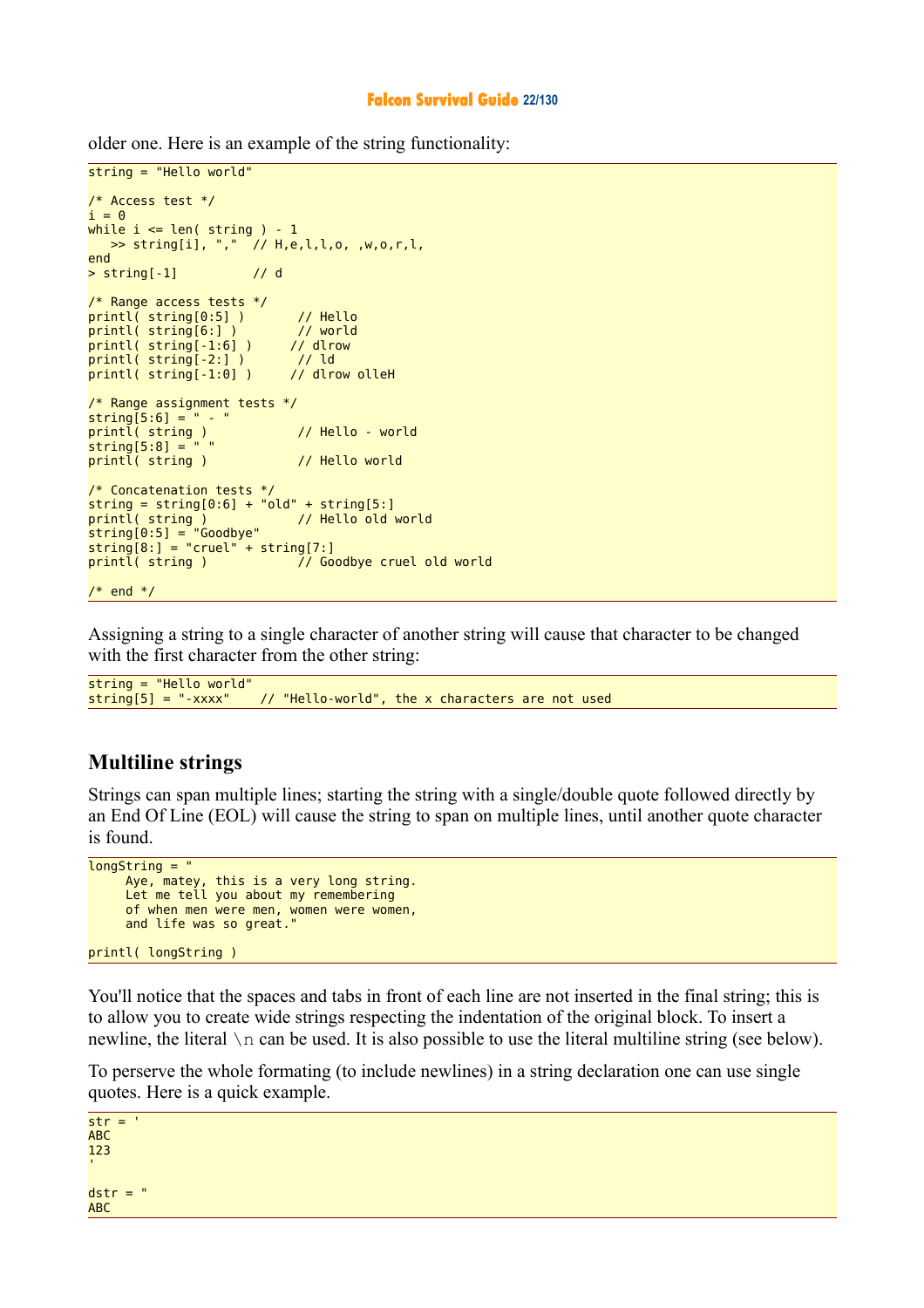#### **Falcon Survival Guide 22/130**

older one. Here is an example of the string functionality:

```
string = "Hello world"
/* Access test */
i = 0while i \leq len(\text{string}) - 1 >> string[i], "," // H,e,l,l,o, ,w,o,r,l,
end
> string[-1] // d
/* Range access tests */
printl( string[0:5] ) // Hello
printl( string[6:] ) // world
print( string[-1:6] )
printl( string[-2:] ) // ld
print( string[-1:0])
/* Range assignment tests */
string[5:6] = " - "printl( string ) // Hello - world
string[5:8] = " "printl( string ) \frac{1}{2} Hello world
/* Concatenation tests */
string = string[0:6] + "old" + string[5:]<br>printl( string ) // Hello old world
printl( string ) // Hello old world
string[0:5] = "Goodbye"
string[8:] = "cruel" + string[7:]printl( string ) \frac{1}{2} Goodbye cruel old world
/* end */
```
Assigning a string to a single character of another string will cause that character to be changed with the first character from the other string:

```
string = "Hello world"
                       // "Hello-world", the x characters are not used
```
#### **Multiline strings**

Strings can span multiple lines; starting the string with a single/double quote followed directly by an End Of Line (EOL) will cause the string to span on multiple lines, until another quote character is found.

```
longString = " Aye, matey, this is a very long string.
 Let me tell you about my remembering
     of when men were men, women were women,
     and life was so great."
printl( longString )
```
You'll notice that the spaces and tabs in front of each line are not inserted in the final string; this is to allow you to create wide strings respecting the indentation of the original block. To insert a newline, the literal  $\n\times$ n can be used. It is also possible to use the literal multiline string (see below).

To perserve the whole formating (to include newlines) in a string declaration one can use single quotes. Here is a quick example.

 $str =$ ABC 123  $dstr = "$ ABC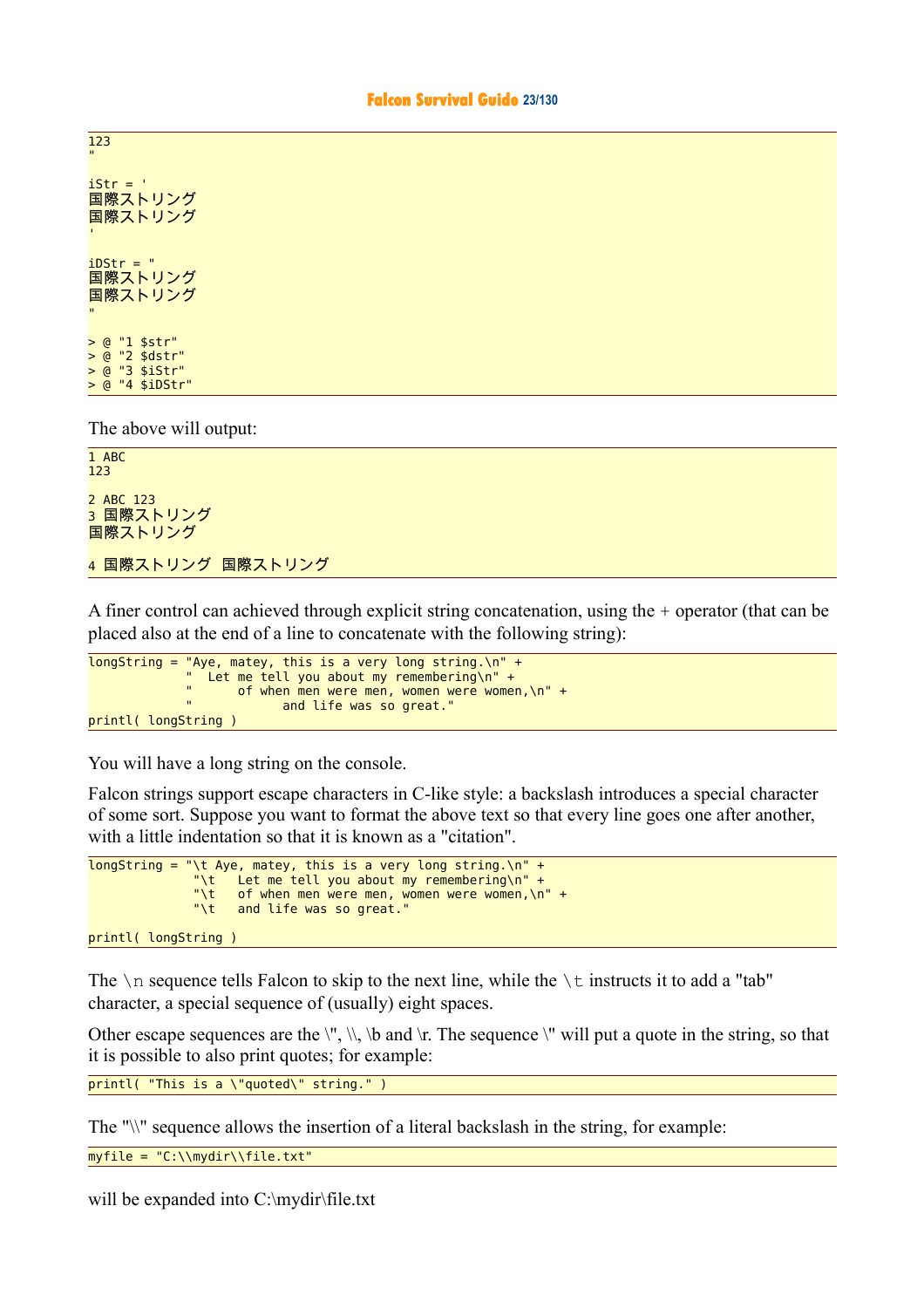"  $i$ Str =  $'$ 国際ストリング 国際ストリング  $i$ DStr = " 国際ストリング 国際ストリング " > @ "1 \$str" > @ "2 \$dstr" > @ "3 \$iStr" > @ "4 \$iDStr"

123

The above will output:

1 ABC 123 2 ABC 123 3 国際ストリング 国際ストリング 4 国際ストリング 国際ストリング

A finer control can achieved through explicit string concatenation, using the + operator (that can be placed also at the end of a line to concatenate with the following string):

```
longString = "Aye, matey, this is a very long string.\n" +
 " Let me tell you about my remembering\n" +
             " of when men were men, women were women,\n" +
                        and life was so great."
printl( longString )
```
You will have a long string on the console.

Falcon strings support escape characters in C-like style: a backslash introduces a special character of some sort. Suppose you want to format the above text so that every line goes one after another, with a little indentation so that it is known as a "citation".

```
longString = "\t Aye, matey, this is a very long string.\n" +
\hspace{1cm} "\t \hspace{1cm} Let me tell you about my remembering\n" +
\hspace{0.1cm} \hspace{0.1cm} \hspace{0.1cm} \hspace{0.1cm} \hspace{0.1cm} \hspace{0.1cm} \hspace{0.1cm} \hspace{0.1cm} \hspace{0.1cm} \hspace{0.1cm} \hspace{0.1cm} \hspace{0.1cm} \hspace{0.1cm} \hspace{0.1cm} \hspace{0.1cm} \hspace{0.1cm} \hspace{0.1cm} \hspace{0.1cm} \hspace{\mathbb{R}^n and life was so great."
```

```
printl( longString )
```
The  $\n\alpha$  sequence tells Falcon to skip to the next line, while the  $\iota$  instructs it to add a "tab" character, a special sequence of (usually) eight spaces.

Other escape sequences are the  $\langle \cdot, \cdot \rangle$ ,  $\langle \cdot \rangle$  and  $\langle \cdot \rangle$ . The sequence  $\langle \cdot \rangle$  will put a quote in the string, so that it is possible to also print quotes; for example:

printl( "This is a \"quoted\" string." )

The "\\" sequence allows the insertion of a literal backslash in the string, for example:

myfile = "C:\\mydir\\file.txt"

will be expanded into C:\mydir\file.txt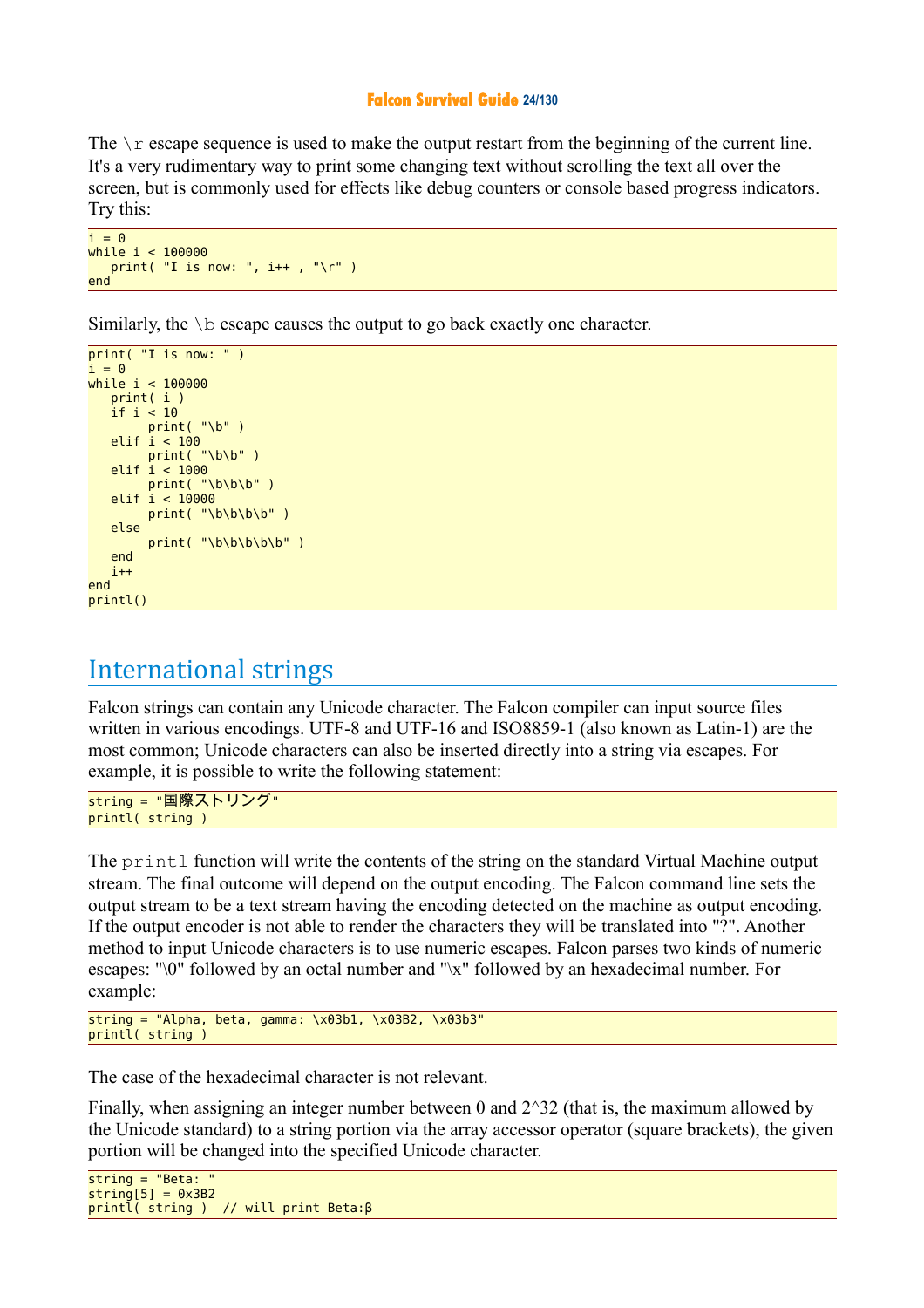#### **Falcon Survival Guide 24/130**

The  $\chi$  escape sequence is used to make the output restart from the beginning of the current line. It's a very rudimentary way to print some changing text without scrolling the text all over the screen, but is commonly used for effects like debug counters or console based progress indicators. Try this:

```
i = 0while i < 100000
  print( "I is now: ", i++ , "\r" )
end
```
Similarly, the  $\mathcal{S}$  b escape causes the output to go back exactly one character.

```
print('T is now: '')i = \thetawhile i < 100000
    print( i )
    if i < 10
        print('"\b"')elif i < 100 print( "\b\b" )
    elif i < 1000
        print( "\b\b\b" )
    elif i < 10000
        print('"\b\b\b\b\"
    else
        print( "\b\b\b\b\b" )
    end
   i+4end
printl()
```
## International strings

Falcon strings can contain any Unicode character. The Falcon compiler can input source files written in various encodings. UTF-8 and UTF-16 and ISO8859-1 (also known as Latin-1) are the most common; Unicode characters can also be inserted directly into a string via escapes. For example, it is possible to write the following statement:

string = "国際ストリング" printl( string )

The printl function will write the contents of the string on the standard Virtual Machine output stream. The final outcome will depend on the output encoding. The Falcon command line sets the output stream to be a text stream having the encoding detected on the machine as output encoding. If the output encoder is not able to render the characters they will be translated into "?". Another method to input Unicode characters is to use numeric escapes. Falcon parses two kinds of numeric escapes: "\0" followed by an octal number and "\x" followed by an hexadecimal number. For example:

```
string = "Alpha, beta, gamma: x03b1, x03B2, x03b3"
printl( string )
```
The case of the hexadecimal character is not relevant.

Finally, when assigning an integer number between 0 and  $2^3$  (that is, the maximum allowed by the Unicode standard) to a string portion via the array accessor operator (square brackets), the given portion will be changed into the specified Unicode character.

```
string = <math>"Beta</math>:string[5] = 0x3B2printl( string ) // will print Beta:β
```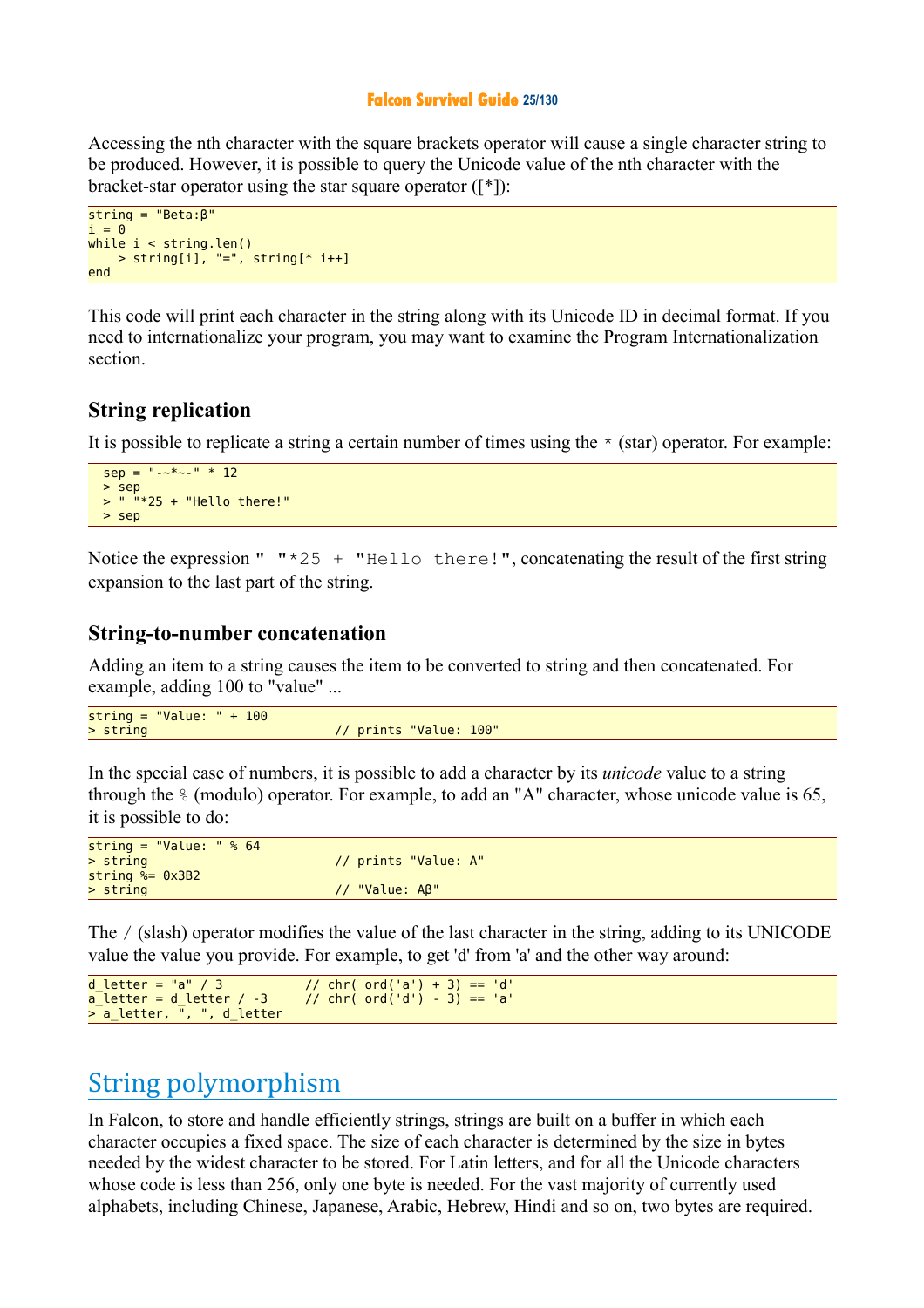#### **Falcon Survival Guide 25/130**

Accessing the nth character with the square brackets operator will cause a single character string to be produced. However, it is possible to query the Unicode value of the nth character with the bracket-star operator using the star square operator ([\*]):

```
string = "Beta:β"
i = 0while i < string.len()
   > string[i], "=", string[* i++]
end
```
This code will print each character in the string along with its Unicode ID in decimal format. If you need to internationalize your program, you may want to examine the Program Internationalization section.

#### **String replication**

It is possible to replicate a string a certain number of times using the  $\star$  (star) operator. For example:

```
sep = "--*--" * 12 > sep
 > " "*25 + "Hello there!"
  > sep
```
Notice the expression "  $"*25 + "Hello there!"]$ , concatenating the result of the first string expansion to the last part of the string.

#### **String-to-number concatenation**

Adding an item to a string causes the item to be converted to string and then concatenated. For example, adding 100 to "value" ...

| string = "Value: " + $100$ |                        |
|----------------------------|------------------------|
| > string                   | // prints "Value: 100" |
|                            |                        |

In the special case of numbers, it is possible to add a character by its *unicode* value to a string through the % (modulo) operator. For example, to add an "A" character, whose unicode value is 65, it is possible to do:

| string = "Value: " $% 64$     |                      |
|-------------------------------|----------------------|
| > string                      | // prints "Value: A" |
| $string \approx 0 \times 3B2$ |                      |
| > string                      | $1/$ "Value: $AB$ "  |

The / (slash) operator modifies the value of the last character in the string, adding to its UNICODE value the value you provide. For example, to get 'd' from 'a' and the other way around:

```
d_letter = "a" / 3 // chr( ord('a') + 3) == 'd'<br>a letter = d letter / -3 // chr( ord('d') - 3) == 'a'
                                            \frac{1}{2} chr( ord('d') - 3) == 'a'
> a_letter, ", ", d_letter
```
## String polymorphism

In Falcon, to store and handle efficiently strings, strings are built on a buffer in which each character occupies a fixed space. The size of each character is determined by the size in bytes needed by the widest character to be stored. For Latin letters, and for all the Unicode characters whose code is less than 256, only one byte is needed. For the vast majority of currently used alphabets, including Chinese, Japanese, Arabic, Hebrew, Hindi and so on, two bytes are required.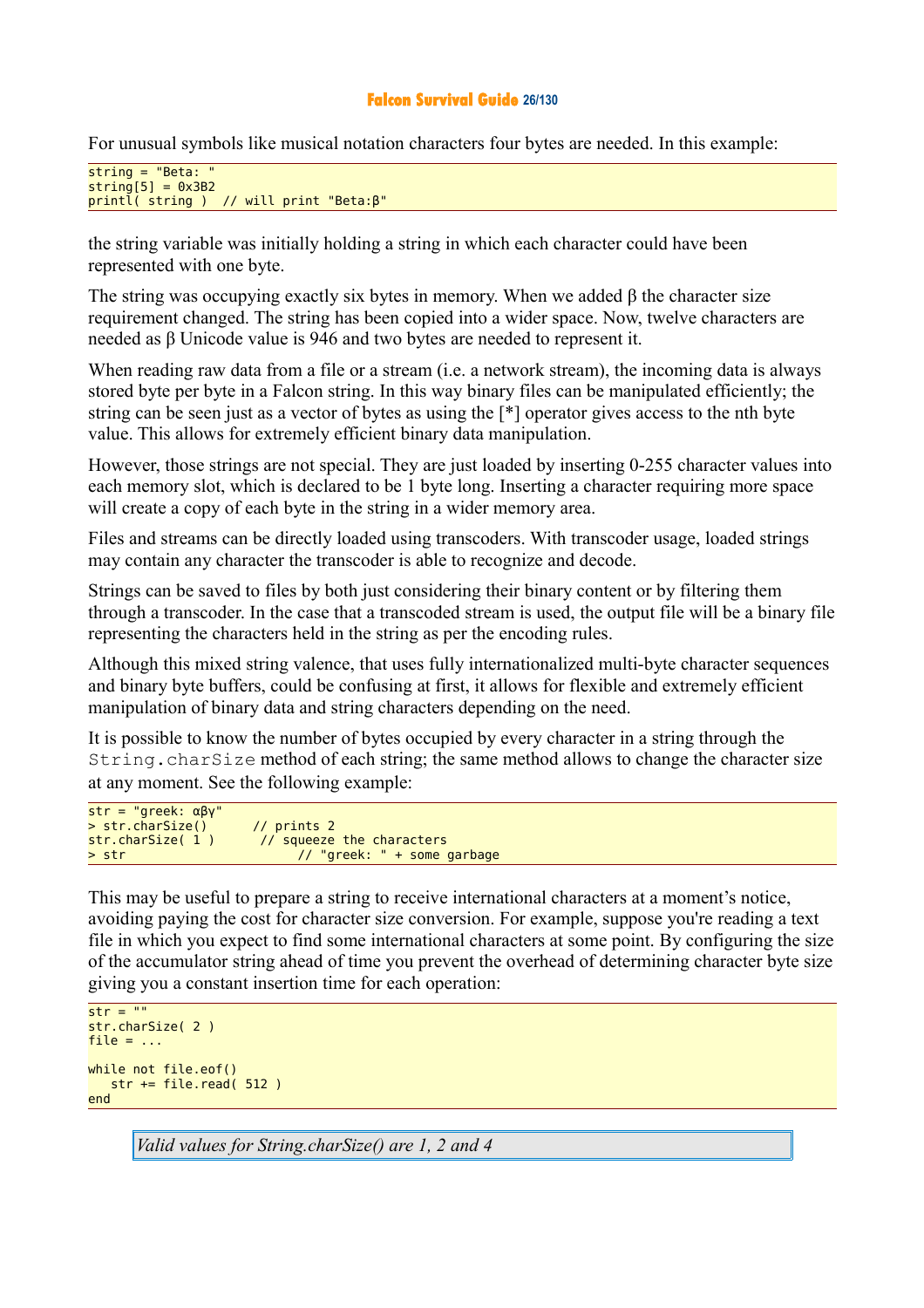#### **Falcon Survival Guide 26/130**

For unusual symbols like musical notation characters four bytes are needed. In this example:

```
string = "Beta: "string[5] = 0x3B2printl( string ) // will print "Beta:β"
```
the string variable was initially holding a string in which each character could have been represented with one byte.

The string was occupying exactly six bytes in memory. When we added  $\beta$  the character size requirement changed. The string has been copied into a wider space. Now, twelve characters are needed as β Unicode value is 946 and two bytes are needed to represent it.

When reading raw data from a file or a stream (i.e. a network stream), the incoming data is always stored byte per byte in a Falcon string. In this way binary files can be manipulated efficiently; the string can be seen just as a vector of bytes as using the [\*] operator gives access to the nth byte value. This allows for extremely efficient binary data manipulation.

However, those strings are not special. They are just loaded by inserting 0-255 character values into each memory slot, which is declared to be 1 byte long. Inserting a character requiring more space will create a copy of each byte in the string in a wider memory area.

Files and streams can be directly loaded using transcoders. With transcoder usage, loaded strings may contain any character the transcoder is able to recognize and decode.

Strings can be saved to files by both just considering their binary content or by filtering them through a transcoder. In the case that a transcoded stream is used, the output file will be a binary file representing the characters held in the string as per the encoding rules.

Although this mixed string valence, that uses fully internationalized multi-byte character sequences and binary byte buffers, could be confusing at first, it allows for flexible and extremely efficient manipulation of binary data and string characters depending on the need.

It is possible to know the number of bytes occupied by every character in a string through the String.charSize method of each string; the same method allows to change the character size at any moment. See the following example:

| $str = "greek: \alpha\beta v"$ |                                |
|--------------------------------|--------------------------------|
| > str.charSize()               | // $prints$ 2                  |
| str.charSize(1)                | // squeeze the characters      |
| > str                          | $// "greek: " + some garbage"$ |

This may be useful to prepare a string to receive international characters at a moment's notice, avoiding paying the cost for character size conversion. For example, suppose you're reading a text file in which you expect to find some international characters at some point. By configuring the size of the accumulator string ahead of time you prevent the overhead of determining character byte size giving you a constant insertion time for each operation:

```
str = ""
str.charSize( 2 )
file = \dotswhile not file.eof()
   str += file.read( 512 )end
```
*Valid values for String.charSize() are 1, 2 and 4*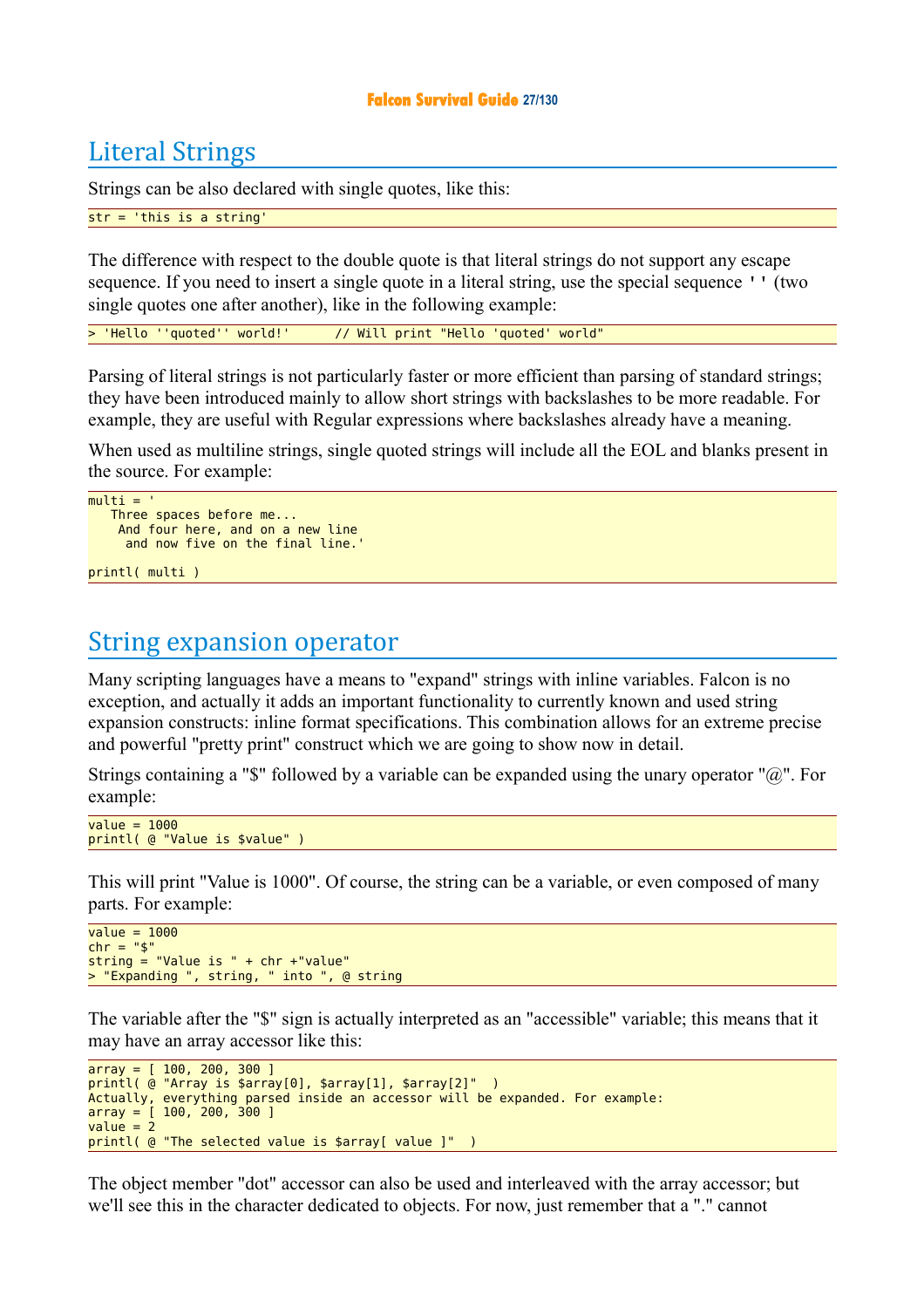#### **Falcon Survival Guide 27/130**

## Literal Strings

Strings can be also declared with single quotes, like this:

#### str = 'this is a string'

The difference with respect to the double quote is that literal strings do not support any escape sequence. If you need to insert a single quote in a literal string, use the special sequence '' (two single quotes one after another), like in the following example:

> 'Hello ''quoted'' world!' // Will print "Hello 'quoted' world"

Parsing of literal strings is not particularly faster or more efficient than parsing of standard strings; they have been introduced mainly to allow short strings with backslashes to be more readable. For example, they are useful with Regular expressions where backslashes already have a meaning.

When used as multiline strings, single quoted strings will include all the EOL and blanks present in the source. For example:

```
multi = Three spaces before me...
     And four here, and on a new line
      and now five on the final line.'
```
printl( multi )

## String expansion operator

Many scripting languages have a means to "expand" strings with inline variables. Falcon is no exception, and actually it adds an important functionality to currently known and used string expansion constructs: inline format specifications. This combination allows for an extreme precise and powerful "pretty print" construct which we are going to show now in detail.

Strings containing a "\$" followed by a variable can be expanded using the unary operator "@". For example:

```
value = 1000printl( @ "Value is $value" )
```
This will print "Value is 1000". Of course, the string can be a variable, or even composed of many parts. For example:

```
value = 1000chr = "s"\overline{\text{string}} = "Value is " + chr +"value"
> "Expanding ", string, " into ", @ string
```
The variable after the "\$" sign is actually interpreted as an "accessible" variable; this means that it may have an array accessor like this:

```
array = [ 100, 200, 300 ]
printl( @ "Array is $array[0], $array[1], $array[2]" )
Actually, everything parsed inside an accessor will be expanded. For example:
array = [ 100, 200, 300 ]
value = 2printl( @ "The selected value is $array[ value ]" )
```
The object member "dot" accessor can also be used and interleaved with the array accessor; but we'll see this in the character dedicated to objects. For now, just remember that a "." cannot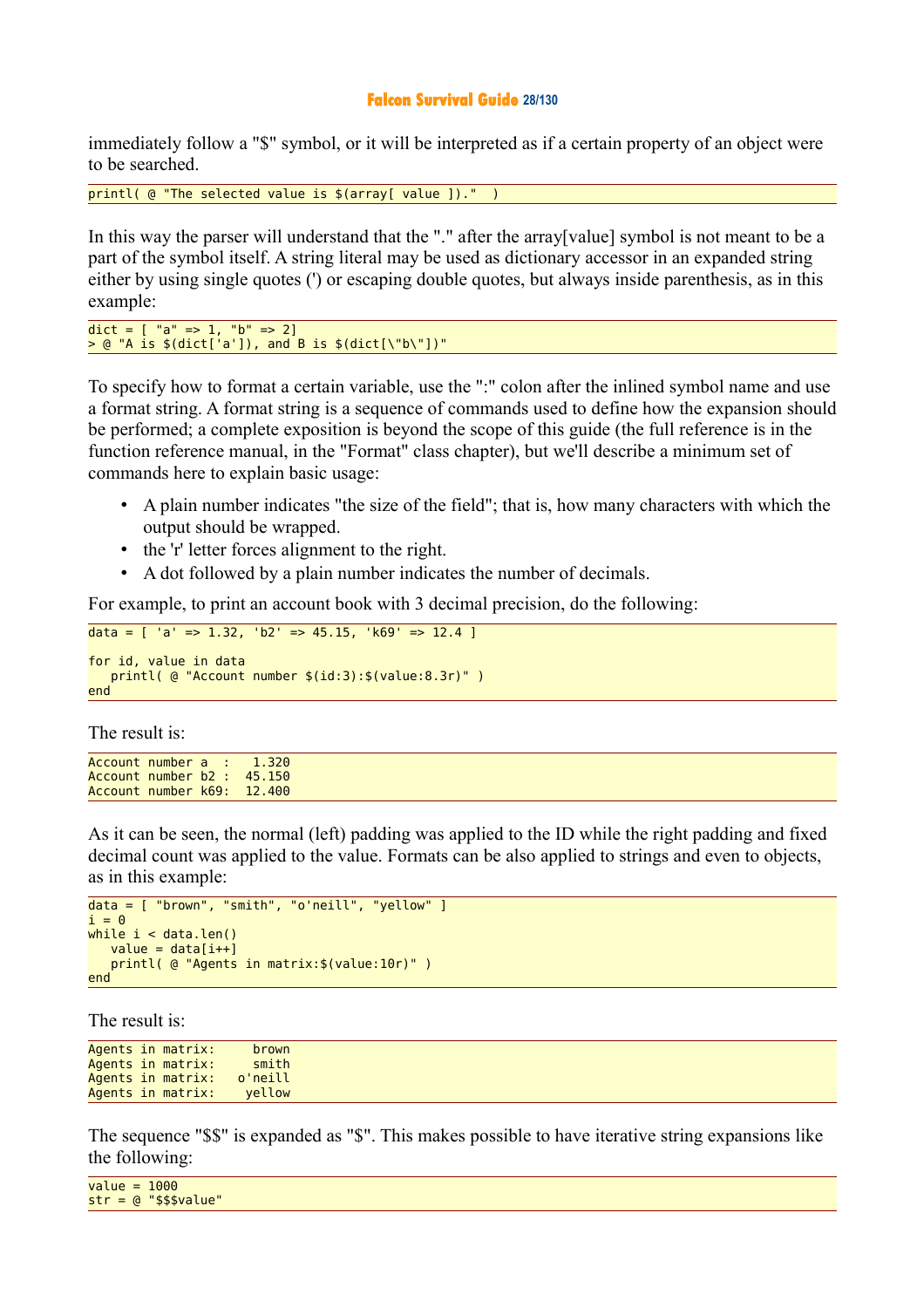#### **Falcon Survival Guide 28/130**

immediately follow a "\$" symbol, or it will be interpreted as if a certain property of an object were to be searched.

printl( @ "The selected value is \$(array[ value ])."

In this way the parser will understand that the "." after the array[value] symbol is not meant to be a part of the symbol itself. A string literal may be used as dictionary accessor in an expanded string either by using single quotes (') or escaping double quotes, but always inside parenthesis, as in this example:

dict =  $[$  "a" => 1, "b" => 2]  $>$  @ "A is  $$$ (dict['a']), and B is  $$$ (dict[\"b\"])"

To specify how to format a certain variable, use the ":" colon after the inlined symbol name and use a format string. A format string is a sequence of commands used to define how the expansion should be performed; a complete exposition is beyond the scope of this guide (the full reference is in the function reference manual, in the "Format" class chapter), but we'll describe a minimum set of commands here to explain basic usage:

- A plain number indicates "the size of the field"; that is, how many characters with which the output should be wrapped.
- the 'r' letter forces alignment to the right.
- A dot followed by a plain number indicates the number of decimals.

For example, to print an account book with 3 decimal precision, do the following:

```
data = [ 'a' => 1.32, 'b2' => 45.15, 'k69' => 12.4 ]
for id, value in data
   printl( @ "Account number $(id:3):$(value:8.3r)" )
end
```
The result is:

|  | $Account$ number a : $1.320$ |
|--|------------------------------|
|  | Account number b2 : 45.150   |
|  | Account number k69: 12.400   |

As it can be seen, the normal (left) padding was applied to the ID while the right padding and fixed decimal count was applied to the value. Formats can be also applied to strings and even to objects, as in this example:

```
data = [ "brown", "smith", "o'neill", "yellow" ]
i = 0while i < data.len()
   value = data[i++] printl( @ "Agents in matrix:$(value:10r)" )
end
```
The result is:

```
Agents in matrix: brown<br>Agents in matrix: smith
Agents in matrix:
Agents in matrix: o'neill
Agents in matrix: yellow
```
The sequence "\$\$" is expanded as "\$". This makes possible to have iterative string expansions like the following:

| $value = 1000$ |                         |
|----------------|-------------------------|
|                | $str = @$ "\$\$\$value" |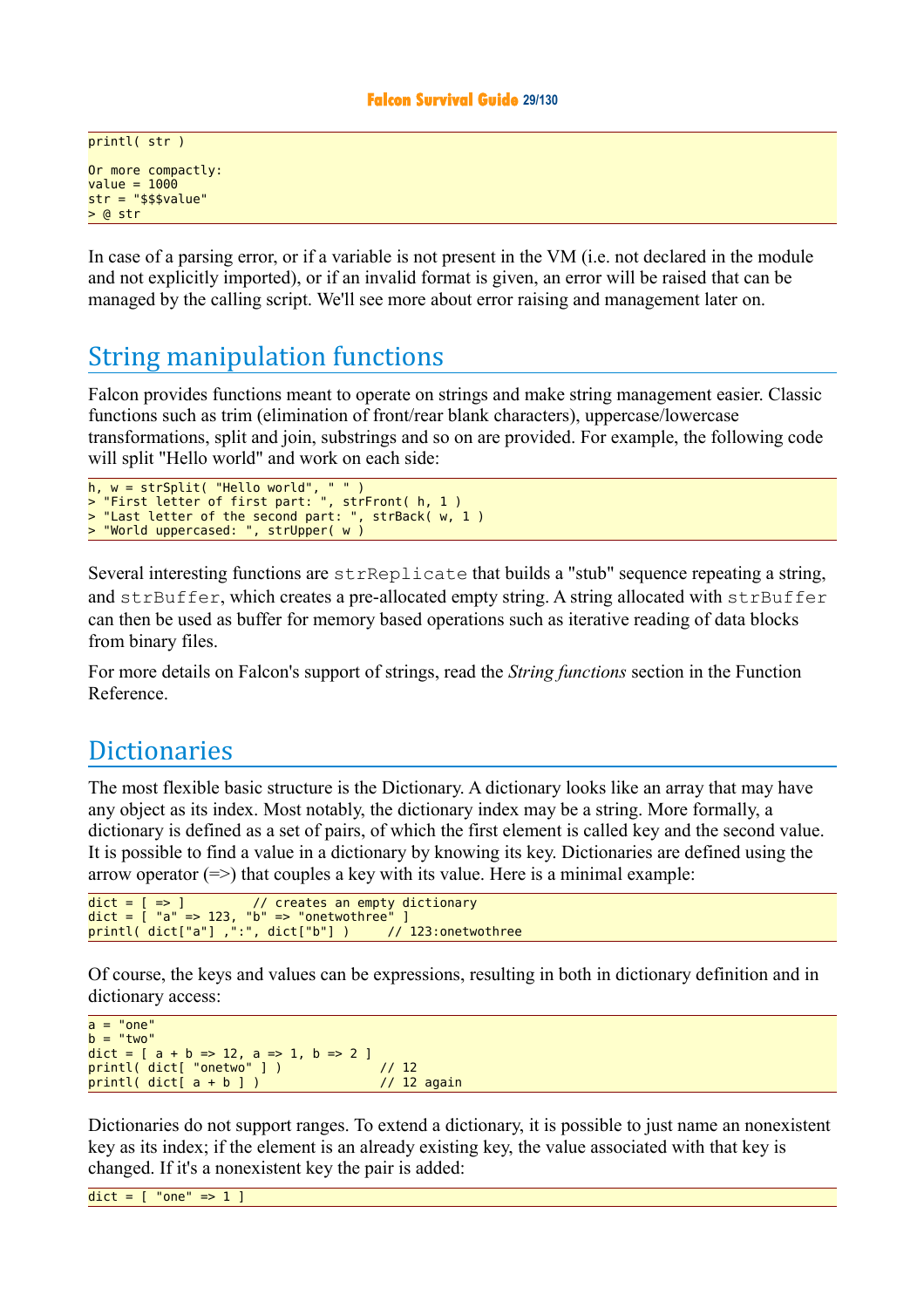```
printl( str )
Or more compactly:
value = 1000str = "$$$value"
> @ str
```
In case of a parsing error, or if a variable is not present in the VM (i.e. not declared in the module and not explicitly imported), or if an invalid format is given, an error will be raised that can be managed by the calling script. We'll see more about error raising and management later on.

## String manipulation functions

Falcon provides functions meant to operate on strings and make string management easier. Classic functions such as trim (elimination of front/rear blank characters), uppercase/lowercase transformations, split and join, substrings and so on are provided. For example, the following code will split "Hello world" and work on each side:

```
h, w = strSplit( "Hello world", " " )
> "First letter of first part: ", strFront( h, 1 )
> "Last letter of the second part: ", strBack( w, 1 )
> "World uppercased: ", strUpper( w )
```
Several interesting functions are strReplicate that builds a "stub" sequence repeating a string, and  $strBuffer$ , which creates a pre-allocated empty string. A string allocated with  $strBuffer$ can then be used as buffer for memory based operations such as iterative reading of data blocks from binary files.

For more details on Falcon's support of strings, read the *String functions* section in the Function Reference.

## **Dictionaries**

The most flexible basic structure is the Dictionary. A dictionary looks like an array that may have any object as its index. Most notably, the dictionary index may be a string. More formally, a dictionary is defined as a set of pairs, of which the first element is called key and the second value. It is possible to find a value in a dictionary by knowing its key. Dictionaries are defined using the arrow operator  $(=>)$  that couples a key with its value. Here is a minimal example:

```
dict = [->] // creates an empty dictionary
\det = \int "a" => 123, "b" => "onetwothree" ]
\frac{1}{2} printl( dict["a"] ,":", dict["b"] ) // 123:onetwothree
```
Of course, the keys and values can be expressions, resulting in both in dictionary definition and in dictionary access:

```
a = "one"b = "two"dict = [a + b \Rightarrow 12, a => 1, b => 2]printl( dict[ "onetwo" ] ) // 12
printl( dict[ a + b ] )
```
Dictionaries do not support ranges. To extend a dictionary, it is possible to just name an nonexistent key as its index; if the element is an already existing key, the value associated with that key is changed. If it's a nonexistent key the pair is added:

```
\overline{\text{dict}} = [ "one" => 1
```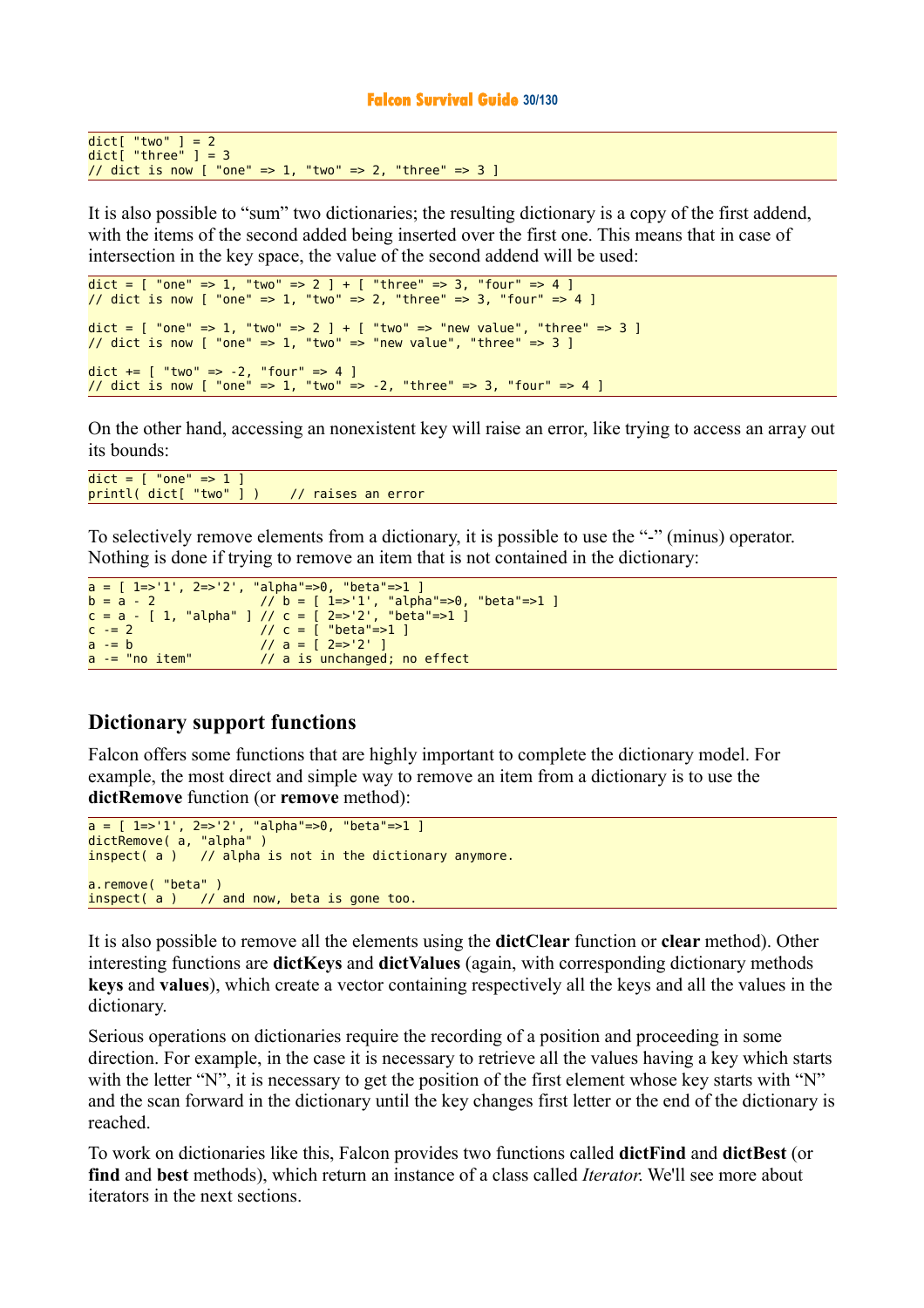#### **Falcon Survival Guide 30/130**

```
dict[ "two" ] = 2
dict[ "three" ] = 3
// dict is now [ "one" => 1, "two" => 2, "three" => 3 ]
```
It is also possible to "sum" two dictionaries; the resulting dictionary is a copy of the first addend, with the items of the second added being inserted over the first one. This means that in case of intersection in the key space, the value of the second addend will be used:

```
\text{dict} = \left[ \begin{array}{cc} \text{"one"} \end{array} \right] = \left[ \begin{array}{cc} \text{"two"} \end{array} \right] = \left[ \begin{array}{cc} \text{"three"} \end{array} \right] = \left[ \begin{array}{cc} \text{"three"} \end{array} \right] = \left[ \begin{array}{cc} \text{"four"} \end{array} \right] = \left[ \begin{array}{cc} \text{"one"} \end{array} \right] = \left[ \begin{array}{cc} \text{"two"} \end{array} \right] = \left[ \begin{array}{cc} \text{"two"} \end{array} \right] = \left[ \begin{array}{cc} \text{"two"} \end{array} \right\frac{1}{2} dict is now [ "one" => 1, "two" => 2, "three" => 3, "four" => 4 ]
dict = [ "one" => 1, "two" => 2 ] + [ "two" => "new value", "three" => 3 ]
// dict is now [ "one" => 1, "two" => "new value", "three" => 3 ]
dict += [ "two" => -2, "four" => 4 ]
// dict is now [ "one" => 1, "two" => -2, "three" => 3, "four" => 4 ]
```
On the other hand, accessing an nonexistent key will raise an error, like trying to access an array out its bounds:

 $dict =$   $\lceil$  "one" =>  $1 \rceil$ printl( dict[ "two" ] ) // raises an error

To selectively remove elements from a dictionary, it is possible to use the "-" (minus) operator. Nothing is done if trying to remove an item that is not contained in the dictionary:

```
a = [ 1 \Rightarrow 1', 2 \Rightarrow 2', 'alpha"=>0, "beta"=>1 ]
b = a - 2 // b = [ 1=>'1', "alpha"=>0, "beta"=>1 ] 
c = a - [ 1, "alpha" ] // c = [ 2=>'2', "beta"=>1 ]
c = 2 // c = [ "beta"=>1 ]
a = b<br>
a = \frac{b}{2} // a = \frac{1}{2} 2=>'2' ]<br>
a = \frac{b}{2} // a is unchanged
                           // a is unchanged; no effect
```
#### **Dictionary support functions**

Falcon offers some functions that are highly important to complete the dictionary model. For example, the most direct and simple way to remove an item from a dictionary is to use the **dictRemove** function (or **remove** method):

```
a = [ 1=>'1', 2=>'2', "alpha"=>0, "beta"=>1 ]
dictRemove( a, "alpha" )
inspect(a) // alpha is not in the dictionary anymore.
a.remove( "beta" )
inspect(a) // and now, beta is gone too.
```
It is also possible to remove all the elements using the **dictClear** function or **clear** method). Other interesting functions are **dictKeys** and **dictValues** (again, with corresponding dictionary methods **keys** and **values**), which create a vector containing respectively all the keys and all the values in the dictionary.

Serious operations on dictionaries require the recording of a position and proceeding in some direction. For example, in the case it is necessary to retrieve all the values having a key which starts with the letter "N", it is necessary to get the position of the first element whose key starts with "N" and the scan forward in the dictionary until the key changes first letter or the end of the dictionary is reached.

To work on dictionaries like this, Falcon provides two functions called **dictFind** and **dictBest** (or **find** and **best** methods), which return an instance of a class called *Iterator*. We'll see more about iterators in the next sections.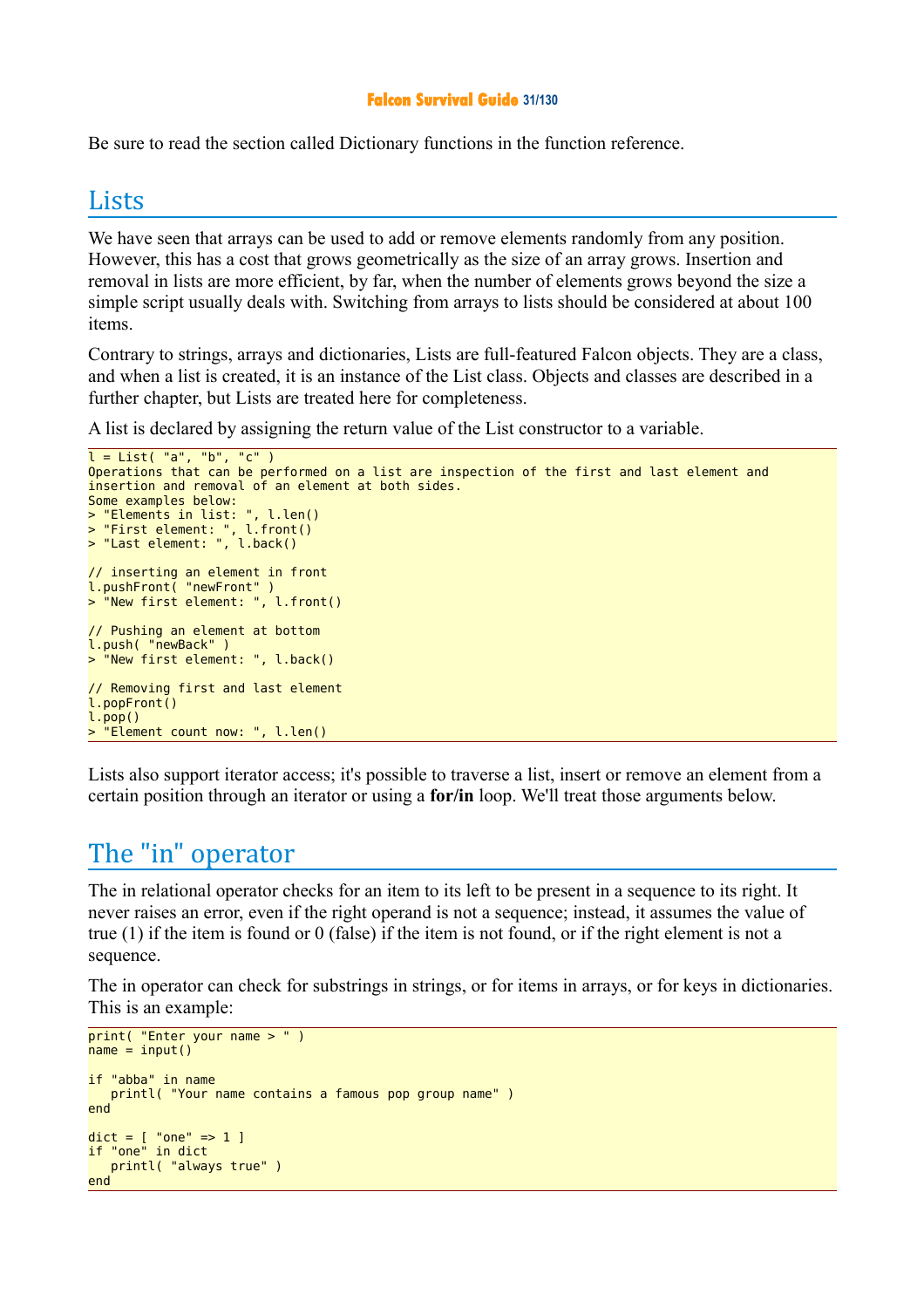#### **Falcon Survival Guide 31/130**

Be sure to read the section called Dictionary functions in the function reference.

#### **Lists**

We have seen that arrays can be used to add or remove elements randomly from any position. However, this has a cost that grows geometrically as the size of an array grows. Insertion and removal in lists are more efficient, by far, when the number of elements grows beyond the size a simple script usually deals with. Switching from arrays to lists should be considered at about 100 items.

Contrary to strings, arrays and dictionaries, Lists are full-featured Falcon objects. They are a class, and when a list is created, it is an instance of the List class. Objects and classes are described in a further chapter, but Lists are treated here for completeness.

A list is declared by assigning the return value of the List constructor to a variable.

```
l = List('a", "b", "c")Operations that can be performed on a list are inspection of the first and last element and
insertion and removal of an element at both sides.
Some examples below:
> "Elements in list: ", l.len()
> "First element: ", l.front()
> "Last element: ", l.back()
// inserting an element in front
l.pushFront( "newFront" )
> "New first element: ", l.front()
// Pushing an element at bottom
l.push( "newBack" )
> "New first element: ", l.back()
// Removing first and last element
l.popFront()
l.pop()
  "Element count now: ", l.len()
```
Lists also support iterator access; it's possible to traverse a list, insert or remove an element from a certain position through an iterator or using a **for/in** loop. We'll treat those arguments below.

## The "in" operator

The in relational operator checks for an item to its left to be present in a sequence to its right. It never raises an error, even if the right operand is not a sequence; instead, it assumes the value of true (1) if the item is found or 0 (false) if the item is not found, or if the right element is not a sequence.

The in operator can check for substrings in strings, or for items in arrays, or for keys in dictionaries. This is an example:

```
print( "Enter your name > " )
name = input()if "abba" in name
    printl( "Your name contains a famous pop group name" )
end
dict = [ "one" => 1 ]<br>if "one" in dict
if "one" printl( "always true" )
end
```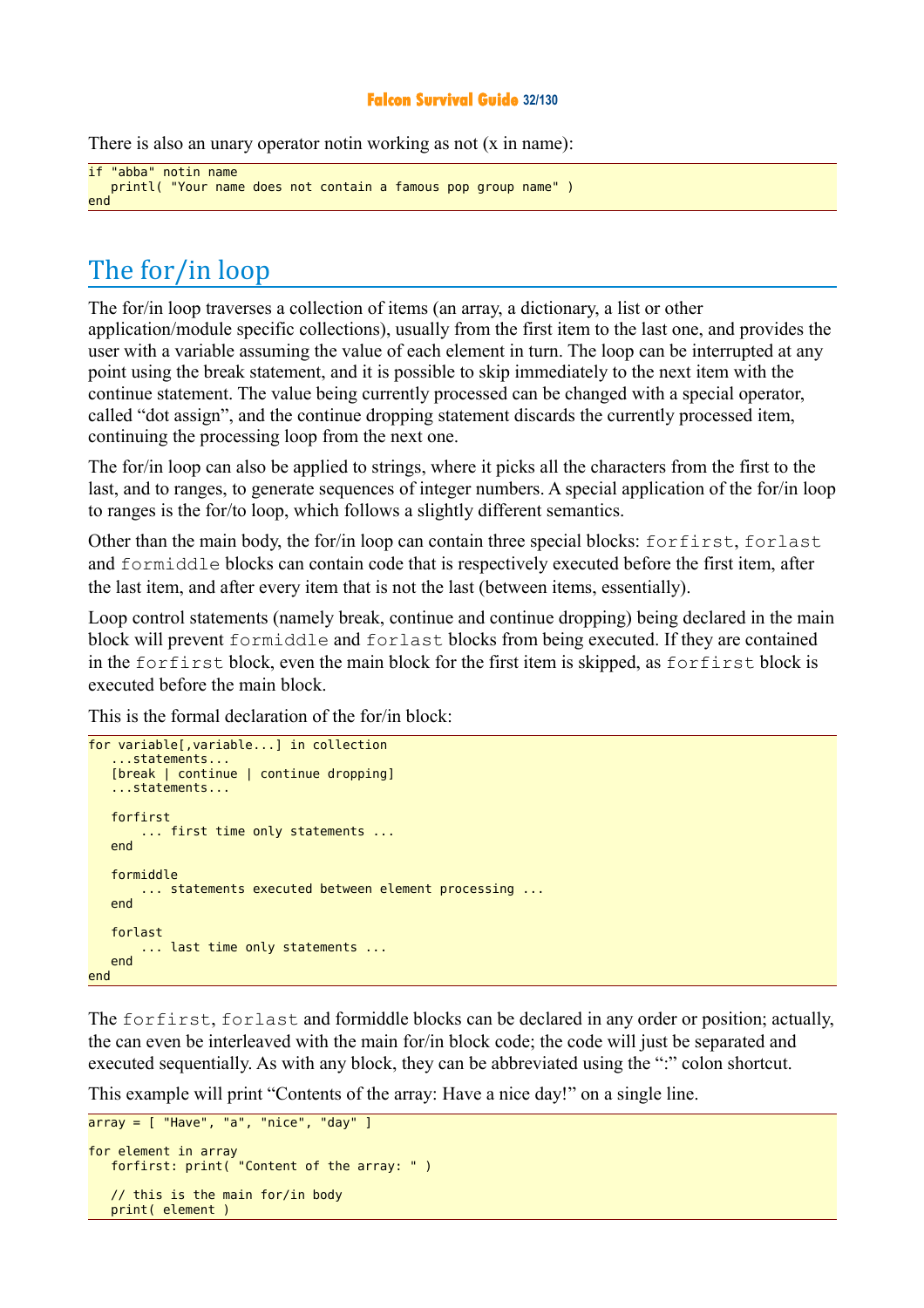#### **Falcon Survival Guide 32/130**

There is also an unary operator notin working as not (x in name):

```
if "abba" notin name
    printl( "Your name does not contain a famous pop group name" )
end
```
## The for/in loop

The for/in loop traverses a collection of items (an array, a dictionary, a list or other application/module specific collections), usually from the first item to the last one, and provides the user with a variable assuming the value of each element in turn. The loop can be interrupted at any point using the break statement, and it is possible to skip immediately to the next item with the continue statement. The value being currently processed can be changed with a special operator, called "dot assign", and the continue dropping statement discards the currently processed item, continuing the processing loop from the next one.

The for/in loop can also be applied to strings, where it picks all the characters from the first to the last, and to ranges, to generate sequences of integer numbers. A special application of the for/in loop to ranges is the for/to loop, which follows a slightly different semantics.

Other than the main body, the for/in loop can contain three special blocks: forfirst, forlast and formiddle blocks can contain code that is respectively executed before the first item, after the last item, and after every item that is not the last (between items, essentially).

Loop control statements (namely break, continue and continue dropping) being declared in the main block will prevent formiddle and forlast blocks from being executed. If they are contained in the forfirst block, even the main block for the first item is skipped, as forfirst block is executed before the main block.

This is the formal declaration of the for/in block:

```
for variable[,variable...] in collection
    ...statements...
    [break | continue | continue dropping]
    ...statements...
    forfirst
        ... first time only statements ...
    end
    formiddle 
        ... statements executed between element processing ...
    end
    forlast 
        ... last time only statements ...
    end
end
```
The forfirst, forlast and formiddle blocks can be declared in any order or position; actually, the can even be interleaved with the main for/in block code; the code will just be separated and executed sequentially. As with any block, they can be abbreviated using the ":" colon shortcut.

This example will print "Contents of the array: Have a nice day!" on a single line.

```
array = [ "Have", "a", "nice", "day" ]
for element in array
    forfirst: print( "Content of the array: " )
    // this is the main for/in body
    print( element )
```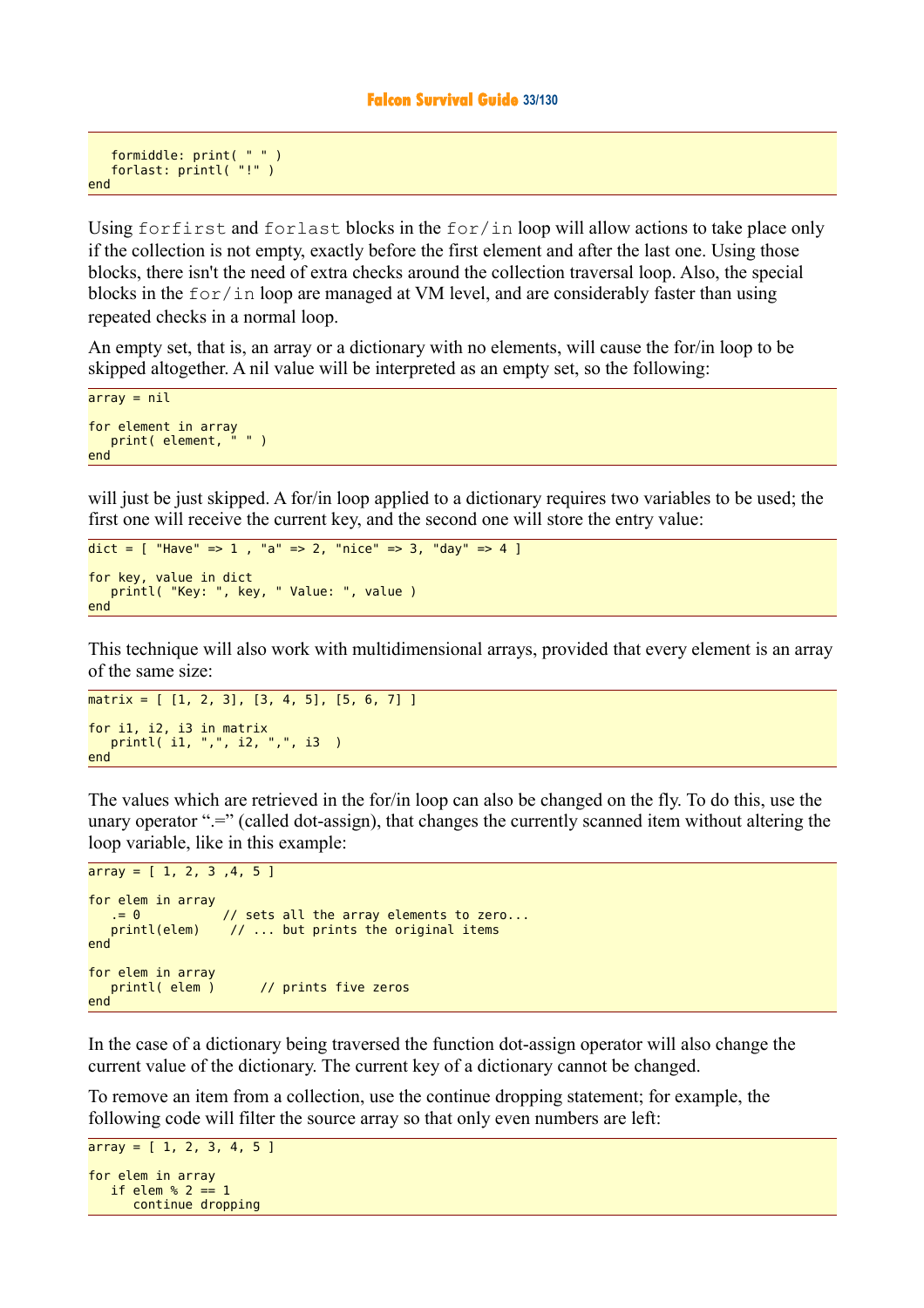```
 formiddle: print( " " )
    forlast: printl( "!" )
end
```
Using forfirst and forlast blocks in the for/in loop will allow actions to take place only if the collection is not empty, exactly before the first element and after the last one. Using those blocks, there isn't the need of extra checks around the collection traversal loop. Also, the special blocks in the  $for/in$  loop are managed at VM level, and are considerably faster than using repeated checks in a normal loop.

An empty set, that is, an array or a dictionary with no elements, will cause the for/in loop to be skipped altogether. A nil value will be interpreted as an empty set, so the following:

```
array = nifor element in array<br>nrint(alement."")
   print( element,
end
```
will just be just skipped. A for/in loop applied to a dictionary requires two variables to be used; the first one will receive the current key, and the second one will store the entry value:

```
dict = [ "Have" => 1, "a" => 2, "nice" => 3, "day" => 4 ]
for key, value in dict
    printl( "Key: ", key, " Value: ", value )
end
```
This technique will also work with multidimensional arrays, provided that every element is an array of the same size:

```
matrix = [1, 2, 3], [3, 4, 5], [5, 6, 7]for i1, i2, i3 in matrix
   printl( i1, ",", i2, ",", i3 )
end
```
The values which are retrieved in the for/in loop can also be changed on the fly. To do this, use the unary operator " $=$ " (called dot-assign), that changes the currently scanned item without altering the loop variable, like in this example:

```
array = [1, 2, 3, 4, 5]for elem in array<br>= 0. = 0 // sets all the array elements to zero...<br>printl(elem) // ... but prints the original items
                       \frac{1}{2} ... but prints the original items
end
for elem in array
   printl( elem ) // prints five zeros
end
```
In the case of a dictionary being traversed the function dot-assign operator will also change the current value of the dictionary. The current key of a dictionary cannot be changed.

To remove an item from a collection, use the continue dropping statement; for example, the following code will filter the source array so that only even numbers are left:

```
array = [1, 2, 3, 4, 5]for elem in array
  if elem % 2 == 1 continue dropping
```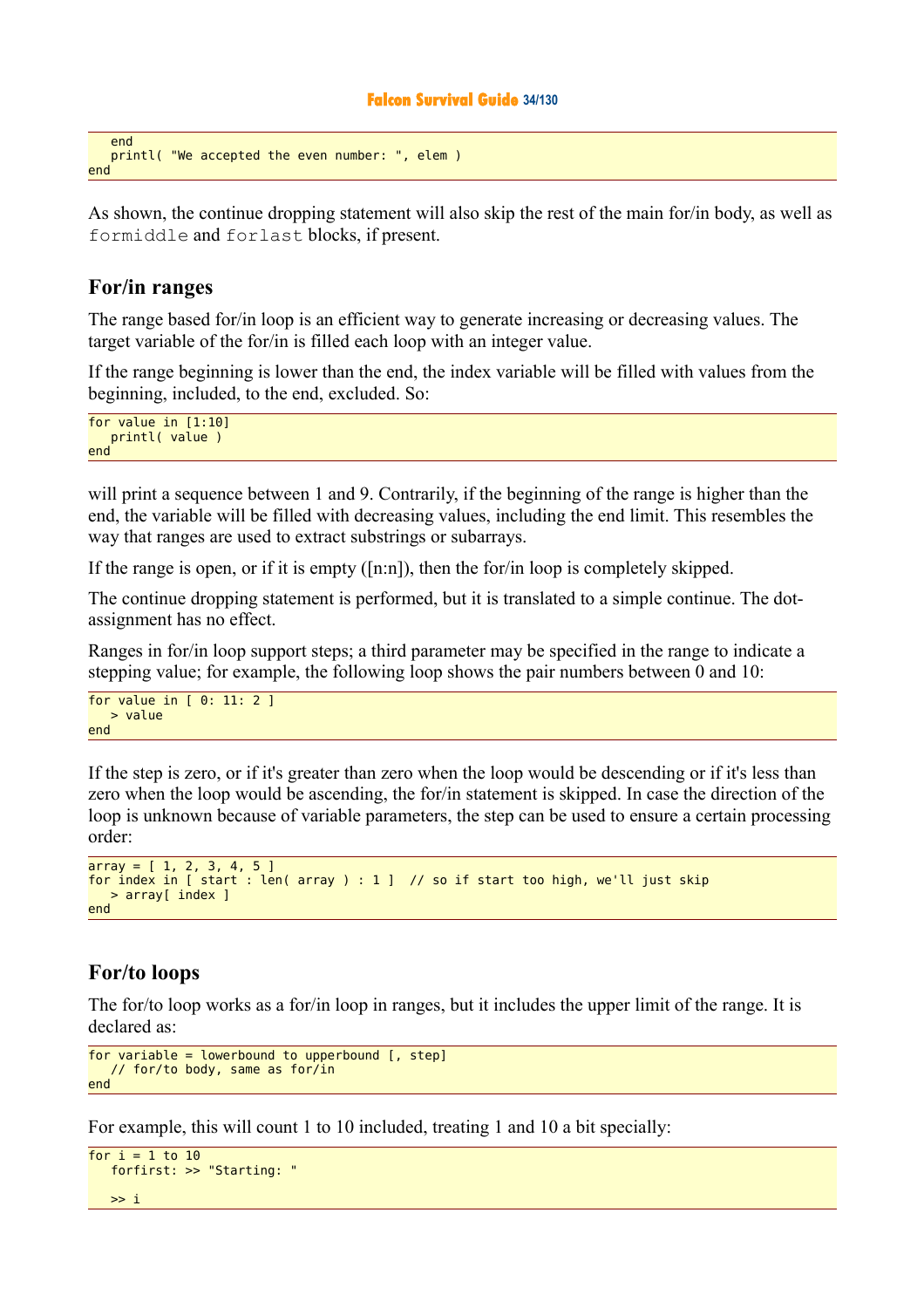#### **Falcon Survival Guide 34/130**

```
 end
    printl( "We accepted the even number: ", elem )
end
```
As shown, the continue dropping statement will also skip the rest of the main for/in body, as well as formiddle and forlast blocks, if present.

#### **For/in ranges**

The range based for/in loop is an efficient way to generate increasing or decreasing values. The target variable of the for/in is filled each loop with an integer value.

If the range beginning is lower than the end, the index variable will be filled with values from the beginning, included, to the end, excluded. So:

for value in [1:10] printl( value ) end

will print a sequence between 1 and 9. Contrarily, if the beginning of the range is higher than the end, the variable will be filled with decreasing values, including the end limit. This resembles the way that ranges are used to extract substrings or subarrays.

If the range is open, or if it is empty ([n:n]), then the for/in loop is completely skipped.

The continue dropping statement is performed, but it is translated to a simple continue. The dotassignment has no effect.

Ranges in for/in loop support steps; a third parameter may be specified in the range to indicate a stepping value; for example, the following loop shows the pair numbers between 0 and 10:

```
for value in [ 0: 11: 2 ]
   > value
end
```
If the step is zero, or if it's greater than zero when the loop would be descending or if it's less than zero when the loop would be ascending, the for/in statement is skipped. In case the direction of the loop is unknown because of variable parameters, the step can be used to ensure a certain processing order:

```
array = [1, 2, 3, 4, 5]for index in [ start : len( array ) : 1 ] // so if start too high, we'll just skip
   > array[ index ]
end
```
#### **For/to loops**

The for/to loop works as a for/in loop in ranges, but it includes the upper limit of the range. It is declared as:

```
for variable = lowerbound to upperbound \left[, step]
    // for/to body, same as for/in
end
```
For example, this will count 1 to 10 included, treating 1 and 10 a bit specially:

```
for i = 1 to 10 forfirst: >> "Starting: "
  \gg i
```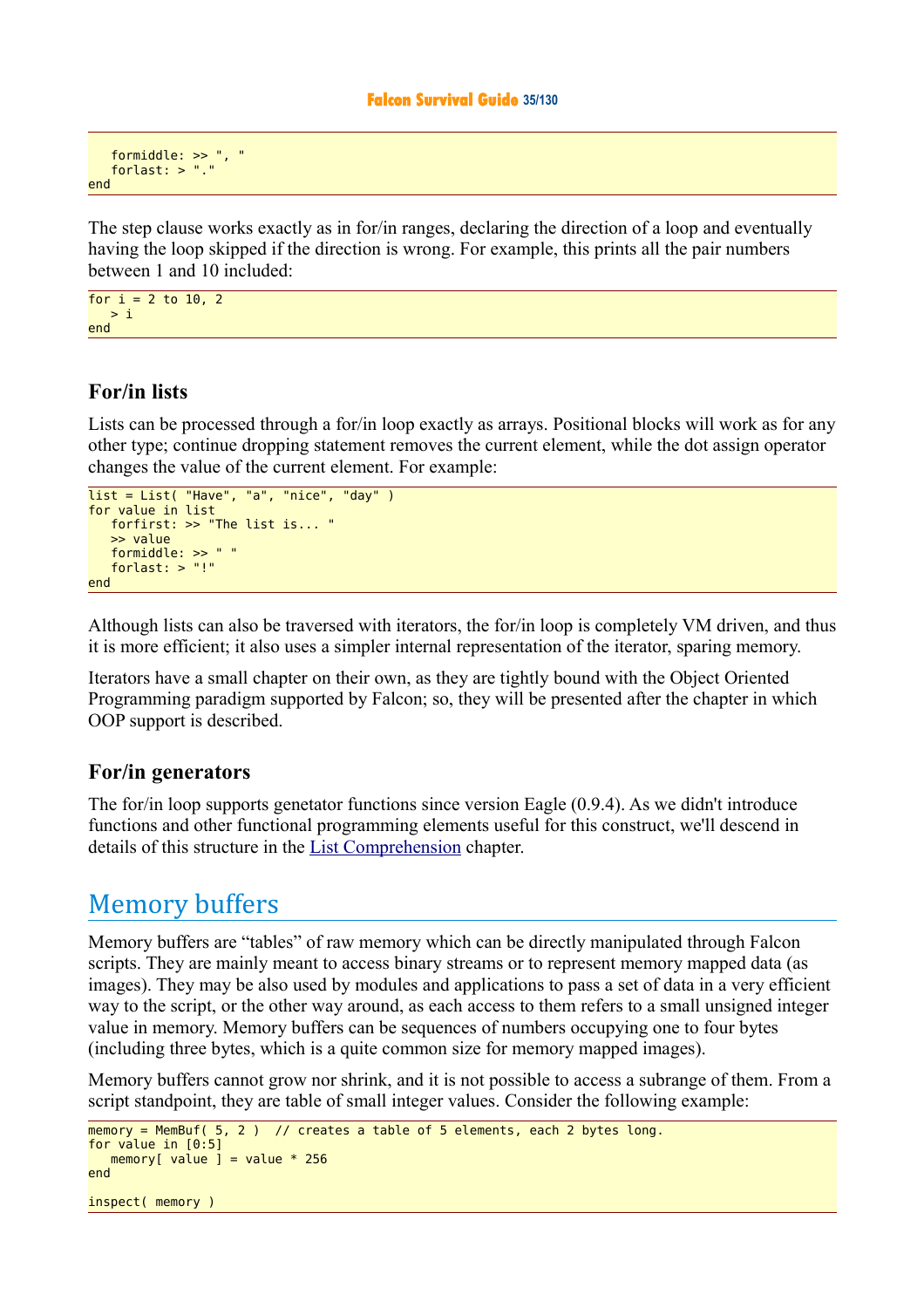```
 formiddle: >> ", "
 forlast: > "."
end
```
The step clause works exactly as in for/in ranges, declaring the direction of a loop and eventually having the loop skipped if the direction is wrong. For example, this prints all the pair numbers between 1 and 10 included:

for  $i = 2$  to 10, 2  $> i$ end

### **For/in lists**

Lists can be processed through a for/in loop exactly as arrays. Positional blocks will work as for any other type; continue dropping statement removes the current element, while the dot assign operator changes the value of the current element. For example:

```
list = List('Have'', 'a'', 'nice'', 'day'')for value in list
    forfirst: >> "The list is... "
    >> value
    formiddle: >> " "
    forlast: > "!"
end
```
Although lists can also be traversed with iterators, the for/in loop is completely VM driven, and thus it is more efficient; it also uses a simpler internal representation of the iterator, sparing memory.

Iterators have a small chapter on their own, as they are tightly bound with the Object Oriented Programming paradigm supported by Falcon; so, they will be presented after the chapter in which OOP support is described.

#### **For/in generators**

The for/in loop supports genetator functions since version Eagle (0.9.4). As we didn't introduce functions and other functional programming elements useful for this construct, we'll descend in details of this structure in the [List Comprehension](http://kib2.free.fr/Falcon/sg/Basic%20Datatypes.html) chapter.

## Memory buffers

Memory buffers are "tables" of raw memory which can be directly manipulated through Falcon scripts. They are mainly meant to access binary streams or to represent memory mapped data (as images). They may be also used by modules and applications to pass a set of data in a very efficient way to the script, or the other way around, as each access to them refers to a small unsigned integer value in memory. Memory buffers can be sequences of numbers occupying one to four bytes (including three bytes, which is a quite common size for memory mapped images).

Memory buffers cannot grow nor shrink, and it is not possible to access a subrange of them. From a script standpoint, they are table of small integer values. Consider the following example:

```
m_{\text{S}} = MemBuf( 5, 2 ) // creates a table of 5 elements, each 2 bytes long.
for value in [0:5]
   memory[ value ] = value * 256
end
inspect( memory )
```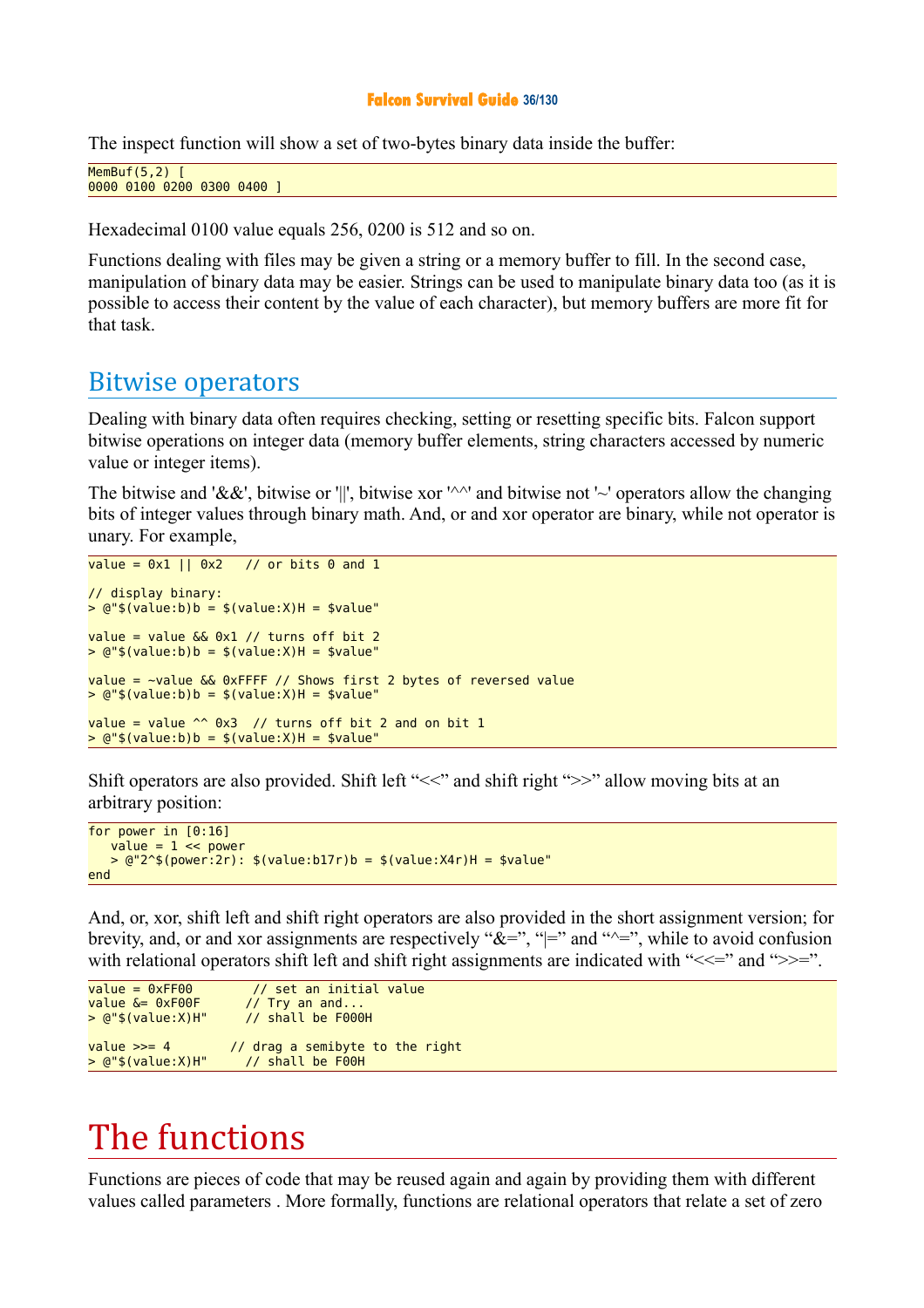#### **Falcon Survival Guide 36/130**

The inspect function will show a set of two-bytes binary data inside the buffer:

```
MemBuf(5,2)0000 0100 0200 0300 0400 ]
```
Hexadecimal 0100 value equals 256, 0200 is 512 and so on.

Functions dealing with files may be given a string or a memory buffer to fill. In the second case, manipulation of binary data may be easier. Strings can be used to manipulate binary data too (as it is possible to access their content by the value of each character), but memory buffers are more fit for that task.

## Bitwise operators

Dealing with binary data often requires checking, setting or resetting specific bits. Falcon support bitwise operations on integer data (memory buffer elements, string characters accessed by numeric value or integer items).

The bitwise and '&&', bitwise or '||', bitwise xor '^^' and bitwise not '~' operators allow the changing bits of integer values through binary math. And, or and xor operator are binary, while not operator is unary. For example,

```
value = 0x1 || 0x2 // or bits 0 and 1
// display binary:
> 0"$(value:b)b = $(value:X)H = $value"
value = value & 0 \times 1 // turns off bit 2
> 0"$(value:b)b = $(value:X)H = $value"
value = ~value && 0xFFFF // Shows first 2 bytes of reversed value
> @ "$(value:b)b = $(value.X)H = $value'value = value \sim 0x3 // turns off bit 2 and on bit 1
> @ "$(value:b)b = $(value:X)H = $value"
```
Shift operators are also provided. Shift left "<<" and shift right ">>" allow moving bits at an arbitrary position:

```
for power in [0:16]
   value = 1 \leq power> 0.2^s(power:2r): $(value:b17r)b = $(value:X4r)H = $value
end
```
And, or, xor, shift left and shift right operators are also provided in the short assignment version; for brevity, and, or and xor assignments are respectively " $\&=$ ", " $=$ " and " $\simeq$ ", while to avoid confusion with relational operators shift left and shift right assignments are indicated with " $\ll\ll$ " and " $\gg$ =".

```
value = 0xFF00 // set an initial value<br>value \delta = 0xF00F // Trv an and...
                              \frac{1}{2} Try an and...<br>\frac{1}{2} shall be F000H
> @ "$ (value:X) H"value \gg= 4 \frac{1}{2} drag a semibyte to the right
> @"$(value:X)H" // shall be F00H
```
# The functions

Functions are pieces of code that may be reused again and again by providing them with different values called parameters . More formally, functions are relational operators that relate a set of zero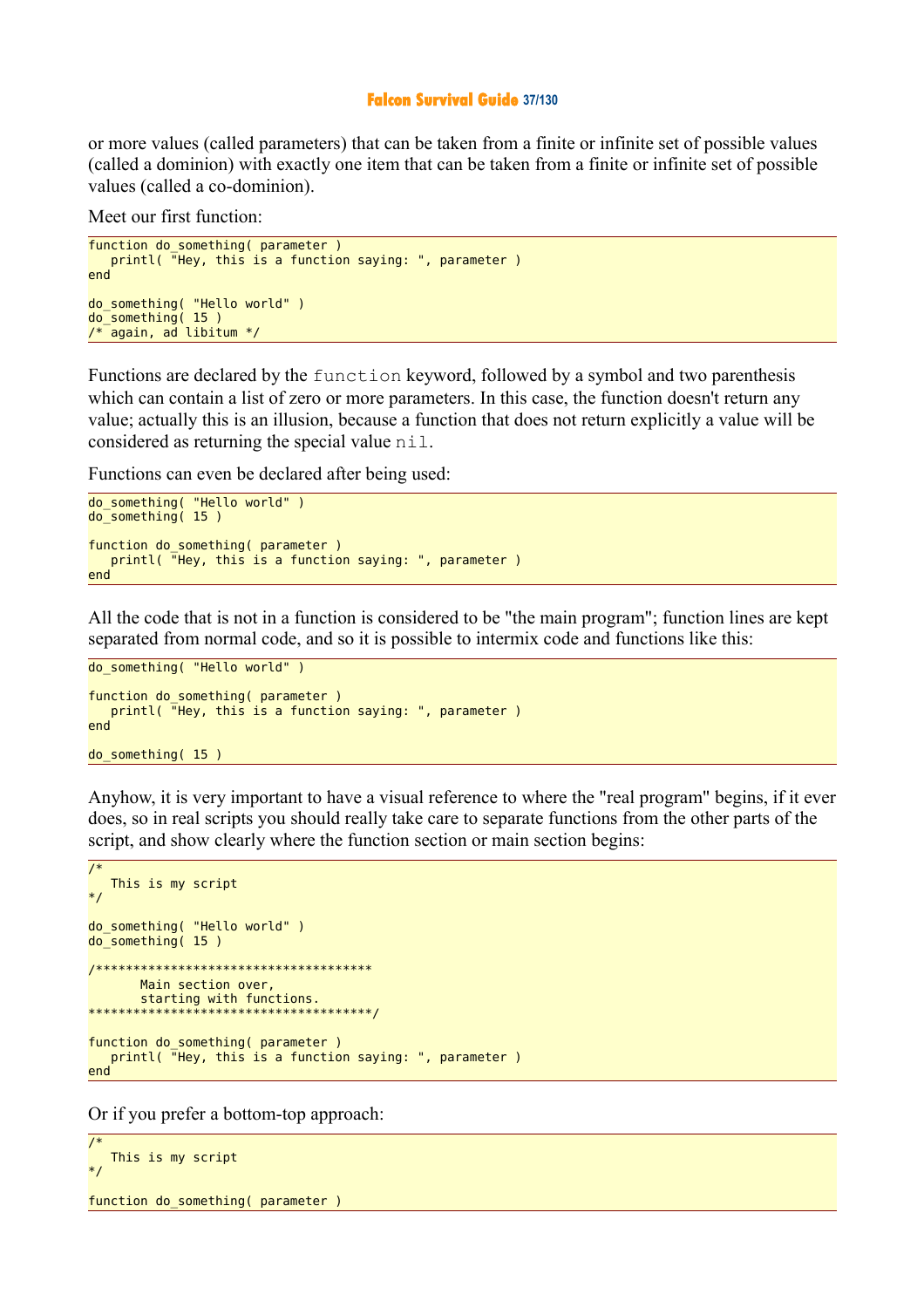#### **Falcon Survival Guide 37/130**

or more values (called parameters) that can be taken from a finite or infinite set of possible values (called a dominion) with exactly one item that can be taken from a finite or infinite set of possible values (called a co-dominion).

Meet our first function:

```
function do_something( parameter )
 printl( "Hey, this is a function saying: ", parameter )
end 
do_something( "Hello world" ) 
do_something( 15 ) 
y^* again, ad libitum y
```
Functions are declared by the function keyword, followed by a symbol and two parenthesis which can contain a list of zero or more parameters. In this case, the function doesn't return any value; actually this is an illusion, because a function that does not return explicitly a value will be considered as returning the special value nil.

Functions can even be declared after being used:

```
do_something( "Hello world" ) 
do_something( 15 ) 
function do something( parameter )
    printl( "Hey, this is a function saying: ", parameter )
end
```
All the code that is not in a function is considered to be "the main program"; function lines are kept separated from normal code, and so it is possible to intermix code and functions like this:

```
do_something( "Hello world" ) 
function do_something( parameter )
 printl( "Hey, this is a function saying: ", parameter )
end 
do_something( 15 )
```
Anyhow, it is very important to have a visual reference to where the "real program" begins, if it ever does, so in real scripts you should really take care to separate functions from the other parts of the script, and show clearly where the function section or main section begins:

```
/* 
   This is my script
*/ 
do_something( "Hello world" ) 
do_something( 15 ) 
/************************************* 
        Main section over,
        starting with functions.
**************************************/ 
function do_something( parameter )
   printl( "Hey, this is a function saying: ", parameter )
end
```
Or if you prefer a bottom-top approach:

```
/* 
   This is my script
*/ 
function do_something( parameter )
```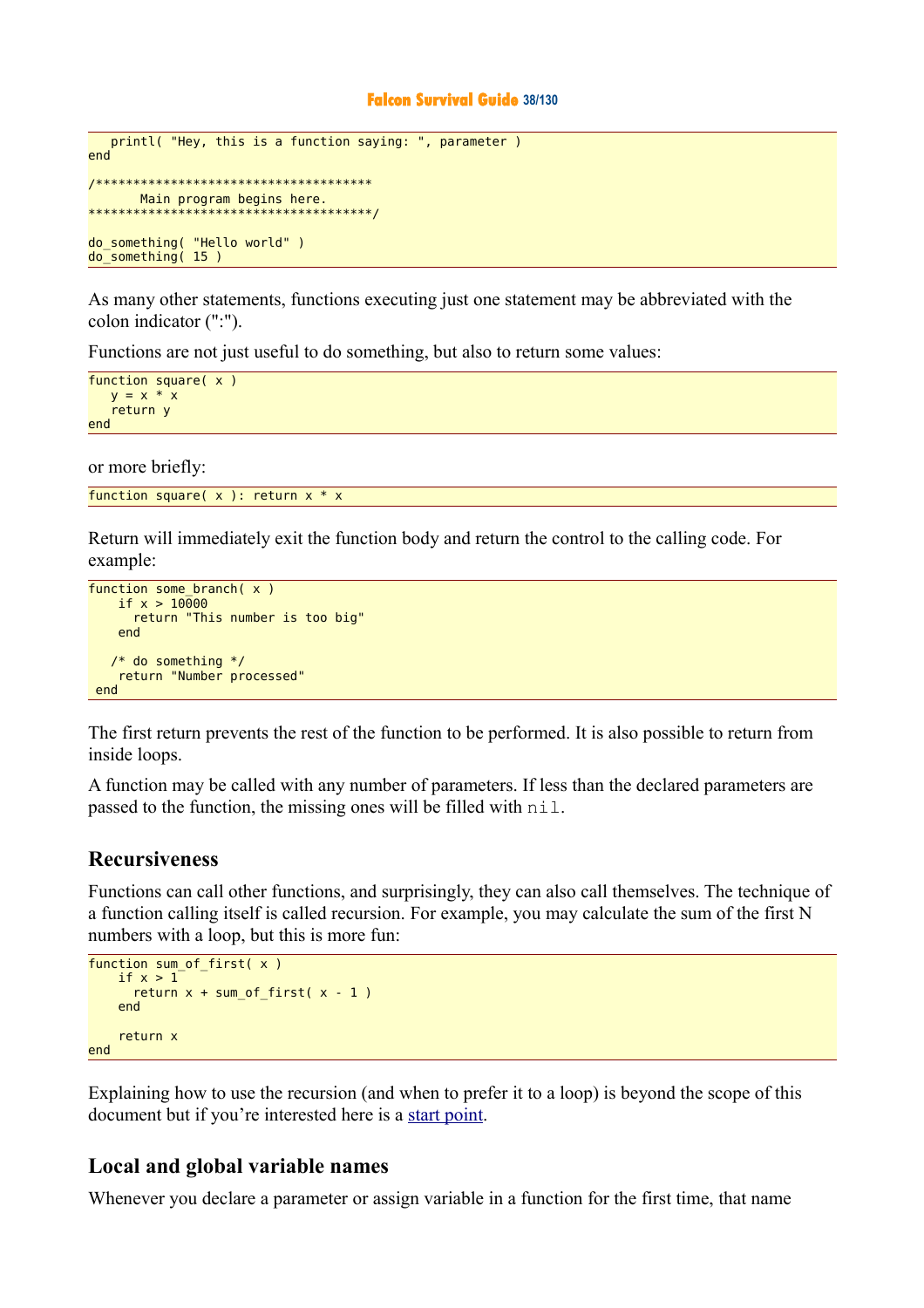```
 printl( "Hey, this is a function saying: ", parameter )
end 
/************************************* 
        Main program begins here.
**************************************/ 
do_something( "Hello world" ) 
do_something( 15 )
```
As many other statements, functions executing just one statement may be abbreviated with the colon indicator (":").

Functions are not just useful to do something, but also to return some values:

```
function square( x )
   y = x * x return y
end
```
or more briefly:

```
function square(x): return x * x
```
Return will immediately exit the function body and return the control to the calling code. For example:

```
function some branch(x)
   if x > 10000 return "This number is too big"
    end 
   /* do something */
    return "Number processed"
 end
```
The first return prevents the rest of the function to be performed. It is also possible to return from inside loops.

A function may be called with any number of parameters. If less than the declared parameters are passed to the function, the missing ones will be filled with nil.

### **Recursiveness**

Functions can call other functions, and surprisingly, they can also call themselves. The technique of a function calling itself is called recursion. For example, you may calculate the sum of the first N numbers with a loop, but this is more fun:

```
function sum of first(x)
   if x > 1return x + sum_of_first(x - 1) end 
     return x
end
```
Explaining how to use the recursion (and when to prefer it to a loop) is beyond the scope of this document but if you're interested here is a [start point.](http://kib2.free.fr/Falcon/sg/The%20functions.html)

### **Local and global variable names**

Whenever you declare a parameter or assign variable in a function for the first time, that name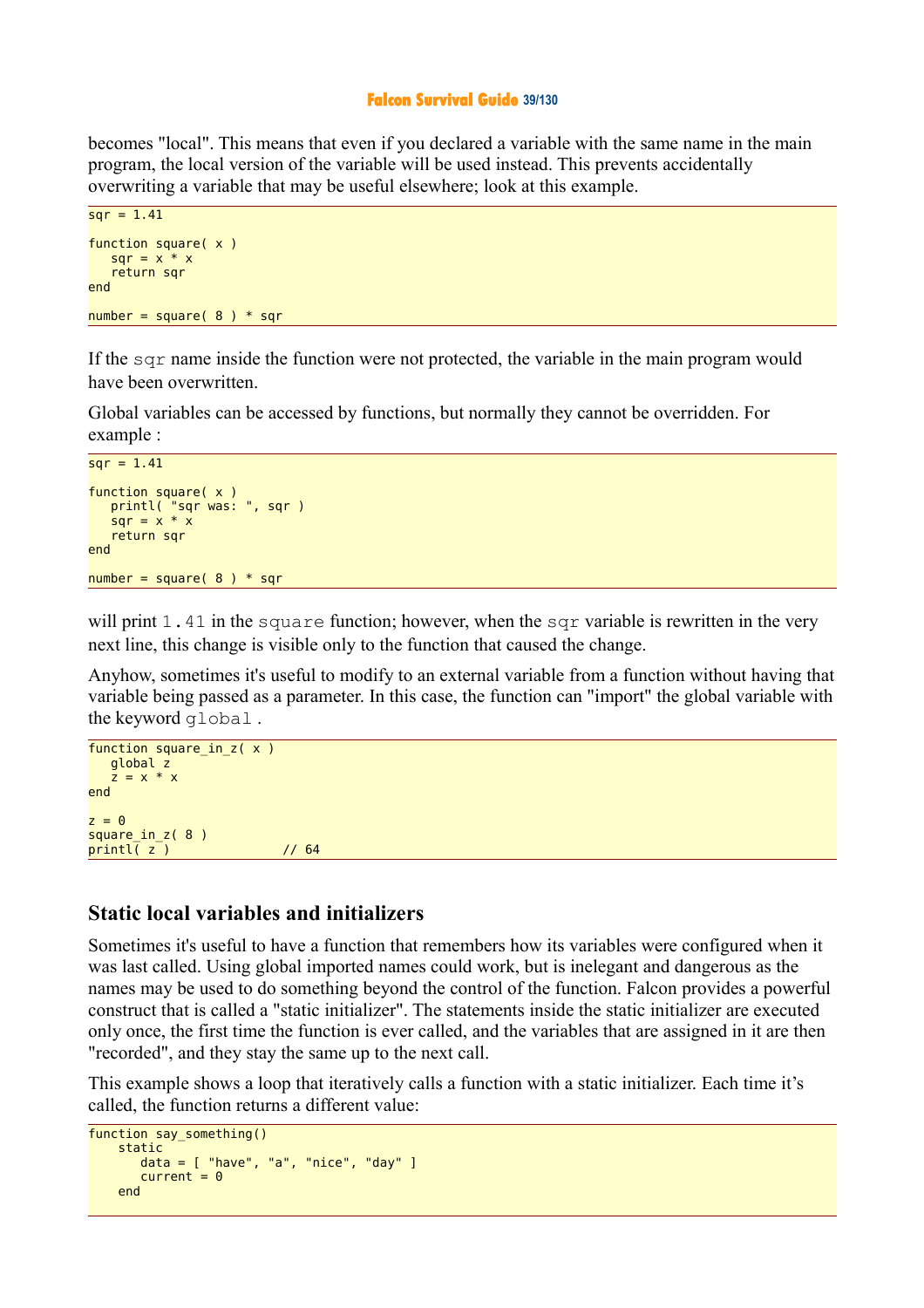#### **Falcon Survival Guide 39/130**

becomes "local". This means that even if you declared a variable with the same name in the main program, the local version of the variable will be used instead. This prevents accidentally overwriting a variable that may be useful elsewhere; look at this example.

```
sar = 1.41
function square( x )
   sqr = x * x return sqr
end 
number = square(8) * sqr
```
If the sqr name inside the function were not protected, the variable in the main program would have been overwritten.

Global variables can be accessed by functions, but normally they cannot be overridden. For example :

```
sar = 1.41
function square( x )
 printl( "sqr was: ", sqr )
sqr = x * x return sqr
end 
number = square(8) * sqr
```
will print 1.41 in the square function; however, when the sqr variable is rewritten in the very next line, this change is visible only to the function that caused the change.

Anyhow, sometimes it's useful to modify to an external variable from a function without having that variable being passed as a parameter. In this case, the function can "import" the global variable with the keyword global .

```
function square_in_z( x )
    global z
   \frac{3}{7} = x * x
end 
z = \thetasquare in z( 8 )printl\overline{z} ) \overline{z} // 64
```
### **Static local variables and initializers**

Sometimes it's useful to have a function that remembers how its variables were configured when it was last called. Using global imported names could work, but is inelegant and dangerous as the names may be used to do something beyond the control of the function. Falcon provides a powerful construct that is called a "static initializer". The statements inside the static initializer are executed only once, the first time the function is ever called, and the variables that are assigned in it are then "recorded", and they stay the same up to the next call.

This example shows a loop that iteratively calls a function with a static initializer. Each time it's called, the function returns a different value:

```
function say something()
     static 
         data = [ "have", "a", "nice", "day" ]
        current = <math>0</math> end
```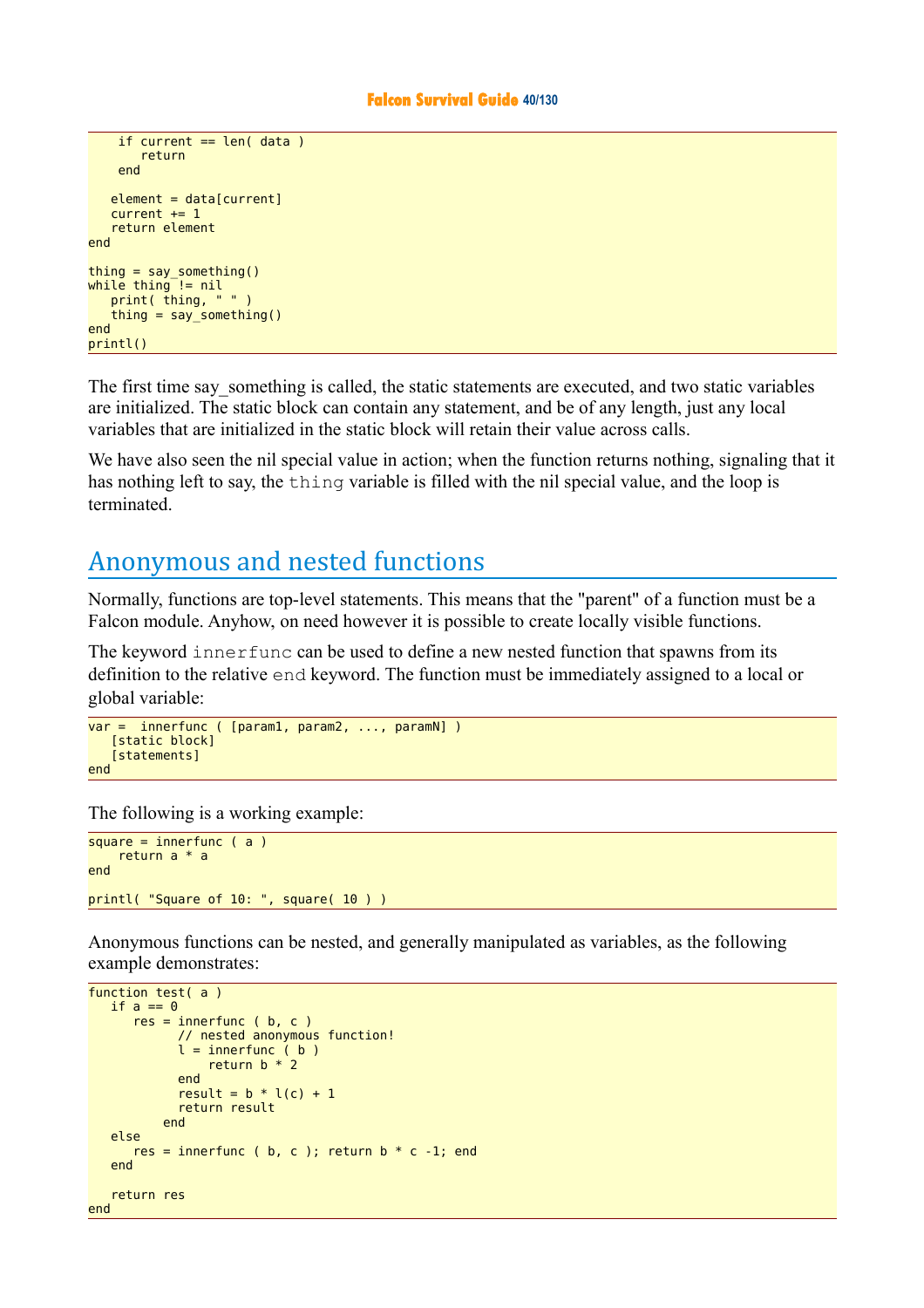```
if current == len( data)
        return 
     end 
   element = data[current]current += 1 return element
end 
thing = say_something()while thing != nil
   print( thing, " " )
    thing = say_something()
end 
printl()
```
The first time say something is called, the static statements are executed, and two static variables are initialized. The static block can contain any statement, and be of any length, just any local variables that are initialized in the static block will retain their value across calls.

We have also seen the nil special value in action; when the function returns nothing, signaling that it has nothing left to say, the thing variable is filled with the nil special value, and the loop is terminated.

# Anonymous and nested functions

Normally, functions are top-level statements. This means that the "parent" of a function must be a Falcon module. Anyhow, on need however it is possible to create locally visible functions.

The keyword innerfunc can be used to define a new nested function that spawns from its definition to the relative end keyword. The function must be immediately assigned to a local or global variable:

```
var = innerfunc ( [param1, param2, ..., paramN] )
    [static block]
   Estatements1
end
```
The following is a working example:

```
square = innerfunc (a) return a * a
end 
printl( "Square of 10: ", square( 10 ) )
```
Anonymous functions can be nested, and generally manipulated as variables, as the following example demonstrates:

```
function test( a )
   if a == 0res = innerfunc ( b, c ) // nested anonymous function!
            l = innerfunc (b)return b * 2 end
            result = b * l(c) + 1 return result
           end 
    else 
      res = innerfunc ( b, c ); return b * c -1; end
    end 
    return res
end
```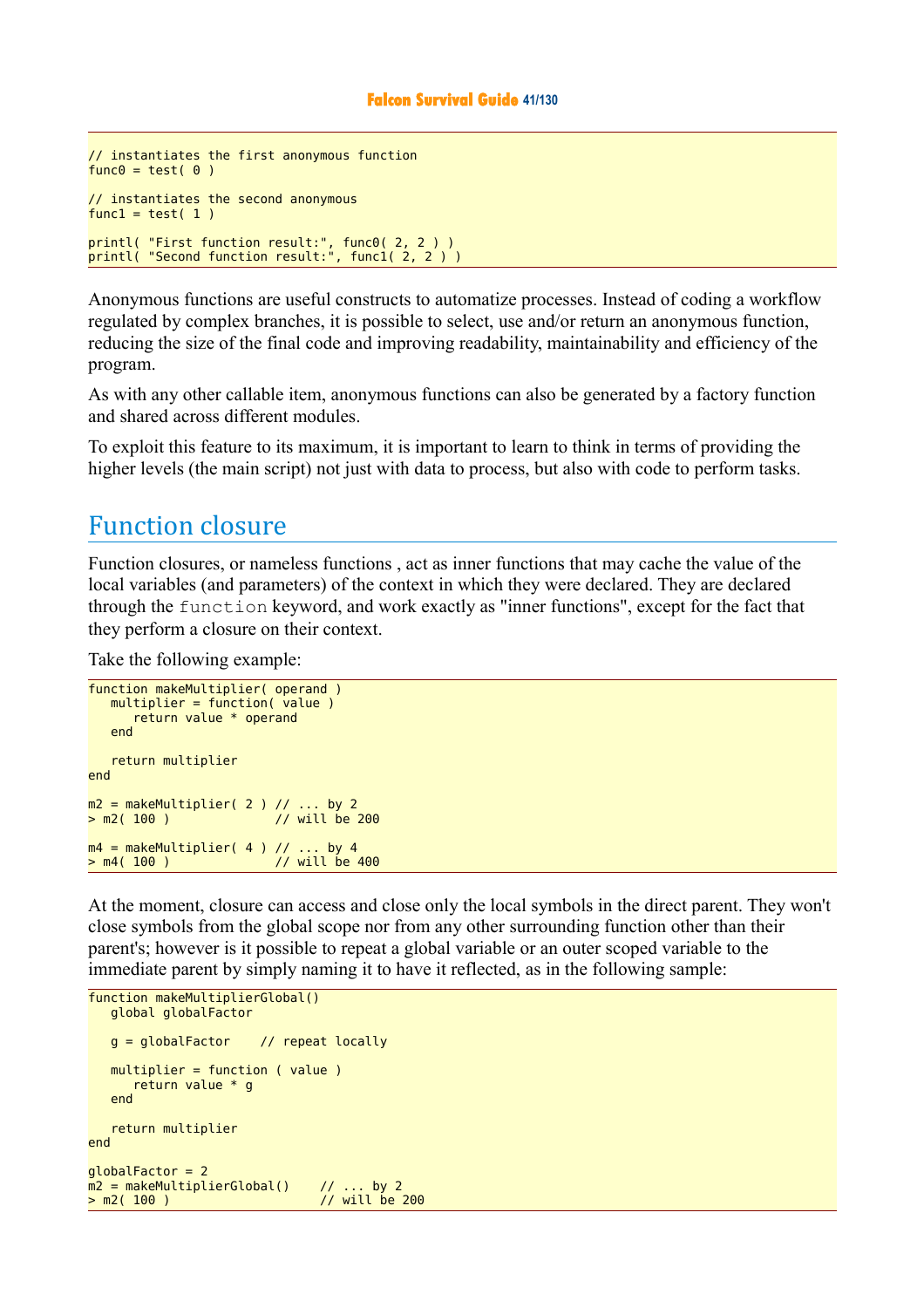```
// instantiates the first anonymous function 
func<sub>0</sub> = test( <math>0</math> )// instantiates the second anonymous 
func1 = test(1)printl( "First function result:", func0( 2, 2 ) ) 
printl( "Second function result:", func1( 2, 2 ) )
```
Anonymous functions are useful constructs to automatize processes. Instead of coding a workflow regulated by complex branches, it is possible to select, use and/or return an anonymous function, reducing the size of the final code and improving readability, maintainability and efficiency of the program.

As with any other callable item, anonymous functions can also be generated by a factory function and shared across different modules.

To exploit this feature to its maximum, it is important to learn to think in terms of providing the higher levels (the main script) not just with data to process, but also with code to perform tasks.

### Function closure

Function closures, or nameless functions , act as inner functions that may cache the value of the local variables (and parameters) of the context in which they were declared. They are declared through the function keyword, and work exactly as "inner functions", except for the fact that they perform a closure on their context.

Take the following example:

```
function makeMultiplier( operand )
  multiplier = function( value ) return value * operand
   end 
   return multiplier
end 
m2 = makeMultiplier(2) // ... by 2
> m2( 100 ) // will be 200
m4 = makeMultiplier( 4 ) // ... by 4> m4( 100 ) // will be 400
```
At the moment, closure can access and close only the local symbols in the direct parent. They won't close symbols from the global scope nor from any other surrounding function other than their parent's; however is it possible to repeat a global variable or an outer scoped variable to the immediate parent by simply naming it to have it reflected, as in the following sample:

```
function makeMultiplierGlobal()
   global globalFactor
   g = globalFactor // repeat locally
   multiplier = function ( value )
      return value * g
   end 
   return multiplier
end 
qlobalFactor = 2m2 = makeMultiplierGlobal() // ... by 2
> m2( 100 ) // will be 200
```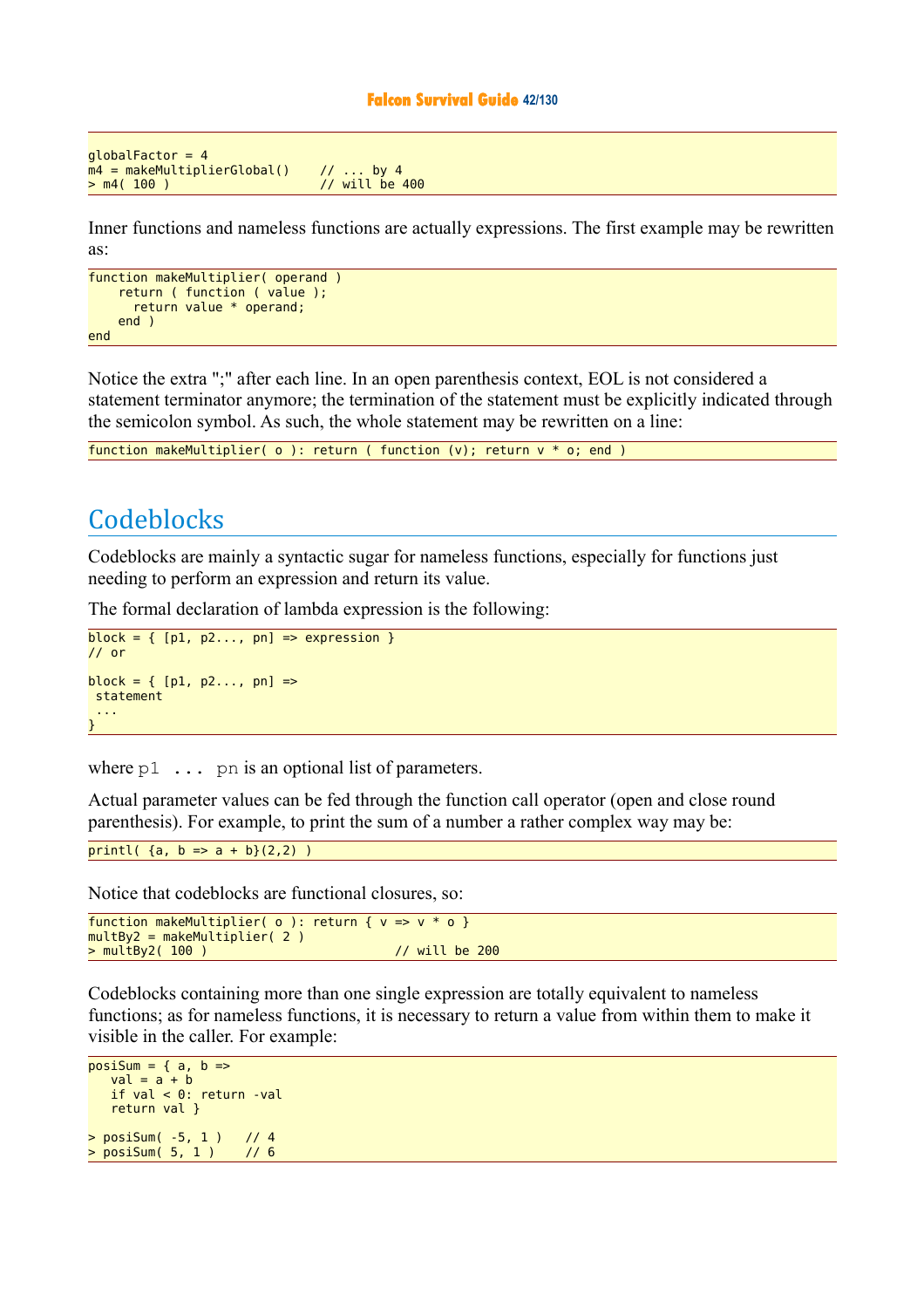#### **Falcon Survival Guide 42/130**

```
globalFactor = 4m4 = makeMultiplierGlobal() // ... by 4<br>> m4( 100 ) // will be
                                              \frac{1}{100} will be 400
```
Inner functions and nameless functions are actually expressions. The first example may be rewritten as:

```
function makeMultiplier( operand )
     return ( function ( value );
       return value * operand;
     end ) 
end
```
Notice the extra ";" after each line. In an open parenthesis context, EOL is not considered a statement terminator anymore; the termination of the statement must be explicitly indicated through the semicolon symbol. As such, the whole statement may be rewritten on a line:

function makeMultiplier( o ): return ( function (v); return v \* o; end )

# **Codeblocks**

Codeblocks are mainly a syntactic sugar for nameless functions, especially for functions just needing to perform an expression and return its value.

The formal declaration of lambda expression is the following:

```
block = \{ [p1, p2..., pn] \implies expression \}// or
block = { [p1, p2..., pn] =>
  statement
  ...
}
```
where  $p1 \ldots p$  is an optional list of parameters.

Actual parameter values can be fed through the function call operator (open and close round parenthesis). For example, to print the sum of a number a rather complex way may be:

printl(  $\{a, b \Rightarrow a + b\}(2,2)$  )

Notice that codeblocks are functional closures, so:

```
function makeMultiplier( \circ ): return { v = v * o }
multBy2 = makeMultiplier( 2 ) 
> multBy2( 100 ) // will be 200
```
Codeblocks containing more than one single expression are totally equivalent to nameless functions; as for nameless functions, it is necessary to return a value from within them to make it visible in the caller. For example:

```
posisum = { a, b =>}val = a + b if val < 0: return -val
    return val }
> posiSum( -5, 1 ) // 4
> posiSum(5, 1)
```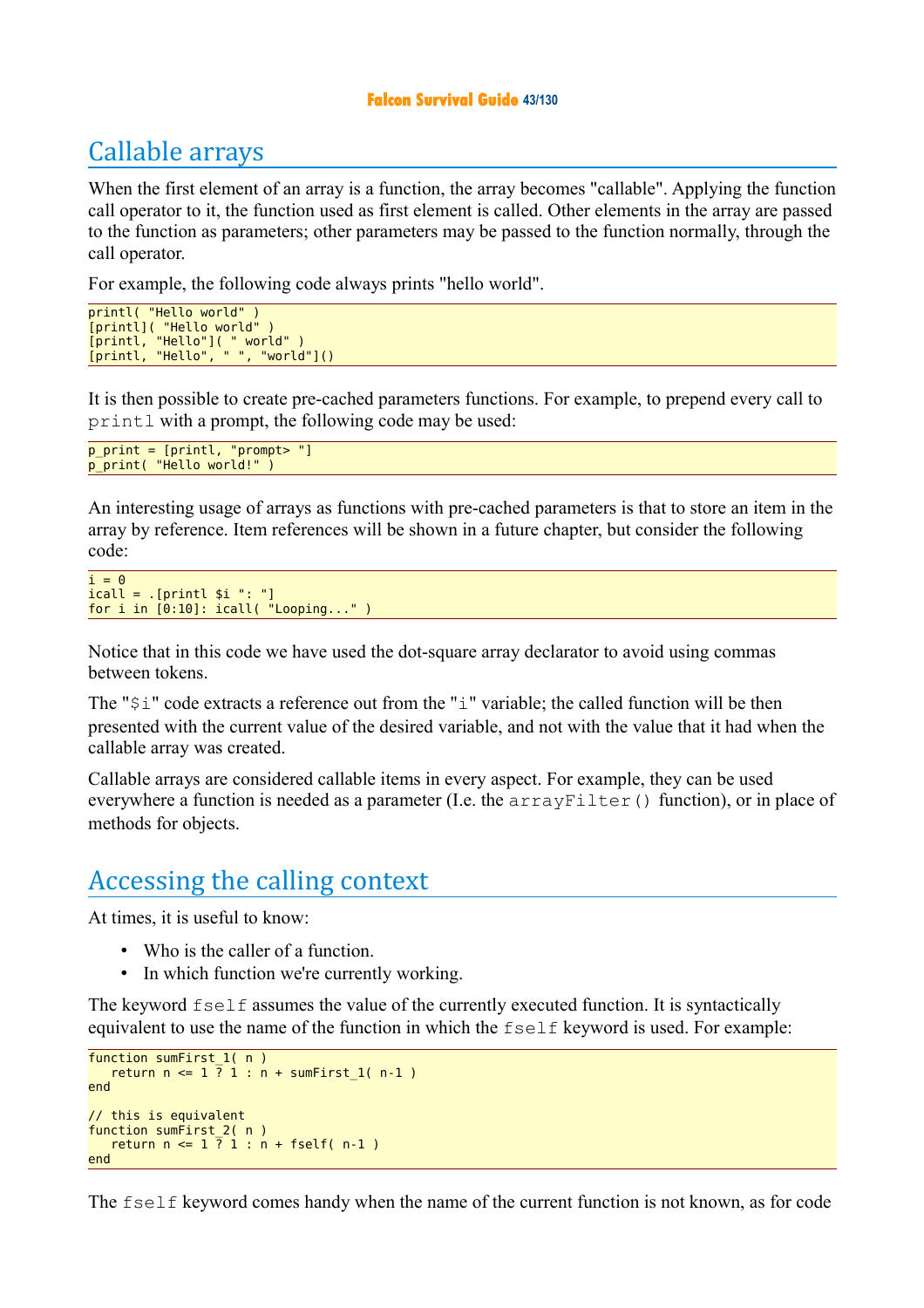### **Falcon Survival Guide 43/130**

# Callable arrays

When the first element of an array is a function, the array becomes "callable". Applying the function call operator to it, the function used as first element is called. Other elements in the array are passed to the function as parameters; other parameters may be passed to the function normally, through the call operator.

For example, the following code always prints "hello world".

```
printl( "Hello world" ) 
[printl]( "Hello world" ) 
[printl, "Hello"]( " world" ) 
[printl, "Hello", " ", "world"]()
```
It is then possible to create pre-cached parameters functions. For example, to prepend every call to printl with a prompt, the following code may be used:

```
p_print = [printl, "prompt> "] 
p_print( "Hello world!"
```
An interesting usage of arrays as functions with pre-cached parameters is that to store an item in the array by reference. Item references will be shown in a future chapter, but consider the following code:

```
i = 0icall = .[printl $i ": "] 
for i in [0:10]: icall( "Looping..." )
```
Notice that in this code we have used the dot-square array declarator to avoid using commas between tokens.

The "\$i" code extracts a reference out from the "i" variable; the called function will be then presented with the current value of the desired variable, and not with the value that it had when the callable array was created.

Callable arrays are considered callable items in every aspect. For example, they can be used everywhere a function is needed as a parameter (I.e. the  $\arctan\sqrt{F}$  ilter() function), or in place of methods for objects.

### Accessing the calling context

At times, it is useful to know:

- Who is the caller of a function.
- In which function we're currently working.

The keyword  $f \text{self}$  assumes the value of the currently executed function. It is syntactically equivalent to use the name of the function in which the fself keyword is used. For example:

```
function sumFirst 1( n )
   return n \le 1 \frac{7}{7} 1 : n + sumFirst_1( n-1 )
end
// this is equivalent
function sumFirst 2( n )
   return n \le 1 ? 1 : n +  fself( n-1 )
end
```
The fself keyword comes handy when the name of the current function is not known, as for code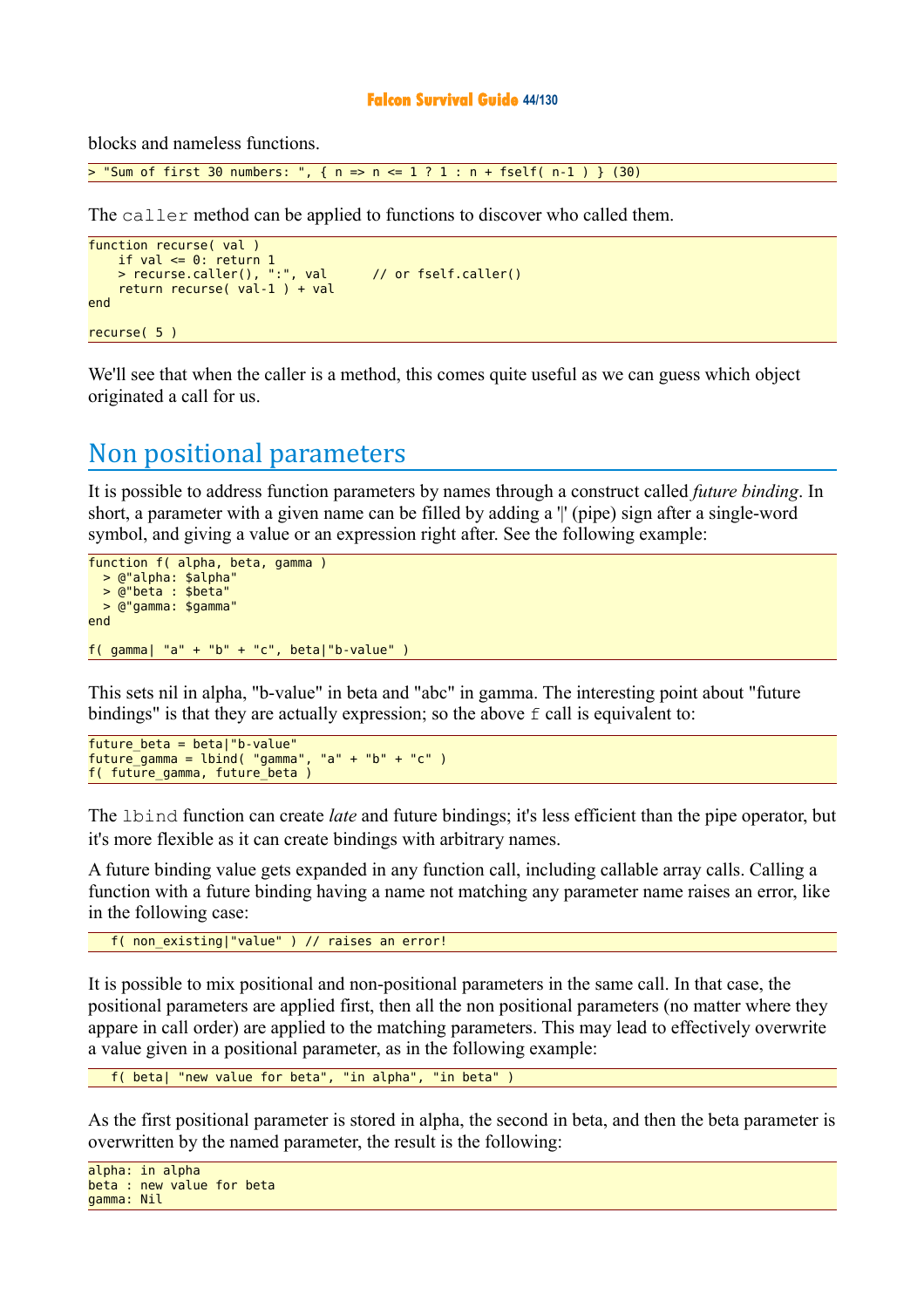#### **Falcon Survival Guide 44/130**

blocks and nameless functions.

 $>$  "Sum of first 30 numbers: ", { n => n <= 1 ? 1 : n + fself( n-1 ) } (30)

The caller method can be applied to functions to discover who called them.

```
function recurse( val )
 if val <= 0: return 1 
 > recurse.caller(), ":", val // or fself.caller()
    return recurse( val-1 ) + val
end
recurse( 5 )
```
We'll see that when the caller is a method, this comes quite useful as we can guess which object originated a call for us.

## Non positional parameters

It is possible to address function parameters by names through a construct called *future binding*. In short, a parameter with a given name can be filled by adding a " (pipe) sign after a single-word symbol, and giving a value or an expression right after. See the following example:

```
function f( alpha, beta, gamma )
  > @"alpha: $alpha"
  > @"beta : $beta"
  > @"gamma: $gamma"
end
f( gamma| "a" + "b" + "c", beta|"b-value" )
```
This sets nil in alpha, "b-value" in beta and "abc" in gamma. The interesting point about "future bindings" is that they are actually expression; so the above  $\epsilon$  call is equivalent to:

```
future_beta = beta|"b-value" 
future_gamma = lbind( "gamma", "a" + "b" + "c" )
f( future_gamma, future_beta )
```
The lbind function can create *late* and future bindings; it's less efficient than the pipe operator, but it's more flexible as it can create bindings with arbitrary names.

A future binding value gets expanded in any function call, including callable array calls. Calling a function with a future binding having a name not matching any parameter name raises an error, like in the following case:

f( non existing|"value" ) // raises an error!

It is possible to mix positional and non-positional parameters in the same call. In that case, the positional parameters are applied first, then all the non positional parameters (no matter where they appare in call order) are applied to the matching parameters. This may lead to effectively overwrite a value given in a positional parameter, as in the following example:

f( beta| "new value for beta", "in alpha", "in beta" )

As the first positional parameter is stored in alpha, the second in beta, and then the beta parameter is overwritten by the named parameter, the result is the following:

```
alpha: in alpha
beta : new value for beta
gamma: Nil
```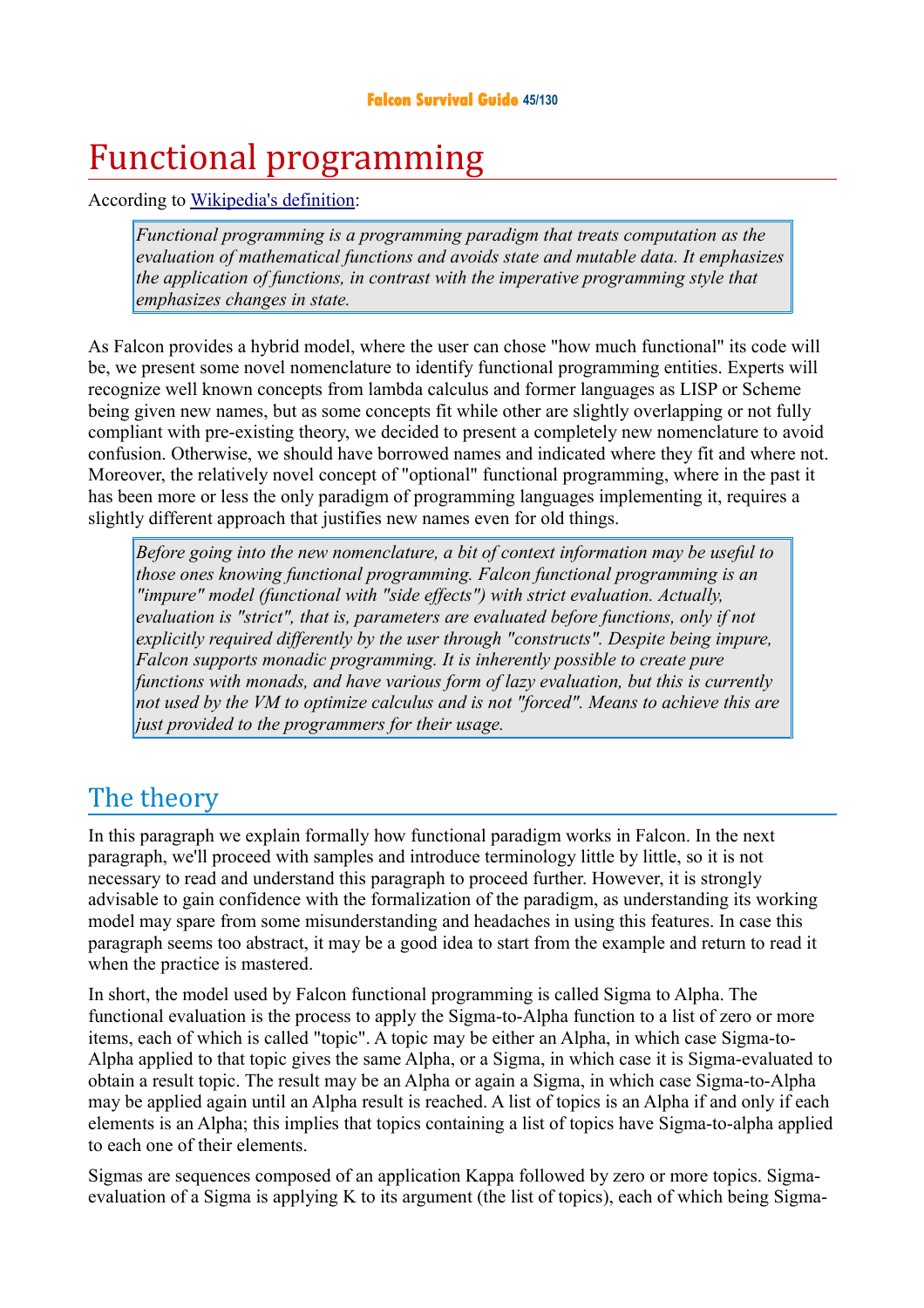### **Falcon Survival Guide 45/130**

# Functional programming

According to [Wikipedia's definition:](http://kib2.free.fr/Falcon/sg/Functional%20programming.html)

*Functional programming is a programming paradigm that treats computation as the evaluation of mathematical functions and avoids state and mutable data. It emphasizes the application of functions, in contrast with the imperative programming style that emphasizes changes in state.* 

As Falcon provides a hybrid model, where the user can chose "how much functional" its code will be, we present some novel nomenclature to identify functional programming entities. Experts will recognize well known concepts from lambda calculus and former languages as LISP or Scheme being given new names, but as some concepts fit while other are slightly overlapping or not fully compliant with pre-existing theory, we decided to present a completely new nomenclature to avoid confusion. Otherwise, we should have borrowed names and indicated where they fit and where not. Moreover, the relatively novel concept of "optional" functional programming, where in the past it has been more or less the only paradigm of programming languages implementing it, requires a slightly different approach that justifies new names even for old things.

*Before going into the new nomenclature, a bit of context information may be useful to those ones knowing functional programming. Falcon functional programming is an "impure" model (functional with "side effects") with strict evaluation. Actually, evaluation is "strict", that is, parameters are evaluated before functions, only if not explicitly required differently by the user through "constructs". Despite being impure, Falcon supports monadic programming. It is inherently possible to create pure functions with monads, and have various form of lazy evaluation, but this is currently not used by the VM to optimize calculus and is not "forced". Means to achieve this are just provided to the programmers for their usage.*

# The theory

In this paragraph we explain formally how functional paradigm works in Falcon. In the next paragraph, we'll proceed with samples and introduce terminology little by little, so it is not necessary to read and understand this paragraph to proceed further. However, it is strongly advisable to gain confidence with the formalization of the paradigm, as understanding its working model may spare from some misunderstanding and headaches in using this features. In case this paragraph seems too abstract, it may be a good idea to start from the example and return to read it when the practice is mastered.

In short, the model used by Falcon functional programming is called Sigma to Alpha. The functional evaluation is the process to apply the Sigma-to-Alpha function to a list of zero or more items, each of which is called "topic". A topic may be either an Alpha, in which case Sigma-to-Alpha applied to that topic gives the same Alpha, or a Sigma, in which case it is Sigma-evaluated to obtain a result topic. The result may be an Alpha or again a Sigma, in which case Sigma-to-Alpha may be applied again until an Alpha result is reached. A list of topics is an Alpha if and only if each elements is an Alpha; this implies that topics containing a list of topics have Sigma-to-alpha applied to each one of their elements.

Sigmas are sequences composed of an application Kappa followed by zero or more topics. Sigmaevaluation of a Sigma is applying K to its argument (the list of topics), each of which being Sigma-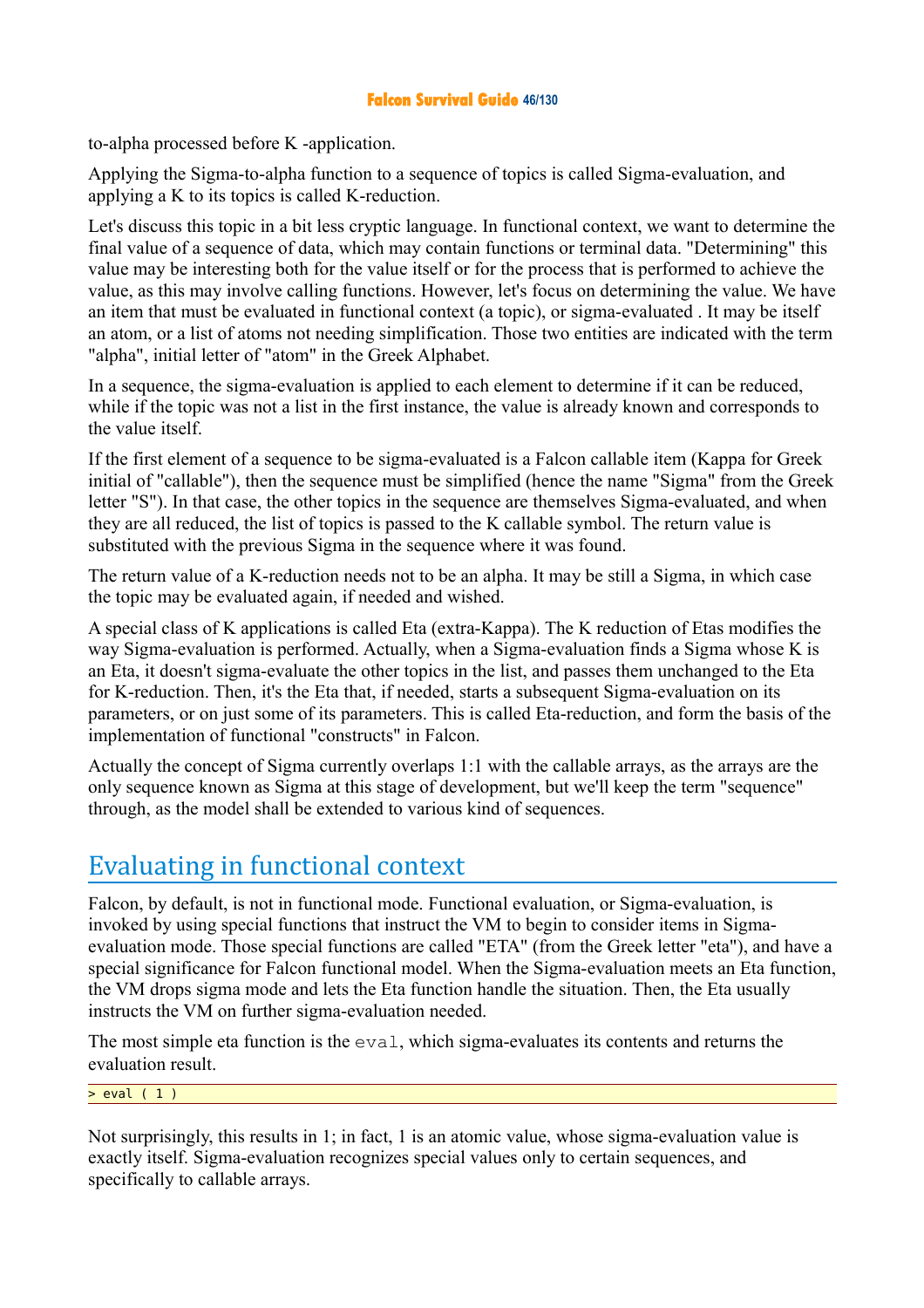### **Falcon Survival Guide 46/130**

to-alpha processed before K -application.

Applying the Sigma-to-alpha function to a sequence of topics is called Sigma-evaluation, and applying a K to its topics is called K-reduction.

Let's discuss this topic in a bit less cryptic language. In functional context, we want to determine the final value of a sequence of data, which may contain functions or terminal data. "Determining" this value may be interesting both for the value itself or for the process that is performed to achieve the value, as this may involve calling functions. However, let's focus on determining the value. We have an item that must be evaluated in functional context (a topic), or sigma-evaluated . It may be itself an atom, or a list of atoms not needing simplification. Those two entities are indicated with the term "alpha", initial letter of "atom" in the Greek Alphabet.

In a sequence, the sigma-evaluation is applied to each element to determine if it can be reduced, while if the topic was not a list in the first instance, the value is already known and corresponds to the value itself.

If the first element of a sequence to be sigma-evaluated is a Falcon callable item (Kappa for Greek initial of "callable"), then the sequence must be simplified (hence the name "Sigma" from the Greek letter "S"). In that case, the other topics in the sequence are themselves Sigma-evaluated, and when they are all reduced, the list of topics is passed to the K callable symbol. The return value is substituted with the previous Sigma in the sequence where it was found.

The return value of a K-reduction needs not to be an alpha. It may be still a Sigma, in which case the topic may be evaluated again, if needed and wished.

A special class of K applications is called Eta (extra-Kappa). The K reduction of Etas modifies the way Sigma-evaluation is performed. Actually, when a Sigma-evaluation finds a Sigma whose K is an Eta, it doesn't sigma-evaluate the other topics in the list, and passes them unchanged to the Eta for K-reduction. Then, it's the Eta that, if needed, starts a subsequent Sigma-evaluation on its parameters, or on just some of its parameters. This is called Eta-reduction, and form the basis of the implementation of functional "constructs" in Falcon.

Actually the concept of Sigma currently overlaps 1:1 with the callable arrays, as the arrays are the only sequence known as Sigma at this stage of development, but we'll keep the term "sequence" through, as the model shall be extended to various kind of sequences.

# Evaluating in functional context

Falcon, by default, is not in functional mode. Functional evaluation, or Sigma-evaluation, is invoked by using special functions that instruct the VM to begin to consider items in Sigmaevaluation mode. Those special functions are called "ETA" (from the Greek letter "eta"), and have a special significance for Falcon functional model. When the Sigma-evaluation meets an Eta function, the VM drops sigma mode and lets the Eta function handle the situation. Then, the Eta usually instructs the VM on further sigma-evaluation needed.

The most simple eta function is the eval, which sigma-evaluates its contents and returns the evaluation result.

### $>$  eval (1)

Not surprisingly, this results in 1; in fact, 1 is an atomic value, whose sigma-evaluation value is exactly itself. Sigma-evaluation recognizes special values only to certain sequences, and specifically to callable arrays.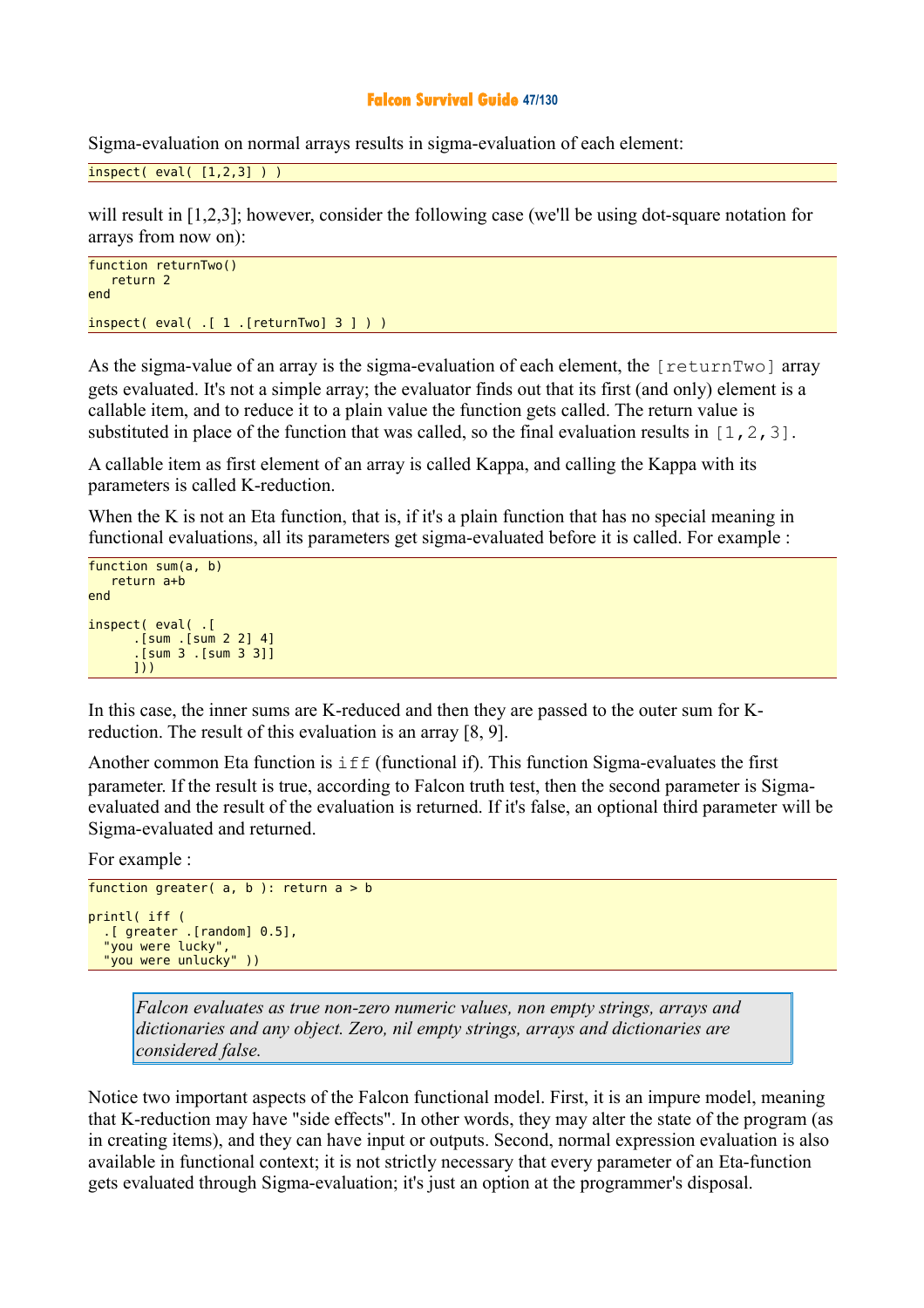#### **Falcon Survival Guide 47/130**

Sigma-evaluation on normal arrays results in sigma-evaluation of each element:

```
inspect(<math>[1,2,3]</math>) )
```
will result in [1,2,3]; however, consider the following case (we'll be using dot-square notation for arrays from now on):

```
function returnTwo()
    return 2
end 
inspect( eval( .[ 1 .[returnTwo] 3 ] ) )
```
As the sigma-value of an array is the sigma-evaluation of each element, the [returnTwo] array gets evaluated. It's not a simple array; the evaluator finds out that its first (and only) element is a callable item, and to reduce it to a plain value the function gets called. The return value is substituted in place of the function that was called, so the final evaluation results in  $[1,2,3]$ .

A callable item as first element of an array is called Kappa, and calling the Kappa with its parameters is called K-reduction.

When the K is not an Eta function, that is, if it's a plain function that has no special meaning in functional evaluations, all its parameters get sigma-evaluated before it is called. For example :

```
function sum(a, b)
    return a+b
end 
inspect( eval( .[ 
        .[sum .[sum 2 2] 4]
        .[sum 3 .[sum 3 3]]
       ]))
```
In this case, the inner sums are K-reduced and then they are passed to the outer sum for Kreduction. The result of this evaluation is an array [8, 9].

Another common Eta function is  $\exists f$  (functional if). This function Sigma-evaluates the first parameter. If the result is true, according to Falcon truth test, then the second parameter is Sigmaevaluated and the result of the evaluation is returned. If it's false, an optional third parameter will be Sigma-evaluated and returned.

For example :

```
function greater(a, b): return a > bprintl( iff (
 .[ greater .[random] 0.5],
 "you were lucky",
   "you were unlucky" ))
```
*Falcon evaluates as true non-zero numeric values, non empty strings, arrays and dictionaries and any object. Zero, nil empty strings, arrays and dictionaries are considered false.* 

Notice two important aspects of the Falcon functional model. First, it is an impure model, meaning that K-reduction may have "side effects". In other words, they may alter the state of the program (as in creating items), and they can have input or outputs. Second, normal expression evaluation is also available in functional context; it is not strictly necessary that every parameter of an Eta-function gets evaluated through Sigma-evaluation; it's just an option at the programmer's disposal.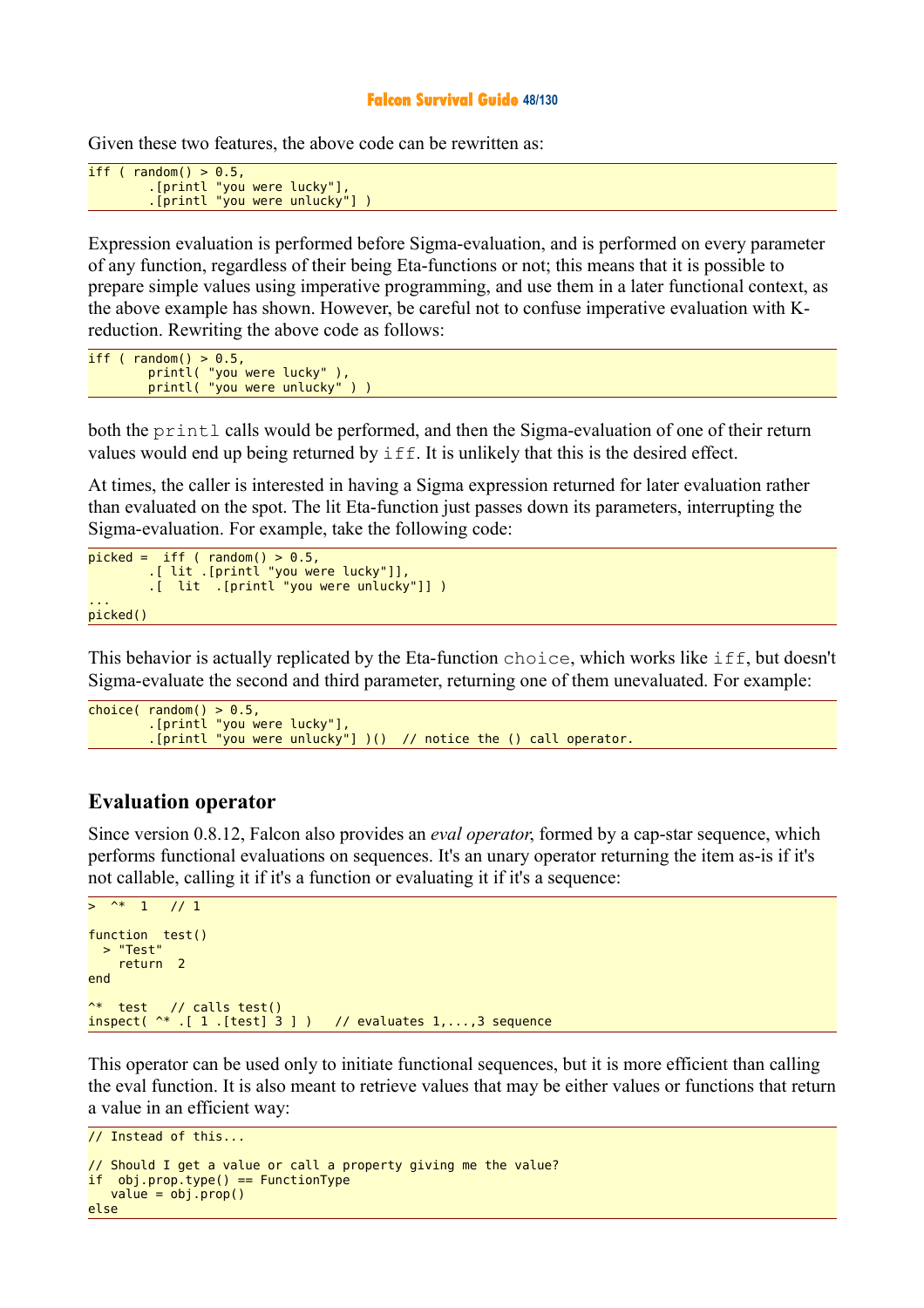#### **Falcon Survival Guide 48/130**

Given these two features, the above code can be rewritten as:

```
iff (random() > 0.5,
 .[printl "you were lucky"],
 .[printl "you were unlucky"] )
```
Expression evaluation is performed before Sigma-evaluation, and is performed on every parameter of any function, regardless of their being Eta-functions or not; this means that it is possible to prepare simple values using imperative programming, and use them in a later functional context, as the above example has shown. However, be careful not to confuse imperative evaluation with Kreduction. Rewriting the above code as follows:

iff ( $random() > 0.5$ , printl( "you were lucky" ), printl( "you were unlucky" ) )

both the printl calls would be performed, and then the Sigma-evaluation of one of their return values would end up being returned by iff. It is unlikely that this is the desired effect.

At times, the caller is interested in having a Sigma expression returned for later evaluation rather than evaluated on the spot. The lit Eta-function just passes down its parameters, interrupting the Sigma-evaluation. For example, take the following code:

```
picked = if f ( random() > 0.5) .[ lit .[printl "you were lucky"]],
        .[ lit .[printl "you were unlucky"]] )
... 
picked()
```
This behavior is actually replicated by the Eta-function choice, which works like iff, but doesn't Sigma-evaluate the second and third parameter, returning one of them unevaluated. For example:

```
choice( random() > 0.5, ) .[printl "you were lucky"],
 .[printl "you were unlucky"] )() // notice the () call operator.
```
### **Evaluation operator**

Since version 0.8.12, Falcon also provides an *eval operator*, formed by a cap-star sequence, which performs functional evaluations on sequences. It's an unary operator returning the item as-is if it's not callable, calling it if it's a function or evaluating it if it's a sequence:

```
> ^* 1 // 1
function test() 
 > "Test"
     return 2 
end 
^* test // calls test() 
inspect( ^* .[ 1 .[test] 3 ] ) // evaluates 1,...,3 sequence
```
This operator can be used only to initiate functional sequences, but it is more efficient than calling the eval function. It is also meant to retrieve values that may be either values or functions that return a value in an efficient way:

```
// Instead of this... 
// Should I get a value or call a property giving me the value?
if obj.prop.type() == FunctionType 
   value = obj.prop()else
```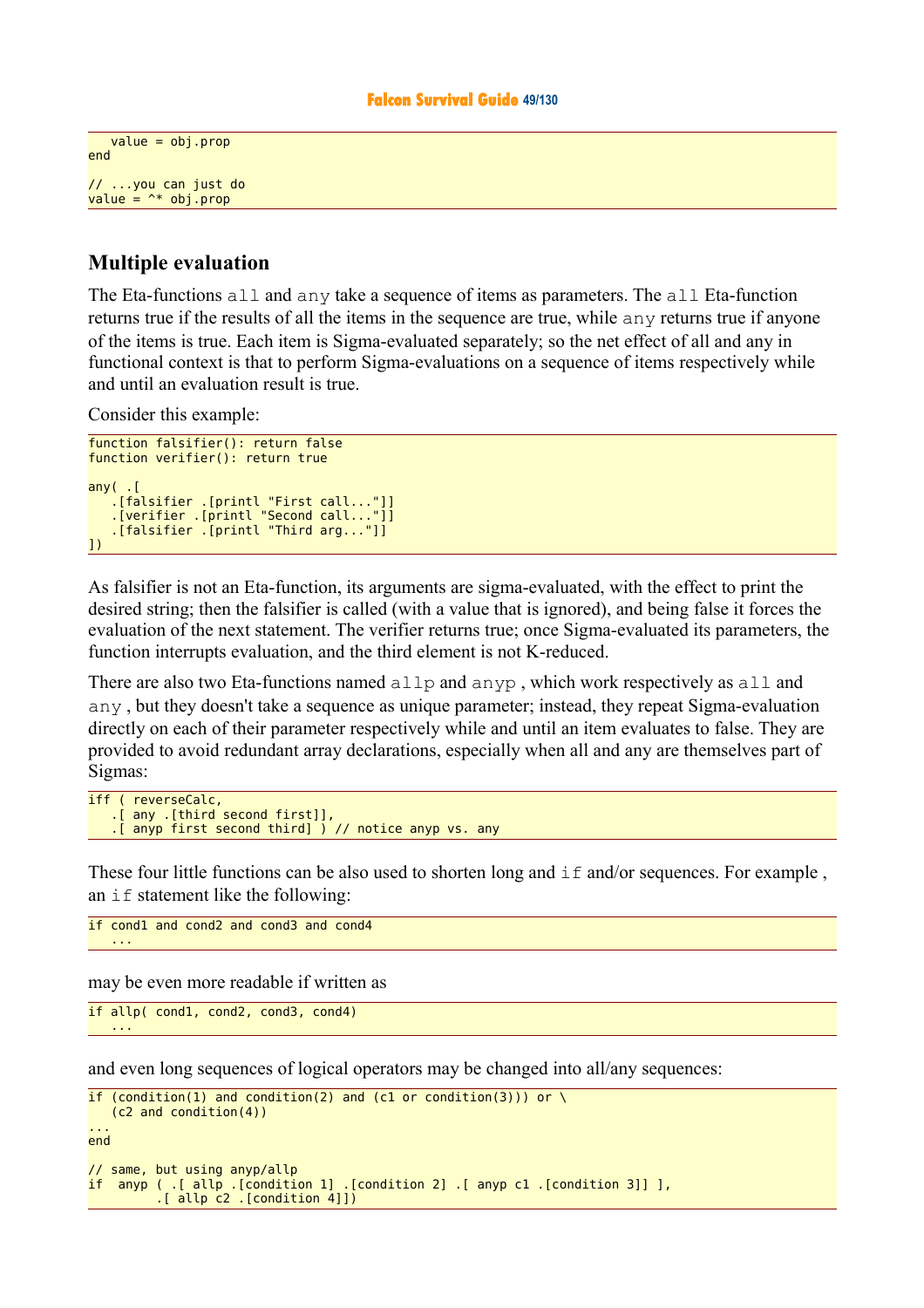```
value = obj.propend 
// ...you can just do 
value = \rightarrow * obj.prop
```
### **Multiple evaluation**

The Eta-functions all and any take a sequence of items as parameters. The all Eta-function returns true if the results of all the items in the sequence are true, while any returns true if anyone of the items is true. Each item is Sigma-evaluated separately; so the net effect of all and any in functional context is that to perform Sigma-evaluations on a sequence of items respectively while and until an evaluation result is true.

Consider this example:

```
function falsifier(): return false
function verifier(): return true
anv( .[falsifier .[printl "First call..."]]
 .[verifier .[printl "Second call..."]]
 .[falsifier .[printl "Third arg..."]]
])
```
As falsifier is not an Eta-function, its arguments are sigma-evaluated, with the effect to print the desired string; then the falsifier is called (with a value that is ignored), and being false it forces the evaluation of the next statement. The verifier returns true; once Sigma-evaluated its parameters, the function interrupts evaluation, and the third element is not K-reduced.

There are also two Eta-functions named allp and anyp , which work respectively as all and any , but they doesn't take a sequence as unique parameter; instead, they repeat Sigma-evaluation directly on each of their parameter respectively while and until an item evaluates to false. They are provided to avoid redundant array declarations, especially when all and any are themselves part of Sigmas:

```
iff ( reverseCalc,
    .[ any .[third second first]],
    .[ anyp first second third] ) // notice anyp vs. any
```
These four little functions can be also used to shorten long and  $\pm$  f and/or sequences. For example, an  $if$  statement like the following:

```
if cond1 and cond2 and cond3 and cond4
 ...
```
may be even more readable if written as

```
if allp( cond1, cond2, cond3, cond4)
 ...
```
and even long sequences of logical operators may be changed into all/any sequences:

```
if (condition(1) and condition(2) and (c1 or condition(3))) or \
    (c2 and condition(4))
... 
end 
// same, but using anyp/allp 
if anyp ( .[ allp .[condition 1] .[condition 2] .[ anyp c1 .[condition 3]] ],
          .[ allp c2 .[condition 4]])
```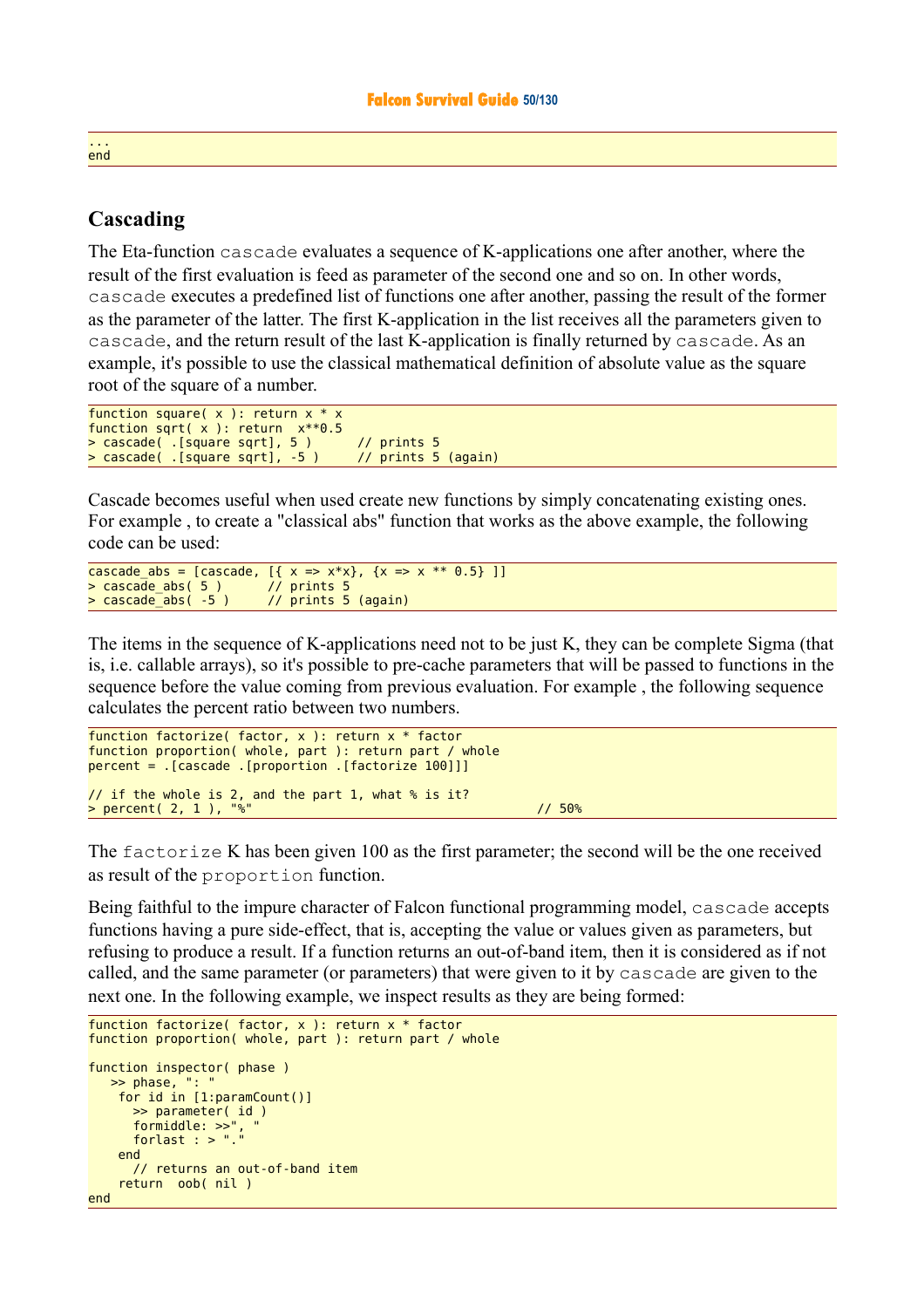### **Cascading**

The Eta-function cascade evaluates a sequence of K-applications one after another, where the result of the first evaluation is feed as parameter of the second one and so on. In other words, cascade executes a predefined list of functions one after another, passing the result of the former as the parameter of the latter. The first K-application in the list receives all the parameters given to cascade, and the return result of the last K-application is finally returned by cascade. As an example, it's possible to use the classical mathematical definition of absolute value as the square root of the square of a number.

```
function square(x): return x * xfunction sqrt( x ): return x**0.5
> cascade( .[square sqrt], 5 ) // prints 5
> cascade( .[square sqrt], -5 )
```
Cascade becomes useful when used create new functions by simply concatenating existing ones. For example , to create a "classical abs" function that works as the above example, the following code can be used:

```
cascade_abs = [cascade, [ { x = > x * x } , { x = > x * * 0.5 } ] ]<br>> cascade_abs( 5 ) // prints 5
> cascade_abs( 5 )<br>> cascade abs( -5 )
                                         // prints 5 (again)
```
The items in the sequence of K-applications need not to be just K, they can be complete Sigma (that is, i.e. callable arrays), so it's possible to pre-cache parameters that will be passed to functions in the sequence before the value coming from previous evaluation. For example , the following sequence calculates the percent ratio between two numbers.

```
function factorize( factor, x ): return x * factor
function proportion( whole, part ): return part / whole
percent = .[cascade .[proportion .[factorize 100]]] 
// if the whole is 2, and the part 1, what % is it? 
> percent( 2, 1 ), "%" // 50%
```
The factorize K has been given 100 as the first parameter; the second will be the one received as result of the proportion function.

Being faithful to the impure character of Falcon functional programming model, cascade accepts functions having a pure side-effect, that is, accepting the value or values given as parameters, but refusing to produce a result. If a function returns an out-of-band item, then it is considered as if not called, and the same parameter (or parameters) that were given to it by cascade are given to the next one. In the following example, we inspect results as they are being formed:

```
function factorize( factor, x ): return x * factor
function proportion( whole, part ): return part / whole
function inspector( phase )
   \Rightarrow phase,
     for id in [1:paramCount()]
       >> parameter( id )
 formiddle: >>", " 
 forlast : > "."
     end 
       // returns an out-of-band item 
     return oob( nil ) 
end
```
#### ... end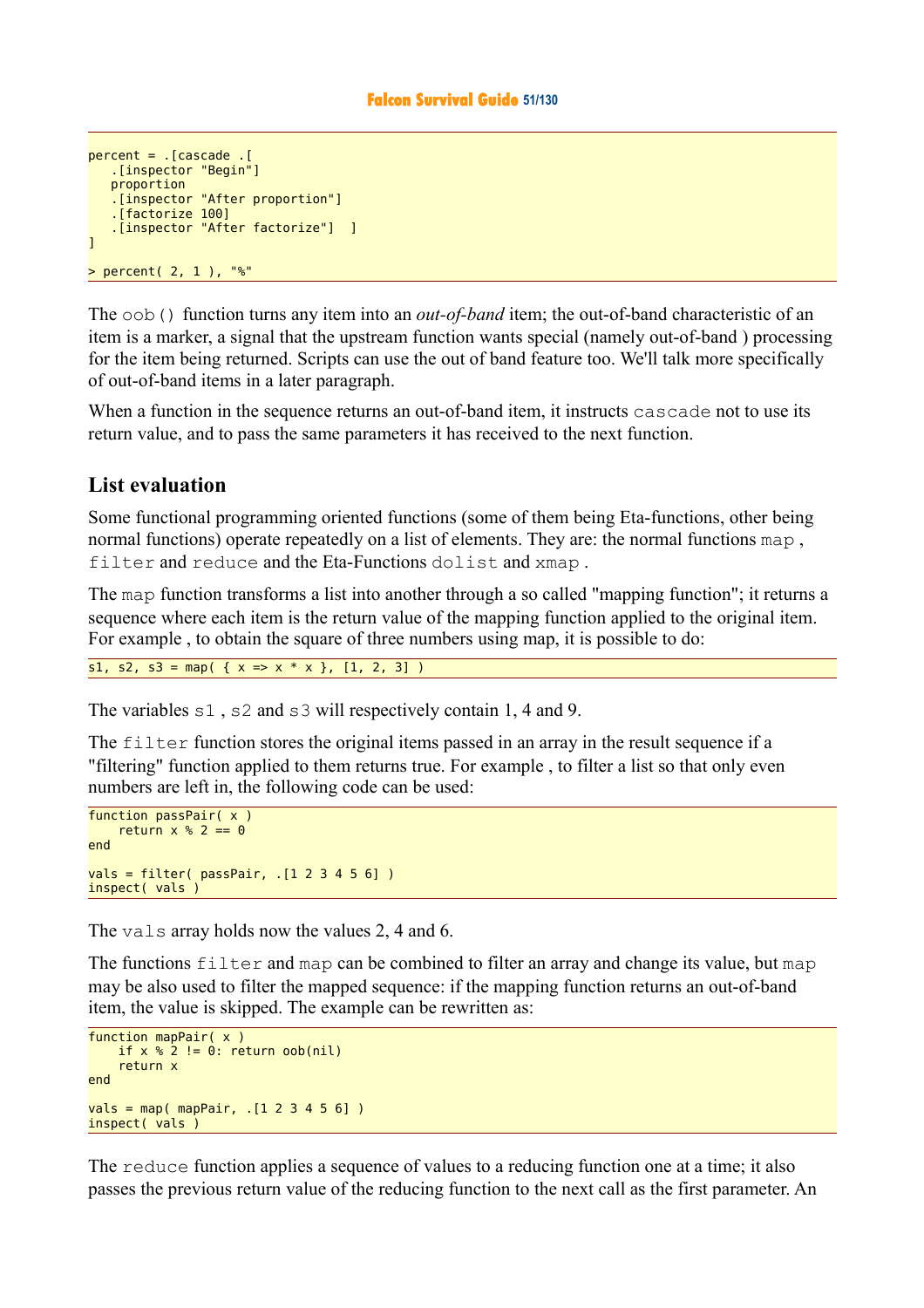```
percent = .[cascade .[ 
    .[inspector "Begin"]
    proportion
    .[inspector "After proportion"]
    .[factorize 100]
    .[inspector "After factorize"] ]
] 
> percent( 2, 1 ), "%"
```
The oob() function turns any item into an *out-of-band* item; the out-of-band characteristic of an item is a marker, a signal that the upstream function wants special (namely out-of-band ) processing for the item being returned. Scripts can use the out of band feature too. We'll talk more specifically of out-of-band items in a later paragraph.

When a function in the sequence returns an out-of-band item, it instructs cascade not to use its return value, and to pass the same parameters it has received to the next function.

### **List evaluation**

Some functional programming oriented functions (some of them being Eta-functions, other being normal functions) operate repeatedly on a list of elements. They are: the normal functions map , filter and reduce and the Eta-Functions dolist and xmap .

The map function transforms a list into another through a so called "mapping function"; it returns a sequence where each item is the return value of the mapping function applied to the original item. For example , to obtain the square of three numbers using map, it is possible to do:

s1, s2, s3 = map(  $\{ x \Rightarrow x * x \}$ , [1, 2, 3])

The variables  $s1$ ,  $s2$  and  $s3$  will respectively contain 1, 4 and 9.

The filter function stores the original items passed in an array in the result sequence if a "filtering" function applied to them returns true. For example , to filter a list so that only even numbers are left in, the following code can be used:

```
function passPair( x )
    return x % 2 == 0end 
vals = filter( passPair, .[1 2 3 4 5 6] ) 
inspect( vals )
```
The vals array holds now the values 2, 4 and 6.

The functions filter and map can be combined to filter an array and change its value, but map may be also used to filter the mapped sequence: if the mapping function returns an out-of-band item, the value is skipped. The example can be rewritten as:

```
function mapPair( x )
    if x \cdot 2 != 0: return oob(nil)
     return x
end 
vals = map( mapPair, .[1 2 3 4 5 6] ) 
inspect( vals )
```
The reduce function applies a sequence of values to a reducing function one at a time; it also passes the previous return value of the reducing function to the next call as the first parameter. An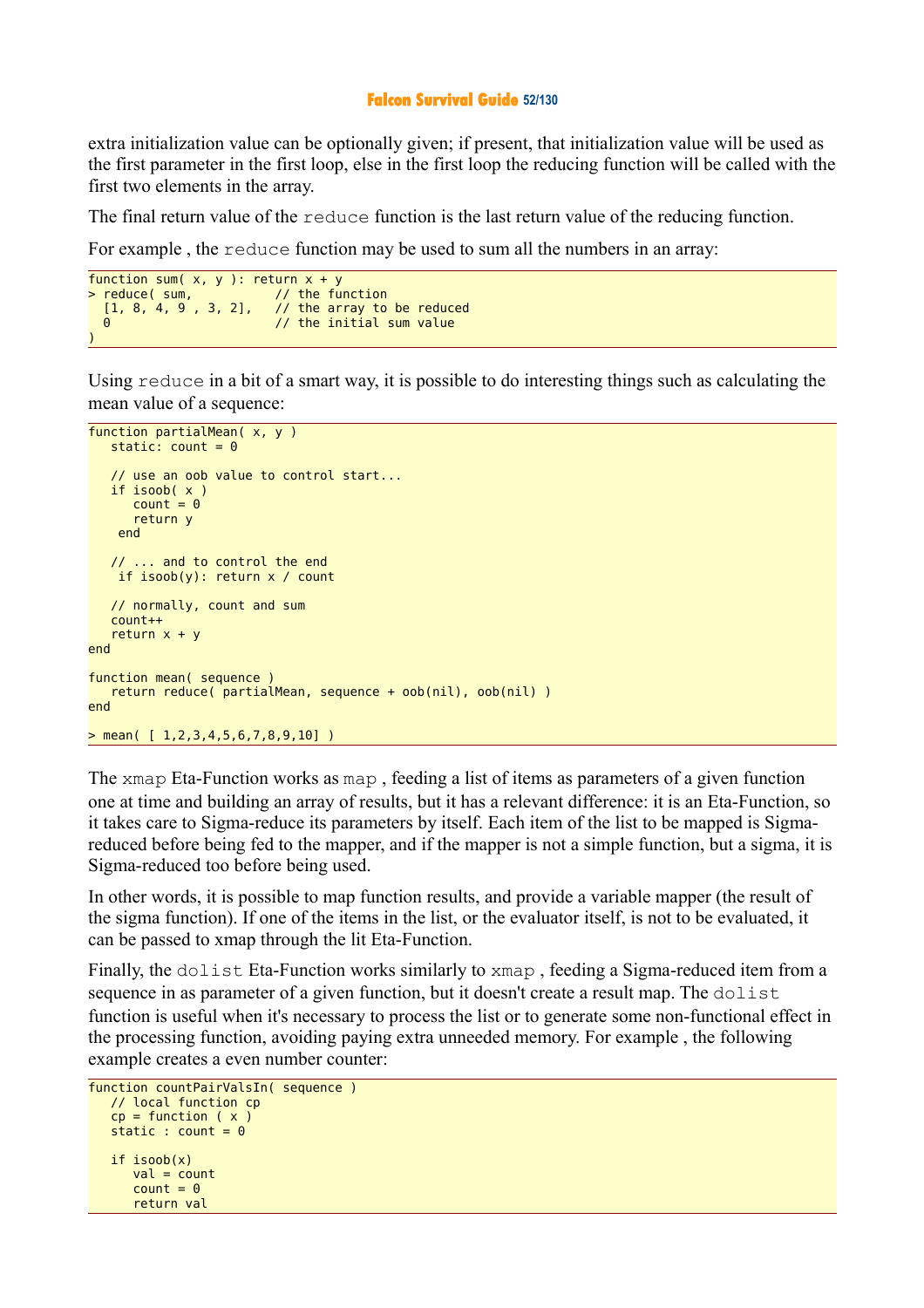#### **Falcon Survival Guide 52/130**

extra initialization value can be optionally given; if present, that initialization value will be used as the first parameter in the first loop, else in the first loop the reducing function will be called with the first two elements in the array.

The final return value of the reduce function is the last return value of the reducing function.

For example , the reduce function may be used to sum all the numbers in an array:

```
function sum( x, y ): return x + y<br>> reduce( sum, // the fu
                                     \frac{1}{1} the function
   [1, 8, 4, 9, 3, 2], // the array to be reduced 0<br>(1) the initial sum value
                                      // the initial sum value
)
```
Using reduce in a bit of a smart way, it is possible to do interesting things such as calculating the mean value of a sequence:

```
function partialMean( x, y )
   static: count = 0 // use an oob value to control start...
    if isoob( x )
      count = 0 return y
     end 
    // ... and to control the end
     if isoob(y): return x / count
    // normally, count and sum
    count++
   return x + yend 
function mean( sequence )
    return reduce( partialMean, sequence + oob(nil), oob(nil) )
end 
> mean( [ 1, 2, 3, 4, 5, 6, 7, 8, 9, 10])
```
The xmap Eta-Function works as map , feeding a list of items as parameters of a given function one at time and building an array of results, but it has a relevant difference: it is an Eta-Function, so it takes care to Sigma-reduce its parameters by itself. Each item of the list to be mapped is Sigmareduced before being fed to the mapper, and if the mapper is not a simple function, but a sigma, it is Sigma-reduced too before being used.

In other words, it is possible to map function results, and provide a variable mapper (the result of the sigma function). If one of the items in the list, or the evaluator itself, is not to be evaluated, it can be passed to xmap through the lit Eta-Function.

Finally, the dolist Eta-Function works similarly to xmap, feeding a Sigma-reduced item from a sequence in as parameter of a given function, but it doesn't create a result map. The dolist function is useful when it's necessary to process the list or to generate some non-functional effect in the processing function, avoiding paying extra unneeded memory. For example , the following example creates a even number counter:

```
function countPairValsIn( sequence )
   // local function cp
  cp = function ( x )static : count = 0 if isoob(x)
      val = countcount = 0 return val
```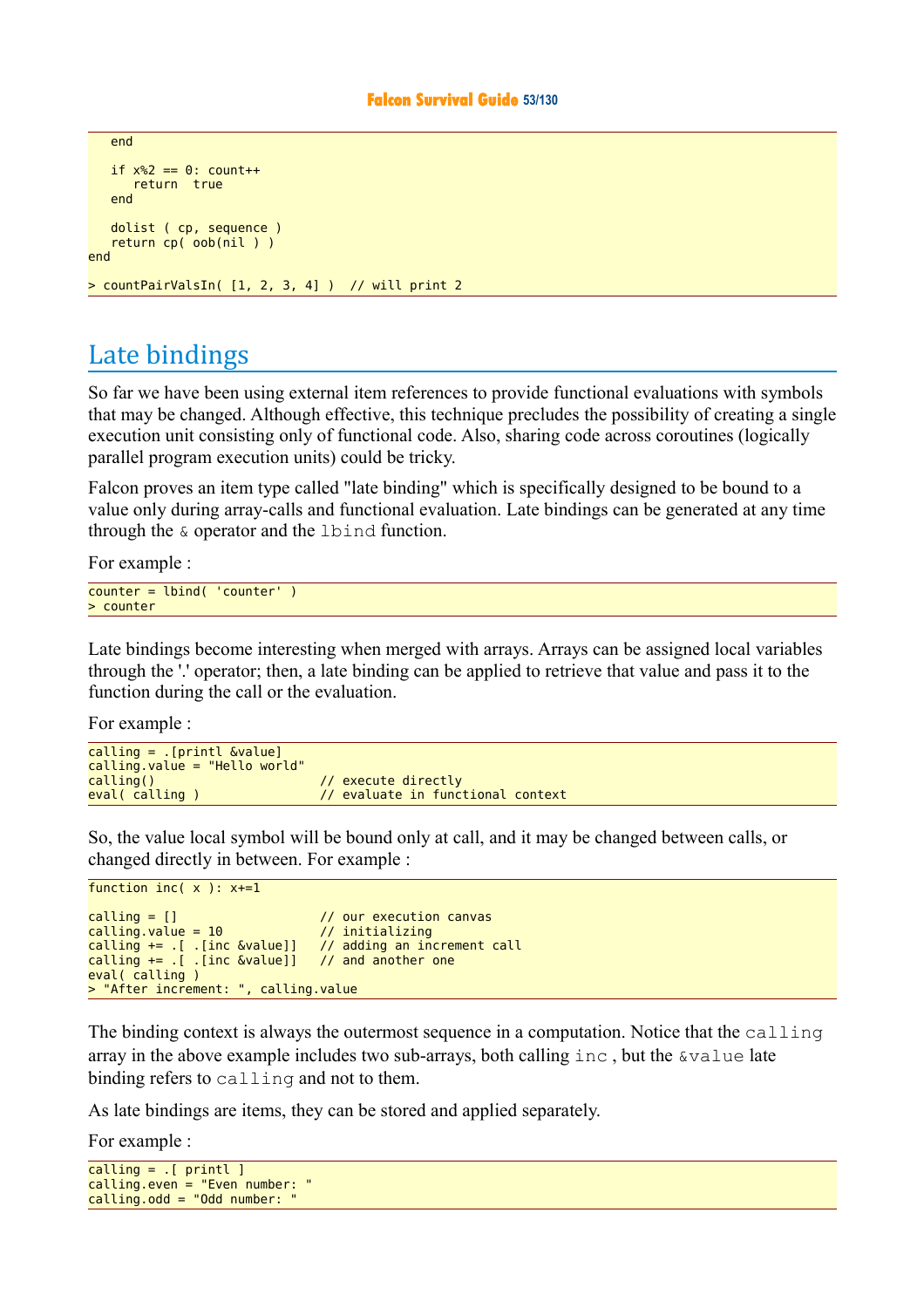```
 end 
   if x\ == 0: count++
       return true 
    end 
    dolist ( cp, sequence )
    return cp( oob(nil ) )
end 
> countPairValsIn( [1, 2, 3, 4] ) // will print 2
```
# Late bindings

So far we have been using external item references to provide functional evaluations with symbols that may be changed. Although effective, this technique precludes the possibility of creating a single execution unit consisting only of functional code. Also, sharing code across coroutines (logically parallel program execution units) could be tricky.

Falcon proves an item type called "late binding" which is specifically designed to be bound to a value only during array-calls and functional evaluation. Late bindings can be generated at any time through the & operator and the lbind function.

For example :

```
counter = lbind( 'counter' ) 
> counter
```
Late bindings become interesting when merged with arrays. Arrays can be assigned local variables through the '.' operator; then, a late binding can be applied to retrieve that value and pass it to the function during the call or the evaluation.

For example :

```
calling = .[printl &value] 
calling.value = "Hello world" 
calling() \frac{1}{2} // execute directly<br>eval( calling ) \frac{1}{2} evaluate in func
                                           \overline{11} evaluate in functional context
```
So, the value local symbol will be bound only at call, and it may be changed between calls, or changed directly in between. For example :

```
function inc(x): x+=1calling = [] // our execution canvas
calting.value = 10 // initializing
calling += .[ .[inc &value]] // adding an increment call calling += .[ .[inc &value]] // and another one
calling += . [ . [inc &value]]
eval( calling ) 
> "After increment: ", calling.value
```
The binding context is always the outermost sequence in a computation. Notice that the calling array in the above example includes two sub-arrays, both calling  $\text{inc}$ , but the  $\text{value}$  late binding refers to calling and not to them.

As late bindings are items, they can be stored and applied separately.

For example :

```
caling = . [ printl ]
caling.even = "Even number:
calling.odd = "Odd number:
```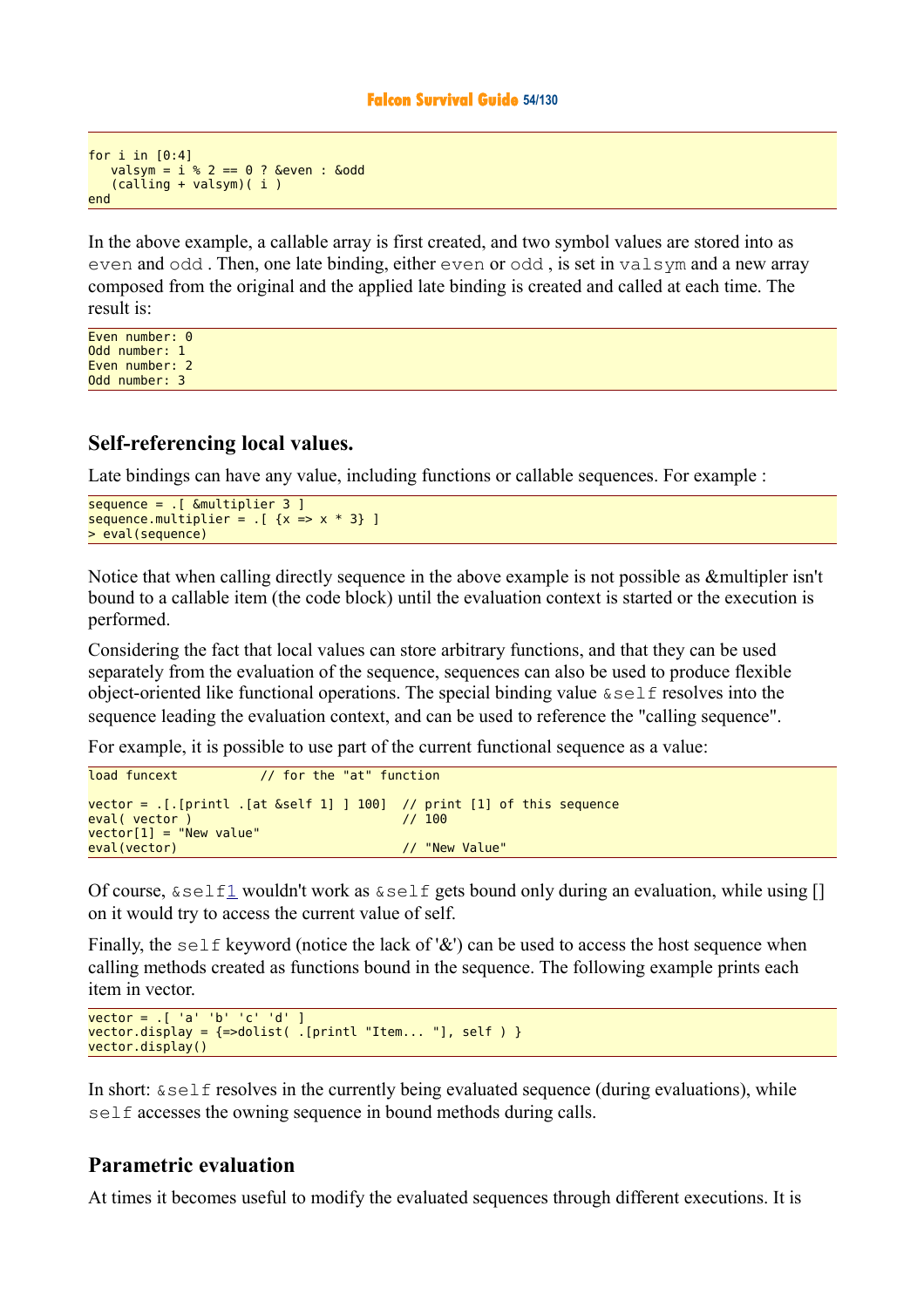```
for i in [0:4]
   valsym = i % 2 == 0 ? &even : &odd
   (calina + valsum) (i)
end
```
In the above example, a callable array is first created, and two symbol values are stored into as even and odd . Then, one late binding, either even or odd , is set in valsym and a new array composed from the original and the applied late binding is created and called at each time. The result is:

Even number: 0 Odd number: 1 Even number: 2 Odd number: 3

### **Self-referencing local values.**

Late bindings can have any value, including functions or callable sequences. For example :

```
sequence = \sqrt{25} . [ &multiplier 3 1
sequence.multiplier = .[x => x * 3]> eval(sequence)
```
Notice that when calling directly sequence in the above example is not possible as &multipler isn't bound to a callable item (the code block) until the evaluation context is started or the execution is performed.

Considering the fact that local values can store arbitrary functions, and that they can be used separately from the evaluation of the sequence, sequences can also be used to produce flexible object-oriented like functional operations. The special binding value &self resolves into the sequence leading the evaluation context, and can be used to reference the "calling sequence".

For example, it is possible to use part of the current functional sequence as a value:

```
load funcext // for the "at" function
vector = .[.[print.[at &self 1] ] 100] // print [1] of this sequence
eval( vector ) // 100 
vector[1] = "New value" 
eval(vector) and the contract of the contract of the contract of the contract of the contract of the contract of the contract of the contract of the contract of the contract of the contract of the contract of the contract
```
Of course,  $\&\text{self1}$  $\&\text{self1}$  $\&\text{self1}$  wouldn't work as  $\&\text{self}$  gets bound only during an evaluation, while using [] on it would try to access the current value of self.

Finally, the self keyword (notice the lack of '&') can be used to access the host sequence when calling methods created as functions bound in the sequence. The following example prints each item in vector.

```
vector = .[ 'a' 'b' 'c' 'd' ] 
vector.display = {-color}d{split} . [printl "Item... "], self ) }
vector.display()
```
In short:  $\&\text{self}$  resolves in the currently being evaluated sequence (during evaluations), while self accesses the owning sequence in bound methods during calls.

### **Parametric evaluation**

At times it becomes useful to modify the evaluated sequences through different executions. It is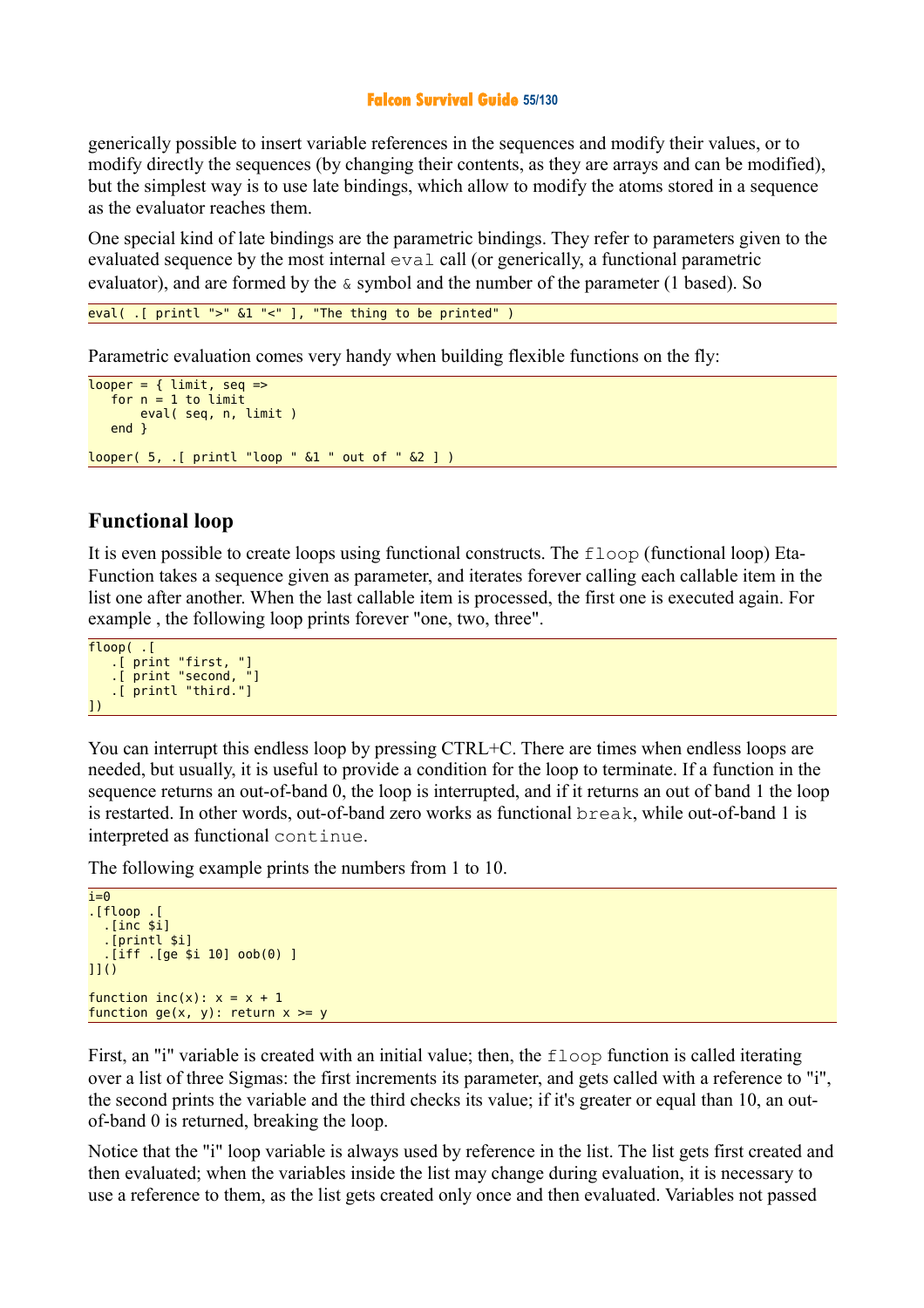#### **Falcon Survival Guide 55/130**

generically possible to insert variable references in the sequences and modify their values, or to modify directly the sequences (by changing their contents, as they are arrays and can be modified), but the simplest way is to use late bindings, which allow to modify the atoms stored in a sequence as the evaluator reaches them.

One special kind of late bindings are the parametric bindings. They refer to parameters given to the evaluated sequence by the most internal eval call (or generically, a functional parametric evaluator), and are formed by the  $\&$  symbol and the number of the parameter (1 based). So

```
eval( .[ printl ">" &1 "<" ], "The thing to be printed" )
```
Parametric evaluation comes very handy when building flexible functions on the fly:

```
looper = { limit, seq =}for n = 1 to limit
        eval( seq, n, limit )
    end }
looper( 5, .[ printl "loop " &1 " out of " &2 ] )
```
### **Functional loop**

It is even possible to create loops using functional constructs. The  $f_{\text{loop}}$  (functional loop) Eta-Function takes a sequence given as parameter, and iterates forever calling each callable item in the list one after another. When the last callable item is processed, the first one is executed again. For example , the following loop prints forever "one, two, three".

```
floop( .[ 
 .[ print "first, "]
 .[ print "second, "]
    .[ printl "third."]
])
```
You can interrupt this endless loop by pressing CTRL+C. There are times when endless loops are needed, but usually, it is useful to provide a condition for the loop to terminate. If a function in the sequence returns an out-of-band 0, the loop is interrupted, and if it returns an out of band 1 the loop is restarted. In other words, out-of-band zero works as functional break, while out-of-band 1 is interpreted as functional continue.

The following example prints the numbers from 1 to 10.

```
i = 0.[floop .[ 
   .[inc $i]
   .[printl $i]
   .[iff .[ge $i 10] oob(0) ]
11()function inc(x): x = x + 1function ge(x, y): return x \ge y
```
First, an "i" variable is created with an initial value; then, the floop function is called iterating over a list of three Sigmas: the first increments its parameter, and gets called with a reference to "i", the second prints the variable and the third checks its value; if it's greater or equal than 10, an outof-band 0 is returned, breaking the loop.

Notice that the "i" loop variable is always used by reference in the list. The list gets first created and then evaluated; when the variables inside the list may change during evaluation, it is necessary to use a reference to them, as the list gets created only once and then evaluated. Variables not passed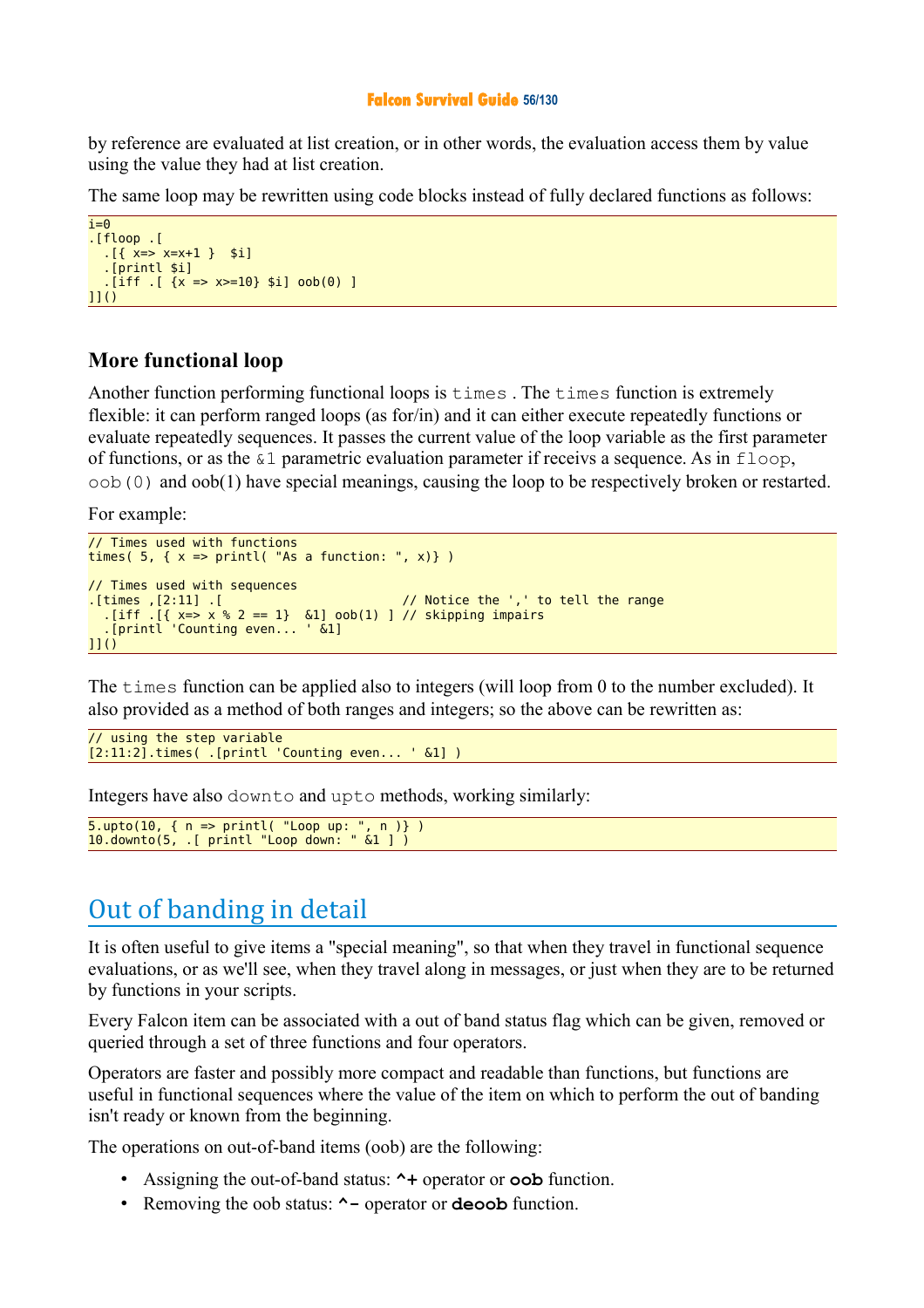#### **Falcon Survival Guide 56/130**

by reference are evaluated at list creation, or in other words, the evaluation access them by value using the value they had at list creation.

The same loop may be rewritten using code blocks instead of fully declared functions as follows:

```
i=0.[floop .[ 
  \{x = > x = x + 1\} $i]
   .[printl $i]
   [iff ] [x => x>=10] $i] oob(0) ]
\overline{11}()
```
### **More functional loop**

Another function performing functional loops is times . The times function is extremely flexible: it can perform ranged loops (as for/in) and it can either execute repeatedly functions or evaluate repeatedly sequences. It passes the current value of the loop variable as the first parameter of functions, or as the  $\&1$  parametric evaluation parameter if receivs a sequence. As in  $floop$ , oob(0) and oob(1) have special meanings, causing the loop to be respectively broken or restarted.

For example:

```
// Times used with functions
times( 5, \{ x \Rightarrow print( "As a function: ", x) } )
// Times used with sequences
.[times ,[2:11] .[ // Notice the ',' to tell the range
 .[iff .[{ x=> x % 2 == 1} &1] oob(1) ] // skipping impairs
 .[printl 'Counting even... ' &1]
11()
```
The times function can be applied also to integers (will loop from 0 to the number excluded). It also provided as a method of both ranges and integers; so the above can be rewritten as:

```
// using the step variable
[2:11:2].times( .[printl 'Counting even... ' &1] )
```
Integers have also downto and upto methods, working similarly:

```
5.upto(10, { n => printl( "Loop up: ", n )} )
10.downto(5, .[ printl "Loop down: " &1 ] )
```
# Out of banding in detail

It is often useful to give items a "special meaning", so that when they travel in functional sequence evaluations, or as we'll see, when they travel along in messages, or just when they are to be returned by functions in your scripts.

Every Falcon item can be associated with a out of band status flag which can be given, removed or queried through a set of three functions and four operators.

Operators are faster and possibly more compact and readable than functions, but functions are useful in functional sequences where the value of the item on which to perform the out of banding isn't ready or known from the beginning.

The operations on out-of-band items (oob) are the following:

- Assigning the out-of-band status: **^+** operator or **oob** function.
- Removing the oob status: **^-** operator or **deoob** function.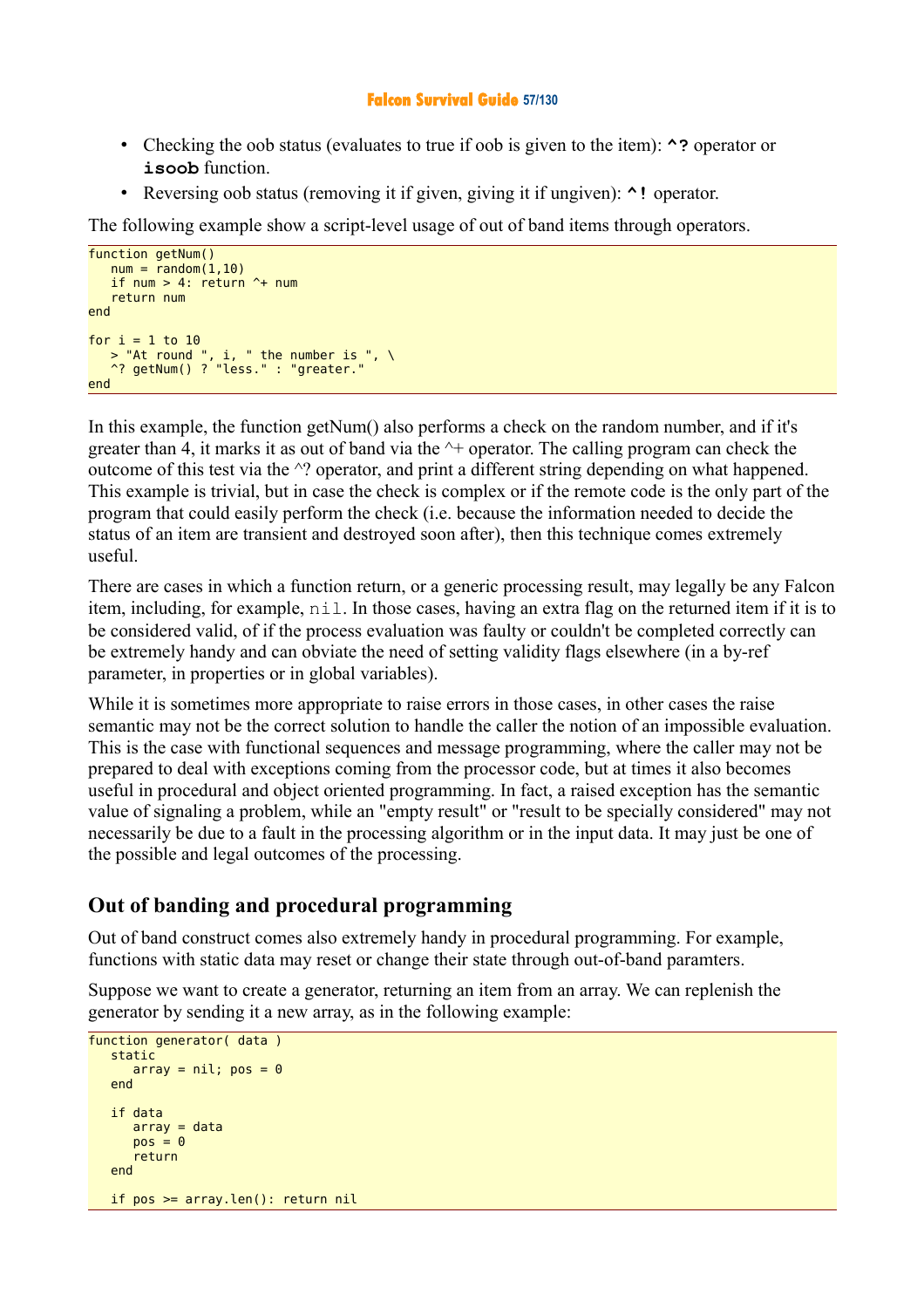### **Falcon Survival Guide 57/130**

- Checking the oob status (evaluates to true if oob is given to the item): **^?** operator or **isoob** function.
- Reversing oob status (removing it if given, giving it if ungiven): **^!** operator.

The following example show a script-level usage of out of band items through operators.

```
function getNum()
   num = random(1.10) if num > 4: return ^+ num
    return num
end 
for i = 1 to 10\rightarrow "At round ", i, " the number is ", \
 ^? getNum() ? "less." : "greater."
end
```
In this example, the function getNum() also performs a check on the random number, and if it's greater than 4, it marks it as out of band via the  $\rightarrow$  operator. The calling program can check the outcome of this test via the ^? operator, and print a different string depending on what happened. This example is trivial, but in case the check is complex or if the remote code is the only part of the program that could easily perform the check (i.e. because the information needed to decide the status of an item are transient and destroyed soon after), then this technique comes extremely useful.

There are cases in which a function return, or a generic processing result, may legally be any Falcon item, including, for example, nil. In those cases, having an extra flag on the returned item if it is to be considered valid, of if the process evaluation was faulty or couldn't be completed correctly can be extremely handy and can obviate the need of setting validity flags elsewhere (in a by-ref parameter, in properties or in global variables).

While it is sometimes more appropriate to raise errors in those cases, in other cases the raise semantic may not be the correct solution to handle the caller the notion of an impossible evaluation. This is the case with functional sequences and message programming, where the caller may not be prepared to deal with exceptions coming from the processor code, but at times it also becomes useful in procedural and object oriented programming. In fact, a raised exception has the semantic value of signaling a problem, while an "empty result" or "result to be specially considered" may not necessarily be due to a fault in the processing algorithm or in the input data. It may just be one of the possible and legal outcomes of the processing.

### **Out of banding and procedural programming**

Out of band construct comes also extremely handy in procedural programming. For example, functions with static data may reset or change their state through out-of-band paramters.

Suppose we want to create a generator, returning an item from an array. We can replenish the generator by sending it a new array, as in the following example:

```
function generator( data )
    static
      array = nil; pos = 0 end
    if data
      array = datapos = 0 return
    end
   if pos >= array.len(): return nil
```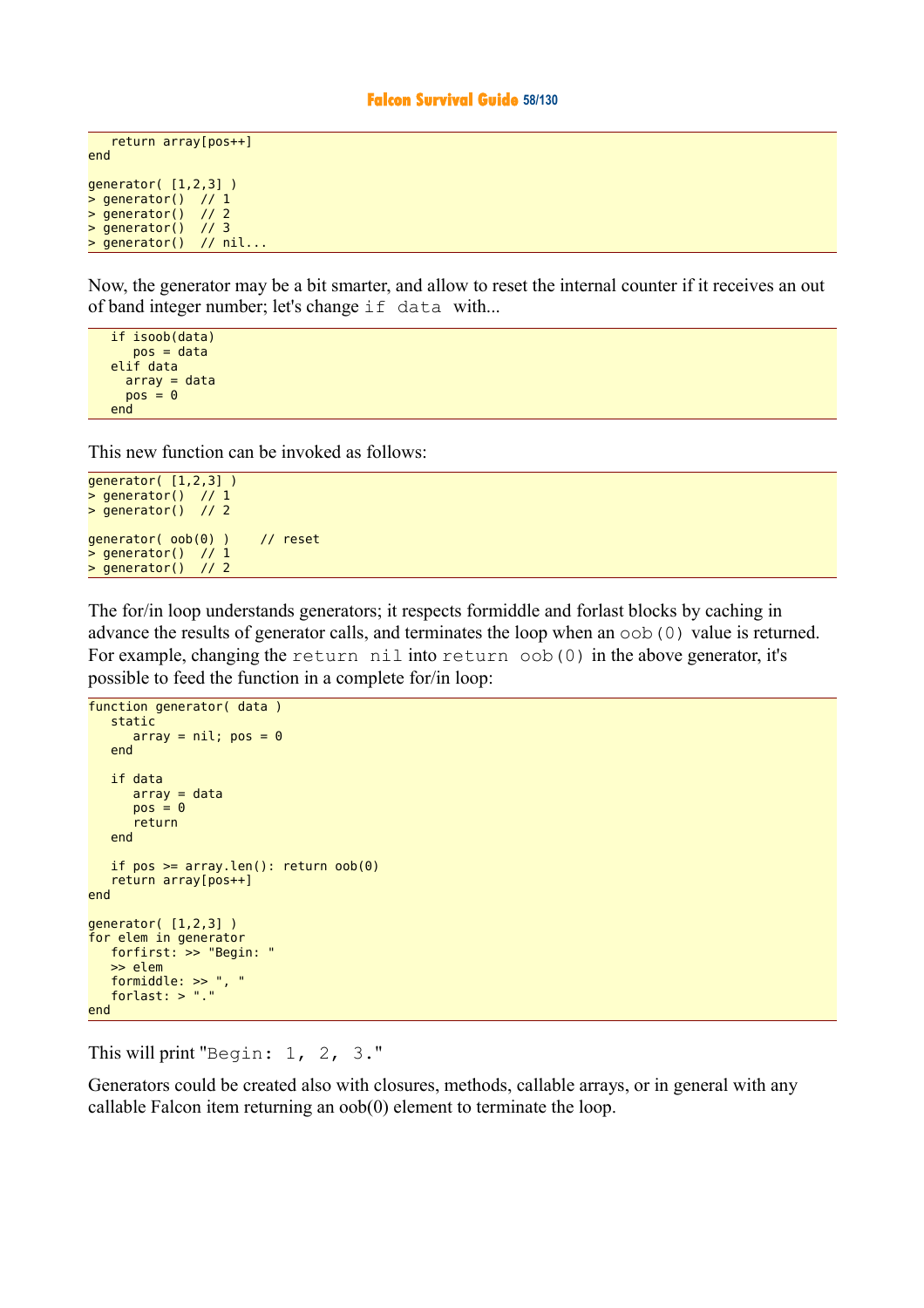#### **Falcon Survival Guide 58/130**

```
 return array[pos++]
end
generator( [1,2,3] )
> generator() // 1
> generator() // 2
> generator() // 3
> generator() // nil...
```
Now, the generator may be a bit smarter, and allow to reset the internal counter if it receives an out of band integer number; let's change if data with...

```
 if isoob(data)
    pos = data
 elif data
  array = data
  pos = 0 end
```
This new function can be invoked as follows:

```
generator( [1,2,3] )
> generator() // 1
> generator() // 2
generator( oob(0) ) // reset
> generator() // 1
> generator() // 2
```
The for/in loop understands generators; it respects formiddle and forlast blocks by caching in advance the results of generator calls, and terminates the loop when an oob(0) value is returned. For example, changing the return nil into return oob(0) in the above generator, it's possible to feed the function in a complete for/in loop:

```
function generator( data)
    static
      array = nil; pos = 0 end
    if data
      array = datapos = 0 return
    end
   if pos >= array.len(): return oob(\theta) return array[pos++]
end
generator( [1,2,3] )
for elem in generator
    forfirst: >> "Begin: "
    >> elem
    formiddle: >> ", "
    forlast: > "."
end
```
This will print "Begin: 1, 2, 3."

Generators could be created also with closures, methods, callable arrays, or in general with any callable Falcon item returning an oob(0) element to terminate the loop.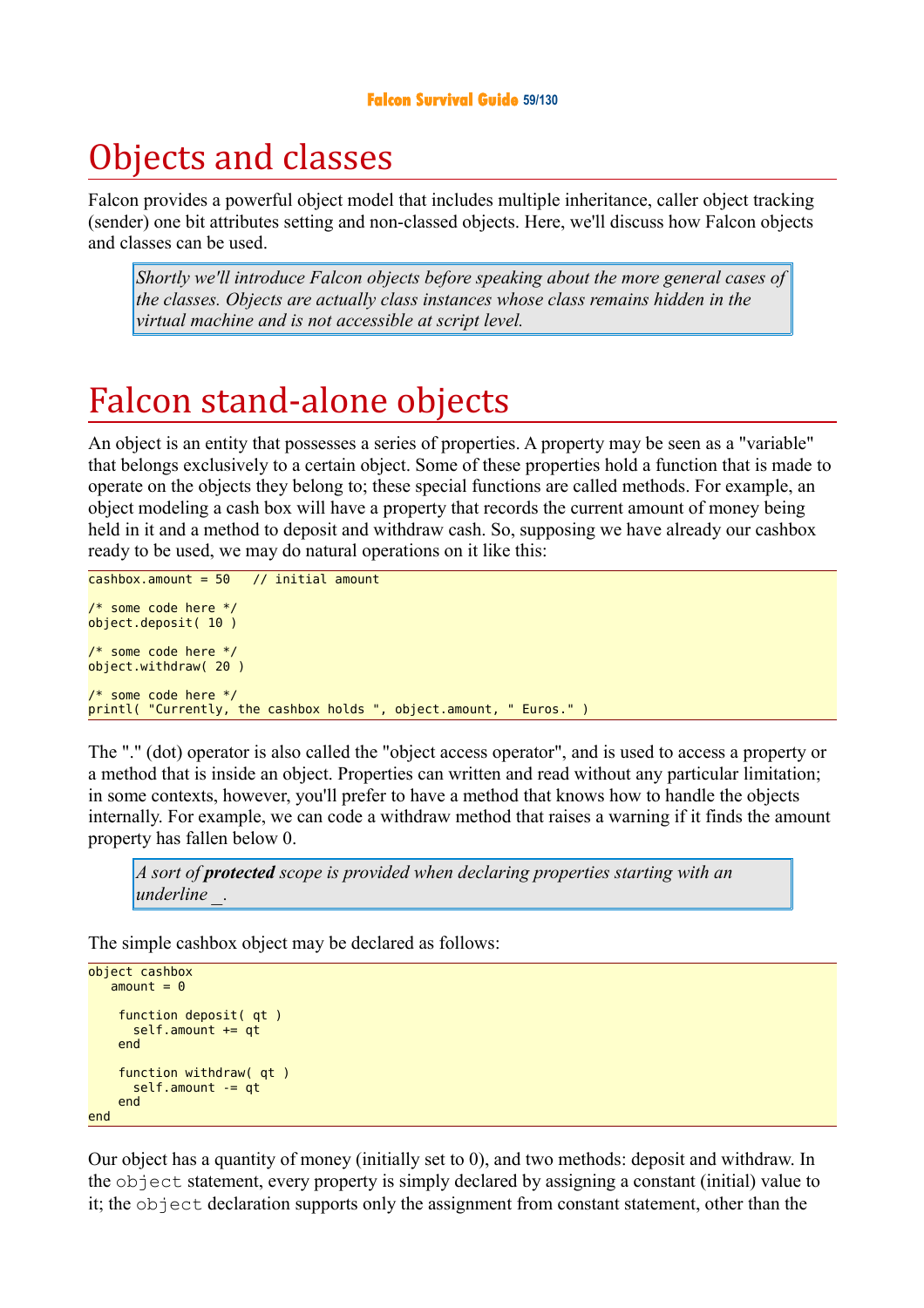# Objects and classes

Falcon provides a powerful object model that includes multiple inheritance, caller object tracking (sender) one bit attributes setting and non-classed objects. Here, we'll discuss how Falcon objects and classes can be used.

*Shortly we'll introduce Falcon objects before speaking about the more general cases of the classes. Objects are actually class instances whose class remains hidden in the virtual machine and is not accessible at script level.* 

# Falcon stand-alone objects

An object is an entity that possesses a series of properties. A property may be seen as a "variable" that belongs exclusively to a certain object. Some of these properties hold a function that is made to operate on the objects they belong to; these special functions are called methods. For example, an object modeling a cash box will have a property that records the current amount of money being held in it and a method to deposit and withdraw cash. So, supposing we have already our cashbox ready to be used, we may do natural operations on it like this:

```
cashbox.amount = 50 // initial amount
/* some code here */ 
object.deposit( 10 ) 
/* some code here */ 
object.withdraw( 20 ) 
/* some code here */ 
printl( "Currently, the cashbox holds ", object.amount, " Euros." )
```
The "." (dot) operator is also called the "object access operator", and is used to access a property or a method that is inside an object. Properties can written and read without any particular limitation; in some contexts, however, you'll prefer to have a method that knows how to handle the objects internally. For example, we can code a withdraw method that raises a warning if it finds the amount property has fallen below 0.

*A sort of protected scope is provided when declaring properties starting with an underline \_.*

The simple cashbox object may be declared as follows:

```
object cashbox
   amount = 0 function deposit( qt )
       self.amount += qt
     end 
     function withdraw( qt )
       self.amount -= qt 
     end 
end
```
Our object has a quantity of money (initially set to 0), and two methods: deposit and withdraw. In the object statement, every property is simply declared by assigning a constant (initial) value to it; the object declaration supports only the assignment from constant statement, other than the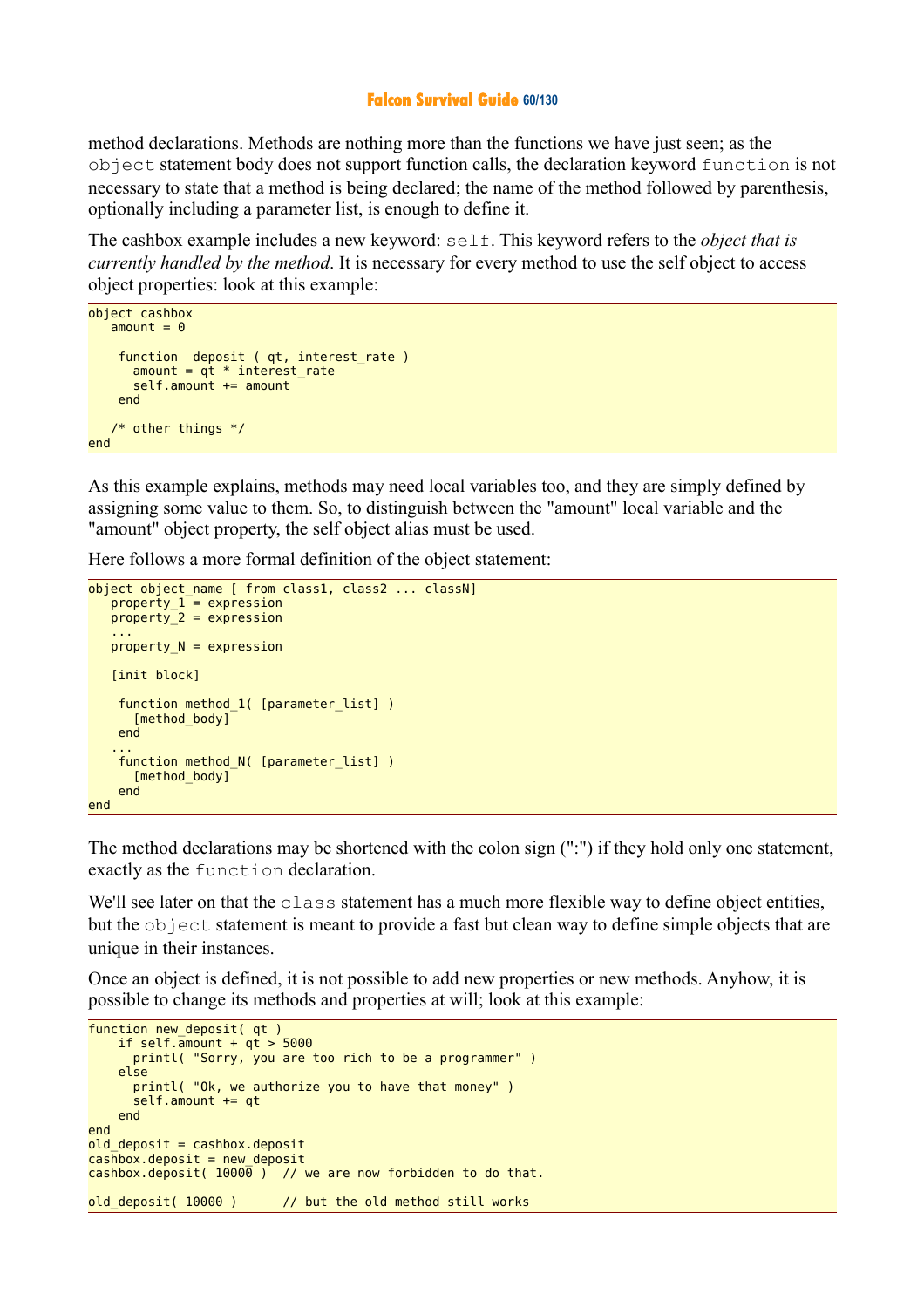#### **Falcon Survival Guide 60/130**

method declarations. Methods are nothing more than the functions we have just seen; as the object statement body does not support function calls, the declaration keyword function is not necessary to state that a method is being declared; the name of the method followed by parenthesis, optionally including a parameter list, is enough to define it.

The cashbox example includes a new keyword: self. This keyword refers to the *object that is currently handled by the method*. It is necessary for every method to use the self object to access object properties: look at this example:

```
object cashbox
  amount = 0 function deposit ( qt, interest_rate )
      amount = at * interest rate
      self.amount += amount
     end 
    /* other things */
end
```
As this example explains, methods may need local variables too, and they are simply defined by assigning some value to them. So, to distinguish between the "amount" local variable and the "amount" object property, the self object alias must be used.

Here follows a more formal definition of the object statement:

```
object object_name [ from class1, class2 ... classN]
  property_1 = expression property_2 = expression
 ...
  property N = expression
    [init block]
    function method_1( [parameter_list] )
      [method body]
    end 
 ...
   function method N( [parameter list] )
      [method body]
    end 
end
```
The method declarations may be shortened with the colon sign (":") if they hold only one statement, exactly as the function declaration.

We'll see later on that the class statement has a much more flexible way to define object entities, but the object statement is meant to provide a fast but clean way to define simple objects that are unique in their instances.

Once an object is defined, it is not possible to add new properties or new methods. Anyhow, it is possible to change its methods and properties at will; look at this example:

```
function new deposit( qt)
    if self.\frac{1}{2}amount + qt > 5000
       printl( "Sorry, you are too rich to be a programmer" )
     else 
       printl( "Ok, we authorize you to have that money" )
      self.amount += qt
     end 
end 
old deposit = cashbox.deposit
cas\overline{h}box.deposit = new deposit\overline{\text{cashbox.}} deposit( 10000) / // we are now forbidden to do that.
old deposit( 10000 ) // but the old method still works
```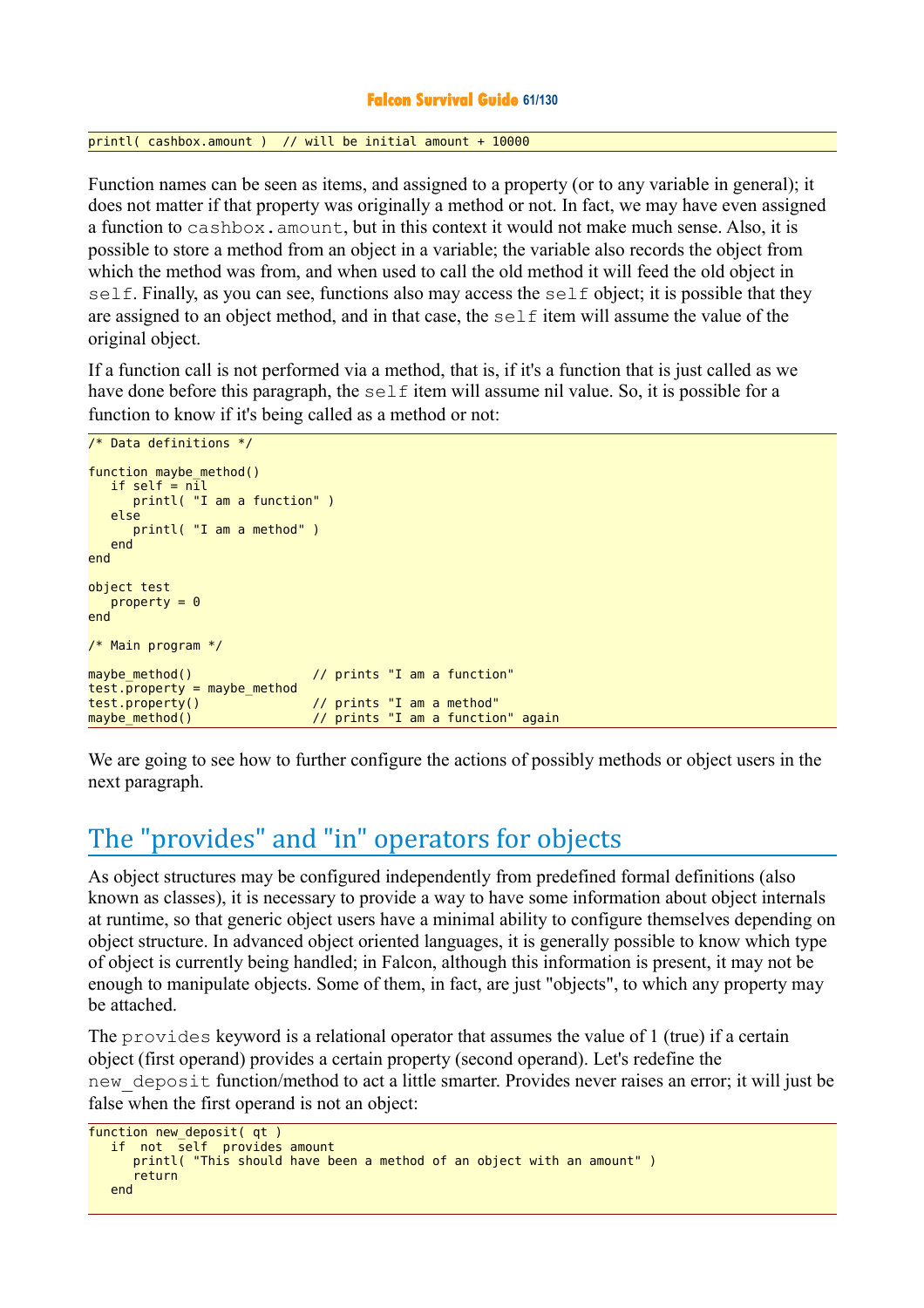### **Falcon Survival Guide 61/130**

printl( cashbox.amount ) // will be initial amount + 10000

Function names can be seen as items, and assigned to a property (or to any variable in general); it does not matter if that property was originally a method or not. In fact, we may have even assigned a function to cashbox.amount, but in this context it would not make much sense. Also, it is possible to store a method from an object in a variable; the variable also records the object from which the method was from, and when used to call the old method it will feed the old object in self. Finally, as you can see, functions also may access the self object; it is possible that they are assigned to an object method, and in that case, the self item will assume the value of the original object.

If a function call is not performed via a method, that is, if it's a function that is just called as we have done before this paragraph, the self item will assume nil value. So, it is possible for a function to know if it's being called as a method or not:

```
/* Data definitions */ 
function maybe method()
   if self = n\overline{i}l
       printl( "I am a function" )
    else 
       printl( "I am a method" )
    end 
end 
object test
   property = 0end 
/* Main program */ 
maybe method() \frac{1}{2} // prints "I am a function"
\text{test}.\overline{\text{property}} = \text{maybe\_method}test.property() // prints "I am a method"
maybe_method() \frac{1}{2} \frac{1}{2} prints "I am a function" again
```
We are going to see how to further configure the actions of possibly methods or object users in the next paragraph.

# The "provides" and "in" operators for objects

As object structures may be configured independently from predefined formal definitions (also known as classes), it is necessary to provide a way to have some information about object internals at runtime, so that generic object users have a minimal ability to configure themselves depending on object structure. In advanced object oriented languages, it is generally possible to know which type of object is currently being handled; in Falcon, although this information is present, it may not be enough to manipulate objects. Some of them, in fact, are just "objects", to which any property may be attached.

The provides keyword is a relational operator that assumes the value of 1 (true) if a certain object (first operand) provides a certain property (second operand). Let's redefine the new\_deposit function/method to act a little smarter. Provides never raises an error; it will just be false when the first operand is not an object:

```
function new deposit( qt)
   if not self provides amount
     printl( "This should have been a method of an object with an amount" )
       return 
   end
```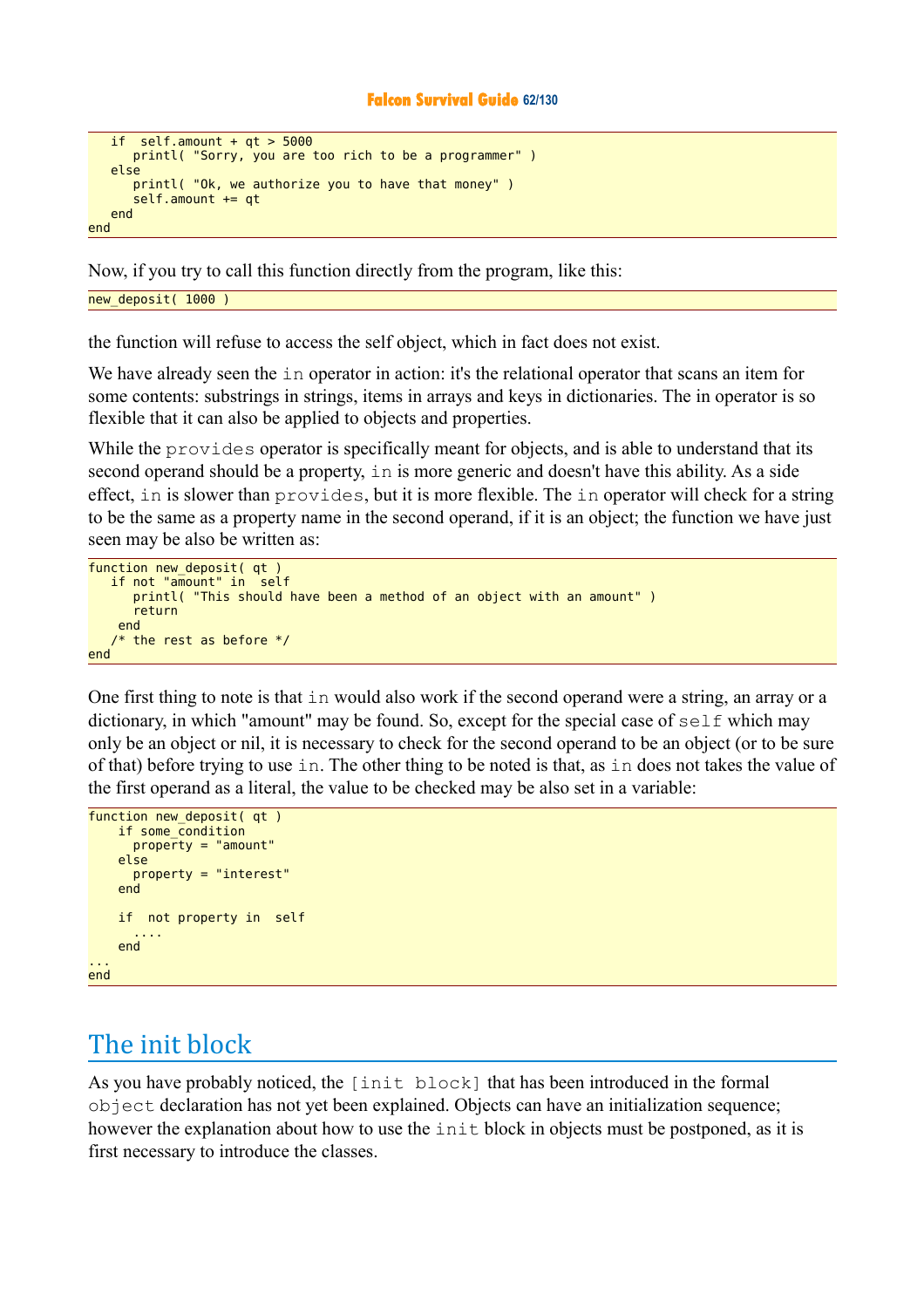#### **Falcon Survival Guide 62/130**

```
if self.amount + qt > 5000 printl( "Sorry, you are too rich to be a programmer" )
    else 
       printl( "Ok, we authorize you to have that money" )
       self.amount += qt
    end 
end
```
Now, if you try to call this function directly from the program, like this:

new deposit( 1000 )

the function will refuse to access the self object, which in fact does not exist.

We have already seen the in operator in action: it's the relational operator that scans an item for some contents: substrings in strings, items in arrays and keys in dictionaries. The in operator is so flexible that it can also be applied to objects and properties.

While the provides operator is specifically meant for objects, and is able to understand that its second operand should be a property, in is more generic and doesn't have this ability. As a side effect, in is slower than provides, but it is more flexible. The in operator will check for a string to be the same as a property name in the second operand, if it is an object; the function we have just seen may be also be written as:

```
function new deposit( at )
    if not "amount" in self 
       printl( "This should have been a method of an object with an amount" )
       return 
     end 
   /* the rest as before */end
```
One first thing to note is that in would also work if the second operand were a string, an array or a dictionary, in which "amount" may be found. So, except for the special case of self which may only be an object or nil, it is necessary to check for the second operand to be an object (or to be sure of that) before trying to use in. The other thing to be noted is that, as in does not takes the value of the first operand as a literal, the value to be checked may be also set in a variable:

```
function new deposit( qt)
     if some_condition
      proper'ty = "amount"
     else 
       property = "interest"
     end 
     if not property in self 
 ....
     end 
... 
end
```
# The init block

As you have probably noticed, the [init block] that has been introduced in the formal object declaration has not yet been explained. Objects can have an initialization sequence; however the explanation about how to use the init block in objects must be postponed, as it is first necessary to introduce the classes.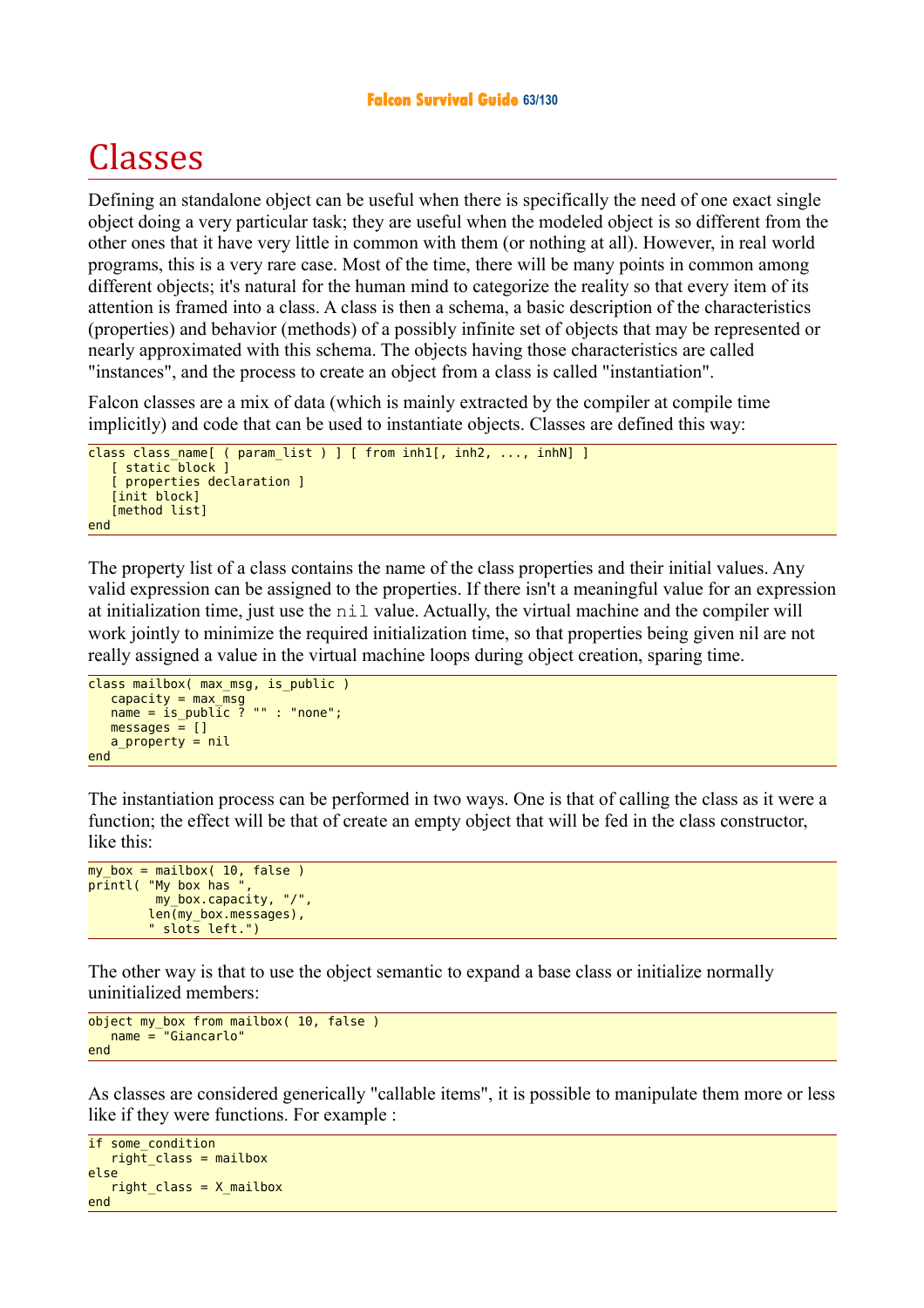# Classes

Defining an standalone object can be useful when there is specifically the need of one exact single object doing a very particular task; they are useful when the modeled object is so different from the other ones that it have very little in common with them (or nothing at all). However, in real world programs, this is a very rare case. Most of the time, there will be many points in common among different objects; it's natural for the human mind to categorize the reality so that every item of its attention is framed into a class. A class is then a schema, a basic description of the characteristics (properties) and behavior (methods) of a possibly infinite set of objects that may be represented or nearly approximated with this schema. The objects having those characteristics are called "instances", and the process to create an object from a class is called "instantiation".

Falcon classes are a mix of data (which is mainly extracted by the compiler at compile time implicitly) and code that can be used to instantiate objects. Classes are defined this way:

```
class class name[ ( param list ) ] [ from inh1[, inh2, ..., inhN] ]
   [ static block ]
    [ properties declaration ]
    [init block]
   [method list]
end
```
The property list of a class contains the name of the class properties and their initial values. Any valid expression can be assigned to the properties. If there isn't a meaningful value for an expression at initialization time, just use the nil value. Actually, the virtual machine and the compiler will work jointly to minimize the required initialization time, so that properties being given nil are not really assigned a value in the virtual machine loops during object creation, sparing time.

```
class mailbox( max_msg, is_public )
   capacity = max<sub>msg</sub>name = is\_public ? "" : "none";
   messages = [] a_property = nil
end
```
The instantiation process can be performed in two ways. One is that of calling the class as it were a function; the effect will be that of create an empty object that will be fed in the class constructor, like this:

```
my_box = mailbox( 10, false )pr\bar{i}ntl( "My box has "
          my_box.capacity, "/",
         len(my box.messages),
          " slots left.")
```
The other way is that to use the object semantic to expand a base class or initialize normally uninitialized members:

```
object my_box from mailbox( 10, false )
    name = "Giancarlo"
end
```
As classes are considered generically "callable items", it is possible to manipulate them more or less like if they were functions. For example :

```
if some_condition
   right class = mailboxelse 
   right class = X mailbox
end
```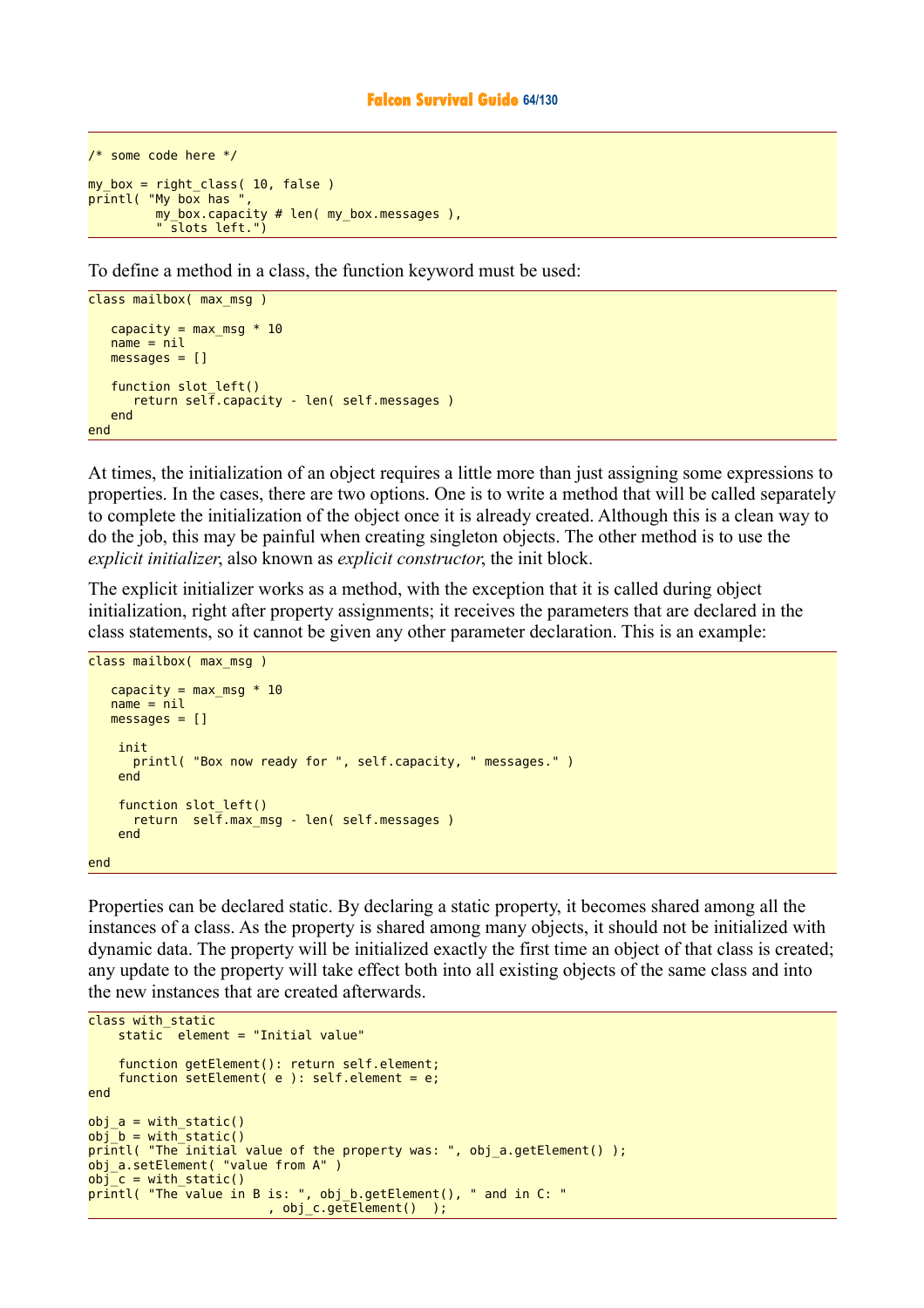```
/* some code here */ 
my box = right class( 10, false )
printl( "My box has ", 
          \overline{my} box.capacity # len( my box.messages ),
            slots left.")
```
To define a method in a class, the function keyword must be used:

```
class mailbox( max msg )
   capacity = max_msg * 10name = nil messages = []
   function slot left()
       return self.capacity - len( self.messages )
    end 
end
```
At times, the initialization of an object requires a little more than just assigning some expressions to properties. In the cases, there are two options. One is to write a method that will be called separately to complete the initialization of the object once it is already created. Although this is a clean way to do the job, this may be painful when creating singleton objects. The other method is to use the *explicit initializer*, also known as *explicit constructor*, the init block.

The explicit initializer works as a method, with the exception that it is called during object initialization, right after property assignments; it receives the parameters that are declared in the class statements, so it cannot be given any other parameter declaration. This is an example:

```
class mailbox( max msg )
   capacity = max msg * 10
   name = nilmessages = [] init 
       printl( "Box now ready for ", self.capacity, " messages." )
     end 
    function slot left()
      return self.max_msg - len( self.messages )
     end 
end
```
Properties can be declared static. By declaring a static property, it becomes shared among all the instances of a class. As the property is shared among many objects, it should not be initialized with dynamic data. The property will be initialized exactly the first time an object of that class is created; any update to the property will take effect both into all existing objects of the same class and into the new instances that are created afterwards.

```
class with static
   static element = "Initial value"
     function getElement(): return self.element;
    function setElement(e): self.element = e;
end 
obj a = with static()obj_b = with_static()printl( "The initial value of the property was: ", obj_a.getElement() );
obj_a.setElement( "value from A" ) 
obj_c = with_static() 
printl( "The value in B is: ", obj_b.getElement(), " and in C: " 
                         , obj_c.getElement() );
```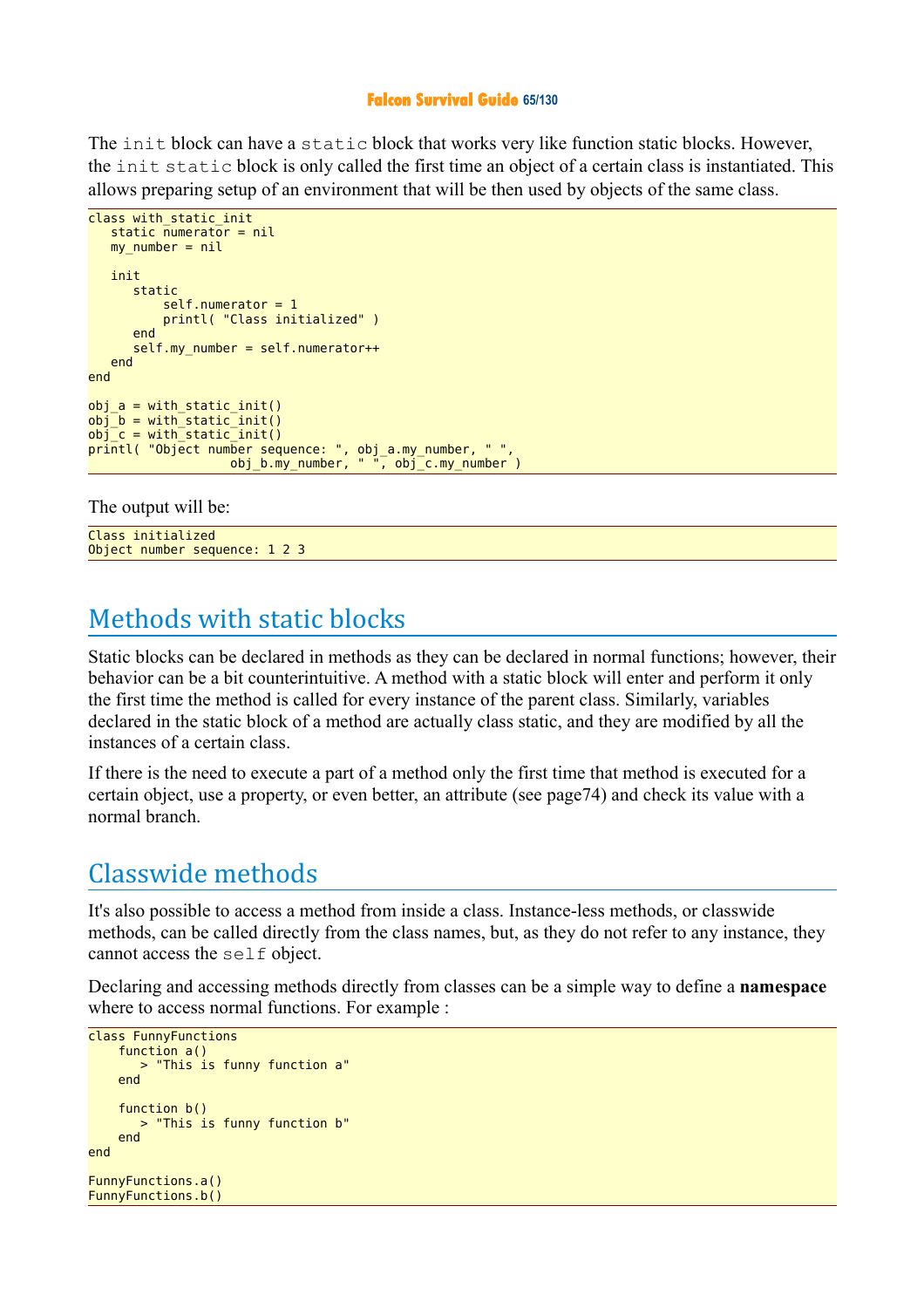### **Falcon Survival Guide 65/130**

The init block can have a static block that works very like function static blocks. However, the init static block is only called the first time an object of a certain class is instantiated. This allows preparing setup of an environment that will be then used by objects of the same class.

```
class with static init
  static numerator = nil
  my_number = nil init 
      static 
         self.numerator = 1 printl( "Class initialized" )
       end 
      self.my number = self.numerator++
   end 
end 
obj a = with static init()obj_b = with_static_init()obj^-c = with^-static^-init()printl( "Object number sequence: ", obj_a.my_number, " ", 
 obj_b.my_number, " ", obj_c.my_number )
```
The output will be:

Class initialized Object number sequence: 1 2 3

# Methods with static blocks

Static blocks can be declared in methods as they can be declared in normal functions; however, their behavior can be a bit counterintuitive. A method with a static block will enter and perform it only the first time the method is called for every instance of the parent class. Similarly, variables declared in the static block of a method are actually class static, and they are modified by all the instances of a certain class.

If there is the need to execute a part of a method only the first time that method is executed for a certain object, use a property, or even better, an attribute (see page74) and check its value with a normal branch.

# Classwide methods

It's also possible to access a method from inside a class. Instance-less methods, or classwide methods, can be called directly from the class names, but, as they do not refer to any instance, they cannot access the self object.

Declaring and accessing methods directly from classes can be a simple way to define a **namespace** where to access normal functions. For example :

```
class FunnyFunctions
     function a()
        > "This is funny function a"
     end 
     function b()
        > "This is funny function b"
     end 
end 
FunnyFunctions.a() 
FunnyFunctions.b()
```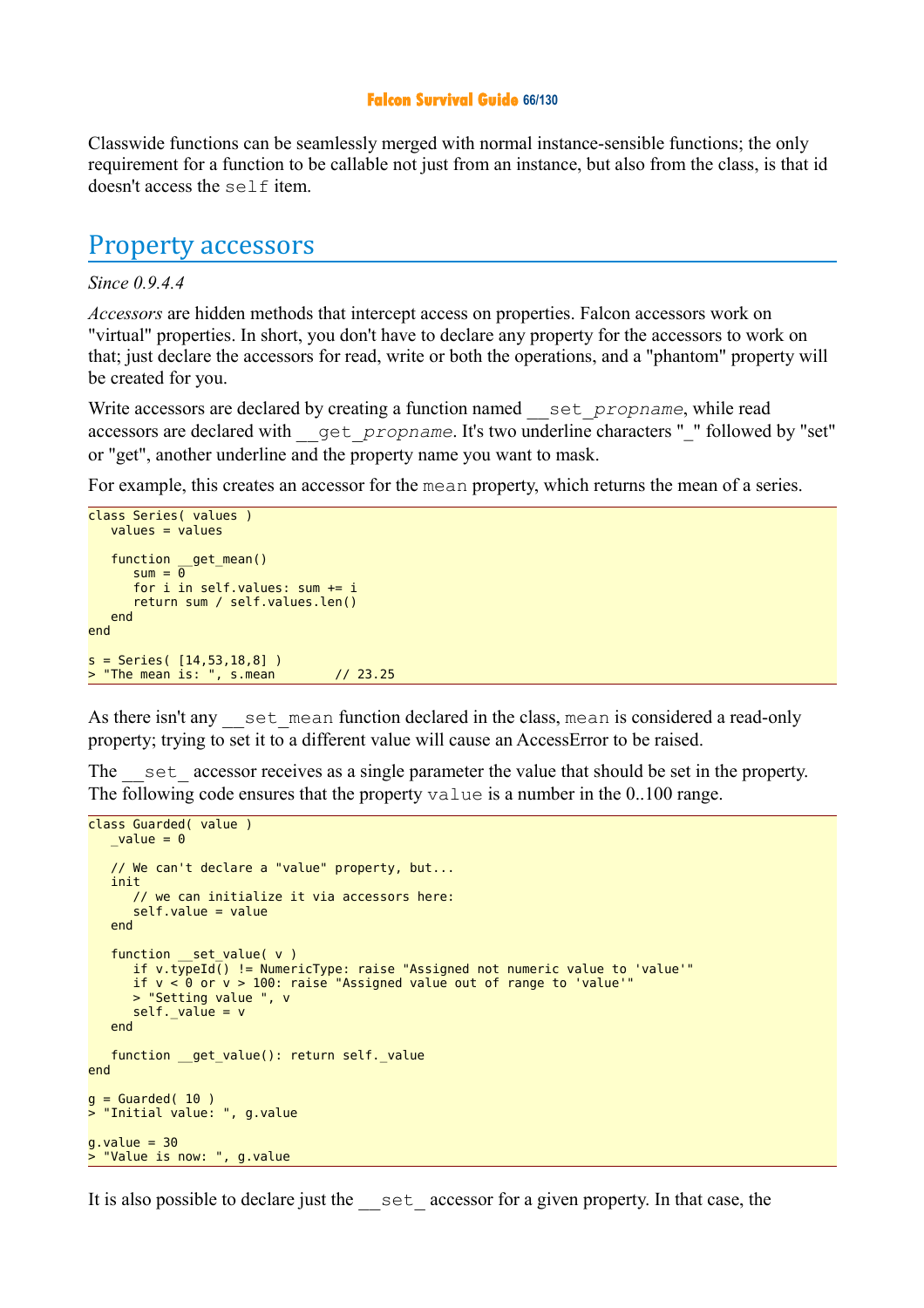#### **Falcon Survival Guide 66/130**

Classwide functions can be seamlessly merged with normal instance-sensible functions; the only requirement for a function to be callable not just from an instance, but also from the class, is that id doesn't access the self item.

### Property accessors

### *Since 0.9.4.4*

*Accessors* are hidden methods that intercept access on properties. Falcon accessors work on "virtual" properties. In short, you don't have to declare any property for the accessors to work on that; just declare the accessors for read, write or both the operations, and a "phantom" property will be created for you.

Write accessors are declared by creating a function named set *propname*, while read accessors are declared with \_\_get\_*propname*. It's two underline characters "\_" followed by "set" or "get", another underline and the property name you want to mask.

For example, this creates an accessor for the mean property, which returns the mean of a series.

```
class Series( values )
   value<sub>s</sub> = values function __get_mean()
sum = 0 for i in self.values: sum += i
       return sum / self.values.len()
    end
end
s = Series( [14,53,18,8] )
> "The mean is: ", s.mean // 23.25
```
As there isn't any set mean function declared in the class, mean is considered a read-only property; trying to set it to a different value will cause an AccessError to be raised.

The set accessor receives as a single parameter the value that should be set in the property. The following code ensures that the property value is a number in the 0..100 range.

```
class Guarded( value )
  value = 0 // We can't declare a "value" property, but...
    init
       // we can initialize it via accessors here:
       self.value = value
    end
   function set value( v )if v.typed\overline{()} != NumbericType: raise "Assigned not numeric value to 'value'" if v < 0 or v > 100: raise "Assigned value out of range to 'value'"
       > "Setting value ", v
      self. value = v end
   function __get_value(): return self. value
end
q = Guarded( 10 )
> "Initial value: ", g.value
g.value = 30> "Value is now: ", g.value
```
It is also possible to declare just the set accessor for a given property. In that case, the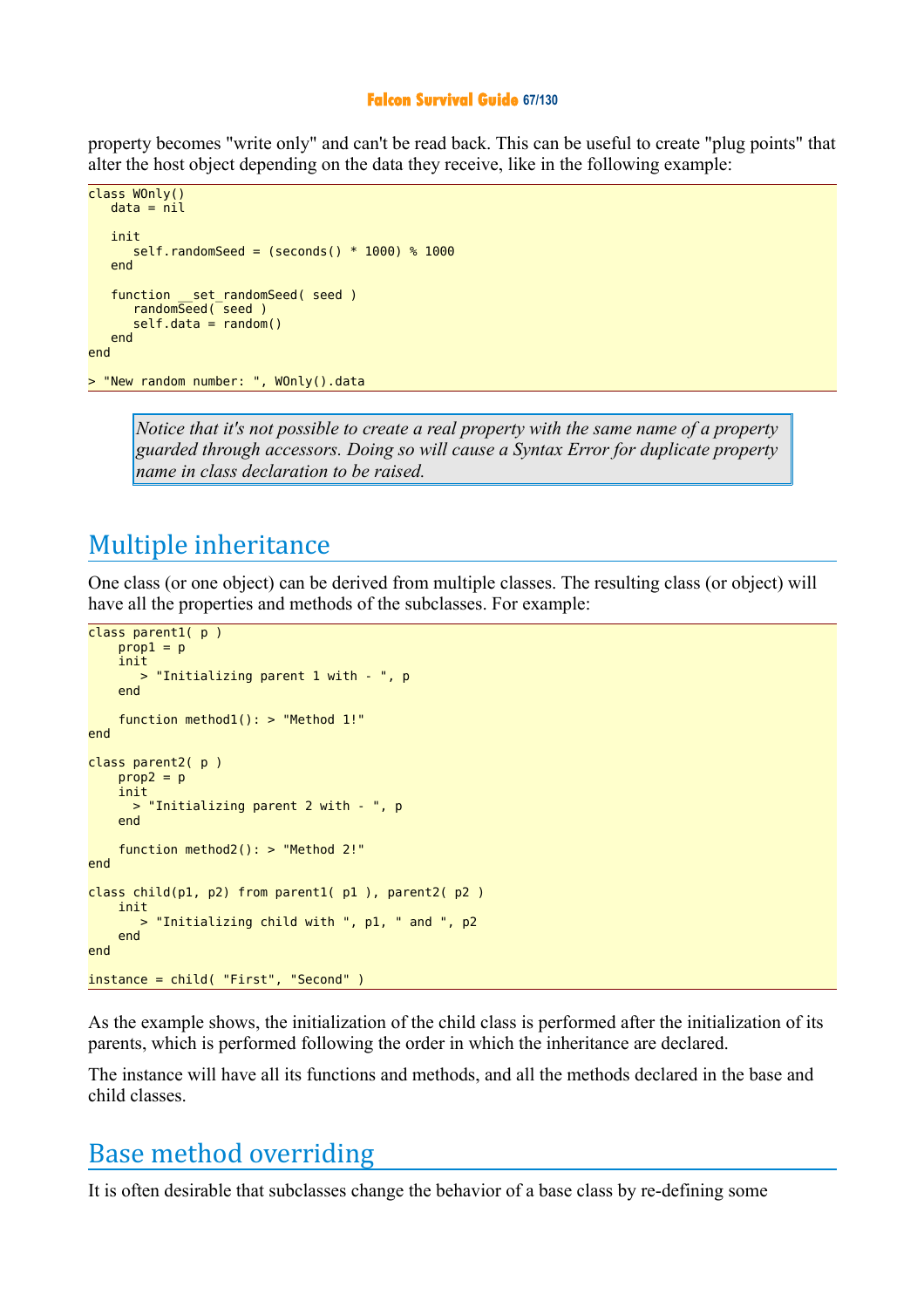#### **Falcon Survival Guide 67/130**

property becomes "write only" and can't be read back. This can be useful to create "plug points" that alter the host object depending on the data they receive, like in the following example:

```
class WOnly()
   data = nil init
      self.randomSeed = (seconds() * 1000) * 1000 end
    function __set_randomSeed( seed )
      randomSeed(seed)
      self.data = random() end
end
> "New random number: ", WOnly().data
```
*Notice that it's not possible to create a real property with the same name of a property guarded through accessors. Doing so will cause a Syntax Error for duplicate property name in class declaration to be raised.* 

# Multiple inheritance

One class (or one object) can be derived from multiple classes. The resulting class (or object) will have all the properties and methods of the subclasses. For example:

```
class parent1( p )
    prop1 = p init 
          > "Initializing parent 1 with - ", p
     end 
     function method1(): > "Method 1!"
end 
class parent2( p )
    prop2 = p init 
      > "Initializing parent 2 with - ", p
     end 
     function method2(): > "Method 2!"
end 
class child(p1, p2) from parent1( p1 ), parent2( p2 )
     init 
        > "Initializing child with ", p1, " and ", p2
     end 
end 
instance = child( "First", "Second" )
```
As the example shows, the initialization of the child class is performed after the initialization of its parents, which is performed following the order in which the inheritance are declared.

The instance will have all its functions and methods, and all the methods declared in the base and child classes.

### Base method overriding

It is often desirable that subclasses change the behavior of a base class by re-defining some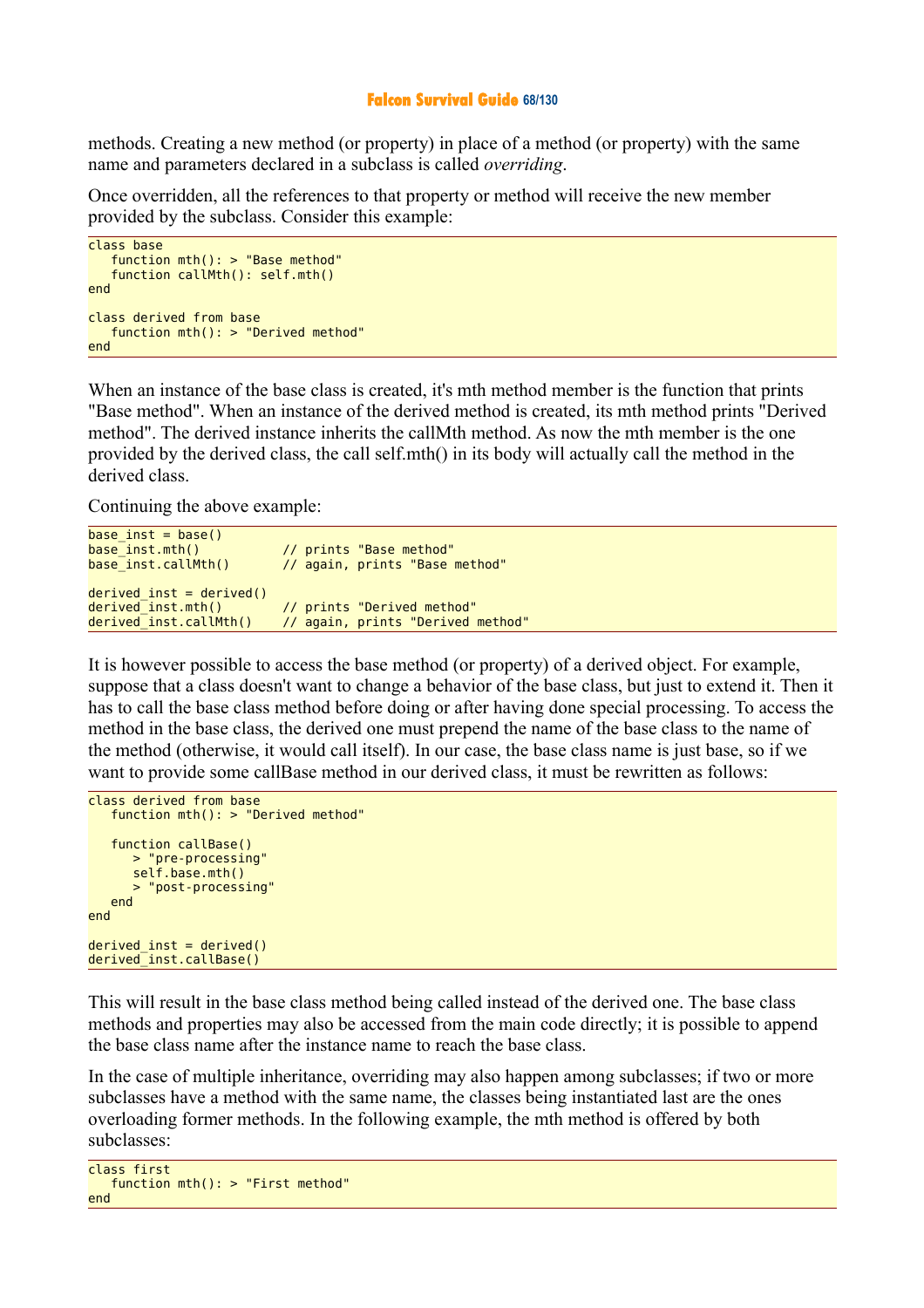#### **Falcon Survival Guide 68/130**

methods. Creating a new method (or property) in place of a method (or property) with the same name and parameters declared in a subclass is called *overriding*.

Once overridden, all the references to that property or method will receive the new member provided by the subclass. Consider this example:

```
class base
    function mth(): > "Base method"
    function callMth(): self.mth()
end
class derived from base
    function mth(): > "Derived method"
end
```
When an instance of the base class is created, it's mth method member is the function that prints "Base method". When an instance of the derived method is created, its mth method prints "Derived method". The derived instance inherits the callMth method. As now the mth member is the one provided by the derived class, the call self.mth() in its body will actually call the method in the derived class.

Continuing the above example:

```
base\_inst = base()<br>base\_inst.mth()base_inst.mth() // prints "Base method"
                             // again, prints "Base method"
derived_inst = derived()<br>derived inst.mth()
                              // prints "Derived method"
derived inst.callMth() // again, prints "Derived method"
```
It is however possible to access the base method (or property) of a derived object. For example, suppose that a class doesn't want to change a behavior of the base class, but just to extend it. Then it has to call the base class method before doing or after having done special processing. To access the method in the base class, the derived one must prepend the name of the base class to the name of the method (otherwise, it would call itself). In our case, the base class name is just base, so if we want to provide some callBase method in our derived class, it must be rewritten as follows:

```
class derived from base
    function mth(): > "Derived method"
    function callBase()
       > "pre-processing"
       self.base.mth()
       > "post-processing"
    end 
end 
derived inst = derived()
derived_inst.callBase()
```
This will result in the base class method being called instead of the derived one. The base class methods and properties may also be accessed from the main code directly; it is possible to append the base class name after the instance name to reach the base class.

In the case of multiple inheritance, overriding may also happen among subclasses; if two or more subclasses have a method with the same name, the classes being instantiated last are the ones overloading former methods. In the following example, the mth method is offered by both subclasses:

```
class first
    function mth(): > "First method"
end
```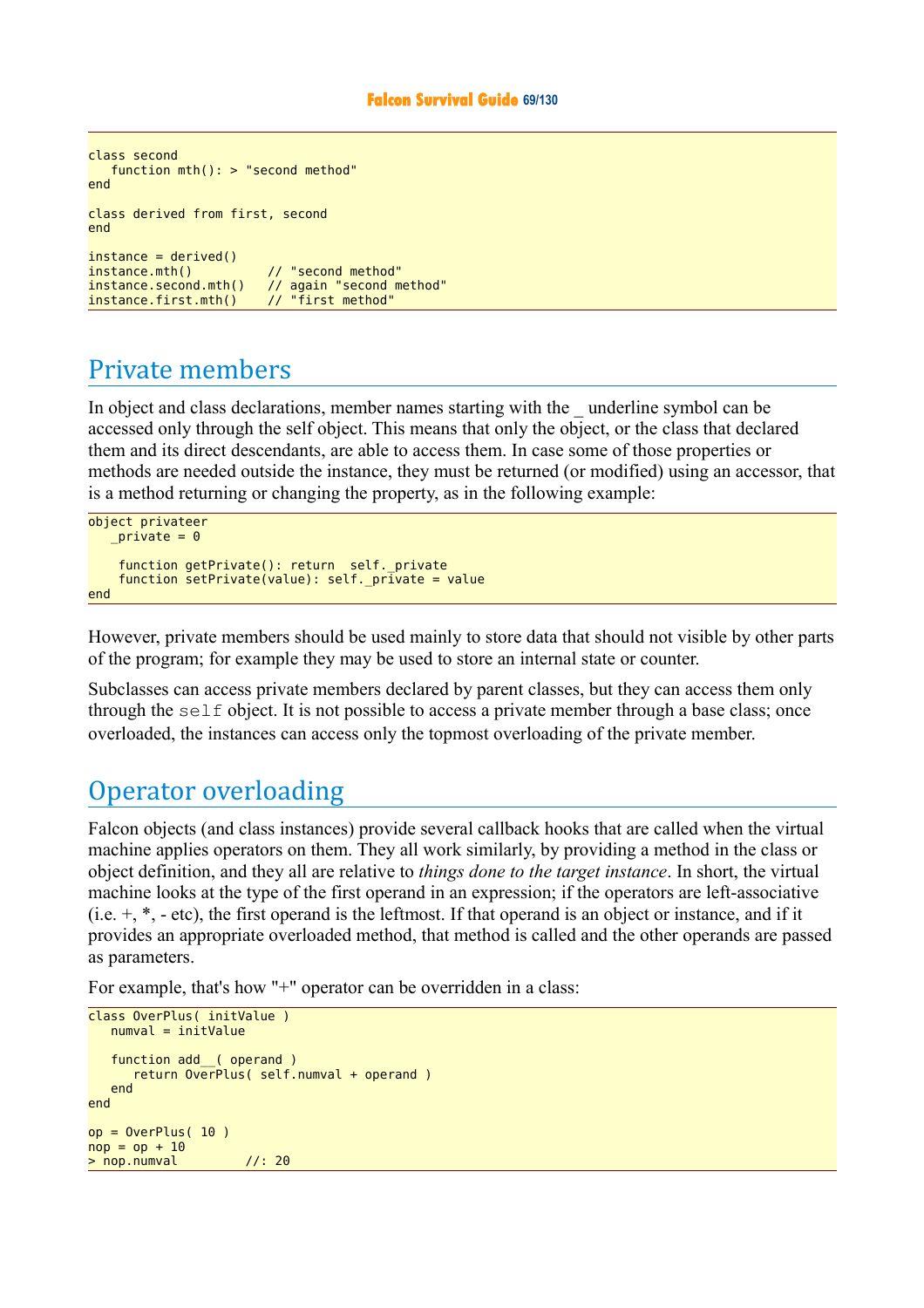```
class second
     function mth(): > "second method"
end 
class derived from first, second
end
instein = derived()instance.mth() // "second method"<br>instance.second.mth() // again "second m
                                 instance....<br>// again "second method"<br>// "first method"
instance.first.mth()
```
# Private members

In object and class declarations, member names starting with the \_ underline symbol can be accessed only through the self object. This means that only the object, or the class that declared them and its direct descendants, are able to access them. In case some of those properties or methods are needed outside the instance, they must be returned (or modified) using an accessor, that is a method returning or changing the property, as in the following example:

```
object privateer
   private = 0function getPrivate(): return self. private
    function setPrivate(value): self. pr\bar{i}vate = value
end
```
However, private members should be used mainly to store data that should not visible by other parts of the program; for example they may be used to store an internal state or counter.

Subclasses can access private members declared by parent classes, but they can access them only through the  $\text{self}$  object. It is not possible to access a private member through a base class; once overloaded, the instances can access only the topmost overloading of the private member.

# Operator overloading

Falcon objects (and class instances) provide several callback hooks that are called when the virtual machine applies operators on them. They all work similarly, by providing a method in the class or object definition, and they all are relative to *things done to the target instance*. In short, the virtual machine looks at the type of the first operand in an expression; if the operators are left-associative (i.e.  $+$ ,  $*$ ,  $-$  etc), the first operand is the leftmost. If that operand is an object or instance, and if it provides an appropriate overloaded method, that method is called and the other operands are passed as parameters.

For example, that's how "+" operator can be overridden in a class:

```
class OverPlus( initValue )
   numval = initValuefunction add ( operand )
       return OverPlus( self.numval + operand )
    end
end
op = OverPlus( 10 )\frac{1}{\text{nop}} = op + 10
> nop.numval //: 20
```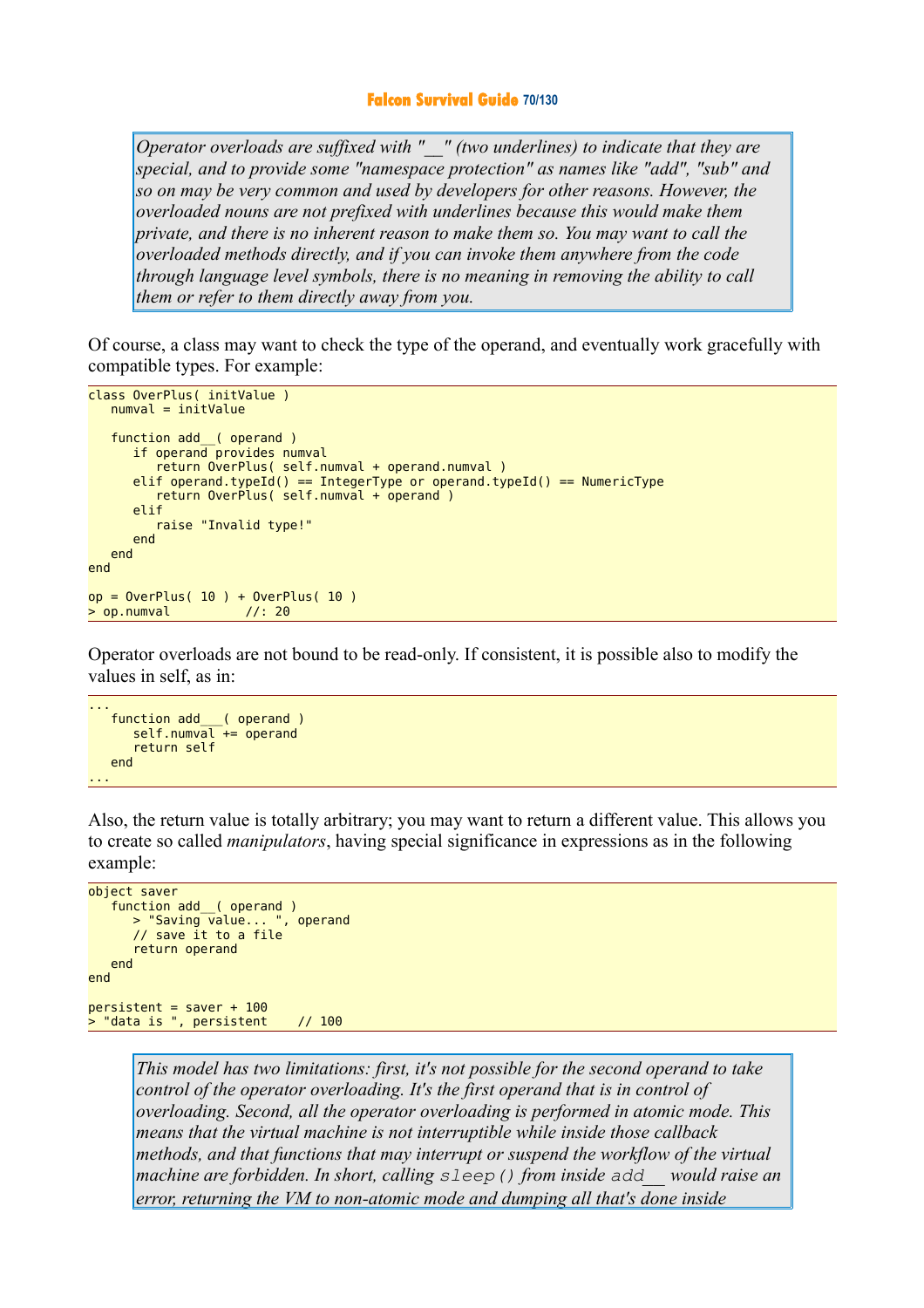*Operator overloads are suffixed with "\_\_" (two underlines) to indicate that they are special, and to provide some "namespace protection" as names like "add", "sub" and so on may be very common and used by developers for other reasons. However, the overloaded nouns are not prefixed with underlines because this would make them private, and there is no inherent reason to make them so. You may want to call the overloaded methods directly, and if you can invoke them anywhere from the code through language level symbols, there is no meaning in removing the ability to call them or refer to them directly away from you.* 

Of course, a class may want to check the type of the operand, and eventually work gracefully with compatible types. For example:

```
class OverPlus( initValue )
   numval = initValue function add__( operand )
      if operand provides numval
          return OverPlus( self.numval + operand.numval )
      elif operand.typeId() == IntegerType or operand.typeId() == NumericType
          return OverPlus( self.numval + operand )
       elif
          raise "Invalid type!"
       end
    end
end
op = OverPlus( 10 ) + OverPlus( 10 )> op.numval //: 20
```
Operator overloads are not bound to be read-only. If consistent, it is possible also to modify the values in self, as in:

```
...
 function add___( operand )
 self.numval += operand
      return self
   end
...
```
Also, the return value is totally arbitrary; you may want to return a different value. This allows you to create so called *manipulators*, having special significance in expressions as in the following example:

```
object saver
    function add__( operand )
      > "Saving value... ", operand
       // save it to a file
       return operand
   end
end
person = saver + 100> "data is ", persistent // 100
```
*This model has two limitations: first, it's not possible for the second operand to take control of the operator overloading. It's the first operand that is in control of overloading. Second, all the operator overloading is performed in atomic mode. This means that the virtual machine is not interruptible while inside those callback methods, and that functions that may interrupt or suspend the workflow of the virtual machine are forbidden. In short, calling sleep() from inside add\_\_ would raise an error, returning the VM to non-atomic mode and dumping all that's done inside*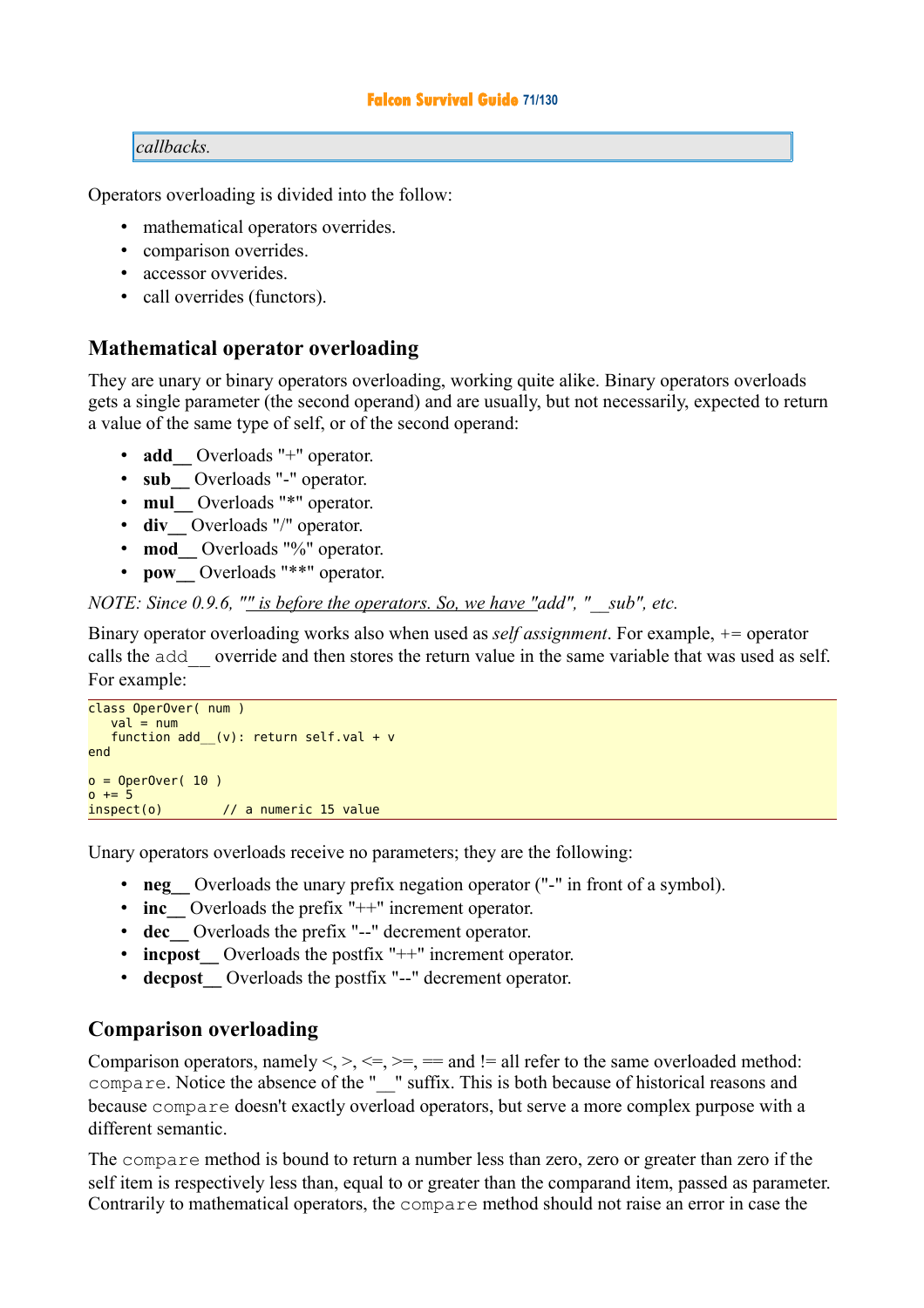### *callbacks.*

Operators overloading is divided into the follow:

- mathematical operators overrides.
- comparison overrides.
- accessor ovverides.
- call overrides (functors).

### **Mathematical operator overloading**

They are unary or binary operators overloading, working quite alike. Binary operators overloads gets a single parameter (the second operand) and are usually, but not necessarily, expected to return a value of the same type of self, or of the second operand:

- **add** Overloads "+" operator.
- **sub\_\_** Overloads "-" operator.
- **mul** Overloads "\*" operator.
- **div** Overloads "/" operator.
- **mod** Overloads "%" operator.
- **pow** Overloads "\*\*" operator.

### *NOTE: Since 0.9.6, "<u>" is before the operators. So, we have "</u>add", "\_\_sub", etc.*

Binary operator overloading works also when used as *self assignment*. For example, += operator calls the add\_\_ override and then stores the return value in the same variable that was used as self. For example:

```
class OperOver( num )
  val = numfunction add (v): return self.val + v
end
o = Operator(10)0 + = 5inspect(o) // a numeric 15 value
```
Unary operators overloads receive no parameters; they are the following:

- **neg** Overloads the unary prefix negation operator ("-" in front of a symbol).
- **inc** Overloads the prefix "++" increment operator.
- **dec\_\_** Overloads the prefix "--" decrement operator.
- **increment** Overloads the postfix "++" increment operator.
- **decpost** Overloads the postfix "--" decrement operator.

### **Comparison overloading**

Comparison operators, namely  $\leq, \leq, \leq, \geq, \leq, \geq, \leq$  and  $\leq$  all refer to the same overloaded method: compare. Notice the absence of the "  $\degree$  " suffix. This is both because of historical reasons and because compare doesn't exactly overload operators, but serve a more complex purpose with a different semantic.

The compare method is bound to return a number less than zero, zero or greater than zero if the self item is respectively less than, equal to or greater than the comparand item, passed as parameter. Contrarily to mathematical operators, the compare method should not raise an error in case the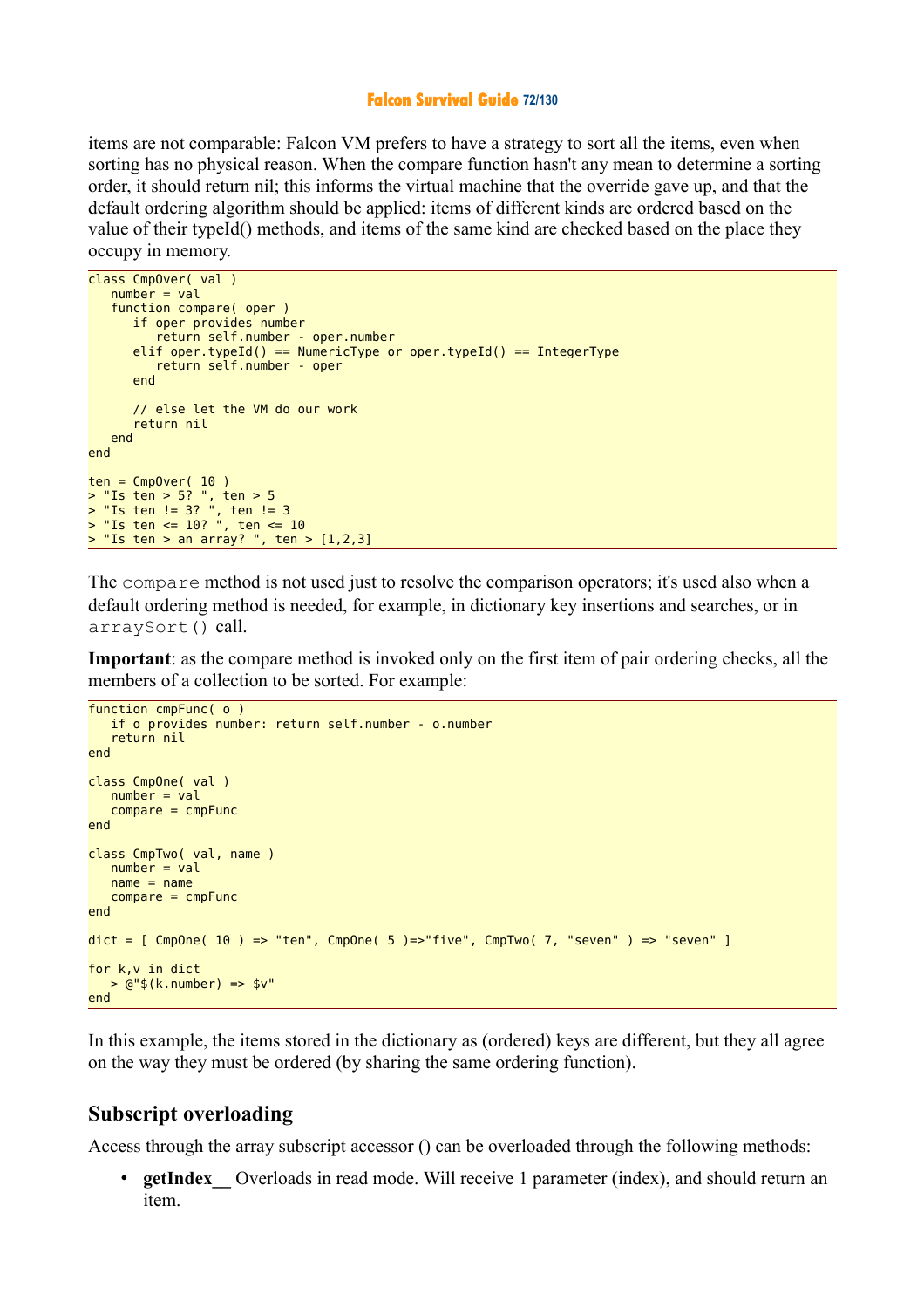#### **Falcon Survival Guide 72/130**

items are not comparable: Falcon VM prefers to have a strategy to sort all the items, even when sorting has no physical reason. When the compare function hasn't any mean to determine a sorting order, it should return nil; this informs the virtual machine that the override gave up, and that the default ordering algorithm should be applied: items of different kinds are ordered based on the value of their typeId() methods, and items of the same kind are checked based on the place they occupy in memory.

```
class CmpOver( val )
  number = val function compare( oper )
       if oper provides number
          return self.number - oper.number
      elif oper.typeId() == NumericType or oper.typeId() == IntegerType
          return self.number - oper
       end
       // else let the VM do our work
       return nil
   end
end
ten = CmpOver(10)> "Is ten > 5? ", ten > 5
> "Is ten != 3? ", ten != 3
> "Is ten <= 10? ", ten <= 10
> "Is ten > an array? ", ten > [1,2,3]
```
The compare method is not used just to resolve the comparison operators; it's used also when a default ordering method is needed, for example, in dictionary key insertions and searches, or in arraySort() call.

**Important**: as the compare method is invoked only on the first item of pair ordering checks, all the members of a collection to be sorted. For example:

```
function cmpFunc( o )
    if o provides number: return self.number - o.number
    return nil
end
class CmpOne( val )
   number = val compare = cmpFunc
end
class CmpTwo( val, name )
  number = valname = name compare = cmpFunc
end
dict = [CompOne( 10 ) == "ten", CompOne( 5 ) == "five", CompTwo( 7 , "seven" ) == "seven" ]for k,v in dict
    > @"$(k.number) => $v"
end
```
In this example, the items stored in the dictionary as (ordered) keys are different, but they all agree on the way they must be ordered (by sharing the same ordering function).

### **Subscript overloading**

Access through the array subscript accessor () can be overloaded through the following methods:

**getIndex** Overloads in read mode. Will receive 1 parameter (index), and should return an item.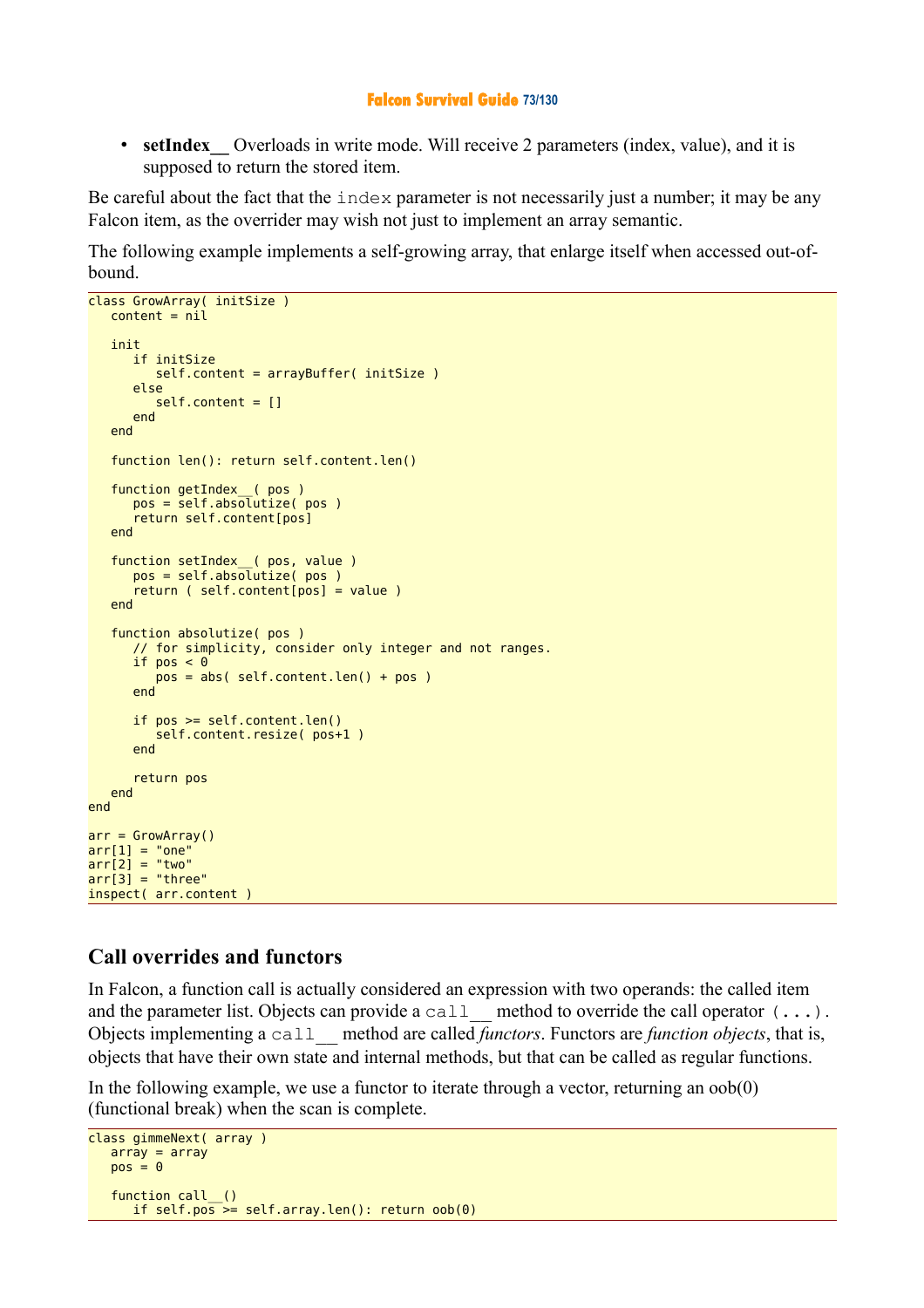## **Falcon Survival Guide 73/130**

• **setIndex** Overloads in write mode. Will receive 2 parameters (index, value), and it is supposed to return the stored item.

Be careful about the fact that the  $index$  parameter is not necessarily just a number; it may be any Falcon item, as the overrider may wish not just to implement an array semantic.

The following example implements a self-growing array, that enlarge itself when accessed out-ofbound.

```
class GrowArray( initSize )
   content = nil init
       if initSize
          self.content = arrayBuffer( initSize )
       else
          self.content = []
       end
    end
    function len(): return self.content.len()
 function getIndex__( pos )
 pos = self.absolutize( pos )
       return self.content[pos]
    end
 function setIndex__( pos, value )
 pos = self.absolutize( pos )
       return ( self.content[pos] = value )
    end
    function absolutize( pos )
       // for simplicity, consider only integer and not ranges.
      if pos < 0 pos = abs( self.content.len() + pos )
       end
       if pos >= self.content.len()
          self.content.resize( pos+1 )
       end
       return pos
    end
end
arr = GrowArray()arr[1] = "one"arr[2] = "two"arr[3] = "three"inspect( arr.content )
```
## **Call overrides and functors**

In Falcon, a function call is actually considered an expression with two operands: the called item and the parameter list. Objects can provide a call method to override the call operator  $(\ldots)$ . Objects implementing a call\_\_ method are called *functors*. Functors are *function objects*, that is, objects that have their own state and internal methods, but that can be called as regular functions.

In the following example, we use a functor to iterate through a vector, returning an  $oob(0)$ (functional break) when the scan is complete.

```
class gimmeNext( array )
  array = arraypos = 0function call_()
      if self.pos >= self.array.len(): return oob(0)
```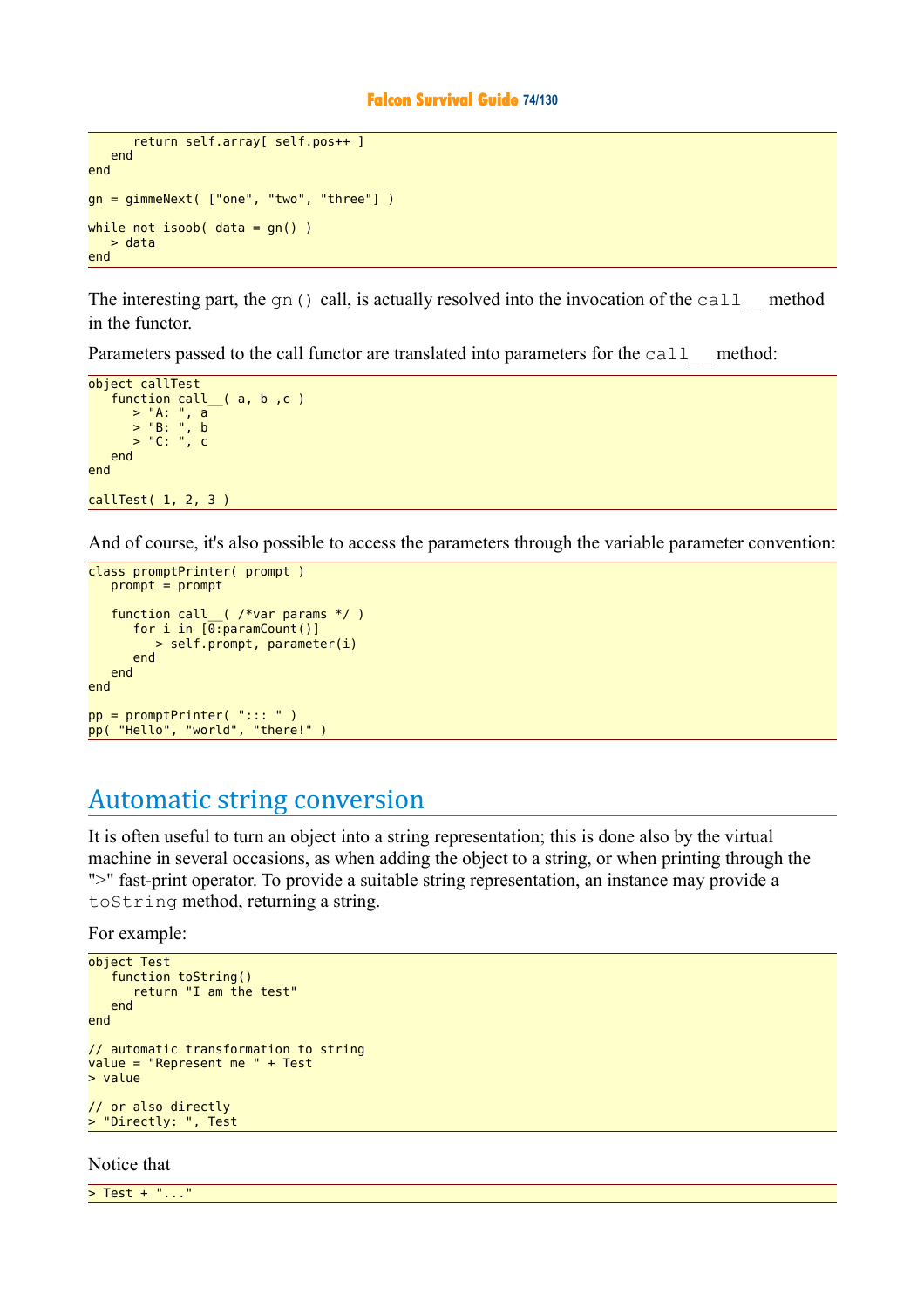```
 return self.array[ self.pos++ ]
    end
end
gn = gimmeNext( ["one", "two", "three"] )
while not isoob( data = gn() )
    > data
end
```
The interesting part, the gn() call, is actually resolved into the invocation of the call method in the functor.

Parameters passed to the call functor are translated into parameters for the call method:

```
object callTest
   function call__( a, b ,c )
 > "A: ", a
 > "B: ", b
 > "C: ", c
   end
end
callTest( 1, 2, 3 )
```
And of course, it's also possible to access the parameters through the variable parameter convention:

```
class promptPrinter( prompt )
   prompt = prompt function call__( /*var params */ )
      for i in [0:paramCount()]
         > self.prompt, parameter(i)
       end
    end
end
pp = promptPrinter( "::: " )
pp( "Hello", "world", "there!" )
```
## Automatic string conversion

It is often useful to turn an object into a string representation; this is done also by the virtual machine in several occasions, as when adding the object to a string, or when printing through the ">" fast-print operator. To provide a suitable string representation, an instance may provide a toString method, returning a string.

For example:

```
object Test
    function toString()
       return "I am the test"
    end
end
// automatic transformation to string
value = "Represent me " + Test
> value
// or also directly
> "Directly: ", Test
```
Notice that

> Test + "..."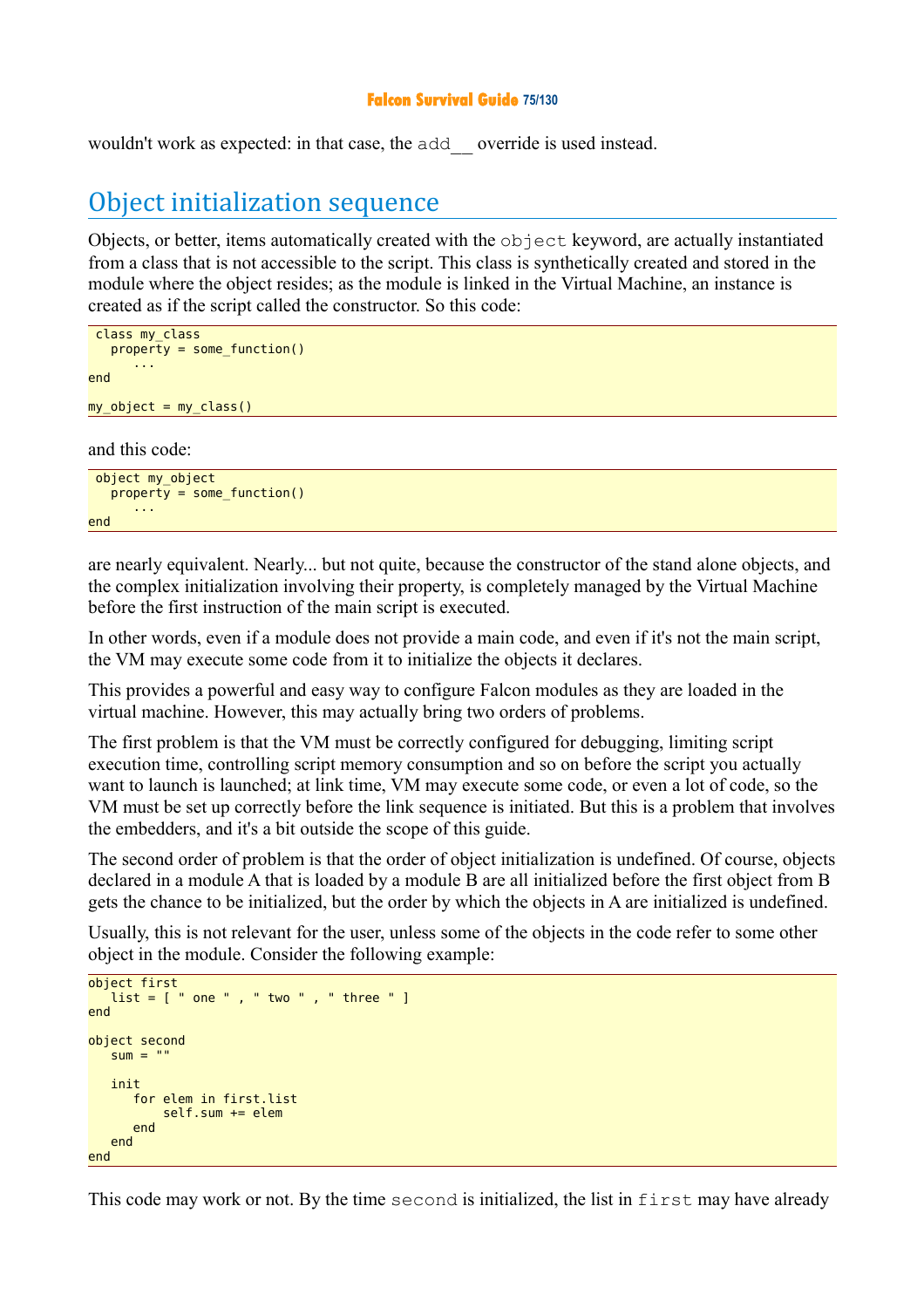## **Falcon Survival Guide 75/130**

wouldn't work as expected: in that case, the add\_\_ override is used instead.

## Object initialization sequence

Objects, or better, items automatically created with the object keyword, are actually instantiated from a class that is not accessible to the script. This class is synthetically created and stored in the module where the object resides; as the module is linked in the Virtual Machine, an instance is created as if the script called the constructor. So this code:

```
 class my_class
   property = some function()
       ... 
end 
my object = my class()
```
and this code:

```
 object my_object
   property = some function() ... 
end
```
are nearly equivalent. Nearly... but not quite, because the constructor of the stand alone objects, and the complex initialization involving their property, is completely managed by the Virtual Machine before the first instruction of the main script is executed.

In other words, even if a module does not provide a main code, and even if it's not the main script, the VM may execute some code from it to initialize the objects it declares.

This provides a powerful and easy way to configure Falcon modules as they are loaded in the virtual machine. However, this may actually bring two orders of problems.

The first problem is that the VM must be correctly configured for debugging, limiting script execution time, controlling script memory consumption and so on before the script you actually want to launch is launched; at link time, VM may execute some code, or even a lot of code, so the VM must be set up correctly before the link sequence is initiated. But this is a problem that involves the embedders, and it's a bit outside the scope of this guide.

The second order of problem is that the order of object initialization is undefined. Of course, objects declared in a module A that is loaded by a module B are all initialized before the first object from B gets the chance to be initialized, but the order by which the objects in A are initialized is undefined.

Usually, this is not relevant for the user, unless some of the objects in the code refer to some other object in the module. Consider the following example:

```
object first
    list = [ " one " , " two " , " three " ]
end 
object second
   sum = "" init 
       for elem in first.list
            self.sum += elem
       end 
    end 
end
```
This code may work or not. By the time second is initialized, the list in first may have already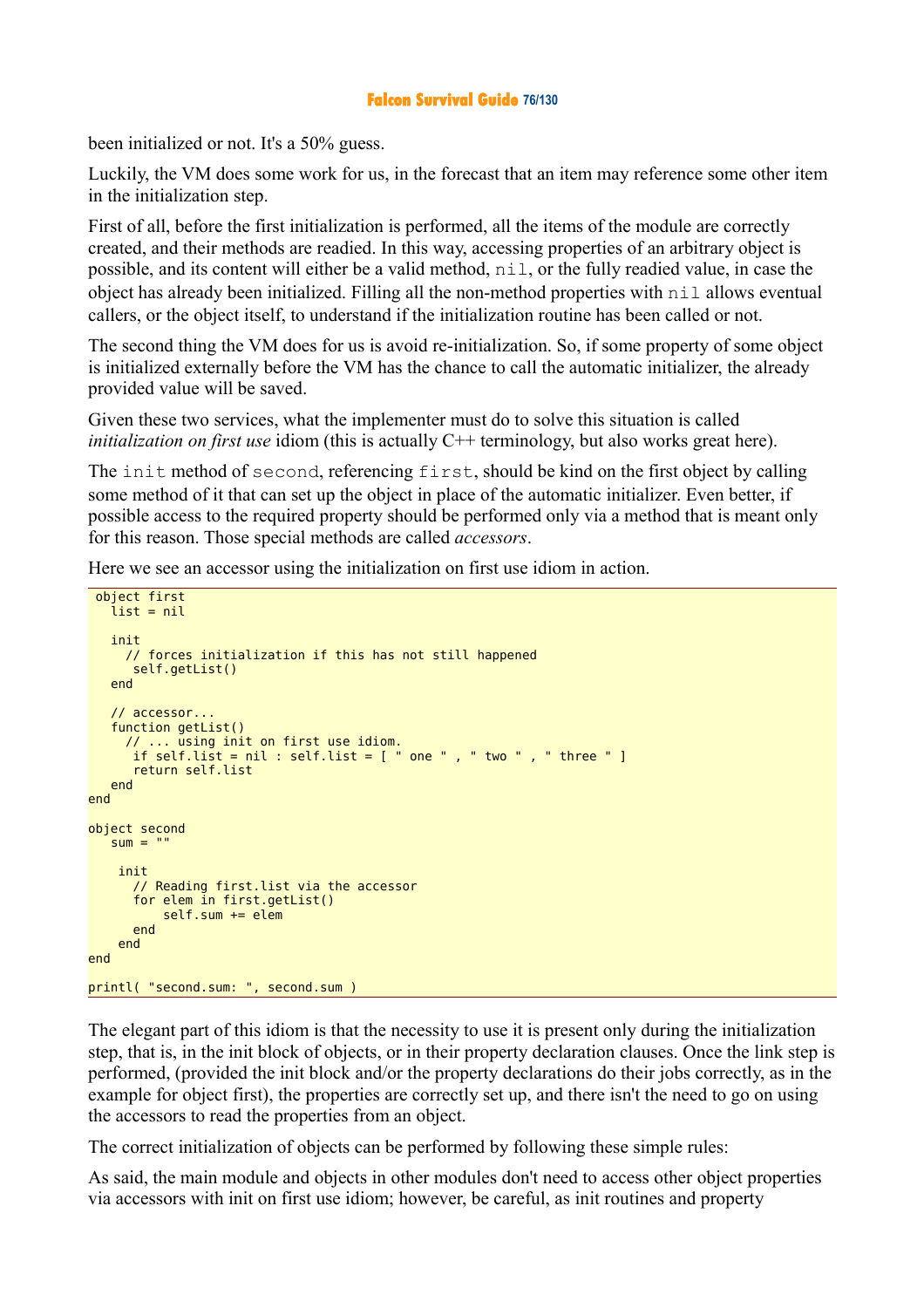## **Falcon Survival Guide 76/130**

been initialized or not. It's a 50% guess.

Luckily, the VM does some work for us, in the forecast that an item may reference some other item in the initialization step.

First of all, before the first initialization is performed, all the items of the module are correctly created, and their methods are readied. In this way, accessing properties of an arbitrary object is possible, and its content will either be a valid method, nil, or the fully readied value, in case the object has already been initialized. Filling all the non-method properties with nil allows eventual callers, or the object itself, to understand if the initialization routine has been called or not.

The second thing the VM does for us is avoid re-initialization. So, if some property of some object is initialized externally before the VM has the chance to call the automatic initializer, the already provided value will be saved.

Given these two services, what the implementer must do to solve this situation is called *initialization on first use* idiom (this is actually C<sup>++</sup> terminology, but also works great here).

The init method of second, referencing first, should be kind on the first object by calling some method of it that can set up the object in place of the automatic initializer. Even better, if possible access to the required property should be performed only via a method that is meant only for this reason. Those special methods are called *accessors*.

Here we see an accessor using the initialization on first use idiom in action.

```
 object first
   list = nil init 
      // forces initialization if this has not still happened
       self.getList()
    end 
    // accessor...
    function getList()
 // ... using init on first use idiom.
 if self.list = nil : self.list = [ " one " , " two " , " three " ]
       return self.list
   end 
end 
object second
   sum = "" init 
       // Reading first.list via the accessor 
       for elem in first.getList()
          self.sum += elem end 
     end 
end 
printl( "second.sum: ", second.sum )
```
The elegant part of this idiom is that the necessity to use it is present only during the initialization step, that is, in the init block of objects, or in their property declaration clauses. Once the link step is performed, (provided the init block and/or the property declarations do their jobs correctly, as in the example for object first), the properties are correctly set up, and there isn't the need to go on using the accessors to read the properties from an object.

The correct initialization of objects can be performed by following these simple rules:

As said, the main module and objects in other modules don't need to access other object properties via accessors with init on first use idiom; however, be careful, as init routines and property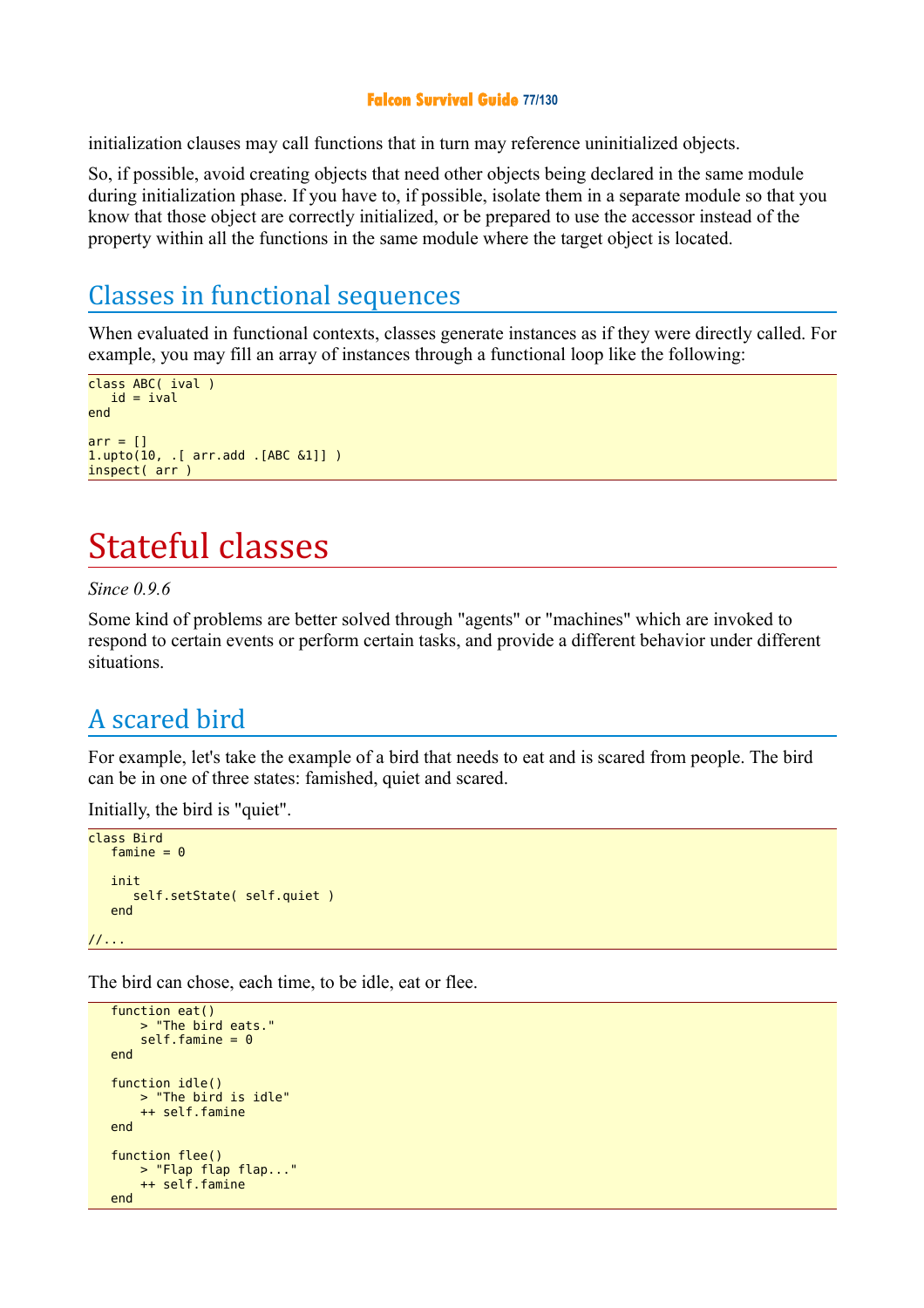## **Falcon Survival Guide 77/130**

initialization clauses may call functions that in turn may reference uninitialized objects.

So, if possible, avoid creating objects that need other objects being declared in the same module during initialization phase. If you have to, if possible, isolate them in a separate module so that you know that those object are correctly initialized, or be prepared to use the accessor instead of the property within all the functions in the same module where the target object is located.

## Classes in functional sequences

When evaluated in functional contexts, classes generate instances as if they were directly called. For example, you may fill an array of instances through a functional loop like the following:

```
class ABC( ival )
id = ival
end
arr = []1.upto(10, .[ arr.add .[ABC \&1]] )
inspect( arr )
```
# Stateful classes

## *Since 0.9.6*

Some kind of problems are better solved through "agents" or "machines" which are invoked to respond to certain events or perform certain tasks, and provide a different behavior under different situations.

## A scared bird

For example, let's take the example of a bird that needs to eat and is scared from people. The bird can be in one of three states: famished, quiet and scared.

Initially, the bird is "quiet".

```
class Bird
   famine = \theta init
       self.setState( self.quiet )
    end
//...
```
The bird can chose, each time, to be idle, eat or flee.

```
function eat()
        > "The bird eats."
       self.famine = <math>0</math> end
 function idle()
 > "The bird is idle"
        ++ self.famine
   end
    function flee()
        > "Flap flap flap..."
        ++ self.famine
   end
```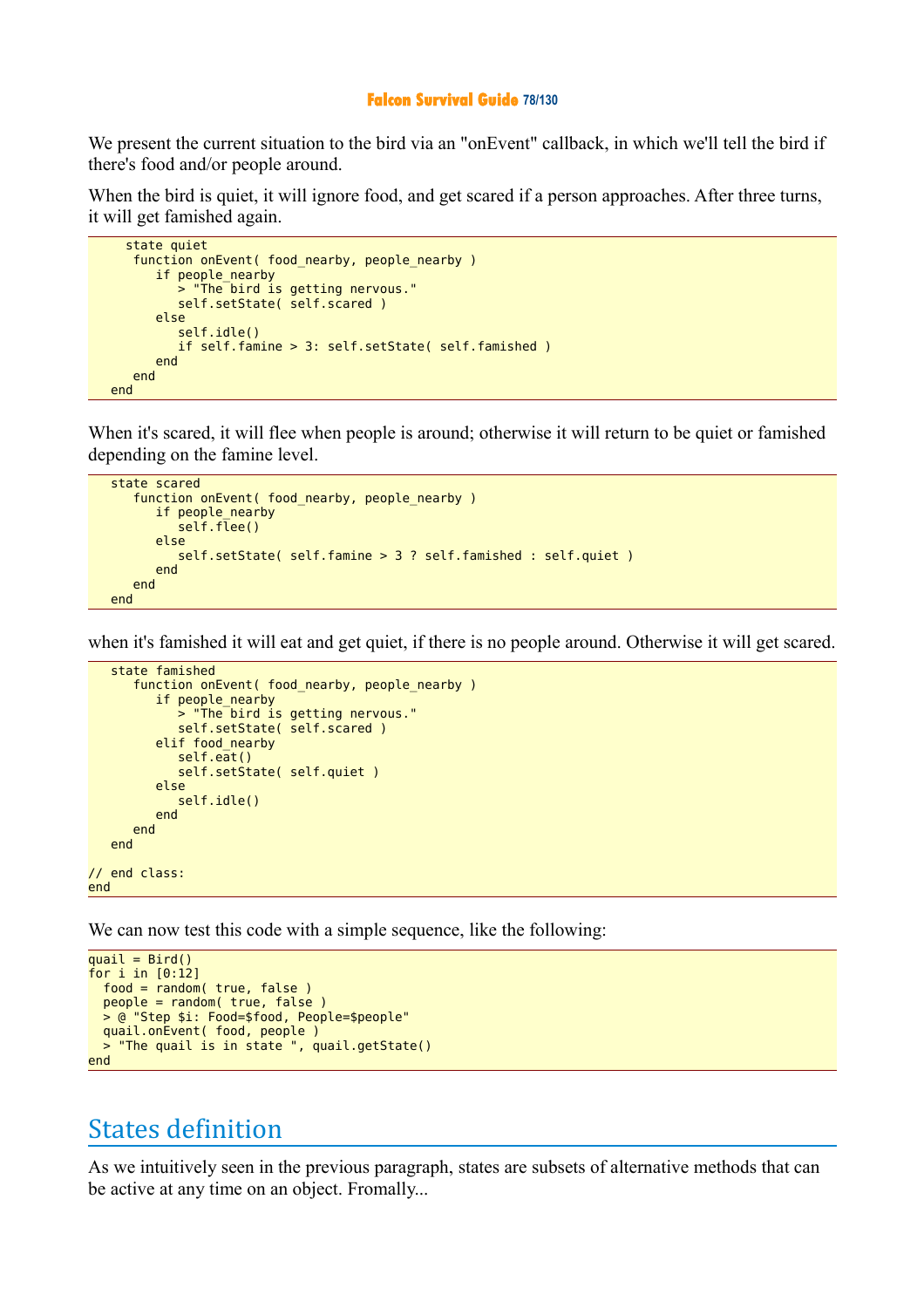#### **Falcon Survival Guide 78/130**

We present the current situation to the bird via an "onEvent" callback, in which we'll tell the bird if there's food and/or people around.

When the bird is quiet, it will ignore food, and get scared if a person approaches. After three turns, it will get famished again.

```
 state quiet 
    function onEvent( food_nearby, people_nearby )
       if people_nearby
          > "The bird is getting nervous."
          self.setState( self.scared )
       else
          self.idle()
          if self.famine > 3: self.setState( self.famished )
       end
    end
 end
```
When it's scared, it will flee when people is around; otherwise it will return to be quiet or famished depending on the famine level.

```
 state scared
   function onEvent( food nearby, people nearby )
       if people_nearby
         self.flee()
       else
          self.setState( self.famine > 3 ? self.famished : self.quiet )
       end
    end
 end
```
when it's famished it will eat and get quiet, if there is no people around. Otherwise it will get scared.

```
 state famished 
       function onEvent( food_nearby, people_nearby )
          if people_nearby
             > "The bird is getting nervous."
            self.setState( self.scared )
          elif food_nearby
              self.eat()
            self.setState( self.quiet )
          else
             self.idle()
          end
       end
    end
// end class:
end
```
We can now test this code with a simple sequence, like the following:

```
quail = Bird()for i in [0:12]
   food = random( true, false )
  people = random( true, false )
  > @ "Step $i: Food=$food, People=$people"
  quail.onEvent( food, people )
  > "The quail is in state ", quail.getState()
end
```
## States definition

As we intuitively seen in the previous paragraph, states are subsets of alternative methods that can be active at any time on an object. Fromally...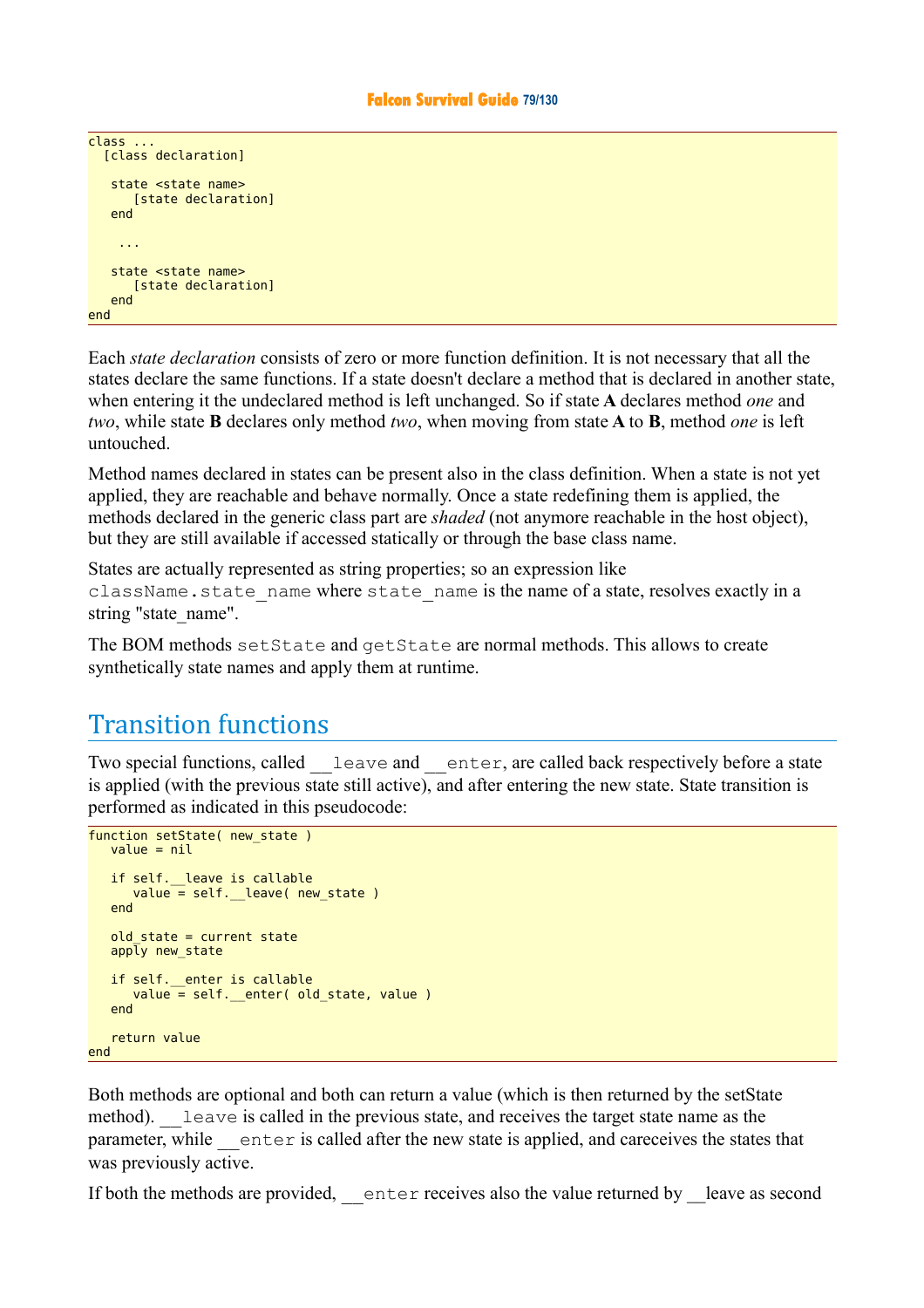```
\overline{\text{class}} ...
    [class declaration]
     state <state name>
        [state declaration]
     end
      ...
    state <state name>
         [state declaration]
     end
end
```
Each *state declaration* consists of zero or more function definition. It is not necessary that all the states declare the same functions. If a state doesn't declare a method that is declared in another state, when entering it the undeclared method is left unchanged. So if state **A** declares method *one* and *two*, while state **B** declares only method *two*, when moving from state **A** to **B**, method *one* is left untouched.

Method names declared in states can be present also in the class definition. When a state is not yet applied, they are reachable and behave normally. Once a state redefining them is applied, the methods declared in the generic class part are *shaded* (not anymore reachable in the host object), but they are still available if accessed statically or through the base class name.

States are actually represented as string properties; so an expression like className.state name where state name is the name of a state, resolves exactly in a string "state\_name".

The BOM methods setState and getState are normal methods. This allows to create synthetically state names and apply them at runtime.

# Transition functions

Two special functions, called leave and enter, are called back respectively before a state is applied (with the previous state still active), and after entering the new state. State transition is performed as indicated in this pseudocode:

```
function setState( new_state )
  value = nilif self. leave is callable
     value = self.__leave( new_state) end
   old state = current state
  app\bar{ly} new state
   if self. enter is callable
     value = self.__enter( old_state, value ) end
    return value
end
```
Both methods are optional and both can return a value (which is then returned by the setState method). Leave is called in the previous state, and receives the target state name as the parameter, while enter is called after the new state is applied, and careceives the states that was previously active.

If both the methods are provided, enter receives also the value returned by leave as second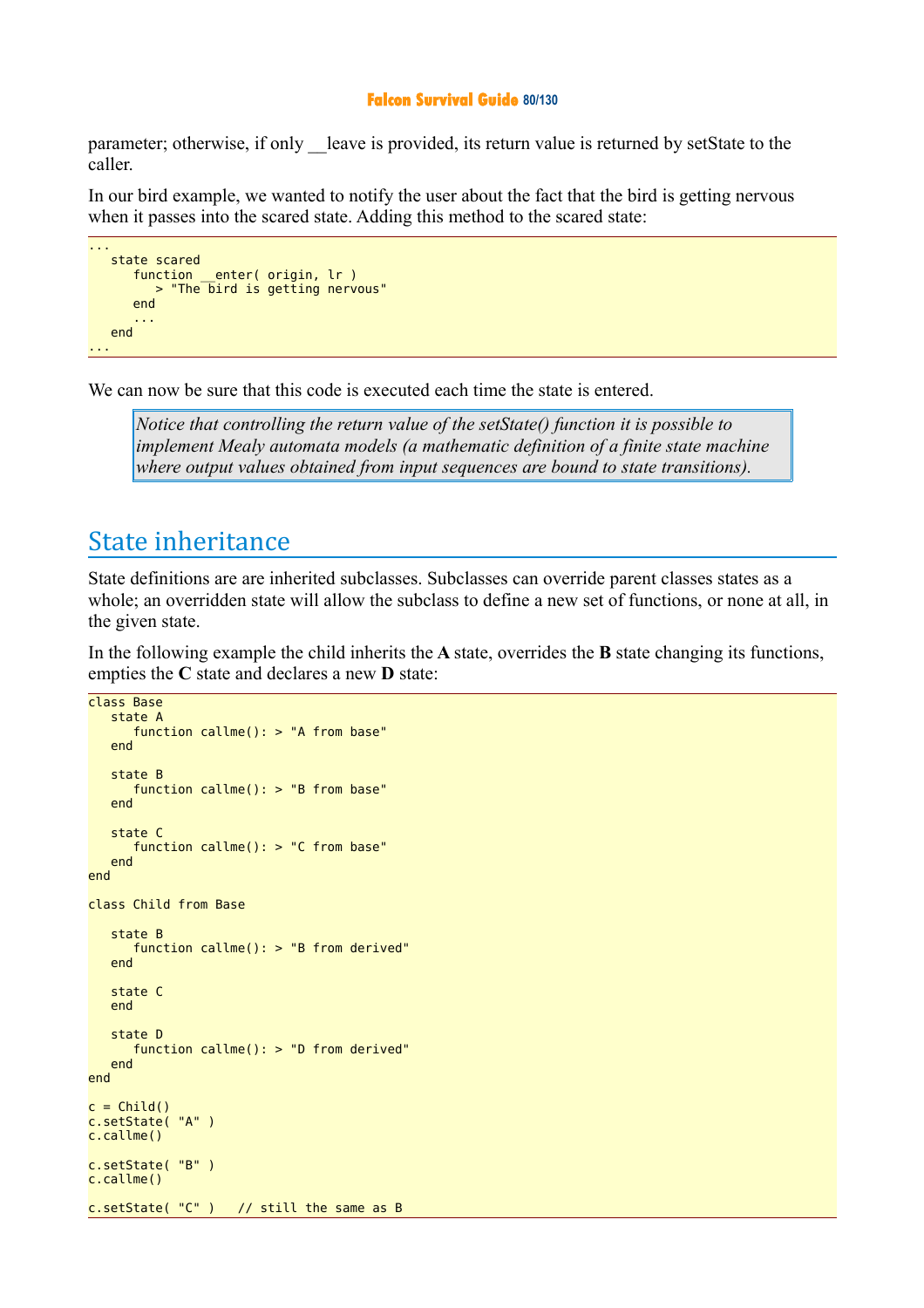#### **Falcon Survival Guide 80/130**

parameter; otherwise, if only leave is provided, its return value is returned by setState to the caller.

In our bird example, we wanted to notify the user about the fact that the bird is getting nervous when it passes into the scared state. Adding this method to the scared state:

```
...
   state scared
 function __enter( origin, lr )
 > "The bird is getting nervous"
      end
 ...
   end
...
```
We can now be sure that this code is executed each time the state is entered.

*Notice that controlling the return value of the setState() function it is possible to implement Mealy automata models (a mathematic definition of a finite state machine where output values obtained from input sequences are bound to state transitions).*

## State inheritance

State definitions are are inherited subclasses. Subclasses can override parent classes states as a whole; an overridden state will allow the subclass to define a new set of functions, or none at all, in the given state.

In the following example the child inherits the **A** state, overrides the **B** state changing its functions, empties the **C** state and declares a new **D** state:

```
class Base
    state A
       function callme(): > "A from base"
    end
    state B
       function callme(): > "B from base"
    end
    state C
       function callme(): > "C from base"
    end
end
class Child from Base
    state B
       function callme(): > "B from derived"
    end
    state C
    end
    state D
       function callme(): > "D from derived"
    end
end
c = Child()c.setState( "A" )
c.callme()
c.setState( "B" )
c.callme()
c.setState( "C" ) // still the same as B
```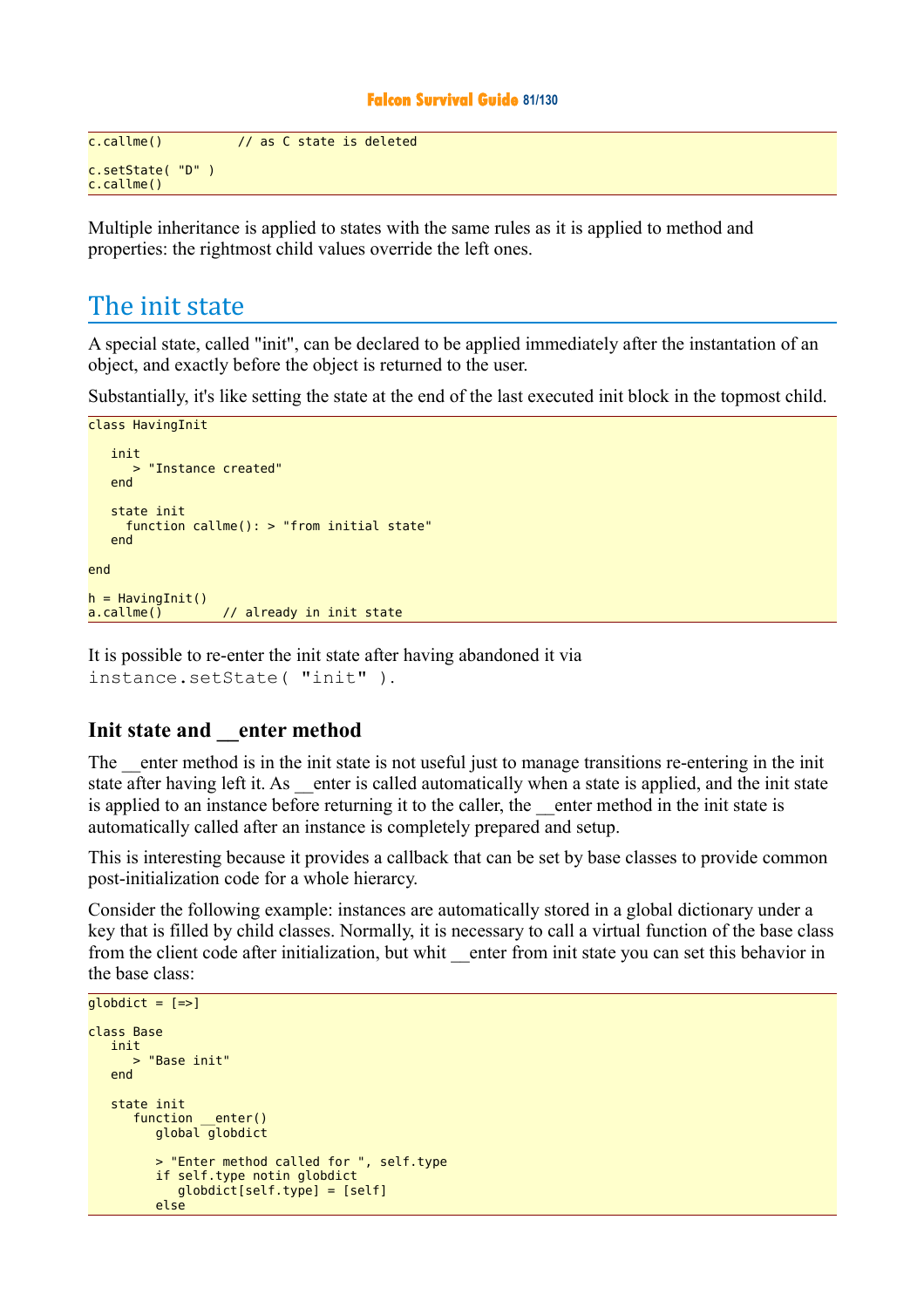### **Falcon Survival Guide 81/130**

```
c.callme() // as C state is deleted
c.setState( "D" )
c.callme()
```
Multiple inheritance is applied to states with the same rules as it is applied to method and properties: the rightmost child values override the left ones.

## The init state

A special state, called "init", can be declared to be applied immediately after the instantation of an object, and exactly before the object is returned to the user.

Substantially, it's like setting the state at the end of the last executed init block in the topmost child.

```
class HavingInit
    init 
      > "Instance created"
    end
    state init
      function callme(): > "from initial state"
    end
end
h = Having Init()
a.callme() // already in init state
```
It is possible to re-enter the init state after having abandoned it via instance.setState( "init" ).

## **Init state and \_\_enter method**

The enter method is in the init state is not useful just to manage transitions re-entering in the init state after having left it. As enter is called automatically when a state is applied, and the init state is applied to an instance before returning it to the caller, the enter method in the init state is automatically called after an instance is completely prepared and setup.

This is interesting because it provides a callback that can be set by base classes to provide common post-initialization code for a whole hierarcy.

Consider the following example: instances are automatically stored in a global dictionary under a key that is filled by child classes. Normally, it is necessary to call a virtual function of the base class from the client code after initialization, but whit enter from init state you can set this behavior in the base class:

```
qlobdict = [-5]class Base
    init
      > "Base init"
   end
   state init
 function __enter()
 global globdict
         > "Enter method called for ", self.type
         if self.type notin globdict
            globdict[self.type] = [self]
         else
```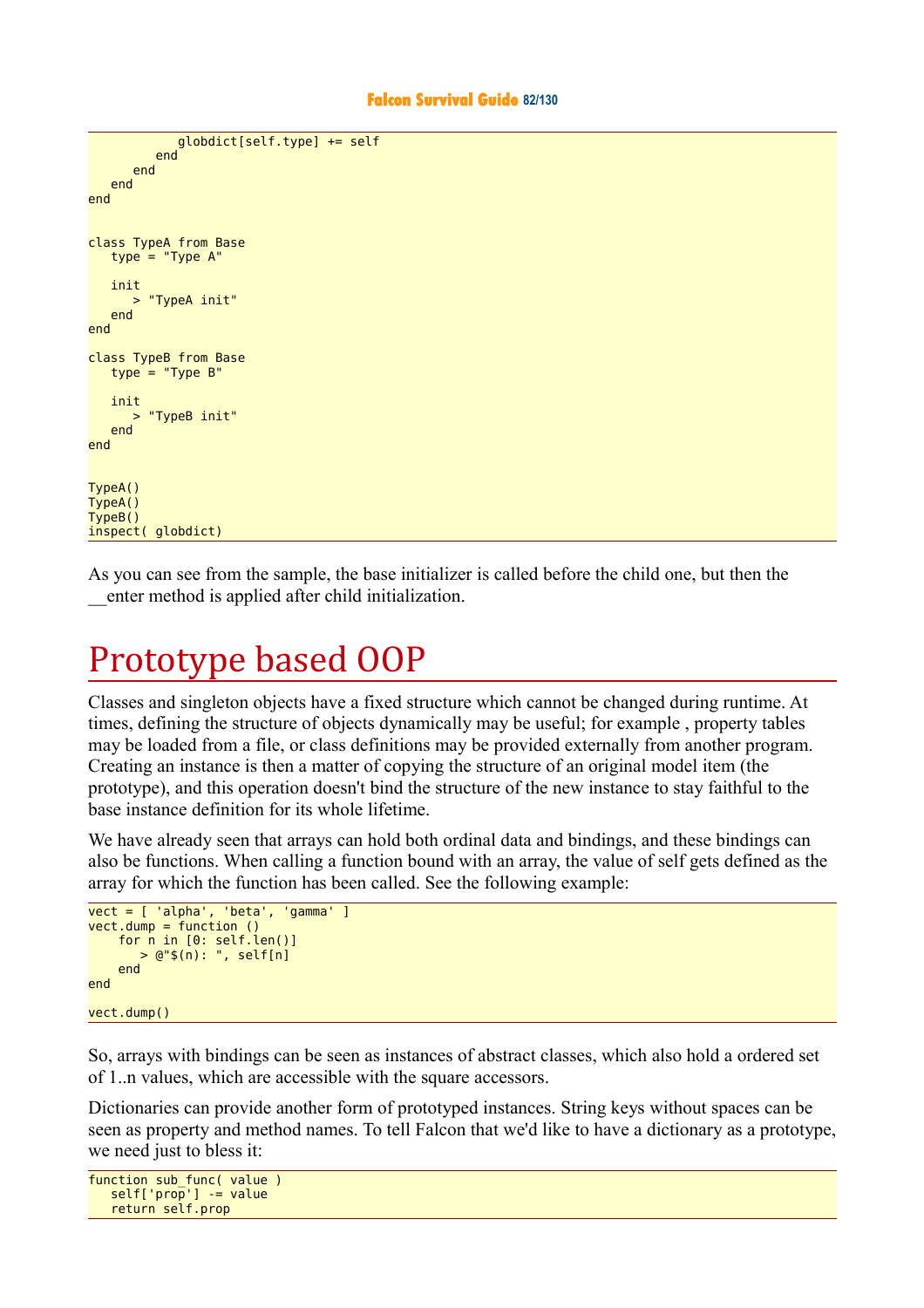```
 globdict[self.type] += self
          end
       end
    end
end
class TypeA from Base
   type = "Type A' init
       > "TypeA init"
    end
end
class TypeB from Base
   type = "Type B" init
       > "TypeB init"
    end
end
TypeA()
TypeA()
TypeB()
inspect( globdict)
```
As you can see from the sample, the base initializer is called before the child one, but then the \_\_enter method is applied after child initialization.

# Prototype based OOP

Classes and singleton objects have a fixed structure which cannot be changed during runtime. At times, defining the structure of objects dynamically may be useful; for example , property tables may be loaded from a file, or class definitions may be provided externally from another program. Creating an instance is then a matter of copying the structure of an original model item (the prototype), and this operation doesn't bind the structure of the new instance to stay faithful to the base instance definition for its whole lifetime.

We have already seen that arrays can hold both ordinal data and bindings, and these bindings can also be functions. When calling a function bound with an array, the value of self gets defined as the array for which the function has been called. See the following example:

```
vect = [ 'alpha', 'beta', 'gamma' ]
vect.dump = function ()
     for n in [0: self.len()]
        > @"$(n): ", self[n]
     end
end
vect.dump()
```
So, arrays with bindings can be seen as instances of abstract classes, which also hold a ordered set of 1..n values, which are accessible with the square accessors.

Dictionaries can provide another form of prototyped instances. String keys without spaces can be seen as property and method names. To tell Falcon that we'd like to have a dictionary as a prototype, we need just to bless it:

```
function sub_func( value )
  self['prop'] -= value
   return self.prop
```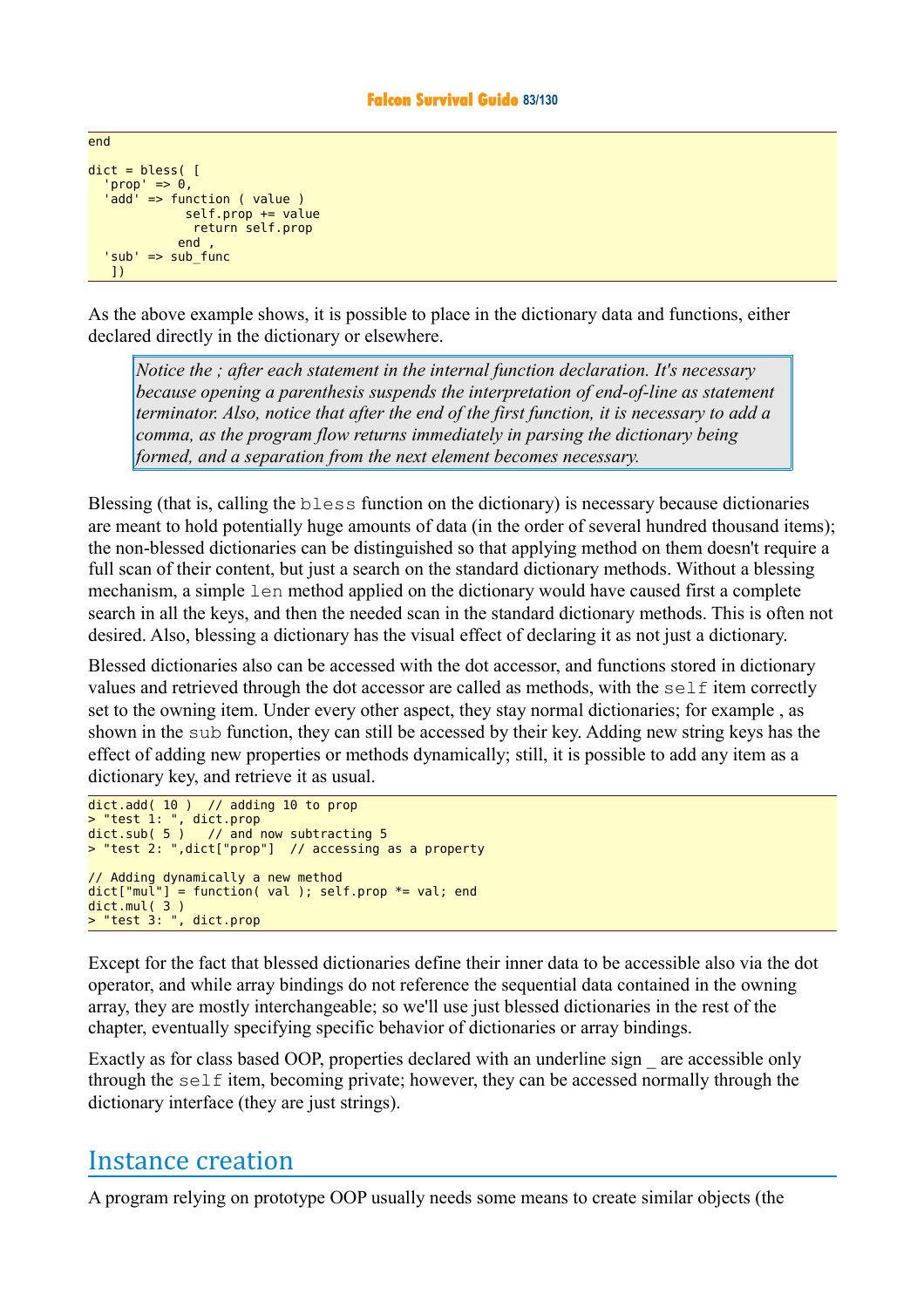```
dict = bless('prop' => 0,
 'add' => function ( value )
             self.prop += value return self.prop
            end ,
   'sub' => sub_func
   ])
```
end

As the above example shows, it is possible to place in the dictionary data and functions, either declared directly in the dictionary or elsewhere.

*Notice the ; after each statement in the internal function declaration. It's necessary because opening a parenthesis suspends the interpretation of end-of-line as statement terminator. Also, notice that after the end of the first function, it is necessary to add a comma, as the program flow returns immediately in parsing the dictionary being formed, and a separation from the next element becomes necessary.*

Blessing (that is, calling the bless function on the dictionary) is necessary because dictionaries are meant to hold potentially huge amounts of data (in the order of several hundred thousand items); the non-blessed dictionaries can be distinguished so that applying method on them doesn't require a full scan of their content, but just a search on the standard dictionary methods. Without a blessing mechanism, a simple len method applied on the dictionary would have caused first a complete search in all the keys, and then the needed scan in the standard dictionary methods. This is often not desired. Also, blessing a dictionary has the visual effect of declaring it as not just a dictionary.

Blessed dictionaries also can be accessed with the dot accessor, and functions stored in dictionary values and retrieved through the dot accessor are called as methods, with the self item correctly set to the owning item. Under every other aspect, they stay normal dictionaries; for example , as shown in the sub function, they can still be accessed by their key. Adding new string keys has the effect of adding new properties or methods dynamically; still, it is possible to add any item as a dictionary key, and retrieve it as usual.

```
dict.add( 10 ) // adding 10 to prop
> "test 1: ", dict.prop
dict.sub( 5 ) // and now subtracting 5
> "test 2: ",dict["prop"] // accessing as a property
// Adding dynamically a new method
dict["mul"] = function( val ); self.pop * = val; enddict.mul( 3 )
> "test 3: ", dict.prop
```
Except for the fact that blessed dictionaries define their inner data to be accessible also via the dot operator, and while array bindings do not reference the sequential data contained in the owning array, they are mostly interchangeable; so we'll use just blessed dictionaries in the rest of the chapter, eventually specifying specific behavior of dictionaries or array bindings.

Exactly as for class based OOP, properties declared with an underline sign are accessible only through the  $s \in I$  item, becoming private; however, they can be accessed normally through the dictionary interface (they are just strings).

## Instance creation

A program relying on prototype OOP usually needs some means to create similar objects (the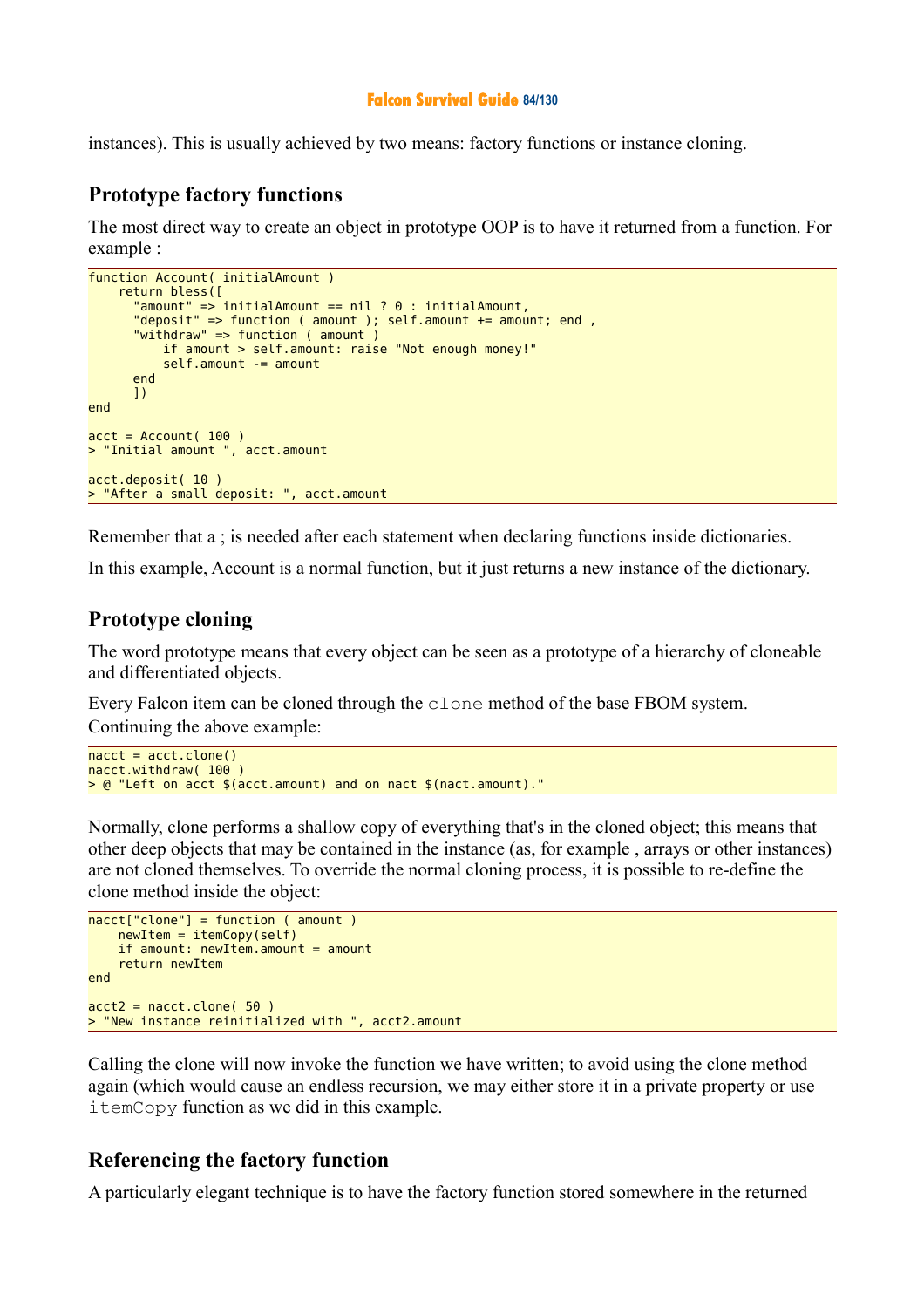## **Falcon Survival Guide 84/130**

instances). This is usually achieved by two means: factory functions or instance cloning.

## **Prototype factory functions**

The most direct way to create an object in prototype OOP is to have it returned from a function. For example :

```
function Account( initialAmount )
     return bless([
 "amount" => initialAmount == nil ? 0 : initialAmount,
 "deposit" => function ( amount ); self.amount += amount; end ,
       "withdraw" => function ( amount )
           if amount > self.amount: raise "Not enough money!"
           self.amount -= amount
       end 
       ])
end
\text{acct} = \text{Account}()100)> "Initial amount ", acct.amount
acct.deposit( 10 )
> "After a small deposit: ", acct.amount
```
Remember that a ; is needed after each statement when declaring functions inside dictionaries.

In this example, Account is a normal function, but it just returns a new instance of the dictionary.

## **Prototype cloning**

The word prototype means that every object can be seen as a prototype of a hierarchy of cloneable and differentiated objects.

Every Falcon item can be cloned through the clone method of the base FBOM system. Continuing the above example:

```
nacct = acct.clone()
nacct.withdraw( 100 )
> @ "Left on acct $(acct.amount) and on nact $(nact.amount)."
```
Normally, clone performs a shallow copy of everything that's in the cloned object; this means that other deep objects that may be contained in the instance (as, for example , arrays or other instances) are not cloned themselves. To override the normal cloning process, it is possible to re-define the clone method inside the object:

```
nacct['clone'] = function ( amount ) newItem = itemCopy(self)
    if amount: newItem.amount = amount
     return newItem
end 
acct2 = nacct.clone( 50)
> "New instance reinitialized with ", acct2.amount
```
Calling the clone will now invoke the function we have written; to avoid using the clone method again (which would cause an endless recursion, we may either store it in a private property or use itemCopy function as we did in this example.

## **Referencing the factory function**

A particularly elegant technique is to have the factory function stored somewhere in the returned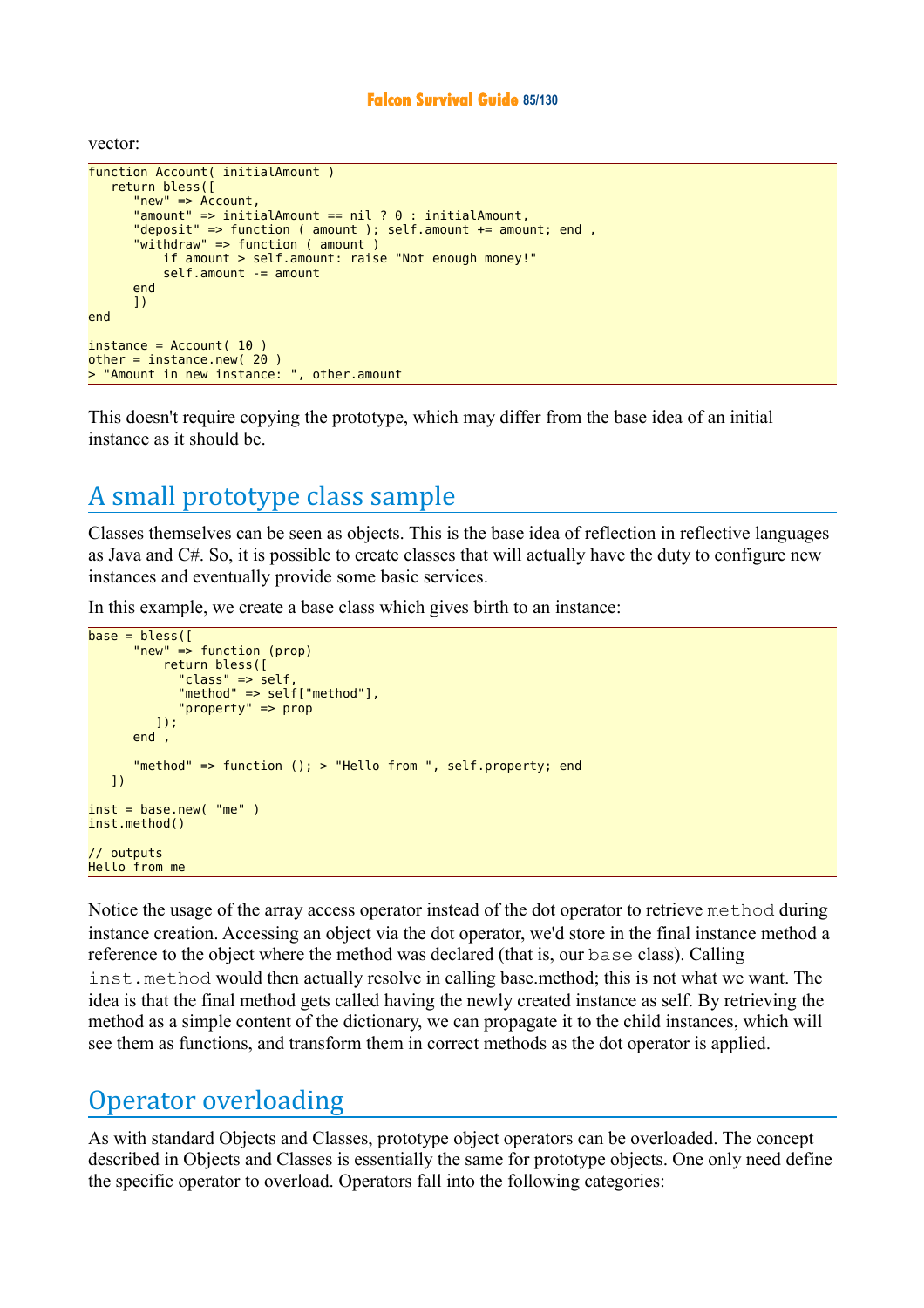## **Falcon Survival Guide 85/130**

vector:

```
function Account( initialAmount )
    return bless([
       "new" => Account,
       "amount" => initialAmount == nil ? 0 : initialAmount,
       "deposit" => function ( amount ); self.amount += amount; end ,
       "withdraw" => function ( amount )
           if amount > self.amount: raise "Not enough money!"
           self.amount -= amount
       end
       ])
end
instance = Account(10)other = instance.new( 20 )
> "Amount in new instance: ", other.amount
```
This doesn't require copying the prototype, which may differ from the base idea of an initial instance as it should be.

# A small prototype class sample

Classes themselves can be seen as objects. This is the base idea of reflection in reflective languages as Java and C#. So, it is possible to create classes that will actually have the duty to configure new instances and eventually provide some basic services.

In this example, we create a base class which gives birth to an instance:

```
base = bless( "new" => function (prop)
           return bless([
              "class" => self,
              "method" => self["method"],
              "property" => prop
          ]);
       end ,
       "method" => function (); > "Hello from ", self.property; end 
    ])
inst = base.new('me'')inst.method()
// outputs
Hello from me
```
Notice the usage of the array access operator instead of the dot operator to retrieve method during instance creation. Accessing an object via the dot operator, we'd store in the final instance method a reference to the object where the method was declared (that is, our base class). Calling inst.method would then actually resolve in calling base.method; this is not what we want. The idea is that the final method gets called having the newly created instance as self. By retrieving the method as a simple content of the dictionary, we can propagate it to the child instances, which will see them as functions, and transform them in correct methods as the dot operator is applied.

## Operator overloading

As with standard Objects and Classes, prototype object operators can be overloaded. The concept described in Objects and Classes is essentially the same for prototype objects. One only need define the specific operator to overload. Operators fall into the following categories: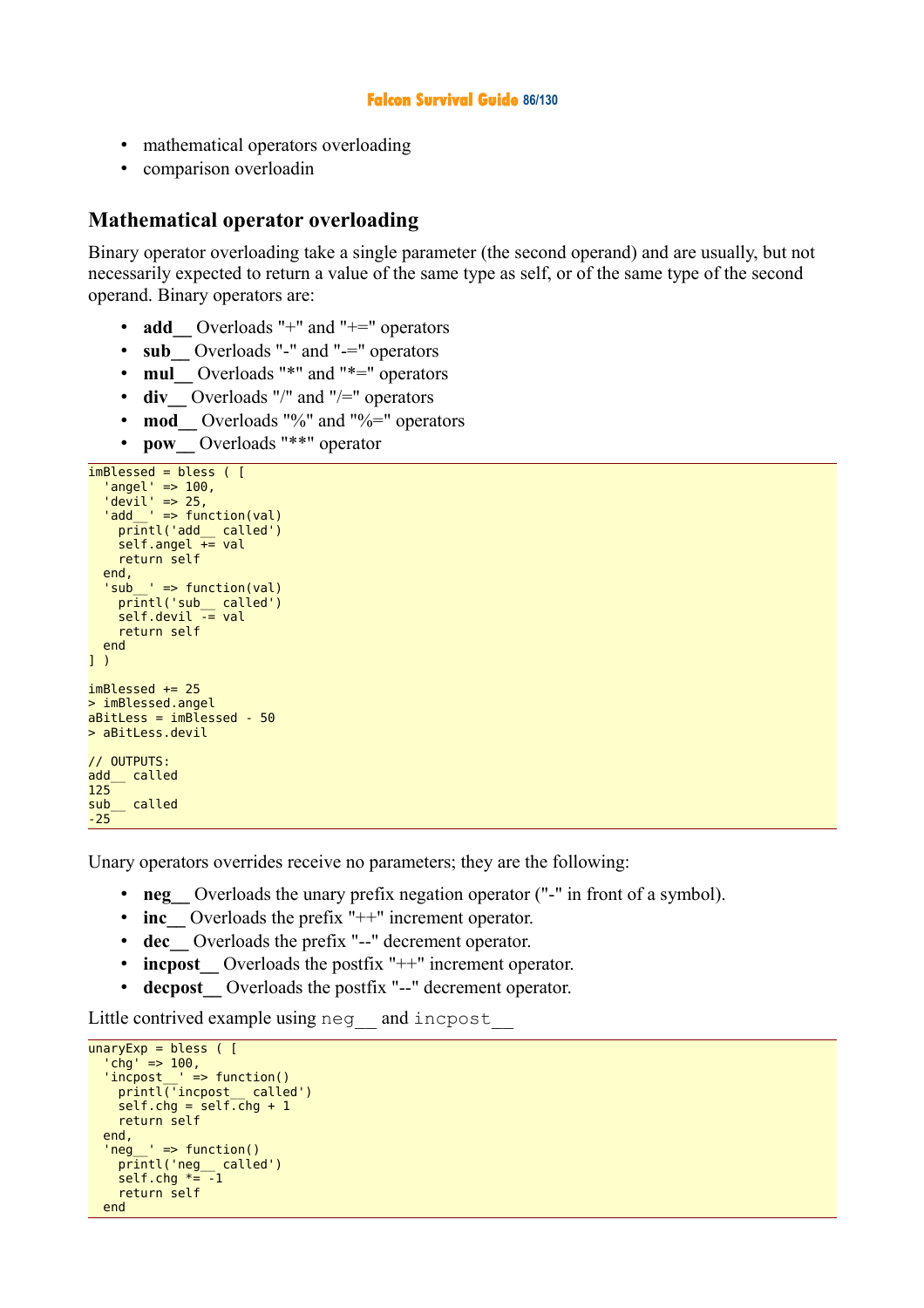#### **Falcon Survival Guide 86/130**

- mathematical operators overloading
- comparison overloadin

## **Mathematical operator overloading**

Binary operator overloading take a single parameter (the second operand) and are usually, but not necessarily expected to return a value of the same type as self, or of the same type of the second operand. Binary operators are:

- add Overloads "+" and "+=" operators
- **sub** Overloads "-" and "-=" operators
- **mul** Overloads "\*" and "\*=" operators
- **div** Overloads "/" and "/=" operators
- **mod** Overloads "%" and "%=" operators
- **pow\_\_** Overloads "\*\*" operator

```
imBlessed = bless ( \Gamma 'angel' => 100,
'devil' \Rightarrow 25, 'add__' => function(val)
 printl('add__ called')
 self.angel += val
     return self
   end,
  'sub' => function(val)
 printl('sub__ called')
 self.devil -= val
     return self
   end
] )
imBlessed += 25
> imBlessed.angel
abitless = imBlessed - 50> aBitLess.devil
// OUTPUTS:
add__ called
125
sub__ called
-25
```
Unary operators overrides receive no parameters; they are the following:

- **neg** Overloads the unary prefix negation operator ("-" in front of a symbol).
- **inc** Overloads the prefix "++" increment operator.
- **dec\_\_** Overloads the prefix "--" decrement operator.
- **increment** Overloads the postfix "++" increment operator.
- **decpost** Overloads the postfix "--" decrement operator.

Little contrived example using neg\_ and incpost

```
unaryExp = bless ([
  'chg' => 100,
  'incpost ' = function()
     printl('incpost__ called')
    self.chg = self.chg + 1 return self
   end,
  'neg ' => function()
     printl('neg__ called')
    self.chg *= -1 return self
  end
```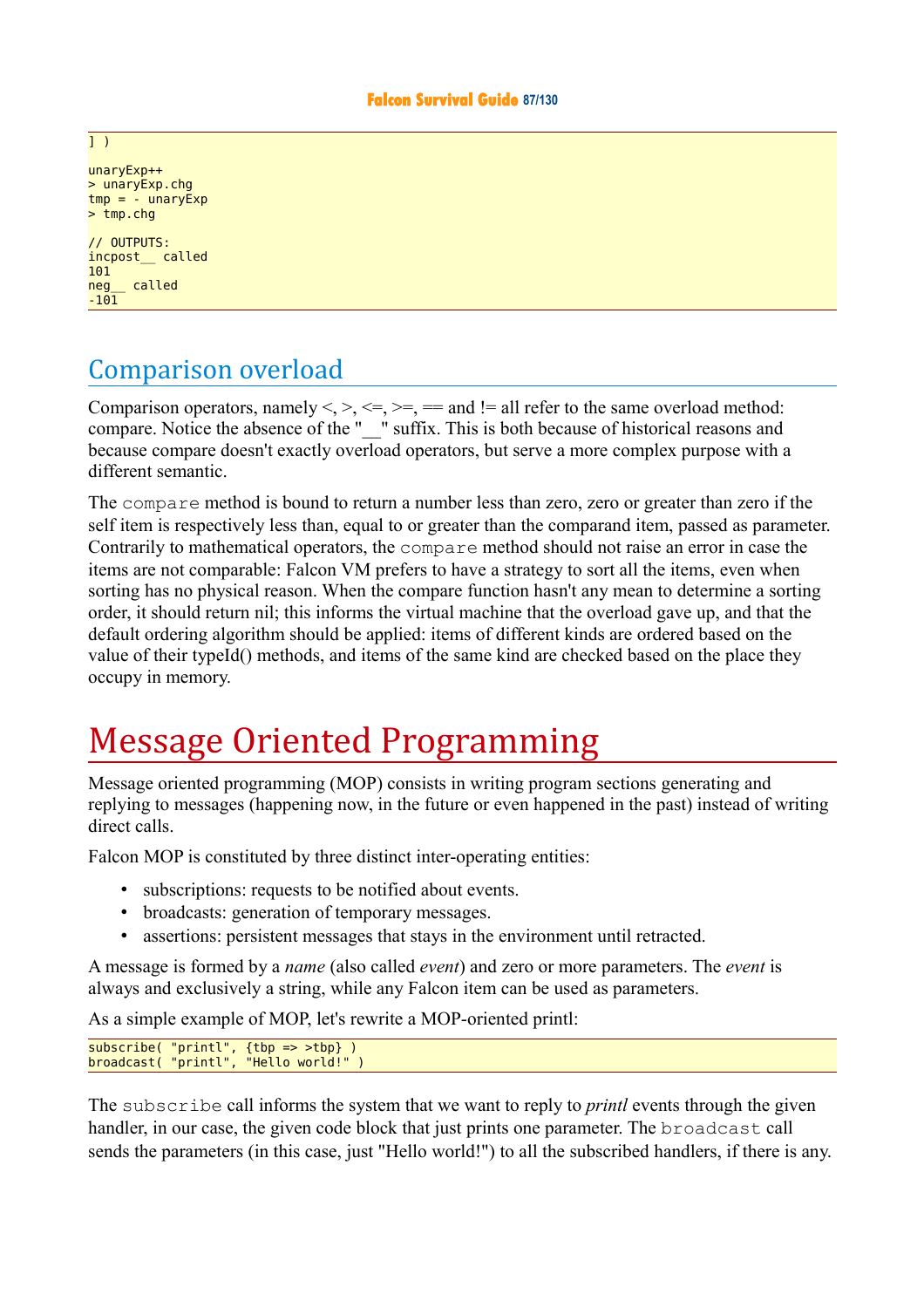unaryExp++ > unaryExp.chg  $tmp = -$  unaryExp  $> \frac{1}{2}$ 

// OUTPUTS: incpost\_\_ called 101 neg called  $-101$ 

# Comparison overload

Comparison operators, namely  $\leq, \leq, \leq, \geq, \leq, \geq, \leq$  and  $\leq$  all refer to the same overload method: compare. Notice the absence of the "\_\_" suffix. This is both because of historical reasons and because compare doesn't exactly overload operators, but serve a more complex purpose with a different semantic.

The compare method is bound to return a number less than zero, zero or greater than zero if the self item is respectively less than, equal to or greater than the comparand item, passed as parameter. Contrarily to mathematical operators, the compare method should not raise an error in case the items are not comparable: Falcon VM prefers to have a strategy to sort all the items, even when sorting has no physical reason. When the compare function hasn't any mean to determine a sorting order, it should return nil; this informs the virtual machine that the overload gave up, and that the default ordering algorithm should be applied: items of different kinds are ordered based on the value of their typeId() methods, and items of the same kind are checked based on the place they occupy in memory.

# Message Oriented Programming

Message oriented programming (MOP) consists in writing program sections generating and replying to messages (happening now, in the future or even happened in the past) instead of writing direct calls.

Falcon MOP is constituted by three distinct inter-operating entities:

- subscriptions: requests to be notified about events.
- broadcasts: generation of temporary messages.
- assertions: persistent messages that stays in the environment until retracted.

A message is formed by a *name* (also called *event*) and zero or more parameters. The *event* is always and exclusively a string, while any Falcon item can be used as parameters.

As a simple example of MOP, let's rewrite a MOP-oriented printl:

```
subscribe( "printl", {tbp => >tbp} )
broadcast( "printl", "Hello world!" )
```
The subscribe call informs the system that we want to reply to *printl* events through the given handler, in our case, the given code block that just prints one parameter. The broadcast call sends the parameters (in this case, just "Hello world!") to all the subscribed handlers, if there is any.

#### ] )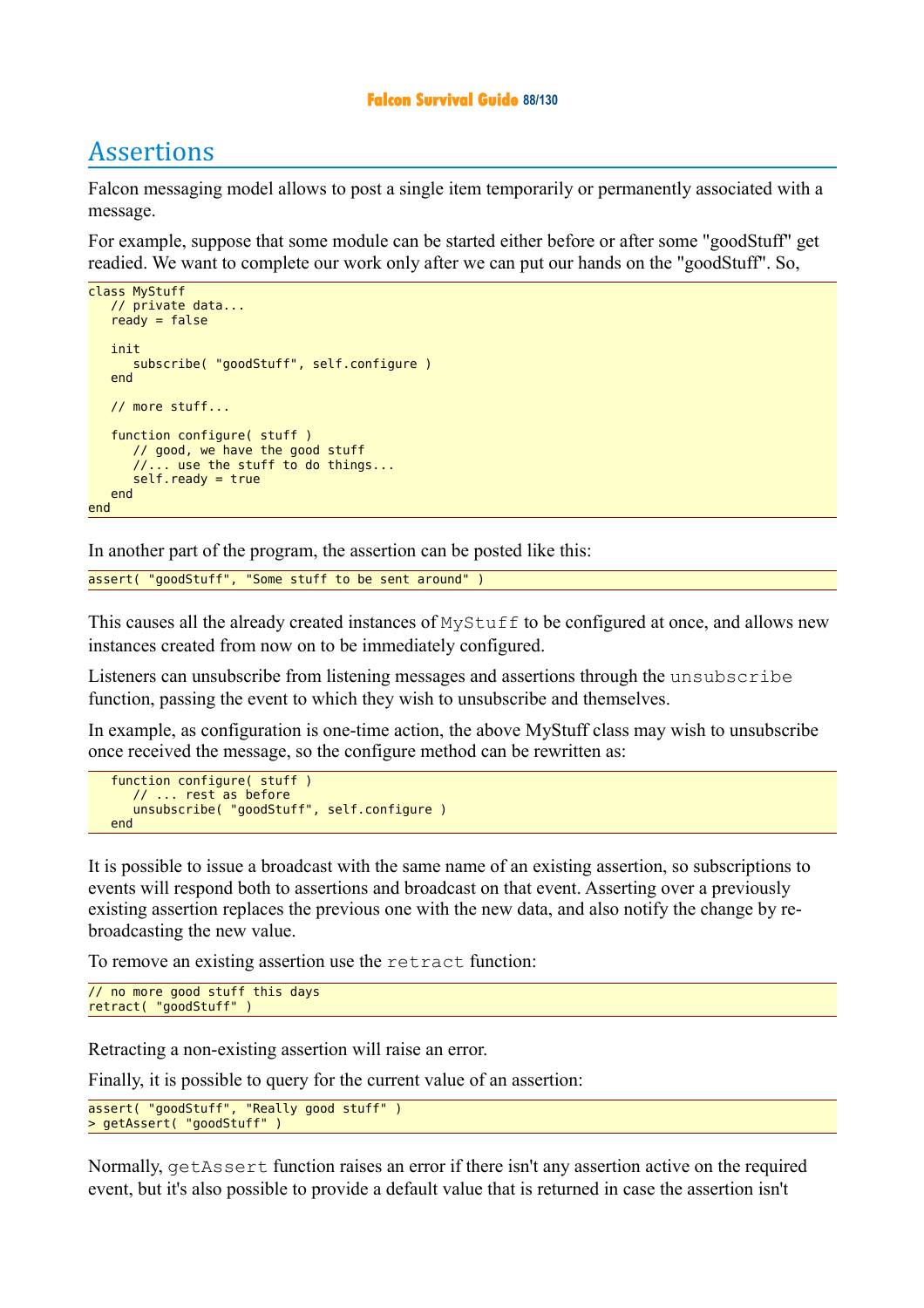### **Falcon Survival Guide 88/130**

# Assertions

Falcon messaging model allows to post a single item temporarily or permanently associated with a message.

For example, suppose that some module can be started either before or after some "goodStuff" get readied. We want to complete our work only after we can put our hands on the "goodStuff". So,

```
class MyStuff
    // private data...
   ready = false init
       subscribe( "goodStuff", self.configure )
    end
    // more stuff...
    function configure( stuff )
       // good, we have the good stuff
       //... use the stuff to do things...
       self.ready = true
    end
end
```
In another part of the program, the assertion can be posted like this:

assert( "goodStuff", "Some stuff to be sent around" )

This causes all the already created instances of  $MvStuff$  to be configured at once, and allows new instances created from now on to be immediately configured.

Listeners can unsubscribe from listening messages and assertions through the unsubscribe function, passing the event to which they wish to unsubscribe and themselves.

In example, as configuration is one-time action, the above MyStuff class may wish to unsubscribe once received the message, so the configure method can be rewritten as:

```
 function configure( stuff )
    // ... rest as before
    unsubscribe( "goodStuff", self.configure ) 
 end
```
It is possible to issue a broadcast with the same name of an existing assertion, so subscriptions to events will respond both to assertions and broadcast on that event. Asserting over a previously existing assertion replaces the previous one with the new data, and also notify the change by rebroadcasting the new value.

To remove an existing assertion use the retract function:

```
// no more good stuff this days
retract( "goodStuff" )
```
Retracting a non-existing assertion will raise an error.

Finally, it is possible to query for the current value of an assertion:

```
assert( "goodStuff", "Really good stuff" )
> getAssert( "goodStuff" )
```
Normally, getAssert function raises an error if there isn't any assertion active on the required event, but it's also possible to provide a default value that is returned in case the assertion isn't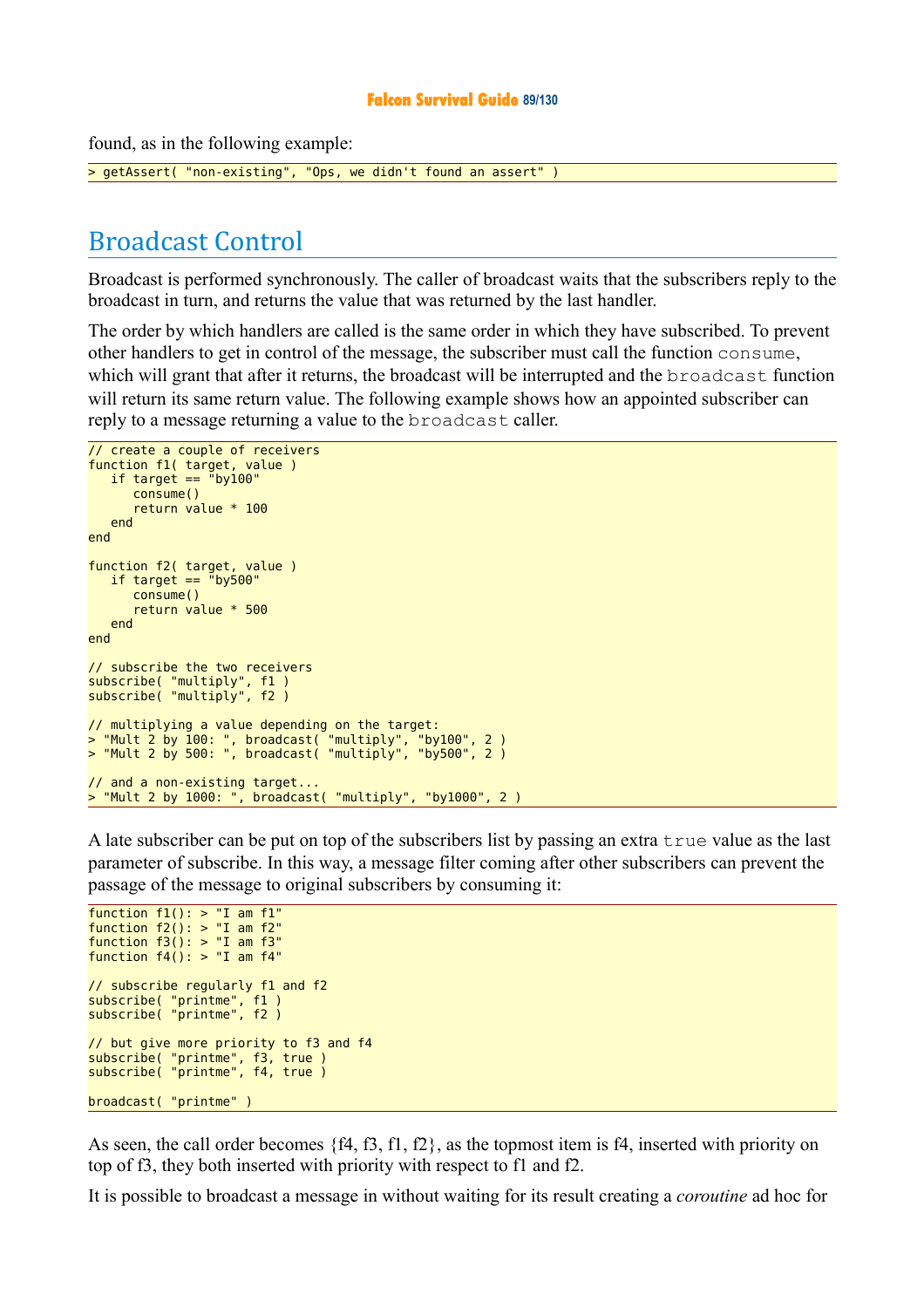#### **Falcon Survival Guide 89/130**

found, as in the following example:

> getAssert( "non-existing", "Ops, we didn't found an assert" )

## Broadcast Control

Broadcast is performed synchronously. The caller of broadcast waits that the subscribers reply to the broadcast in turn, and returns the value that was returned by the last handler.

The order by which handlers are called is the same order in which they have subscribed. To prevent other handlers to get in control of the message, the subscriber must call the function consume, which will grant that after it returns, the broadcast will be interrupted and the broadcast function will return its same return value. The following example shows how an appointed subscriber can reply to a message returning a value to the broadcast caller.

```
// create a couple of receivers
function f1( target, value )
   if target == "by100"
       consume()
       return value * 100
    end
end
function f2( target, value )
   if target = "by500"
       consume()
       return value * 500
    end
end
// subscribe the two receivers
subscribe( "multiply", f1 )
subscribe( "multiply", f2 )
// multiplying a value depending on the target:
> "Mult 2 by 100: ", broadcast( "multiply", "by100", 2 )
> "Mult 2 by 500: ", broadcast( "multiply", "by500", 2 )
// and a non-existing target...
> "Mult 2 by 1000: ", broadcast( "multiply", "by1000", 2)
```
A late subscriber can be put on top of the subscribers list by passing an extra true value as the last parameter of subscribe. In this way, a message filter coming after other subscribers can prevent the passage of the message to original subscribers by consuming it:

```
function f1(): > "I am f1"function f(2): > "I am f(2)"
function f3(): > "I am f3"function f4(): > "I am f4"// subscribe regularly f1 and f2
subscribe( "printme", f1 )
subscribe( "printme", f2 )
// but give more priority to f3 and f4
subscribe( "printme", f3, true )
subscribe( "printme", f4, true )
broadcast( "printme" )
```
As seen, the call order becomes {f4, f3, f1, f2}, as the topmost item is f4, inserted with priority on top of f3, they both inserted with priority with respect to f1 and f2.

It is possible to broadcast a message in without waiting for its result creating a *coroutine* ad hoc for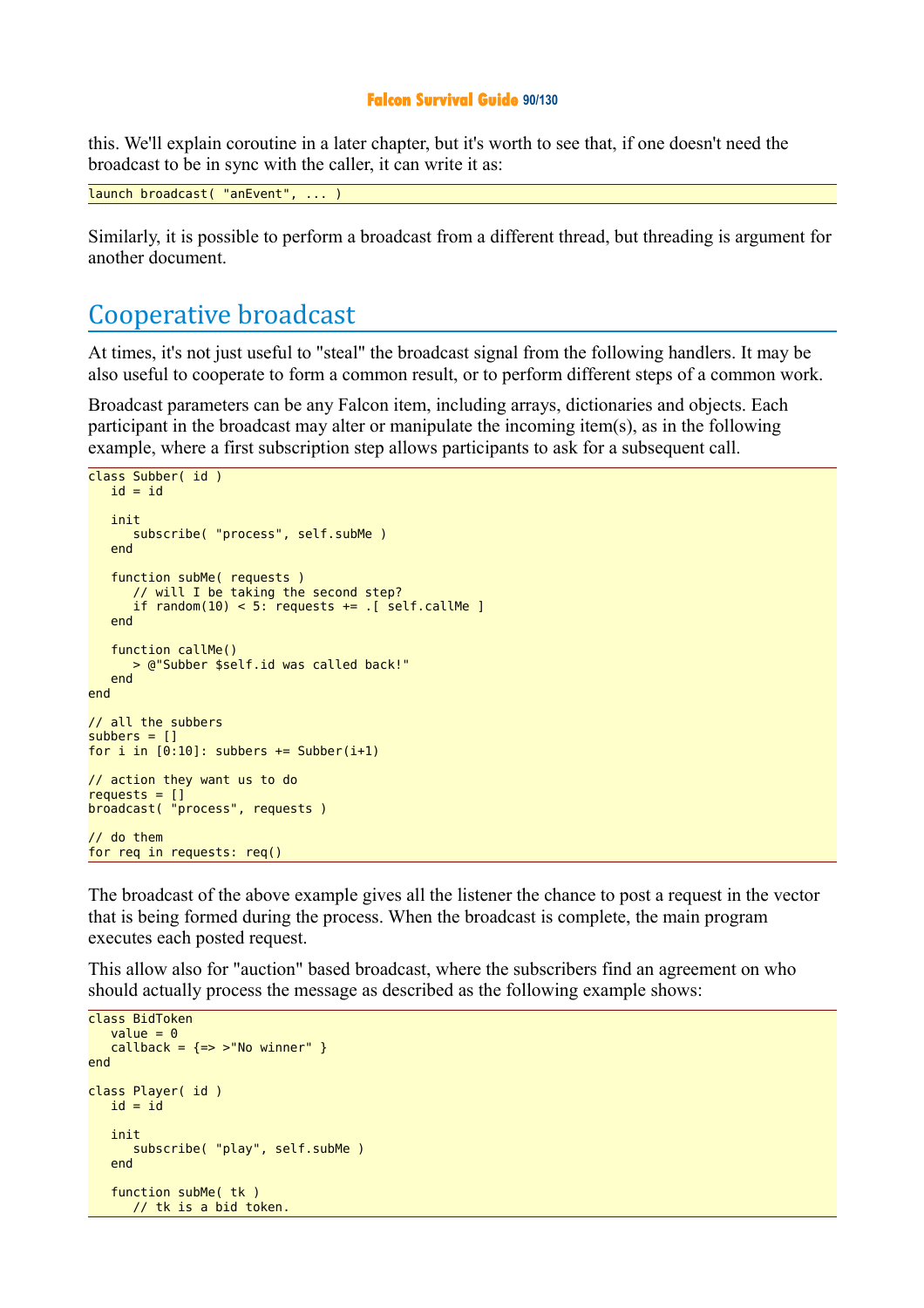#### **Falcon Survival Guide 90/130**

this. We'll explain coroutine in a later chapter, but it's worth to see that, if one doesn't need the broadcast to be in sync with the caller, it can write it as:

launch broadcast( "anEvent", ... )

Similarly, it is possible to perform a broadcast from a different thread, but threading is argument for another document.

## Cooperative broadcast

At times, it's not just useful to "steal" the broadcast signal from the following handlers. It may be also useful to cooperate to form a common result, or to perform different steps of a common work.

Broadcast parameters can be any Falcon item, including arrays, dictionaries and objects. Each participant in the broadcast may alter or manipulate the incoming item(s), as in the following example, where a first subscription step allows participants to ask for a subsequent call.

```
class Subber( id )
   id = id init
       subscribe( "process", self.subMe )
    end
    function subMe( requests )
       // will I be taking the second step?
      if random(10) < 5: requests += \sqrt{16} . [ self.callMe ]
    end
    function callMe()
       > @"Subber $self.id was called back!"
    end
end
// all the subbers
subbers = []for i in [0:10]: subbers += Subber(i+1)
// action they want us to do 
requests = []broadcast( "process", requests )
// do them
for req in requests: req()
```
The broadcast of the above example gives all the listener the chance to post a request in the vector that is being formed during the process. When the broadcast is complete, the main program executes each posted request.

This allow also for "auction" based broadcast, where the subscribers find an agreement on who should actually process the message as described as the following example shows:

```
class BidToken
   value = 0calb = {=> >"No winner" }
end
class Player( id )
   id = id init
       subscribe( "play", self.subMe )
    end
    function subMe( tk )
      // tk is a bid token.
```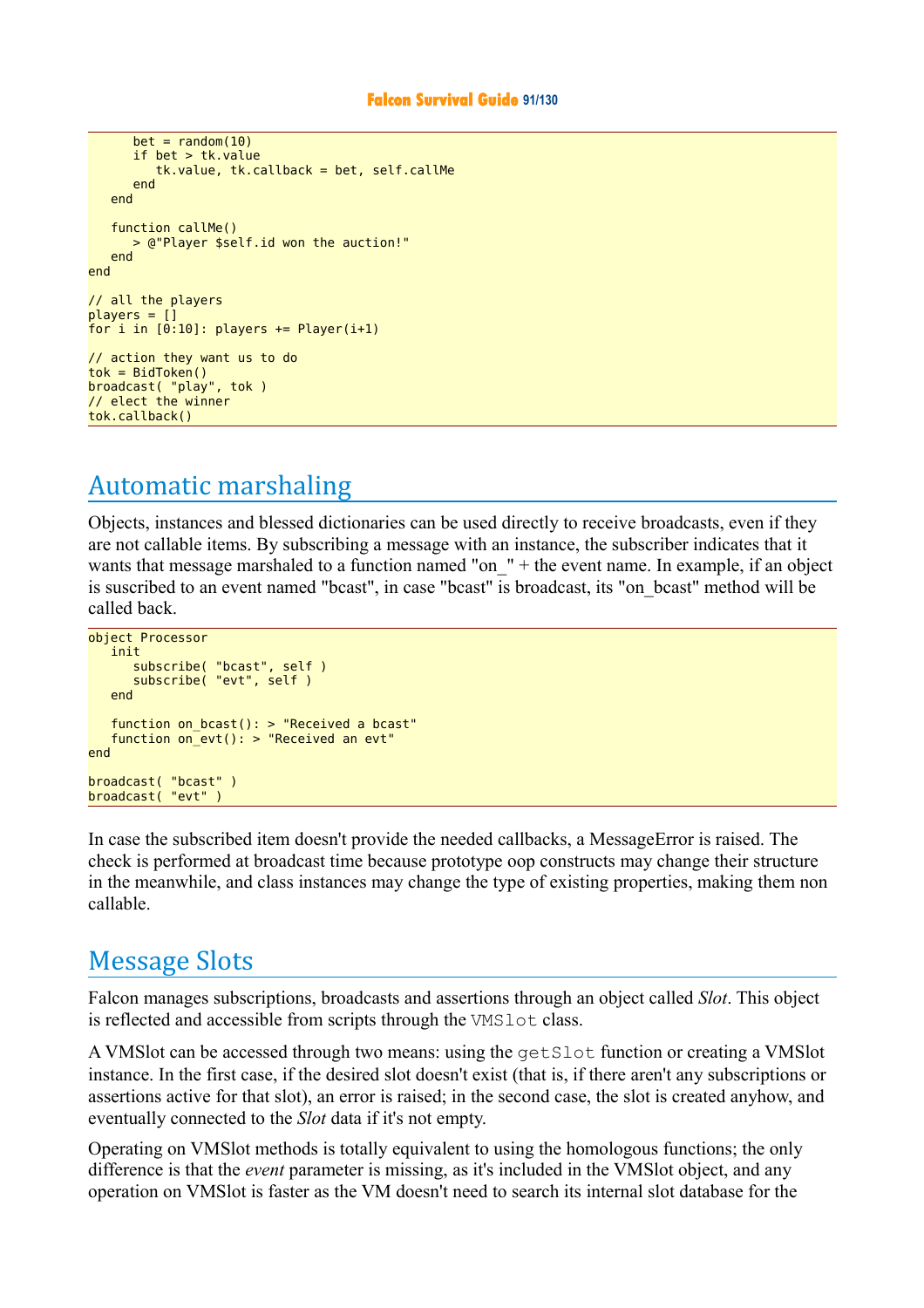```
bet = random(10) if bet > tk.value
          tk.value, tk.callback = bet, self.callMe
       end
    end
    function callMe()
       > @"Player $self.id won the auction!"
    end
end
// all the players
plane = 1for i in [0:10]: players += Player(i+1)
// action they want us to do 
tok = BidToken()broadcast( "play", tok )
// elect the winner
tok.callback()
```
# Automatic marshaling

Objects, instances and blessed dictionaries can be used directly to receive broadcasts, even if they are not callable items. By subscribing a message with an instance, the subscriber indicates that it wants that message marshaled to a function named "on\_" + the event name. In example, if an object is suscribed to an event named "bcast", in case "bcast" is broadcast, its "on\_bcast" method will be called back.

```
object Processor
    init
       subscribe( "bcast", self )
       subscribe( "evt", self )
    end
 function on_bcast(): > "Received a bcast"
 function on_evt(): > "Received an evt"
end
broadcast( "bcast" )
broadcast( "evt" )
```
In case the subscribed item doesn't provide the needed callbacks, a MessageError is raised. The check is performed at broadcast time because prototype oop constructs may change their structure in the meanwhile, and class instances may change the type of existing properties, making them non callable.

## Message Slots

Falcon manages subscriptions, broadcasts and assertions through an object called *Slot*. This object is reflected and accessible from scripts through the VMSlot class.

A VMSlot can be accessed through two means: using the getSlot function or creating a VMSlot instance. In the first case, if the desired slot doesn't exist (that is, if there aren't any subscriptions or assertions active for that slot), an error is raised; in the second case, the slot is created anyhow, and eventually connected to the *Slot* data if it's not empty.

Operating on VMSlot methods is totally equivalent to using the homologous functions; the only difference is that the *event* parameter is missing, as it's included in the VMSlot object, and any operation on VMSlot is faster as the VM doesn't need to search its internal slot database for the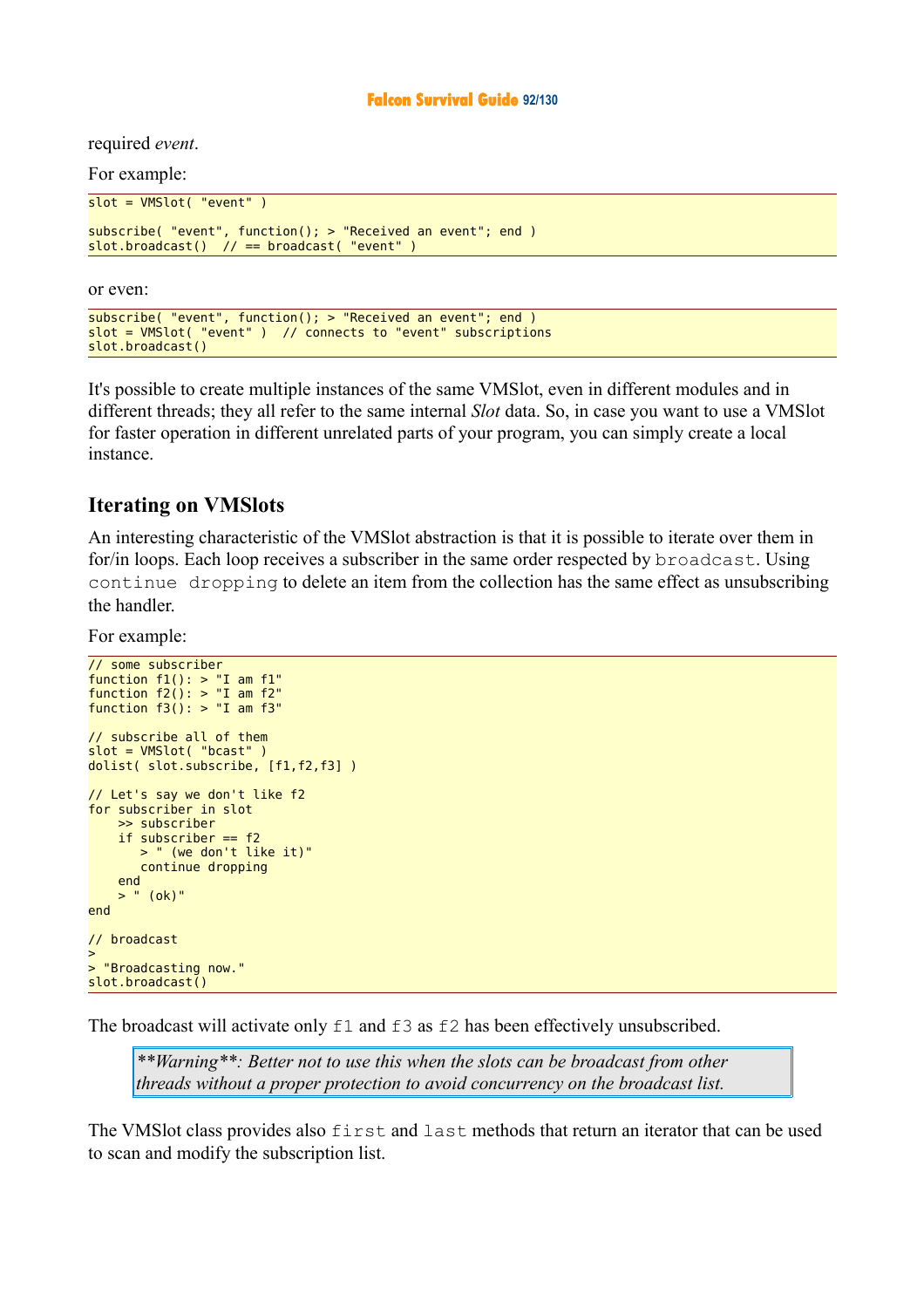### **Falcon Survival Guide 92/130**

required *event*.

For example:

```
slot = VMSlot( "event" )
subscribe( "event", function(); > "Received an event"; end )
slot.broadcast() // == broadcast( "event" )
```
or even:

```
subscribe( "event", function(); > "Received an event"; end )
slot = VMSlot( "event" ) // connects to "event" subscriptions
slot.broadcast()
```
It's possible to create multiple instances of the same VMSlot, even in different modules and in different threads; they all refer to the same internal *Slot* data. So, in case you want to use a VMSlot for faster operation in different unrelated parts of your program, you can simply create a local instance.

## **Iterating on VMSlots**

An interesting characteristic of the VMSlot abstraction is that it is possible to iterate over them in for/in loops. Each loop receives a subscriber in the same order respected by broadcast. Using continue dropping to delete an item from the collection has the same effect as unsubscribing the handler.

For example:

```
// some subscriber
function f1(): > "I am f1"function f2(): > "I am f2"function f3(): > "I am f3"// subscribe all of them
slot = VMSlot( "bcast" )
dolist( slot.subscribe, [f1,f2,f3] )
// Let's say we don't like f2
for subscriber in slot
     >> subscriber
    if subscriber == f2 > " (we don't like it)"
        continue dropping
     end
    > " (ok)"
end
// broadcast
>
> "Broadcasting now."
slot.broadcast()
```
The broadcast will activate only  $\pm 1$  and  $\pm 3$  as  $\pm 2$  has been effectively unsubscribed.

*\*\*Warning\*\*: Better not to use this when the slots can be broadcast from other threads without a proper protection to avoid concurrency on the broadcast list.*

The VMSlot class provides also first and last methods that return an iterator that can be used to scan and modify the subscription list.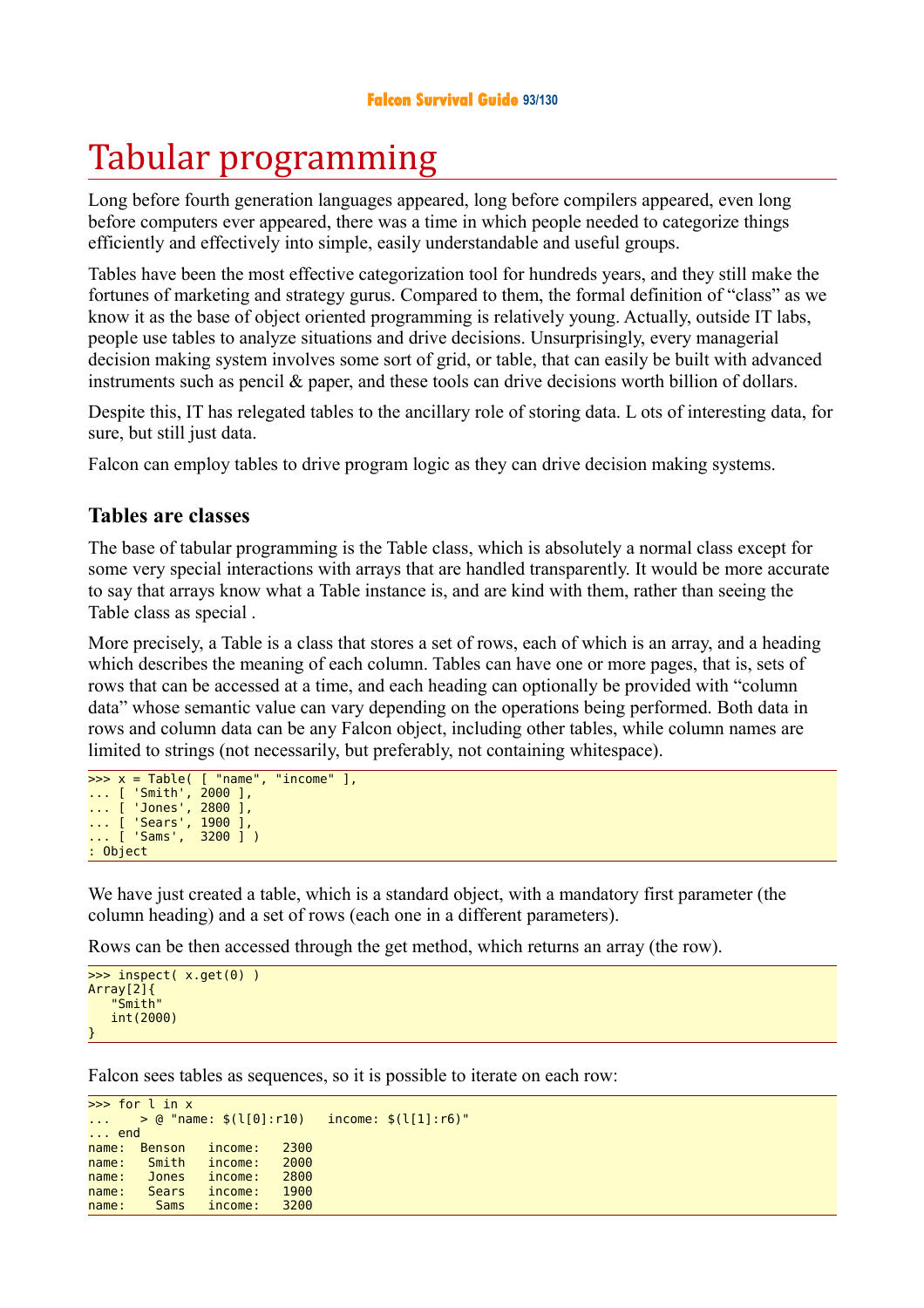# Tabular programming

Long before fourth generation languages appeared, long before compilers appeared, even long before computers ever appeared, there was a time in which people needed to categorize things efficiently and effectively into simple, easily understandable and useful groups.

Tables have been the most effective categorization tool for hundreds years, and they still make the fortunes of marketing and strategy gurus. Compared to them, the formal definition of "class" as we know it as the base of object oriented programming is relatively young. Actually, outside IT labs, people use tables to analyze situations and drive decisions. Unsurprisingly, every managerial decision making system involves some sort of grid, or table, that can easily be built with advanced instruments such as pencil & paper, and these tools can drive decisions worth billion of dollars.

Despite this, IT has relegated tables to the ancillary role of storing data. L ots of interesting data, for sure, but still just data.

Falcon can employ tables to drive program logic as they can drive decision making systems.

## **Tables are classes**

The base of tabular programming is the Table class, which is absolutely a normal class except for some very special interactions with arrays that are handled transparently. It would be more accurate to say that arrays know what a Table instance is, and are kind with them, rather than seeing the Table class as special .

More precisely, a Table is a class that stores a set of rows, each of which is an array, and a heading which describes the meaning of each column. Tables can have one or more pages, that is, sets of rows that can be accessed at a time, and each heading can optionally be provided with "column data" whose semantic value can vary depending on the operations being performed. Both data in rows and column data can be any Falcon object, including other tables, while column names are limited to strings (not necessarily, but preferably, not containing whitespace).

```
\Rightarrow x = Table( [ "name", "income" ],
... [ 'Smith', 2000 ], 
... [ 'Jones', 2800 ], 
... [ 'Sears', 1900 ], 
... [ 'Sams', 3200 ] )
: Object
```
We have just created a table, which is a standard object, with a mandatory first parameter (the column heading) and a set of rows (each one in a different parameters).

Rows can be then accessed through the get method, which returns an array (the row).

```
>>> inspect( x.get(0) ) 
Array[2]{ 
     "Smith"
    int(2000)
}
```
Falcon sees tables as sequences, so it is possible to iterate on each row:

```
>>> for l in x 
... > 0 "name: $(l[0]:r10) income: $(l[1]:r6)"... end 
name: Benson income: 2300<br>name: Smith income: 2000
name: Smith income:
name: Jones income: 2800
name: Sears income: 1900
name: Sams income: 3200
```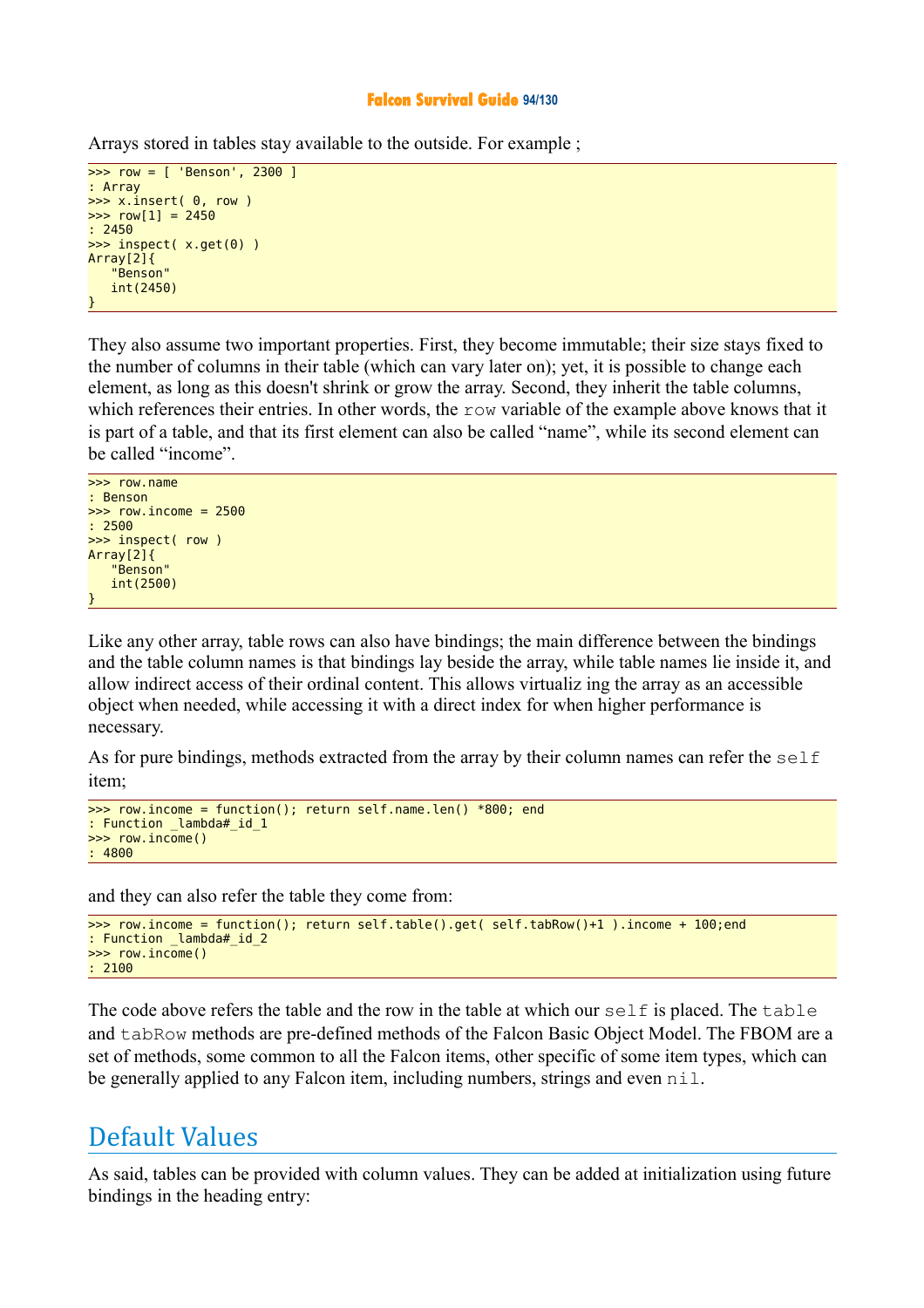### **Falcon Survival Guide 94/130**

Arrays stored in tables stay available to the outside. For example ;

```
>>> row = [ 'Benson', 2300 ] 
: Array 
\gg x.insert( 0. row)
\Rightarrow row[1] = 2450
: 2450 
>>> inspect( x.get(0) ) 
Array[2]{ 
    "Benson"
    int(2450)
}
```
They also assume two important properties. First, they become immutable; their size stays fixed to the number of columns in their table (which can vary later on); yet, it is possible to change each element, as long as this doesn't shrink or grow the array. Second, they inherit the table columns, which references their entries. In other words, the row variable of the example above knows that it is part of a table, and that its first element can also be called "name", while its second element can be called "income".



Like any other array, table rows can also have bindings; the main difference between the bindings and the table column names is that bindings lay beside the array, while table names lie inside it, and allow indirect access of their ordinal content. This allows virtualiz ing the array as an accessible object when needed, while accessing it with a direct index for when higher performance is necessary.

As for pure bindings, methods extracted from the array by their column names can refer the self item;

```
>>> row.income = function(); return self.name.len() *800; end 
: Function _lambda#_id_1 
>>> row.income() 
: 4800
```
and they can also refer the table they come from:

```
>>> row.income = function(); return self.table().get( self.tabRow()+1 ).income + 100;end 
: Function _lambda#_id_2 
>>> row.income() 
: 2100
```
The code above refers the table and the row in the table at which our self is placed. The table and tabRow methods are pre-defined methods of the Falcon Basic Object Model. The FBOM are a set of methods, some common to all the Falcon items, other specific of some item types, which can be generally applied to any Falcon item, including numbers, strings and even  $n$ il.

## Default Values

As said, tables can be provided with column values. They can be added at initialization using future bindings in the heading entry: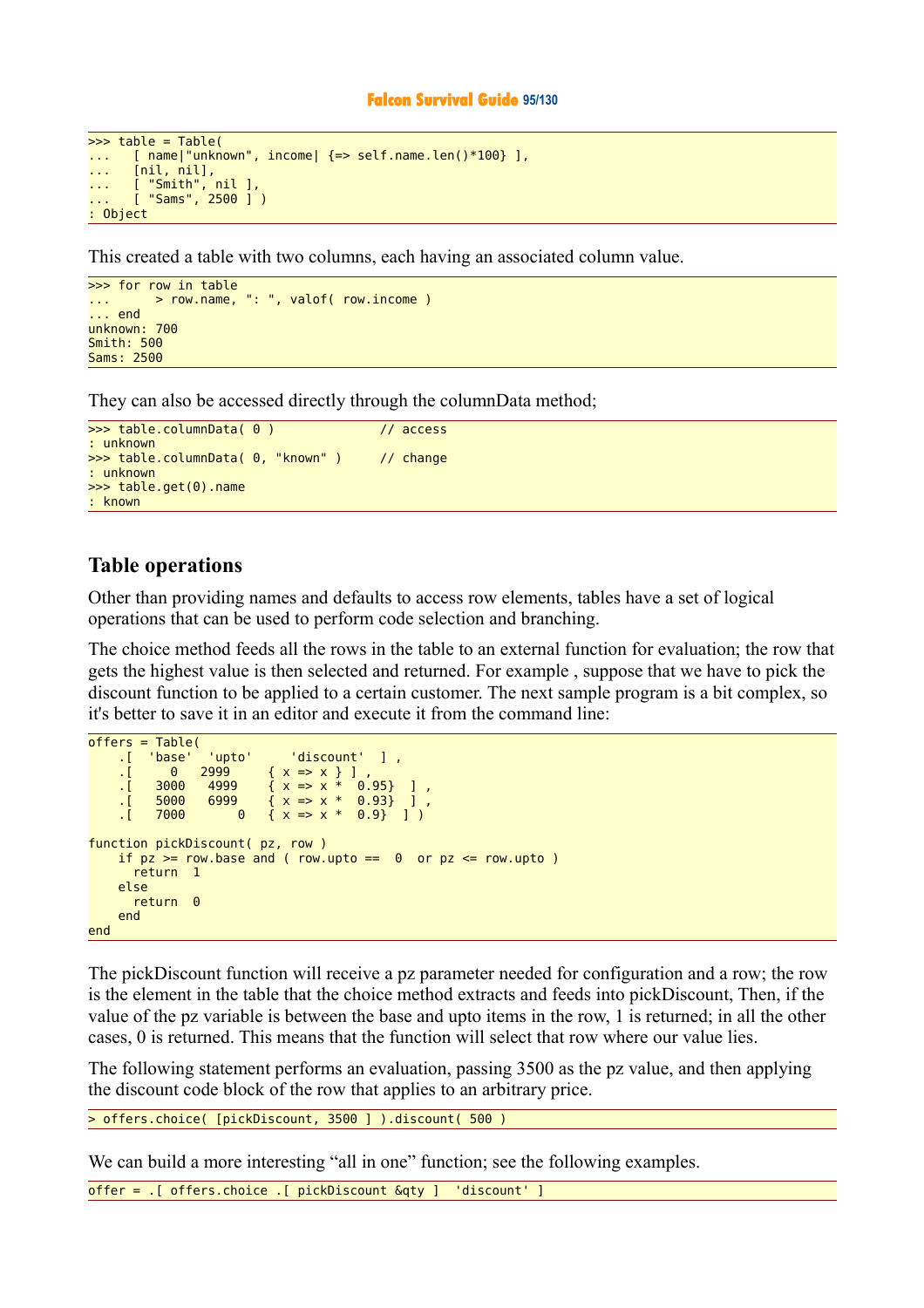#### **Falcon Survival Guide 95/130**

```
\Rightarrow table = Table(
... [ name|"unknown", income| {=> self.name.len()*100} ],
... [nil, nil],
... [ "Smith", nil ],
... [ "Sams", 2500 ] )
: Object
```
This created a table with two columns, each having an associated column value.

```
>>> for row in table 
 \ldots \ldots \ldots \ldots \ldots \ldots \ldots \ldots \ldots \ldots \ldots \ldots \ldots \ldots \ldots \ldots \ldots \ldots \ldots \ldots \ldots \ldots \ldots \ldots \ldots \ldots \ldots \ldots \ldots \ldots \ldots \ldots \ldots \ldots \ldots \ldots \ldots... end 
unknown: 700 
Smith: 500 
Sams: 2500
```
They can also be accessed directly through the columnData method;

```
>>> table.columnData( 0 ) // access
: unknown 
>>> table.columnData( 0, "known" ) // change
: unknown 
>>> table.get(0).name 
: known
```
## **Table operations**

Other than providing names and defaults to access row elements, tables have a set of logical operations that can be used to perform code selection and branching.

The choice method feeds all the rows in the table to an external function for evaluation; the row that gets the highest value is then selected and returned. For example , suppose that we have to pick the discount function to be applied to a certain customer. The next sample program is a bit complex, so it's better to save it in an editor and execute it from the command line:

```
offers = Table(<br>'base' ].
      .[ 'base' 'upto' 'discount' ] ,
     \begin{array}{cccc} .& 0 & 2999 & 0 & 0 & 0 \\ .& 0 & 3000 & 4999 & 0 & 0 & 0 \\ .& \end{array}. [ 3000 4999 { x \Rightarrow x * 0.95} ],
. [ 5000 6999 \{ \ x \Rightarrow x \ * \ 0.93 \} ],
     ( 7000 \ 0 \{ x \Rightarrow x * 0.9 \} )function pickDiscount( pz, row )
     if pz \geq -\text{row}.\text{base} and ( row.upto == 0 or pz \leq -\text{row}.\text{upto} )
         return 1 
      else 
         return 0 
      end 
end
```
The pickDiscount function will receive a pz parameter needed for configuration and a row; the row is the element in the table that the choice method extracts and feeds into pickDiscount, Then, if the value of the pz variable is between the base and upto items in the row, 1 is returned; in all the other cases, 0 is returned. This means that the function will select that row where our value lies.

The following statement performs an evaluation, passing 3500 as the pz value, and then applying the discount code block of the row that applies to an arbitrary price.

> offers.choice( [pickDiscount, 3500 ] ).discount( 500 )

We can build a more interesting "all in one" function; see the following examples.

offer = .[ offers.choice .[ pickDiscount &qty ] 'discount' ]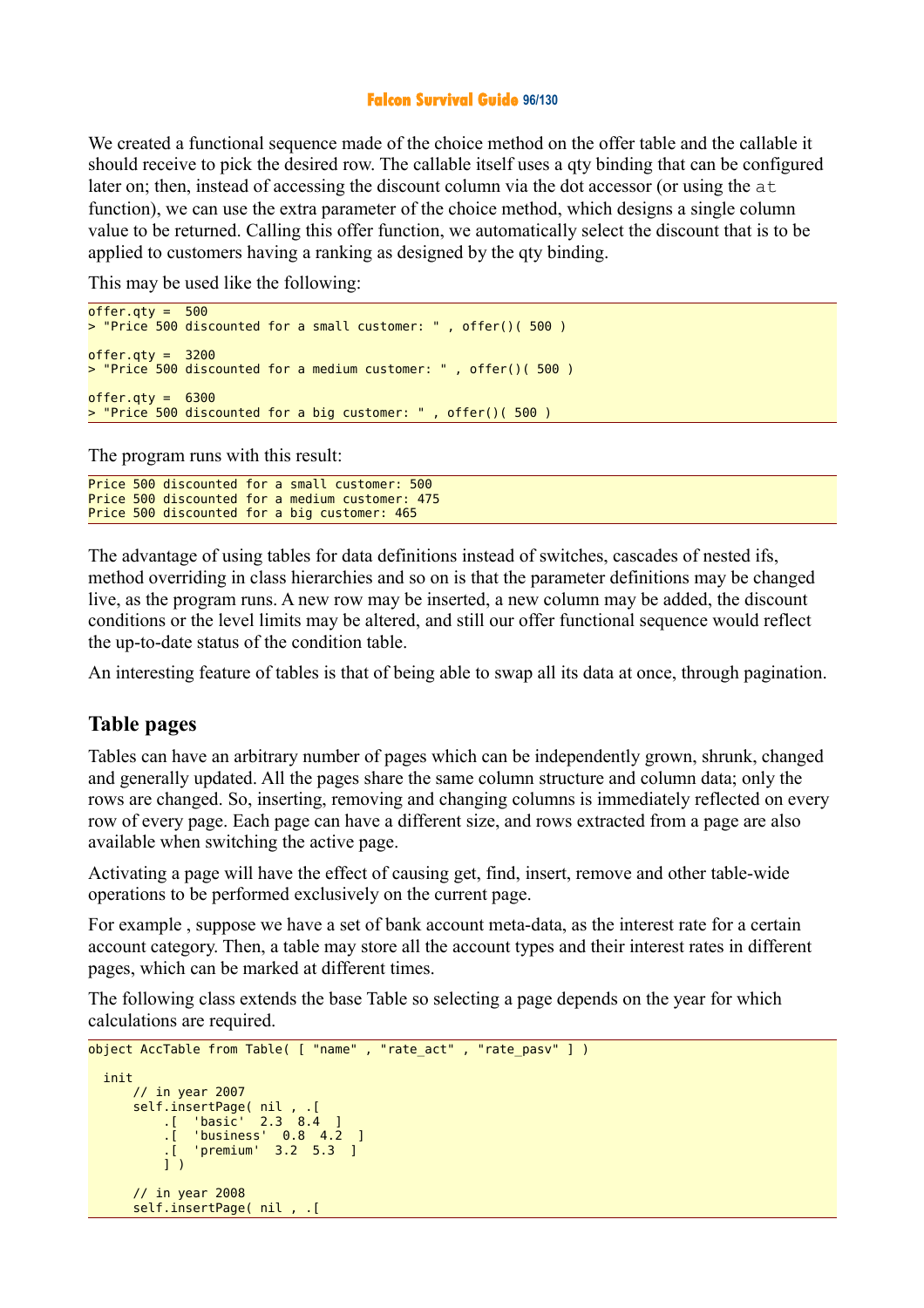## **Falcon Survival Guide 96/130**

We created a functional sequence made of the choice method on the offer table and the callable it should receive to pick the desired row. The callable itself uses a qty binding that can be configured later on; then, instead of accessing the discount column via the dot accessor (or using the at function), we can use the extra parameter of the choice method, which designs a single column value to be returned. Calling this offer function, we automatically select the discount that is to be applied to customers having a ranking as designed by the qty binding.

This may be used like the following:

```
offer.gty = 500> "Price 500 discounted for a small customer: " , offer()( 500 )
offer.qty = 3200> "Price 500 discounted for a medium customer: " , offer()( 500 )
offer.qty = 6300> "Price 500 discounted for a big customer: " , offer()( 500 )
```
The program runs with this result:

```
Price 500 discounted for a small customer: 500 
Price 500 discounted for a medium customer: 475 
Price 500 discounted for a big customer: 465
```
The advantage of using tables for data definitions instead of switches, cascades of nested ifs, method overriding in class hierarchies and so on is that the parameter definitions may be changed live, as the program runs. A new row may be inserted, a new column may be added, the discount conditions or the level limits may be altered, and still our offer functional sequence would reflect the up-to-date status of the condition table.

An interesting feature of tables is that of being able to swap all its data at once, through pagination.

## **Table pages**

Tables can have an arbitrary number of pages which can be independently grown, shrunk, changed and generally updated. All the pages share the same column structure and column data; only the rows are changed. So, inserting, removing and changing columns is immediately reflected on every row of every page. Each page can have a different size, and rows extracted from a page are also available when switching the active page.

Activating a page will have the effect of causing get, find, insert, remove and other table-wide operations to be performed exclusively on the current page.

For example , suppose we have a set of bank account meta-data, as the interest rate for a certain account category. Then, a table may store all the account types and their interest rates in different pages, which can be marked at different times.

The following class extends the base Table so selecting a page depends on the year for which calculations are required.

```
object AccTable from Table( [ "name" , "rate_act" , "rate_pasv" ] )
  init 
      // in year 2007 
 self.insertPage( nil , .[ 
 .[ 'basic' 2.3 8.4 ] 
 .[ 'business' 0.8 4.2 ] 
 .[ 'premium' 3.2 5.3 ] 
         \overline{1})
      // in year 2008 
      self.insertPage( nil , .[
```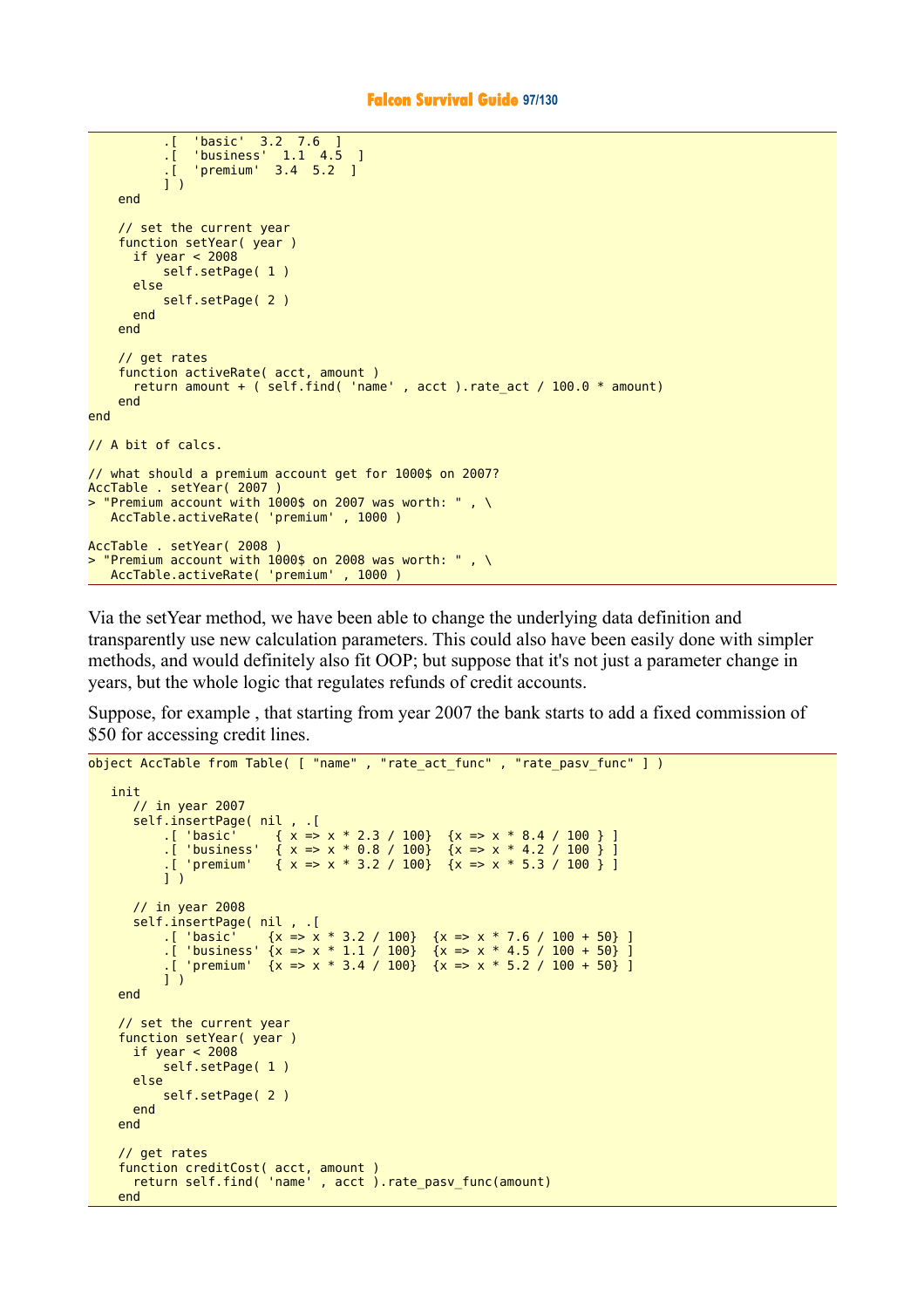```
 .[ 'basic' 3.2 7.6 ] 
 .[ 'business' 1.1 4.5 ] 
 .[ 'premium' 3.4 5.2 ] 
          \overline{1})
     end 
     // set the current year 
     function setYear( year )
      if year < 2008 self.setPage( 1 )
       else 
           self.setPage( 2 )
       end 
     end 
     // get rates 
     function activeRate( acct, amount )
      return amount + ( self.find( 'name', acct ) rate act / 100.0 * amount)
     end 
end 
// A bit of calcs. 
// what should a premium account get for 1000$ on 2007? 
AccTable . setYear( 2007 )
> "Premium account with 1000$ on 2007 was worth: " , \
   AccTable.activeRate( 'premium' , 1000 )
AccTable . setYear( 2008 )
> "Premium account with 1000$ on 2008 was worth: ", \
   AccTable.activeRate( 'premium' , 1000 )
```
Via the setYear method, we have been able to change the underlying data definition and transparently use new calculation parameters. This could also have been easily done with simpler methods, and would definitely also fit OOP; but suppose that it's not just a parameter change in years, but the whole logic that regulates refunds of credit accounts.

Suppose, for example , that starting from year 2007 the bank starts to add a fixed commission of \$50 for accessing credit lines.

```
object AccTable from Table( [ "name" , "rate act func" , "rate pasv func" ] )
     init 
         // in year 2007 
         self.insertPage( nil , .[ 
. [ 'basic' \{ \begin{array}{c} \{ \end{array} \} \{ \begin{array}{c} \{ \end{array} \} \{ \begin{array}{c} \{ \end{array} \} \{ \begin{array}{c} \{ \end{array} \} \{ \begin{array}{c} \{ \end{array} \} \{ \begin{array}{c} \{ \end{array} \} \{ \begin{array}{c} \{ \end{array} \} \{ \begin{array}{c} \{ \end{array} \} \{ \begin{array}{c} \{ \end{array} \} \{ \begin{array}{c} \{ \end{array} \} .[ 'business' { x => x * 0.8 / 100} {x => x * 4.2 / 100 } ] 
                                \{ x = x * 3.2 / 100 \} \{ x = x * 5.3 / 100 \}.[ 'premium'<br>] )
         // in year 2008
         self.insertPage( nil , .[ 
. [ 'basic' \{x = x * 3.2 / 100\} \{x = x * 7.6 / 100 + 50\} ]
. [ 'business' {x => x * 1.1 / 100} {x => x * 4.5 / 100 + 50} ]
. [ 'premium' \{x = x \times x + 3.4 / 100\} \{x = x \times x + 5.2 / 100 + 50\} ]
               ] )
      end 
      // set the current year 
      function setYear( year )
         if year < 2008 
              self.setPage( 1 )
         else 
               self.setPage( 2 )
         end 
      end 
      // get rates 
      function creditCost( acct, amount )
         return self.find( 'name' , acct ).rate_pasv_func(amount)
      end
```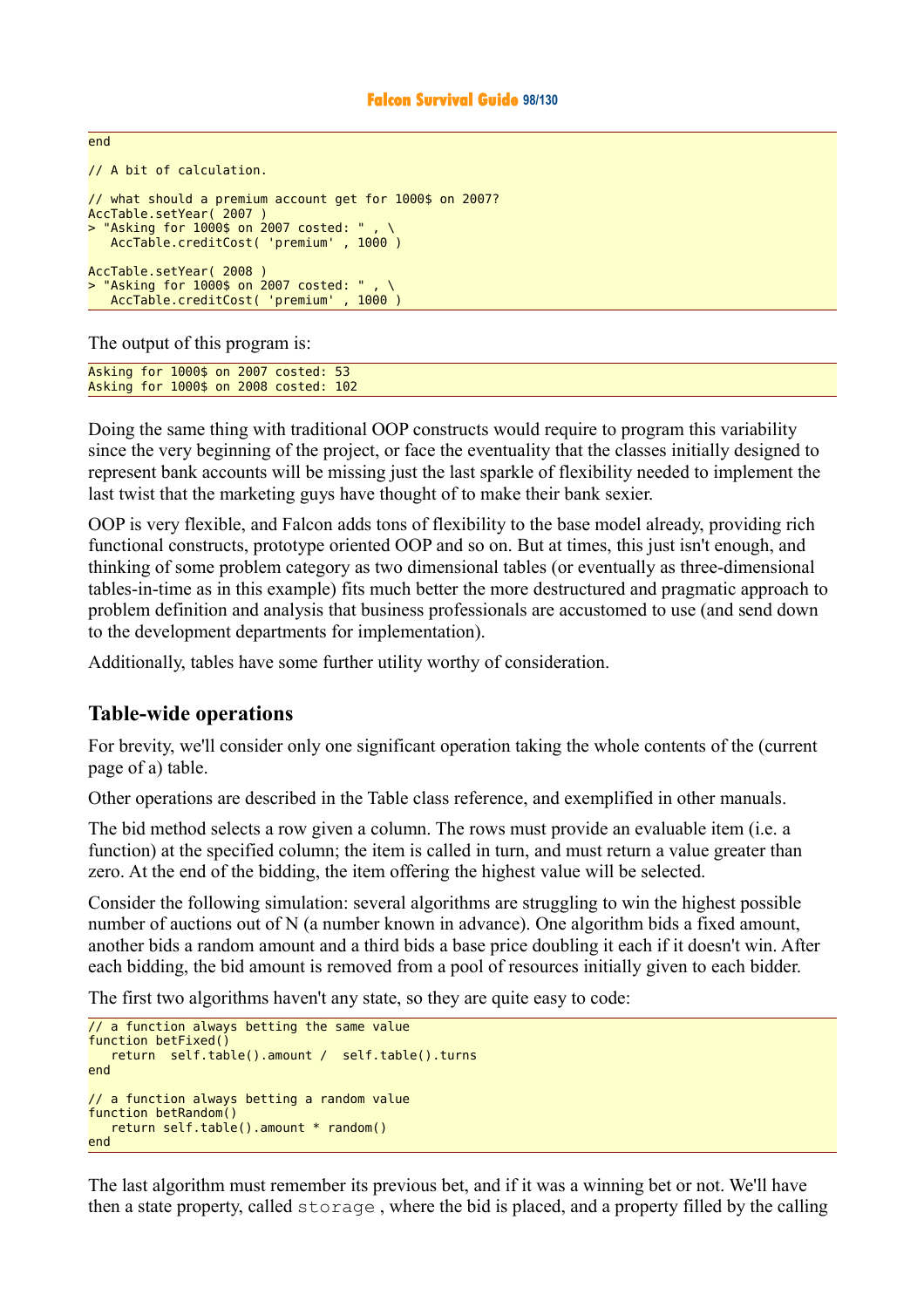```
// A bit of calculation.
// what should a premium account get for 1000$ on 2007? 
AccTable.setYear( 2007 )
> "Asking for 1000$ on 2007 costed: "
    AccTable.creditCost( 'premium' , 1000 )
AccTable.setYear( 2008 )
> "Asking for 1000$ on 2007 costed: " , \
    AccTable.creditCost( 'premium' , 1000 )
```
The output of this program is:

end

Asking for 1000\$ on 2007 costed: 53 Asking for 1000\$ on 2008 costed: 102

Doing the same thing with traditional OOP constructs would require to program this variability since the very beginning of the project, or face the eventuality that the classes initially designed to represent bank accounts will be missing just the last sparkle of flexibility needed to implement the last twist that the marketing guys have thought of to make their bank sexier.

OOP is very flexible, and Falcon adds tons of flexibility to the base model already, providing rich functional constructs, prototype oriented OOP and so on. But at times, this just isn't enough, and thinking of some problem category as two dimensional tables (or eventually as three-dimensional tables-in-time as in this example) fits much better the more destructured and pragmatic approach to problem definition and analysis that business professionals are accustomed to use (and send down to the development departments for implementation).

Additionally, tables have some further utility worthy of consideration.

## **Table-wide operations**

For brevity, we'll consider only one significant operation taking the whole contents of the (current page of a) table.

Other operations are described in the Table class reference, and exemplified in other manuals.

The bid method selects a row given a column. The rows must provide an evaluable item (i.e. a function) at the specified column; the item is called in turn, and must return a value greater than zero. At the end of the bidding, the item offering the highest value will be selected.

Consider the following simulation: several algorithms are struggling to win the highest possible number of auctions out of N (a number known in advance). One algorithm bids a fixed amount, another bids a random amount and a third bids a base price doubling it each if it doesn't win. After each bidding, the bid amount is removed from a pool of resources initially given to each bidder.

The first two algorithms haven't any state, so they are quite easy to code:

```
// a function always betting the same value 
function betFixed()
    return self.table().amount / self.table().turns
end 
// a function always betting a random value 
function betRandom()
    return self.table().amount * random()
end
```
The last algorithm must remember its previous bet, and if it was a winning bet or not. We'll have then a state property, called storage , where the bid is placed, and a property filled by the calling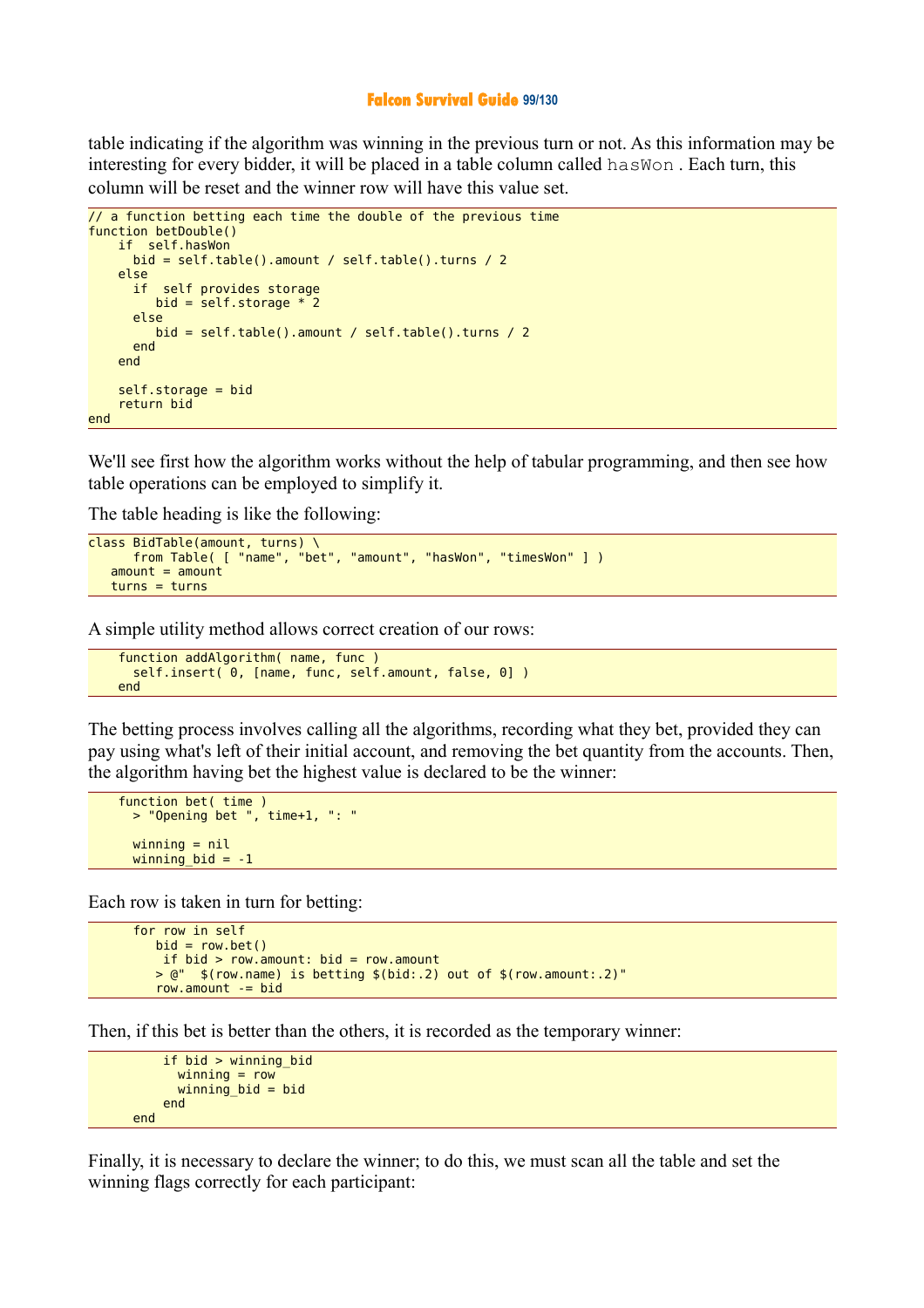#### **Falcon Survival Guide 99/130**

table indicating if the algorithm was winning in the previous turn or not. As this information may be interesting for every bidder, it will be placed in a table column called hasWon . Each turn, this column will be reset and the winner row will have this value set.

```
// a function betting each time the double of the previous time 
function betDouble()
     if self.hasWon
       bid = self.table().amount / self.table().turns / 2 
     else 
       if self provides storage
         bid = self.storage * 2 else 
          bid = self.table().amount / self.table().turns / 2 
       end 
     end 
     self.storage = bid
     return bid
end
```
We'll see first how the algorithm works without the help of tabular programming, and then see how table operations can be employed to simplify it.

The table heading is like the following:

```
class BidTable(amount, turns) \
       from Table( [ "name", "bet", "amount", "hasWon", "timesWon" ] )
   amount = amount turns = turns
```
A simple utility method allows correct creation of our rows:

```
 function addAlgorithm( name, func )
  self.insert( 0, [name, func, self.amount, false, 0] )
 end
```
The betting process involves calling all the algorithms, recording what they bet, provided they can pay using what's left of their initial account, and removing the bet quantity from the accounts. Then, the algorithm having bet the highest value is declared to be the winner:

```
 function bet( time )
  > "Opening bet ", time+1, ": "
  winning = nilwinning bid = -1
```
Each row is taken in turn for betting:

```
 for row in self
  bid = row.bet()if bid > row.amount: bid = row.amount
   > @" $(row.name) is betting $(bid:.2) out of $(row.amount:.2)"
    row.amount -= bid
```
Then, if this bet is better than the others, it is recorded as the temporary winner:

```
 if bid > winning_bid
       winning = row
      winning bid = bid end 
 end
```
Finally, it is necessary to declare the winner; to do this, we must scan all the table and set the winning flags correctly for each participant: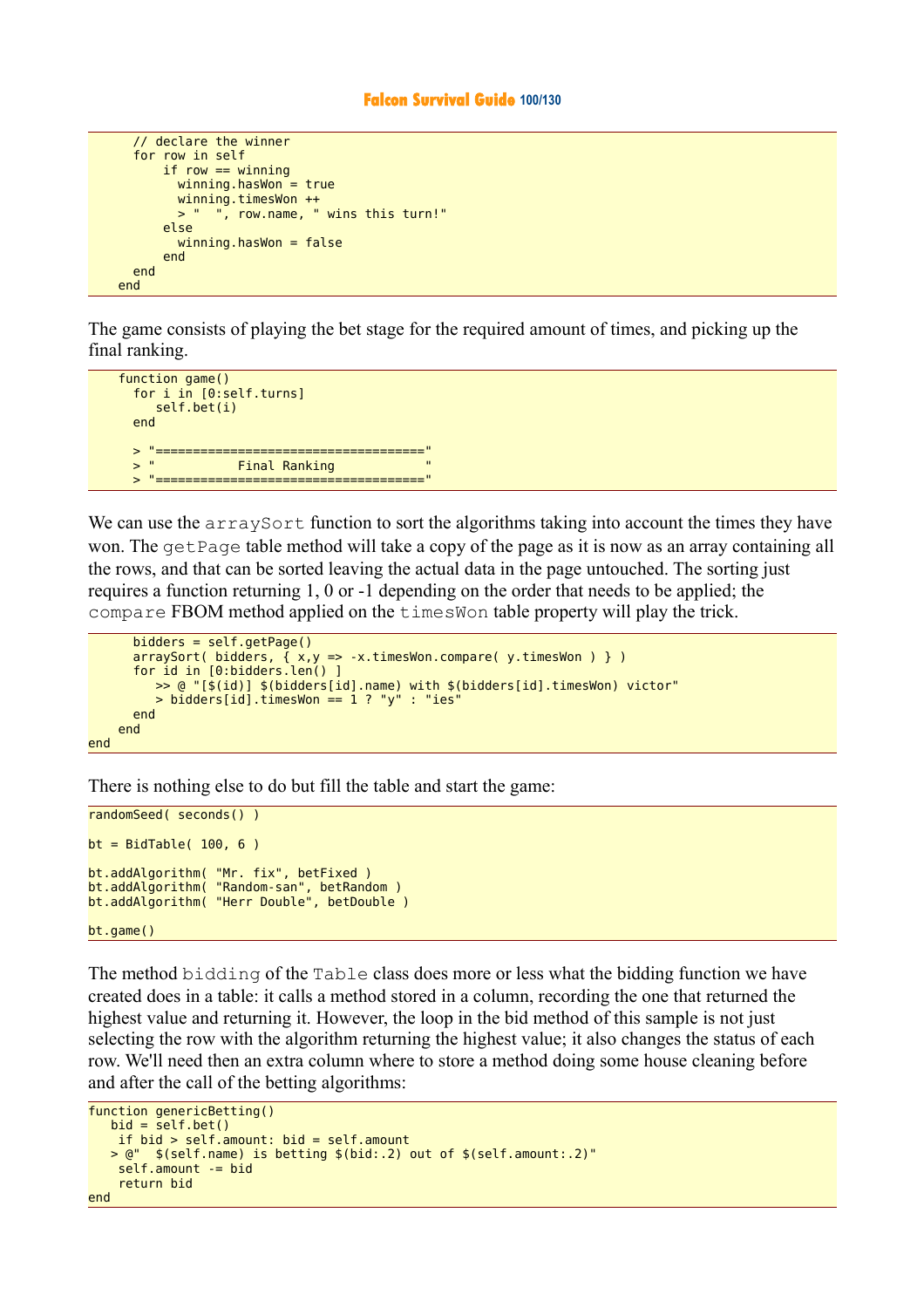```
 // declare the winner
   for row in self
       if row == winningwinning.haskon = truewinning.timesWon ++<br>> " " row name "
               ", row.name, " wins this turn!"
        else 
         winning.haskOn = false end 
   end 
 end
```
The game consists of playing the bet stage for the required amount of times, and picking up the final ranking.

```
function game()
   for i in [0:self.turns]
      self.bet(i)
   end 
  > "===================================="
                 Final Ranking
   > "===================================="
```
We can use the arraySort function to sort the algorithms taking into account the times they have won. The get Page table method will take a copy of the page as it is now as an array containing all the rows, and that can be sorted leaving the actual data in the page untouched. The sorting just requires a function returning 1, 0 or -1 depending on the order that needs to be applied; the compare FBOM method applied on the timesWon table property will play the trick.

```
 bidders = self.getPage()
       arraySort( bidders, { x,y => -x.timesWon.compare( y.timesWon ) } )
       for id in [0:bidders.len() ]
          >> @ "[$(id)] $(bidders[id].name) with $(bidders[id].timesWon) victor"
         > bidders[id].timesWon == 1 ? "y" : "ies"
       end 
     end 
end
```
There is nothing else to do but fill the table and start the game:

```
randomSeed( seconds() ) 
bt = BidTable(100, 6)bt.addAlgorithm( "Mr. fix", betFixed ) 
bt.addAlgorithm( "Random-san", betRandom ) 
bt.addAlgorithm( "Herr Double", betDouble ) 
bt.game()
```
The method bidding of the Table class does more or less what the bidding function we have created does in a table: it calls a method stored in a column, recording the one that returned the highest value and returning it. However, the loop in the bid method of this sample is not just selecting the row with the algorithm returning the highest value; it also changes the status of each row. We'll need then an extra column where to store a method doing some house cleaning before and after the call of the betting algorithms:

```
function genericBetting()
   bid = self.bet() if bid > self.amount: bid = self.amount
    > @" $(self.name) is betting $(bid:.2) out of $(self.amount:.2)"
     self.amount -= bid
     return bid
end
```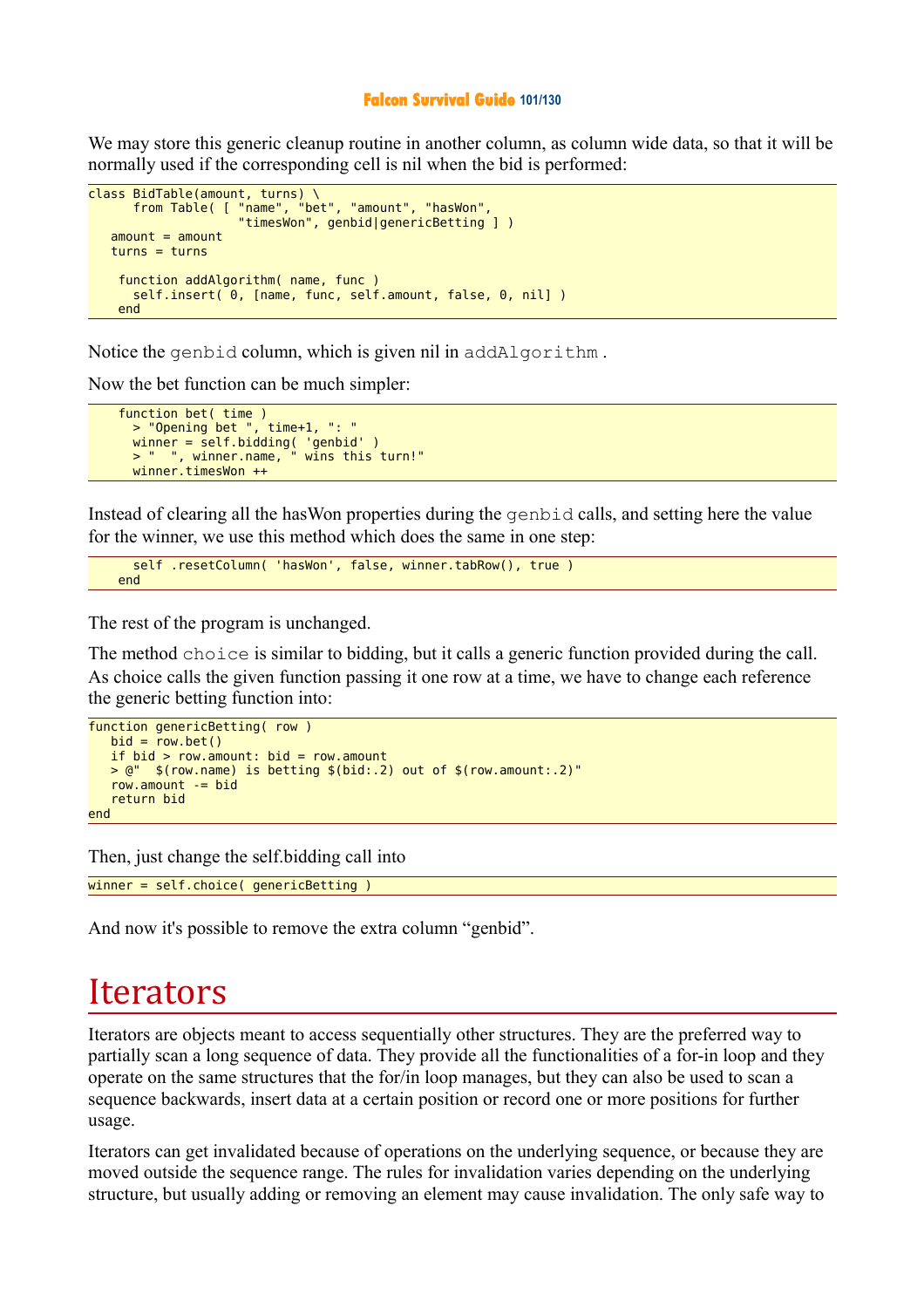#### **Falcon Survival Guide 101/130**

We may store this generic cleanup routine in another column, as column wide data, so that it will be normally used if the corresponding cell is nil when the bid is performed:

```
class BidTable(amount, turns) \
       from Table( [ "name", "bet", "amount", "hasWon", 
                      "timesWon", genbid|genericBetting ] )
   amount = amount turns = turns
     function addAlgorithm( name, func )
       self.insert( 0, [name, func, self.amount, false, 0, nil] )
     end
```
Notice the genbid column, which is given nil in addAlgorithm .

Now the bet function can be much simpler:

```
 function bet( time )
      > "Opening bet ", time+1, ": "
 winner = self.bidding( 'genbid' )
 > " ", winner.name, " wins this turn!"
      winner.timesWon ++
```
Instead of clearing all the hasWon properties during the genbid calls, and setting here the value for the winner, we use this method which does the same in one step:

```
 self .resetColumn( 'hasWon', false, winner.tabRow(), true )
 end
```
The rest of the program is unchanged.

The method choice is similar to bidding, but it calls a generic function provided during the call. As choice calls the given function passing it one row at a time, we have to change each reference the generic betting function into:

```
function genericBetting( row )
   bid = row.bet()if bid > row.amount: bid = row.amount
    > @" $(row.name) is betting $(bid:.2) out of $(row.amount:.2)"
    row.amount -= bid
    return bid
end
```
Then, just change the self.bidding call into

winner = self.choice( genericBetting )

And now it's possible to remove the extra column "genbid".

# **Iterators**

Iterators are objects meant to access sequentially other structures. They are the preferred way to partially scan a long sequence of data. They provide all the functionalities of a for-in loop and they operate on the same structures that the for/in loop manages, but they can also be used to scan a sequence backwards, insert data at a certain position or record one or more positions for further usage.

Iterators can get invalidated because of operations on the underlying sequence, or because they are moved outside the sequence range. The rules for invalidation varies depending on the underlying structure, but usually adding or removing an element may cause invalidation. The only safe way to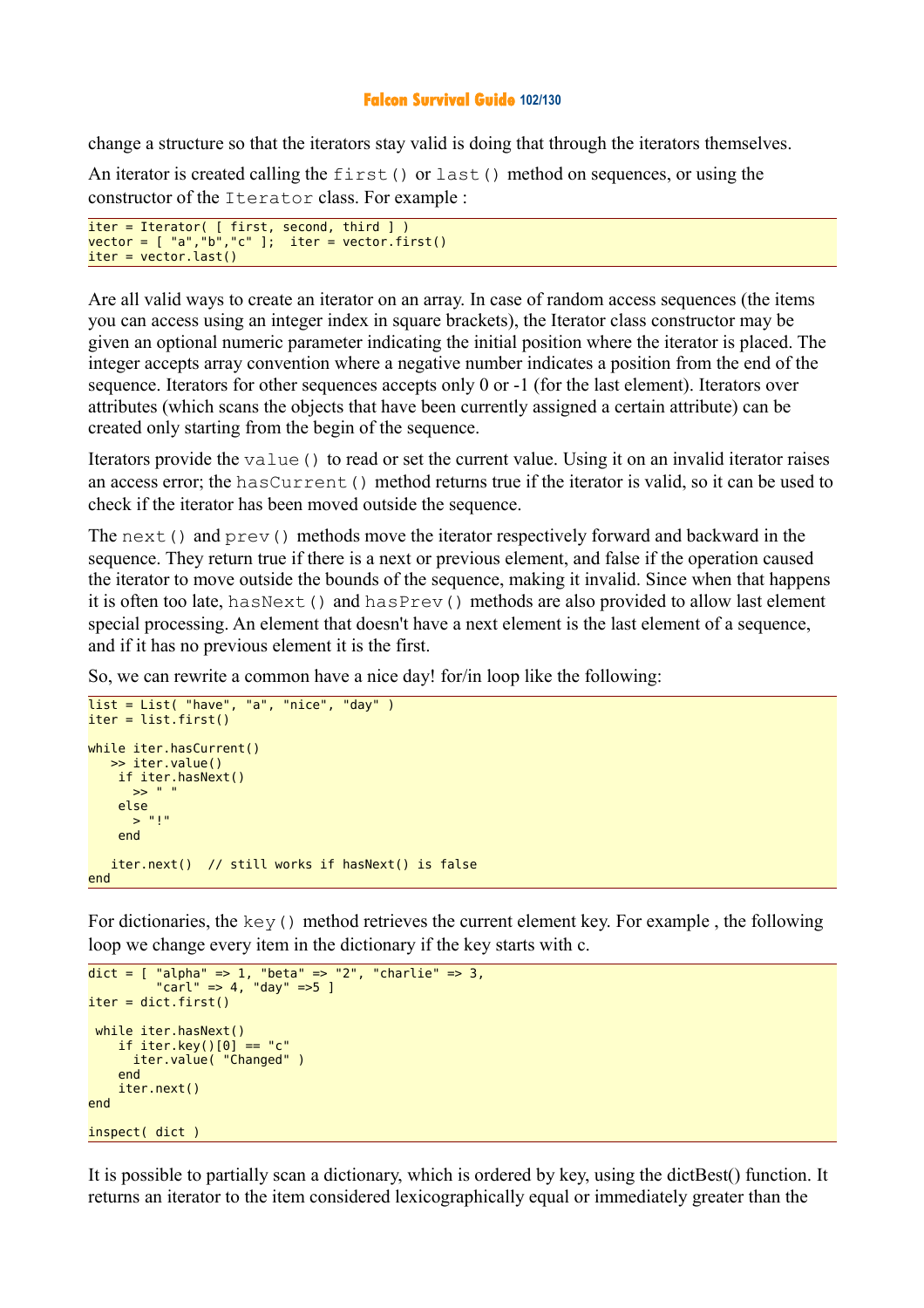## **Falcon Survival Guide 102/130**

change a structure so that the iterators stay valid is doing that through the iterators themselves.

An iterator is created calling the  $first()$  or last() method on sequences, or using the constructor of the Iterator class. For example :

```
iter = Iterator( [ first, second, third ] ) 
vector = [ "a","b","c" ]; iter = vector.first()
iter = vector.last()
```
Are all valid ways to create an iterator on an array. In case of random access sequences (the items you can access using an integer index in square brackets), the Iterator class constructor may be given an optional numeric parameter indicating the initial position where the iterator is placed. The integer accepts array convention where a negative number indicates a position from the end of the sequence. Iterators for other sequences accepts only 0 or -1 (for the last element). Iterators over attributes (which scans the objects that have been currently assigned a certain attribute) can be created only starting from the begin of the sequence.

Iterators provide the value () to read or set the current value. Using it on an invalid iterator raises an access error; the hasCurrent() method returns true if the iterator is valid, so it can be used to check if the iterator has been moved outside the sequence.

The next() and prev() methods move the iterator respectively forward and backward in the sequence. They return true if there is a next or previous element, and false if the operation caused the iterator to move outside the bounds of the sequence, making it invalid. Since when that happens it is often too late, has  $Next()$  and has  $Prew()$  methods are also provided to allow last element special processing. An element that doesn't have a next element is the last element of a sequence, and if it has no previous element it is the first.

So, we can rewrite a common have a nice day! for/in loop like the following:

```
\overline{\text{list}} = \text{List}(\text{ "have", "a", "nice", "day" })iter = list.first() 
while iter.hasCurrent()
    >> iter.value()
      if iter.hasNext()
       \geq \geq \equiv \equiv else 
       > "!"
      end 
    iter.next() // still works if hasNext() is false
end
```
For dictionaries, the  $key($ ) method retrieves the current element key. For example, the following loop we change every item in the dictionary if the key starts with c.

```
dict = [ "alpha" => 1, "beta" => "2", "charlie" => 3, 
 "carl" => 4, "day" =>5 ]
iter = dict.fit() while iter.hasNext()
 if iter.key()[0] == "c"
      iter.value( "Changed" )
    end 
    iter.next() 
end 
inspect( dict )
```
It is possible to partially scan a dictionary, which is ordered by key, using the dictBest() function. It returns an iterator to the item considered lexicographically equal or immediately greater than the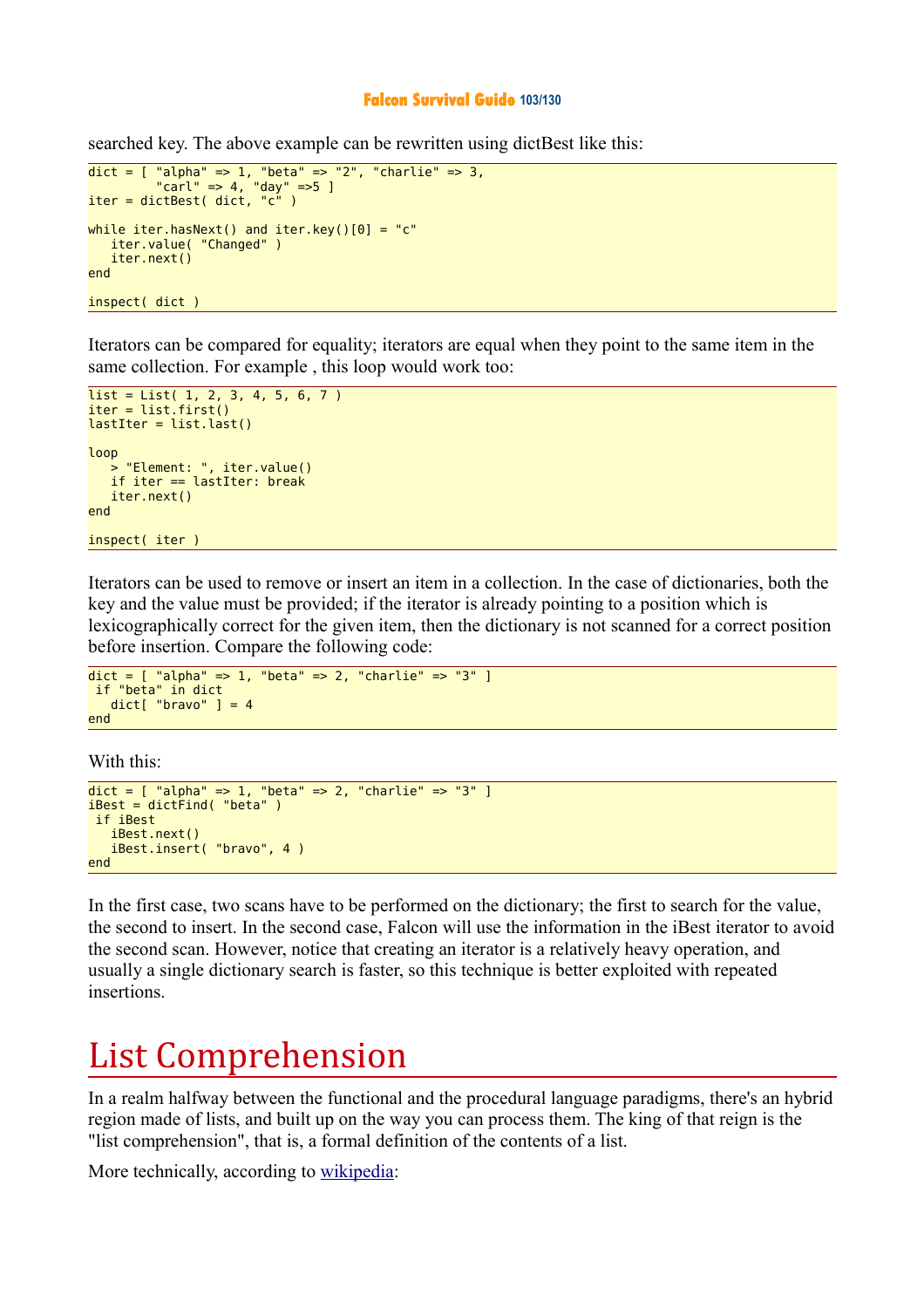### **Falcon Survival Guide 103/130**

searched key. The above example can be rewritten using dictBest like this:

```
dict = [ "alpha" => 1, "beta" => "2", "charlie" => 3, 
 "carl" => 4, "day" =>5 ]
iter = dictBest( dict, "c" ) 
while iter.hasNext() and iter.key()[0] = "c"
   iter.value( "Changed" )
   iter.next()
end 
inspect( dict )
```
Iterators can be compared for equality; iterators are equal when they point to the same item in the same collection. For example , this loop would work too:

```
list = List( 1, 2, 3, 4, 5, 6, 7 )iter = list.first() 
lastIter = listus(t)loop 
    > "Element: ", iter.value()
    if iter == lastIter: break
    iter.next()
end 
inspect( iter )
```
Iterators can be used to remove or insert an item in a collection. In the case of dictionaries, both the key and the value must be provided; if the iterator is already pointing to a position which is lexicographically correct for the given item, then the dictionary is not scanned for a correct position before insertion. Compare the following code:

```
dict = [ "alpha" => 1, "beta" => 2, "charlie" => "3" ]
 if "beta" in dict
   dict['brawo''] = 4end
```
With this:

```
dict = [ "alpha" => 1, "beta" => 2, "charlie" => "3" ]iBest = dictFind('"beta") if iBest
    iBest.next()
    iBest.insert( "bravo", 4 )
end
```
In the first case, two scans have to be performed on the dictionary; the first to search for the value, the second to insert. In the second case, Falcon will use the information in the iBest iterator to avoid the second scan. However, notice that creating an iterator is a relatively heavy operation, and usually a single dictionary search is faster, so this technique is better exploited with repeated insertions.

# List Comprehension

In a realm halfway between the functional and the procedural language paradigms, there's an hybrid region made of lists, and built up on the way you can process them. The king of that reign is the "list comprehension", that is, a formal definition of the contents of a list.

More technically, according to [wikipedia:](http://en.wikipedia.org/wiki/List_comprehension)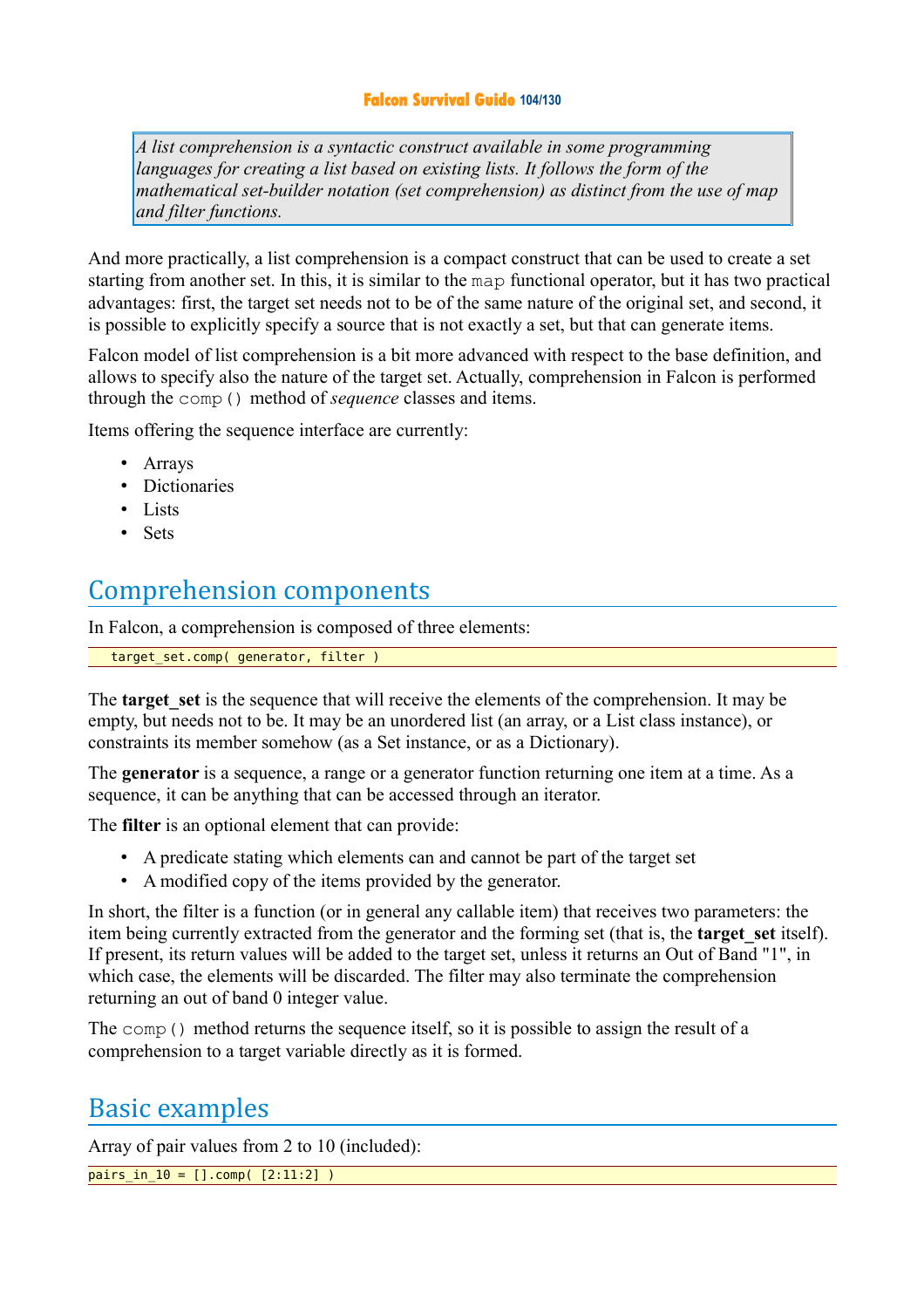## **Falcon Survival Guide 104/130**

*A list comprehension is a syntactic construct available in some programming languages for creating a list based on existing lists. It follows the form of the mathematical set-builder notation (set comprehension) as distinct from the use of map and filter functions.*

And more practically, a list comprehension is a compact construct that can be used to create a set starting from another set. In this, it is similar to the map functional operator, but it has two practical advantages: first, the target set needs not to be of the same nature of the original set, and second, it is possible to explicitly specify a source that is not exactly a set, but that can generate items.

Falcon model of list comprehension is a bit more advanced with respect to the base definition, and allows to specify also the nature of the target set. Actually, comprehension in Falcon is performed through the comp() method of *sequence* classes and items.

Items offering the sequence interface are currently:

- Arrays
- Dictionaries
- Lists
- Sets

## Comprehension components

In Falcon, a comprehension is composed of three elements:

target set.comp( generator, filter )

The **target** set is the sequence that will receive the elements of the comprehension. It may be empty, but needs not to be. It may be an unordered list (an array, or a List class instance), or constraints its member somehow (as a Set instance, or as a Dictionary).

The **generator** is a sequence, a range or a generator function returning one item at a time. As a sequence, it can be anything that can be accessed through an iterator.

The **filter** is an optional element that can provide:

- A predicate stating which elements can and cannot be part of the target set
- A modified copy of the items provided by the generator.

In short, the filter is a function (or in general any callable item) that receives two parameters: the item being currently extracted from the generator and the forming set (that is, the **target** set itself). If present, its return values will be added to the target set, unless it returns an Out of Band "1", in which case, the elements will be discarded. The filter may also terminate the comprehension returning an out of band 0 integer value.

The comp() method returns the sequence itself, so it is possible to assign the result of a comprehension to a target variable directly as it is formed.

## Basic examples

Array of pair values from 2 to 10 (included):

 $pairs_in_10 = []comp([2:11:2])$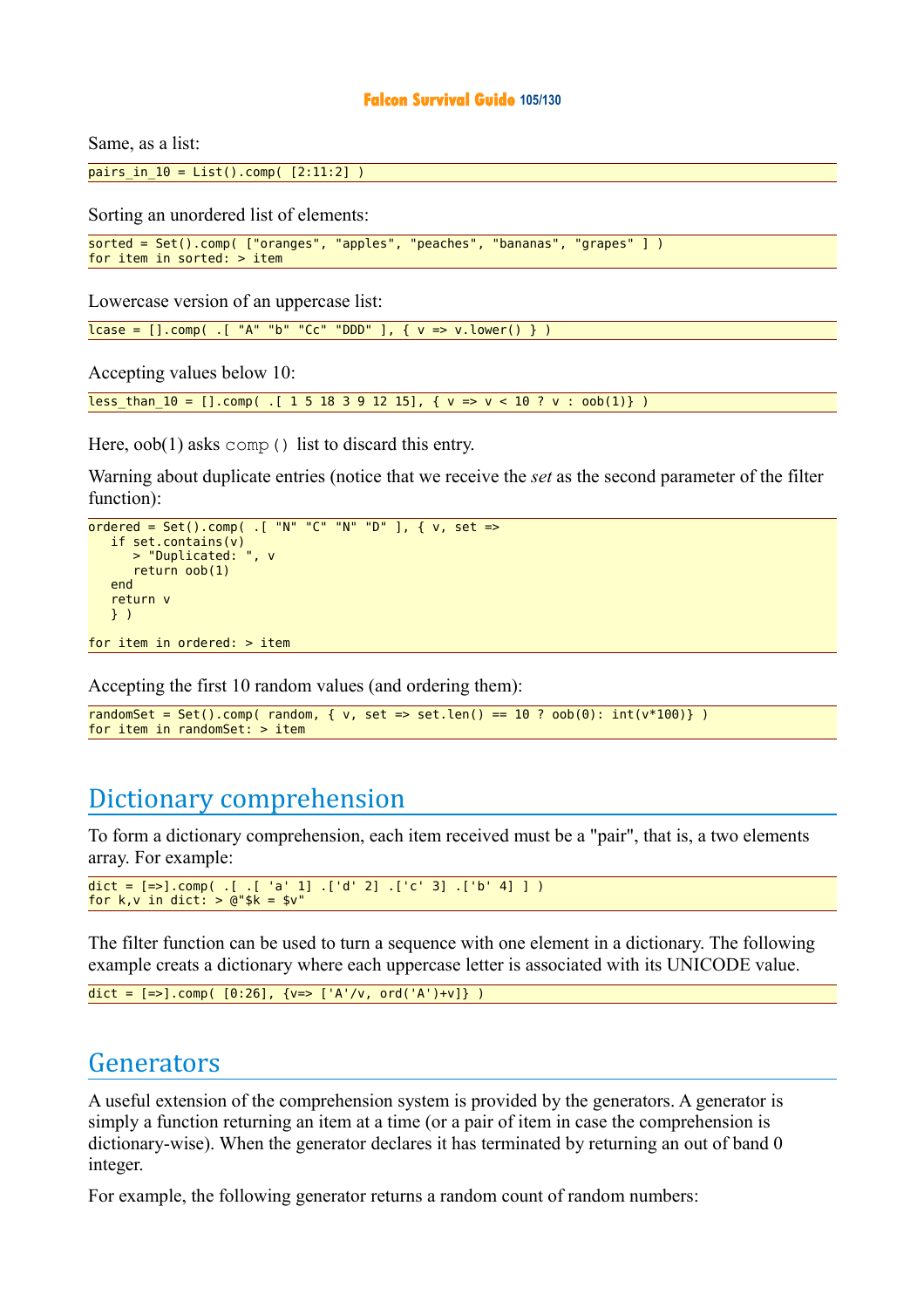#### **Falcon Survival Guide 105/130**

Same, as a list:

 $pairs_in_10 = List().comp([2:11:2])$ 

Sorting an unordered list of elements:

```
sorted = Set().comp( ["oranges", "apples", "peaches", "bananas", "grapes" ] )
for item in sorted: > item
```
Lowercase version of an uppercase list:

 $lcase = []comp( .[ "A" "b" "Cc" "DDD" ], { v => v.lower() } )$ 

Accepting values below 10:

less than  $10 = [].comp( .[ 1 5 18 3 9 12 15], { v => v < 10 ? v : oob(1)} )$ 

Here,  $\text{oob}(1)$  asks comp() list to discard this entry.

Warning about duplicate entries (notice that we receive the *set* as the second parameter of the filter function):

```
\overline{\text{ordered}} = \text{Set}(\text{).comp}(\text{.}[\text{ "N" "C" "N" "D" ], \{ v, \text{ set =>}\} if set.contains(v)
         > "Duplicated: ", v
         return oob(1)
     end
     return v 
     } )
for item in ordered: > item
```
Accepting the first 10 random values (and ordering them):

```
randomSet = Set().comp( random, { v, set => set.len() == 10 ? oob(0): int(v*100)} )
for item in randomSet: > item
```
## Dictionary comprehension

To form a dictionary comprehension, each item received must be a "pair", that is, a two elements array. For example:

```
dict = [=>].comp( .[ .[ 'a' 1] . ['d' 2] .['c' 3] . [4' 4] ]
for k, v in dict: > @"k = $v"
```
The filter function can be used to turn a sequence with one element in a dictionary. The following example creats a dictionary where each uppercase letter is associated with its UNICODE value.

```
dict = [=>].comp( [0:26], {v=>[ 'A'/v, ord('A')+v] } )
```
## Generators

A useful extension of the comprehension system is provided by the generators. A generator is simply a function returning an item at a time (or a pair of item in case the comprehension is dictionary-wise). When the generator declares it has terminated by returning an out of band 0 integer.

For example, the following generator returns a random count of random numbers: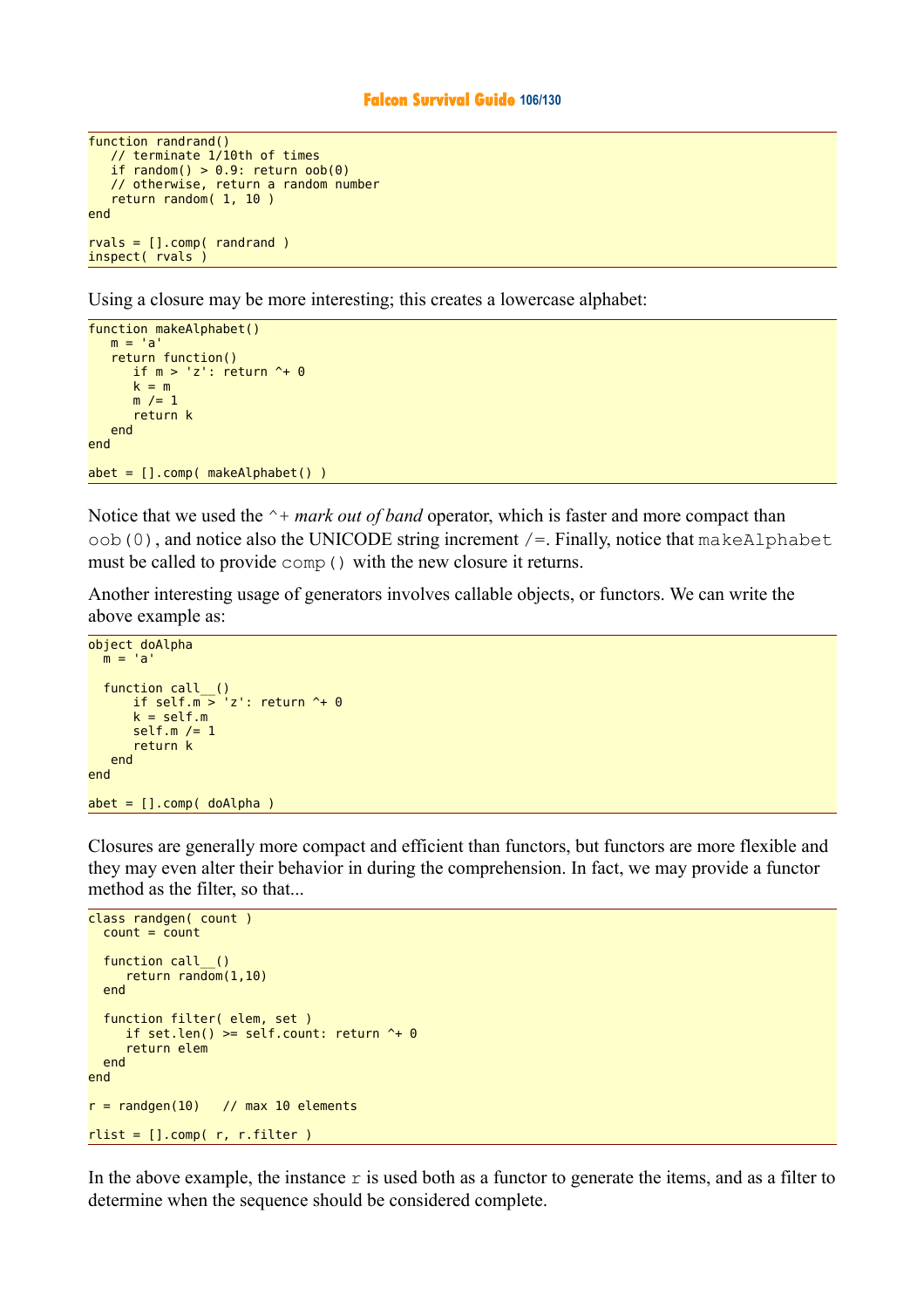#### **Falcon Survival Guide 106/130**

```
function randrand()
 // terminate 1/10th of times
if random() > 0.9: return \text{oob}(0) // otherwise, return a random number
    return random( 1, 10 )
end
rvals = [].comp(randrand)inspect( rvals )
```
Using a closure may be more interesting; this creates a lowercase alphabet:

```
function makeAlphabet()
   m = 'a' return function()
      if m > 'z': return \uparrow + 0k = mm /= 1
       return k
    end
end
abet = [].comp( makeAlphabet() )
```
Notice that we used the  $\gamma$ + *mark out of band* operator, which is faster and more compact than  $\circ$ ob(0), and notice also the UNICODE string increment /=. Finally, notice that makeAlphabet must be called to provide comp() with the new closure it returns.

Another interesting usage of generators involves callable objects, or functors. We can write the above example as:

```
object doAlpha
 m = 'a'function call_()
      if self.m > 'z': return \sim 0
      k = self.mself.m /= 1 return k
    end
end
abet = [].comp( doAlpha )
```
Closures are generally more compact and efficient than functors, but functors are more flexible and they may even alter their behavior in during the comprehension. In fact, we may provide a functor method as the filter, so that...

```
class randgen( count )
  count = countfunction call_()
      return random(1,10) 
   end
   function filter( elem, set )
    if set.len() >= self.count: return + 0 return elem
  end
end
r = randgen(10) // max 10 elements
rlist = [].comp( r, r.fiter )
```
In the above example, the instance  $r$  is used both as a functor to generate the items, and as a filter to determine when the sequence should be considered complete.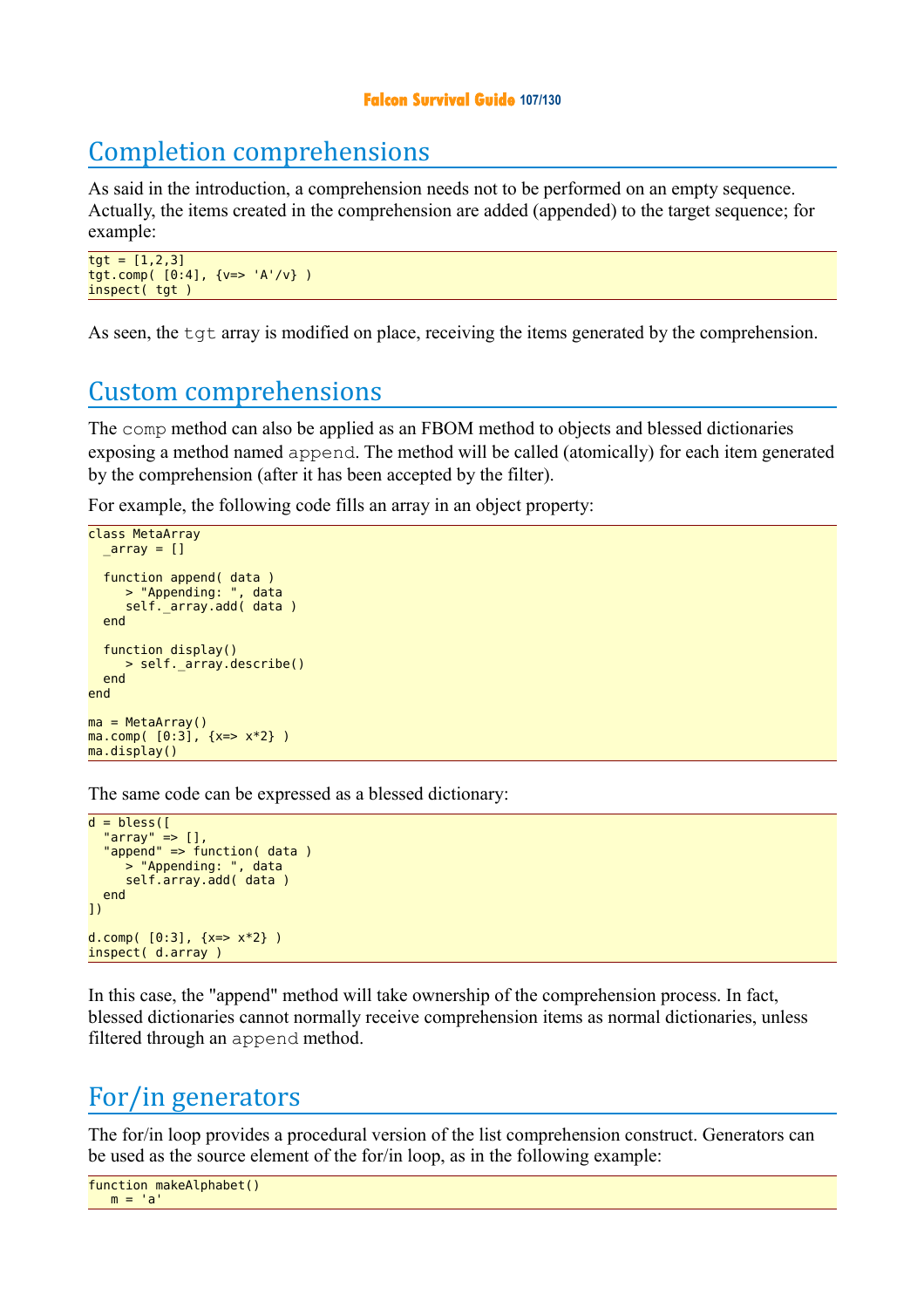## **Falcon Survival Guide 107/130**

# Completion comprehensions

As said in the introduction, a comprehension needs not to be performed on an empty sequence. Actually, the items created in the comprehension are added (appended) to the target sequence; for example:

```
tgt = [1, 2, 3]tgt.comp( [0:4], {v=> 'A'/v} )
inspect( tgt )
```
As seen, the tgt array is modified on place, receiving the items generated by the comprehension.

## Custom comprehensions

The comp method can also be applied as an FBOM method to objects and blessed dictionaries exposing a method named append. The method will be called (atomically) for each item generated by the comprehension (after it has been accepted by the filter).

For example, the following code fills an array in an object property:

```
class MetaArray
  _{array} = []
 function append( data )
 > "Appending: ", data
      self._array.add( data )
   end
   function display()
      > self._array.describe()
   end
end
ma = MetaArray()
ma.comp( [0:3], \{x = > x * 2\} )
ma.display()
```
The same code can be expressed as a blessed dictionary:

```
d = <b>bles</b> "array" => [],
 "append" => function( data )
      > "Appending: ", data
     self.array.add( data )
   end
])
d.comp( [0:3], \{x = > x * 2\} )
inspect( d.array )
```
In this case, the "append" method will take ownership of the comprehension process. In fact, blessed dictionaries cannot normally receive comprehension items as normal dictionaries, unless filtered through an append method.

## For/in generators

The for/in loop provides a procedural version of the list comprehension construct. Generators can be used as the source element of the for/in loop, as in the following example:

```
function makeAlphabet()
  m = 'a'
```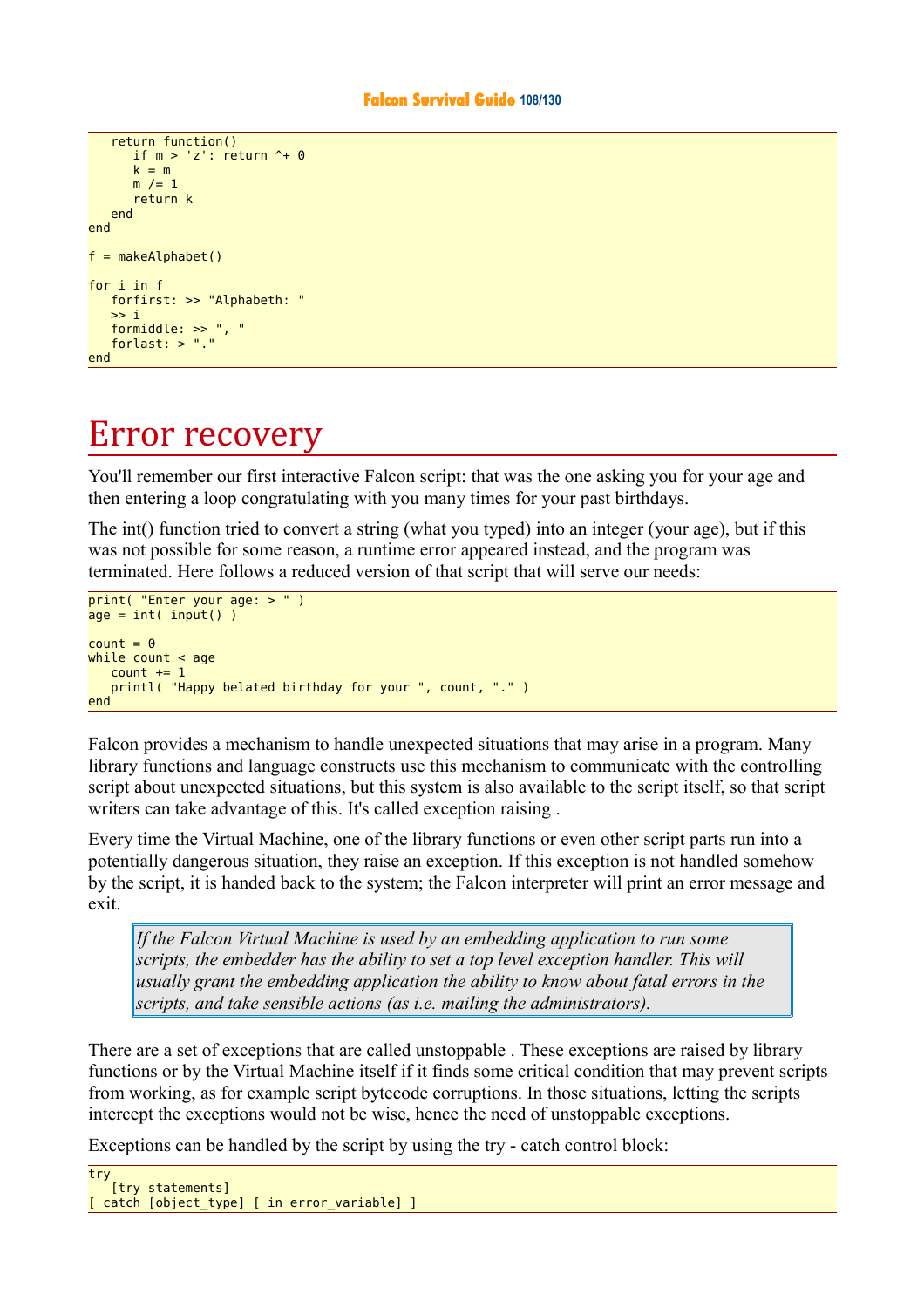```
 return function()
      if m > 'z': return \hat{ } + 0
      k = mm /= 1 return k
    end
end
f = makeAlphabet()for i in f
    forfirst: >> "Alphabeth: "
   \gg i formiddle: >> ", "
    forlast: > "."
end
```
# Error recovery

You'll remember our first interactive Falcon script: that was the one asking you for your age and then entering a loop congratulating with you many times for your past birthdays.

The int() function tried to convert a string (what you typed) into an integer (your age), but if this was not possible for some reason, a runtime error appeared instead, and the program was terminated. Here follows a reduced version of that script that will serve our needs:

```
print( "Enter your age: > " ) 
age = int( input() )count = 0while count < age
   count += 1 printl( "Happy belated birthday for your ", count, "." )
end
```
Falcon provides a mechanism to handle unexpected situations that may arise in a program. Many library functions and language constructs use this mechanism to communicate with the controlling script about unexpected situations, but this system is also available to the script itself, so that script writers can take advantage of this. It's called exception raising .

Every time the Virtual Machine, one of the library functions or even other script parts run into a potentially dangerous situation, they raise an exception. If this exception is not handled somehow by the script, it is handed back to the system; the Falcon interpreter will print an error message and exit.

*If the Falcon Virtual Machine is used by an embedding application to run some scripts, the embedder has the ability to set a top level exception handler. This will usually grant the embedding application the ability to know about fatal errors in the scripts, and take sensible actions (as i.e. mailing the administrators).* 

There are a set of exceptions that are called unstoppable . These exceptions are raised by library functions or by the Virtual Machine itself if it finds some critical condition that may prevent scripts from working, as for example script bytecode corruptions. In those situations, letting the scripts intercept the exceptions would not be wise, hence the need of unstoppable exceptions.

Exceptions can be handled by the script by using the try - catch control block:

```
try 
    [try statements]
[ catch [object_type] [ in error_variable] ]
```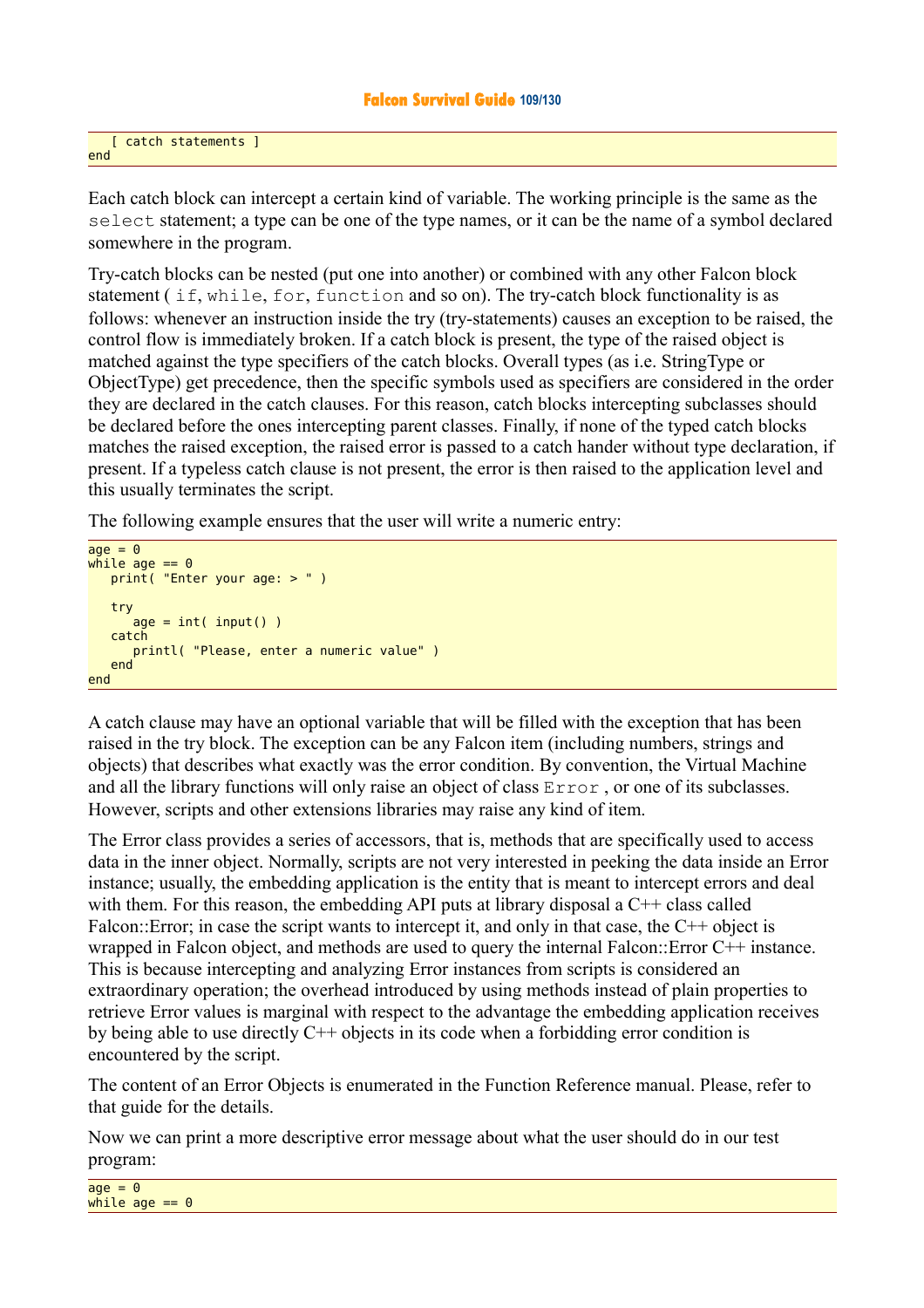[ catch statements ] end

Each catch block can intercept a certain kind of variable. The working principle is the same as the select statement; a type can be one of the type names, or it can be the name of a symbol declared somewhere in the program.

Try-catch blocks can be nested (put one into another) or combined with any other Falcon block statement ( if, while, for, function and so on). The try-catch block functionality is as follows: whenever an instruction inside the try (try-statements) causes an exception to be raised, the control flow is immediately broken. If a catch block is present, the type of the raised object is matched against the type specifiers of the catch blocks. Overall types (as i.e. StringType or ObjectType) get precedence, then the specific symbols used as specifiers are considered in the order they are declared in the catch clauses. For this reason, catch blocks intercepting subclasses should be declared before the ones intercepting parent classes. Finally, if none of the typed catch blocks matches the raised exception, the raised error is passed to a catch hander without type declaration, if present. If a typeless catch clause is not present, the error is then raised to the application level and this usually terminates the script.

The following example ensures that the user will write a numeric entry:

```
age = 0while age == 0 print( "Enter your age: > " )
    try 
      age = int( input() ) catch 
       printl( "Please, enter a numeric value" )
    end 
end
```
A catch clause may have an optional variable that will be filled with the exception that has been raised in the try block. The exception can be any Falcon item (including numbers, strings and objects) that describes what exactly was the error condition. By convention, the Virtual Machine and all the library functions will only raise an object of class Error , or one of its subclasses. However, scripts and other extensions libraries may raise any kind of item.

The Error class provides a series of accessors, that is, methods that are specifically used to access data in the inner object. Normally, scripts are not very interested in peeking the data inside an Error instance; usually, the embedding application is the entity that is meant to intercept errors and deal with them. For this reason, the embedding API puts at library disposal a  $C++$  class called Falcon::Error; in case the script wants to intercept it, and only in that case, the C++ object is wrapped in Falcon object, and methods are used to query the internal Falcon::Error C++ instance. This is because intercepting and analyzing Error instances from scripts is considered an extraordinary operation; the overhead introduced by using methods instead of plain properties to retrieve Error values is marginal with respect to the advantage the embedding application receives by being able to use directly C++ objects in its code when a forbidding error condition is encountered by the script.

The content of an Error Objects is enumerated in the Function Reference manual. Please, refer to that guide for the details.

Now we can print a more descriptive error message about what the user should do in our test program: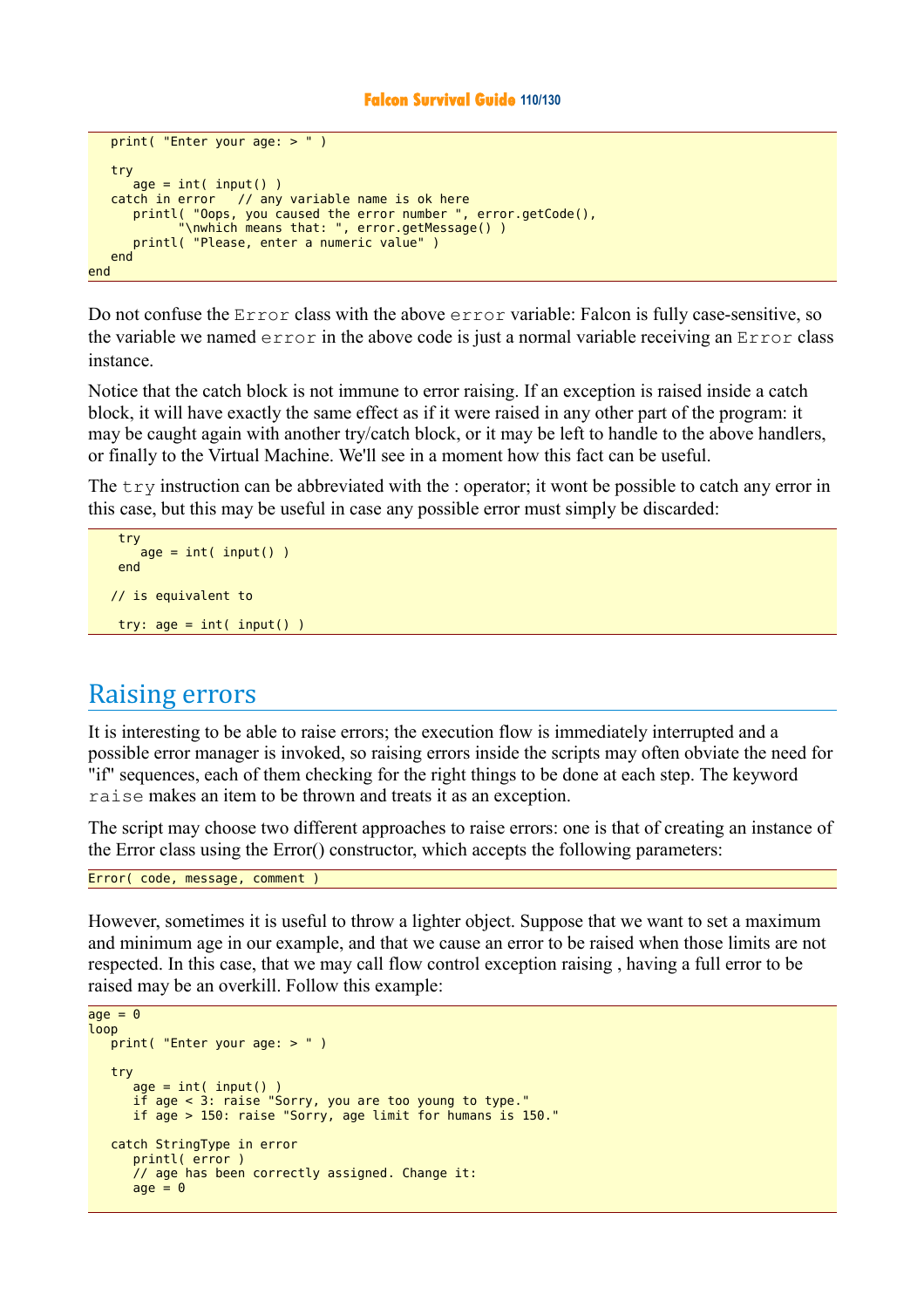#### **Falcon Survival Guide 110/130**

```
 print( "Enter your age: > " )
    try 
      \overline{a}ge = int( input())
    catch in error // any variable name is ok here
       printl( "Oops, you caused the error number ", error.getCode(),
              "\nwhich means that: ", error.getMessage() )
       printl( "Please, enter a numeric value" )
    end 
end
```
Do not confuse the Error class with the above error variable: Falcon is fully case-sensitive, so the variable we named  $error$  in the above code is just a normal variable receiving an  $Error$  class instance.

Notice that the catch block is not immune to error raising. If an exception is raised inside a catch block, it will have exactly the same effect as if it were raised in any other part of the program: it may be caught again with another try/catch block, or it may be left to handle to the above handlers, or finally to the Virtual Machine. We'll see in a moment how this fact can be useful.

The  $\pm \sqrt{r}$  instruction can be abbreviated with the : operator; it wont be possible to catch any error in this case, but this may be useful in case any possible error must simply be discarded:

```
 try 
    age = int( input()) end 
 // is equivalent to
try: age = int(iinput())
```
## Raising errors

It is interesting to be able to raise errors; the execution flow is immediately interrupted and a possible error manager is invoked, so raising errors inside the scripts may often obviate the need for "if" sequences, each of them checking for the right things to be done at each step. The keyword raise makes an item to be thrown and treats it as an exception.

The script may choose two different approaches to raise errors: one is that of creating an instance of the Error class using the Error() constructor, which accepts the following parameters:

Error( code, message, comment )

However, sometimes it is useful to throw a lighter object. Suppose that we want to set a maximum and minimum age in our example, and that we cause an error to be raised when those limits are not respected. In this case, that we may call flow control exception raising , having a full error to be raised may be an overkill. Follow this example:

```
age = 0loop
    print( "Enter your age: > " )
    try 
      age = int( input()) if age < 3: raise "Sorry, you are too young to type."
       if age > 150: raise "Sorry, age limit for humans is 150."
    catch StringType in error 
       printl( error )
       // age has been correctly assigned. Change it:
      age = 0
```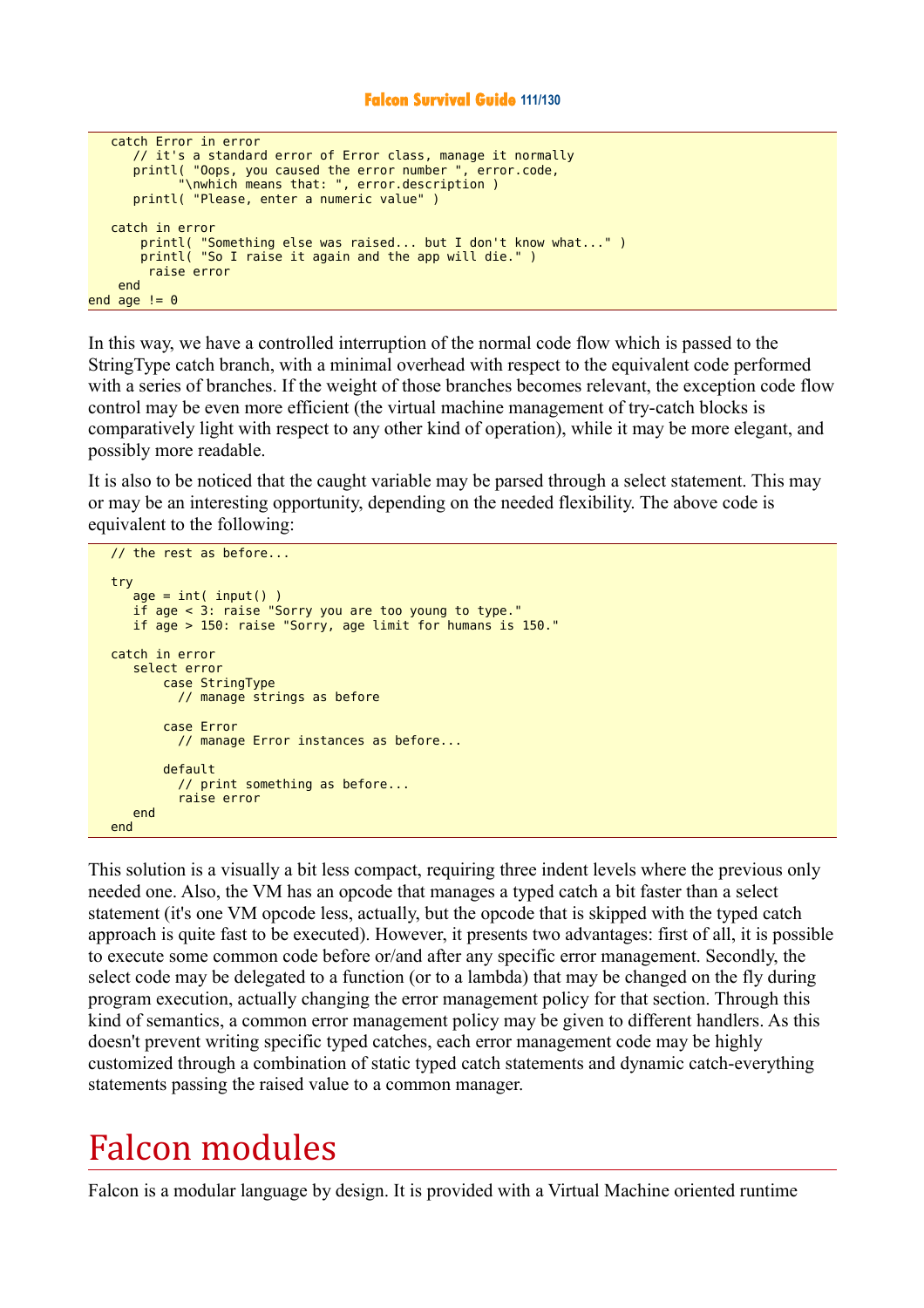```
 catch Error in error
      // it's a standard error of Error class, manage it normally
 printl( "Oops, you caused the error number ", error.code,
 "\nwhich means that: ", error.description )
      printl( "Please, enter a numeric value" )
    catch in error
 printl( "Something else was raised... but I don't know what..." )
 printl( "So I raise it again and the app will die." )
        raise error
    end 
end age != 0
```
In this way, we have a controlled interruption of the normal code flow which is passed to the StringType catch branch, with a minimal overhead with respect to the equivalent code performed with a series of branches. If the weight of those branches becomes relevant, the exception code flow control may be even more efficient (the virtual machine management of try-catch blocks is comparatively light with respect to any other kind of operation), while it may be more elegant, and possibly more readable.

It is also to be noticed that the caught variable may be parsed through a select statement. This may or may be an interesting opportunity, depending on the needed flexibility. The above code is equivalent to the following:

```
 // the rest as before...
   try
 age = int( input() )
 if age < 3: raise "Sorry you are too young to type."
      if age > 150: raise "Sorry, age limit for humans is 150."
   catch in error 
      select error
          case StringType
            // manage strings as before
           case Error
            // manage Error instances as before...
           default 
             // print something as before... 
             raise error
      end 
   end
```
This solution is a visually a bit less compact, requiring three indent levels where the previous only needed one. Also, the VM has an opcode that manages a typed catch a bit faster than a select statement (it's one VM opcode less, actually, but the opcode that is skipped with the typed catch approach is quite fast to be executed). However, it presents two advantages: first of all, it is possible to execute some common code before or/and after any specific error management. Secondly, the select code may be delegated to a function (or to a lambda) that may be changed on the fly during program execution, actually changing the error management policy for that section. Through this kind of semantics, a common error management policy may be given to different handlers. As this doesn't prevent writing specific typed catches, each error management code may be highly customized through a combination of static typed catch statements and dynamic catch-everything statements passing the raised value to a common manager.

# Falcon modules

Falcon is a modular language by design. It is provided with a Virtual Machine oriented runtime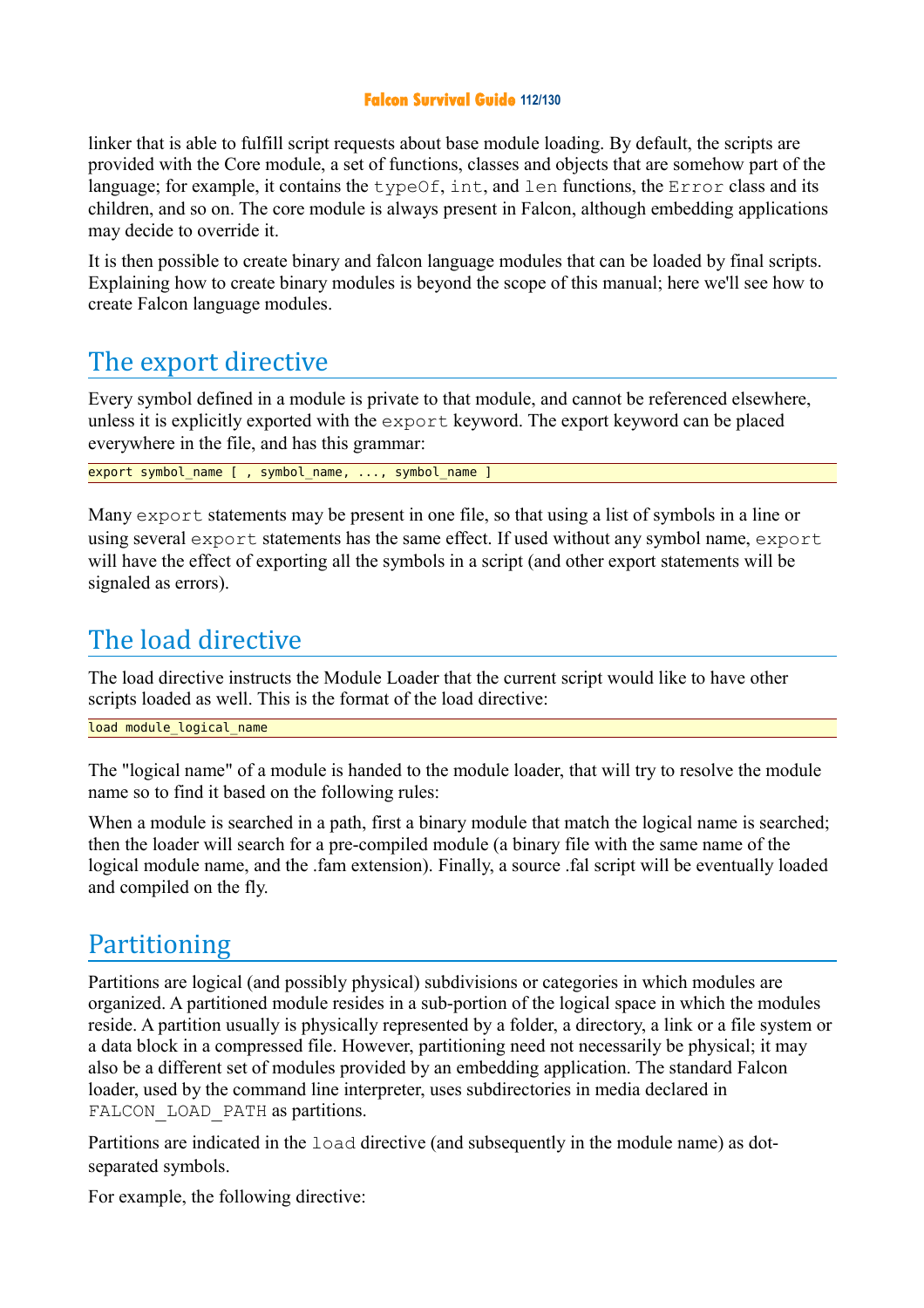### **Falcon Survival Guide 112/130**

linker that is able to fulfill script requests about base module loading. By default, the scripts are provided with the Core module, a set of functions, classes and objects that are somehow part of the language; for example, it contains the typeOf, int, and len functions, the Error class and its children, and so on. The core module is always present in Falcon, although embedding applications may decide to override it.

It is then possible to create binary and falcon language modules that can be loaded by final scripts. Explaining how to create binary modules is beyond the scope of this manual; here we'll see how to create Falcon language modules.

# The export directive

Every symbol defined in a module is private to that module, and cannot be referenced elsewhere, unless it is explicitly exported with the export keyword. The export keyword can be placed everywhere in the file, and has this grammar:

export symbol name [ , symbol name, ..., symbol name ]

Many export statements may be present in one file, so that using a list of symbols in a line or using several export statements has the same effect. If used without any symbol name, export will have the effect of exporting all the symbols in a script (and other export statements will be signaled as errors).

# The load directive

The load directive instructs the Module Loader that the current script would like to have other scripts loaded as well. This is the format of the load directive:

load module logical name

The "logical name" of a module is handed to the module loader, that will try to resolve the module name so to find it based on the following rules:

When a module is searched in a path, first a binary module that match the logical name is searched; then the loader will search for a pre-compiled module (a binary file with the same name of the logical module name, and the .fam extension). Finally, a source .fal script will be eventually loaded and compiled on the fly.

# Partitioning

Partitions are logical (and possibly physical) subdivisions or categories in which modules are organized. A partitioned module resides in a sub-portion of the logical space in which the modules reside. A partition usually is physically represented by a folder, a directory, a link or a file system or a data block in a compressed file. However, partitioning need not necessarily be physical; it may also be a different set of modules provided by an embedding application. The standard Falcon loader, used by the command line interpreter, uses subdirectories in media declared in FALCON LOAD PATH as partitions.

Partitions are indicated in the load directive (and subsequently in the module name) as dotseparated symbols.

For example, the following directive: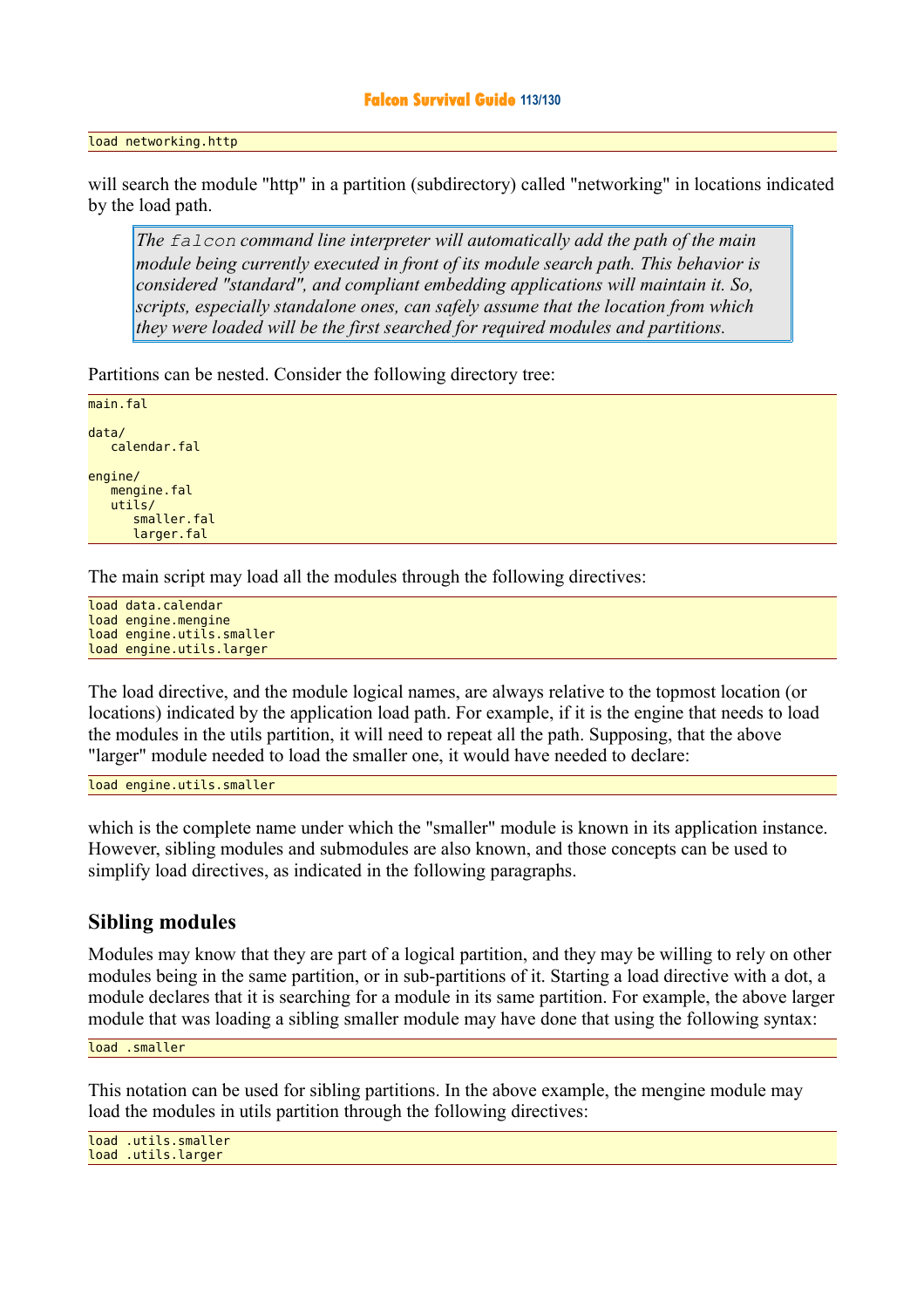#### **Falcon Survival Guide 113/130**

#### load networking.http

will search the module "http" in a partition (subdirectory) called "networking" in locations indicated by the load path.

*The falcon command line interpreter will automatically add the path of the main module being currently executed in front of its module search path. This behavior is considered "standard", and compliant embedding applications will maintain it. So, scripts, especially standalone ones, can safely assume that the location from which they were loaded will be the first searched for required modules and partitions.*

Partitions can be nested. Consider the following directory tree:

```
main.fal 
data/ 
    calendar.fal
engine/ 
    mengine.fal
    utils/
        smaller.fal
        larger.fal
```
The main script may load all the modules through the following directives:

load data.calendar load engine.mengine load engine.utils.smaller load engine.utils.larger

The load directive, and the module logical names, are always relative to the topmost location (or locations) indicated by the application load path. For example, if it is the engine that needs to load the modules in the utils partition, it will need to repeat all the path. Supposing, that the above "larger" module needed to load the smaller one, it would have needed to declare:

load engine.utils.smaller

which is the complete name under which the "smaller" module is known in its application instance. However, sibling modules and submodules are also known, and those concepts can be used to simplify load directives, as indicated in the following paragraphs.

### **Sibling modules**

Modules may know that they are part of a logical partition, and they may be willing to rely on other modules being in the same partition, or in sub-partitions of it. Starting a load directive with a dot, a module declares that it is searching for a module in its same partition. For example, the above larger module that was loading a sibling smaller module may have done that using the following syntax:

load .smaller

This notation can be used for sibling partitions. In the above example, the mengine module may load the modules in utils partition through the following directives:

load .utils.smaller load .utils.larger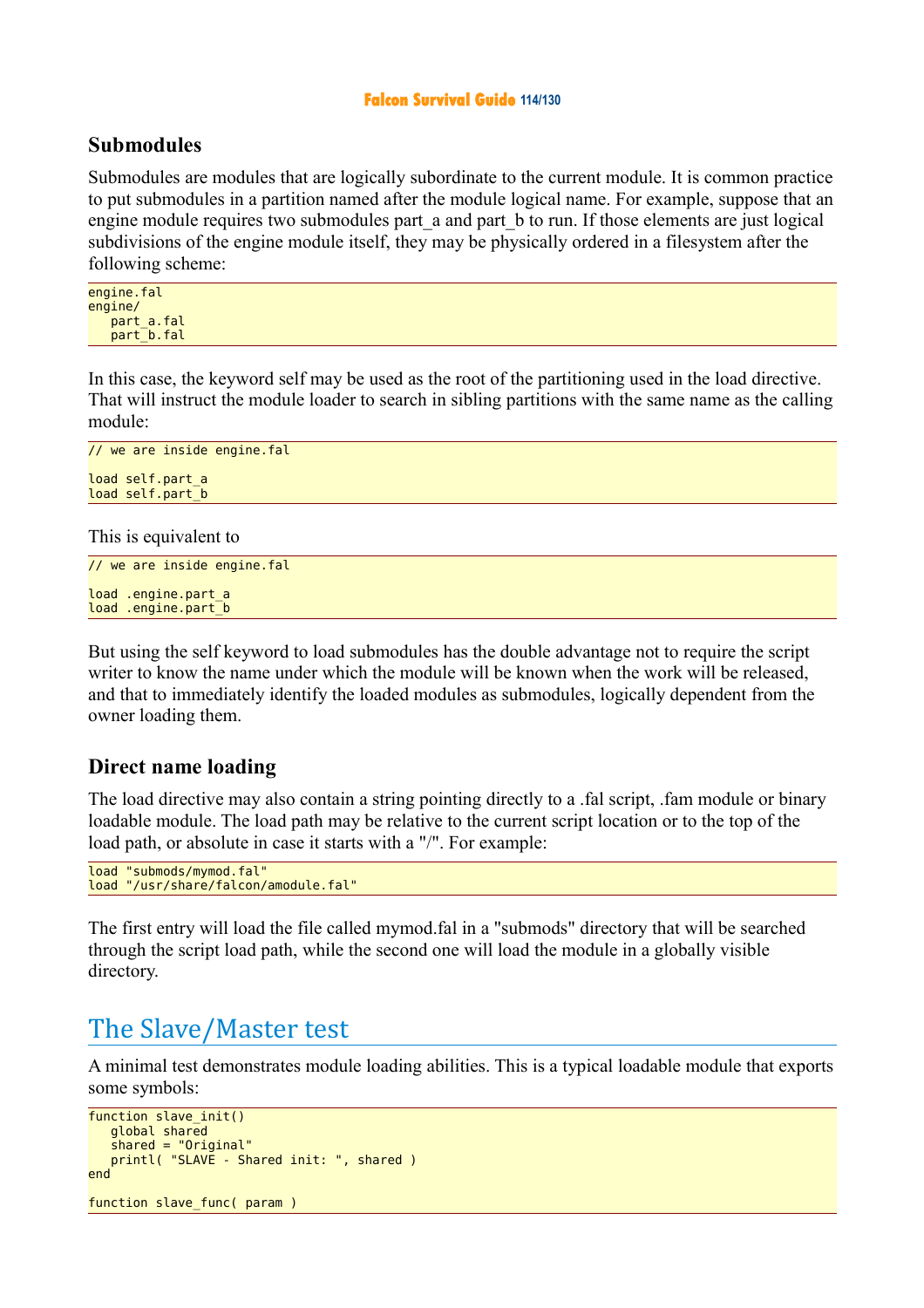#### **Falcon Survival Guide 114/130**

### **Submodules**

Submodules are modules that are logically subordinate to the current module. It is common practice to put submodules in a partition named after the module logical name. For example, suppose that an engine module requires two submodules part a and part b to run. If those elements are just logical subdivisions of the engine module itself, they may be physically ordered in a filesystem after the following scheme:

engine.fal engine/ part a.fal part b.fal

In this case, the keyword self may be used as the root of the partitioning used in the load directive. That will instruct the module loader to search in sibling partitions with the same name as the calling module:

```
// we are inside engine.fal 
load self.part_a 
load self.part_b
```
This is equivalent to

```
// we are inside engine.fal 
load .engine.part_a 
load .engine.part_b
```
But using the self keyword to load submodules has the double advantage not to require the script writer to know the name under which the module will be known when the work will be released, and that to immediately identify the loaded modules as submodules, logically dependent from the owner loading them.

### **Direct name loading**

The load directive may also contain a string pointing directly to a .fal script, .fam module or binary loadable module. The load path may be relative to the current script location or to the top of the load path, or absolute in case it starts with a "/". For example:

```
load "submods/mymod.fal" 
load "/usr/share/falcon/amodule.fal"
```
The first entry will load the file called mymod.fal in a "submods" directory that will be searched through the script load path, while the second one will load the module in a globally visible directory.

# The Slave/Master test

A minimal test demonstrates module loading abilities. This is a typical loadable module that exports some symbols:

```
function slave init()
    global shared 
    shared = "Original"
    printl( "SLAVE - Shared init: ", shared )
end 
function slave func( param )
```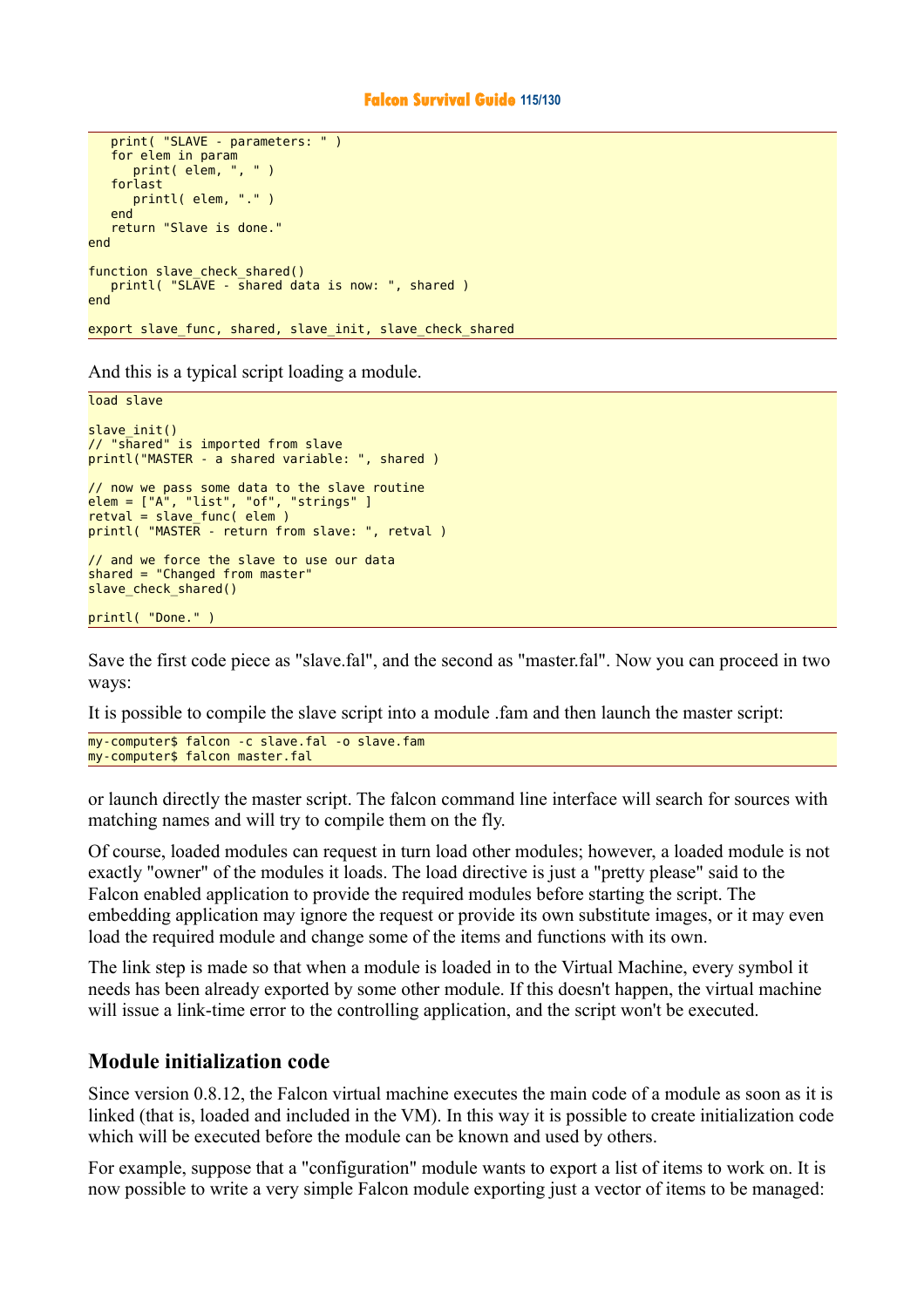#### **Falcon Survival Guide 115/130**

```
 print( "SLAVE - parameters: " )
    for elem in param
       print( elem, ", " )
    forlast 
       printl( elem, "." )
    end 
    return "Slave is done."
end 
function slave_check_shared()
    printl( "SLAVE - shared data is now: ", shared )
end 
export slave_func, shared, slave_init, slave_check_shared
```
And this is a typical script loading a module.

```
load slave
slave_init() 
// "shared" is imported from slave 
printl("MASTER - a shared variable: ", shared ) 
// now we pass some data to the slave routine 
elem = ["A", "list", "of", "strings" ] 
retval = slave func( elem )
printl( "MASTER - return from slave: ", retval ) 
// and we force the slave to use our data 
shared = "Changed from master" 
slave check shared()
printl( "Done." )
```
Save the first code piece as "slave.fal", and the second as "master.fal". Now you can proceed in two ways:

It is possible to compile the slave script into a module .fam and then launch the master script:

```
my-computer$ falcon -c slave.fal -o slave.fam
my-computer$ falcon master.fal
```
or launch directly the master script. The falcon command line interface will search for sources with matching names and will try to compile them on the fly.

Of course, loaded modules can request in turn load other modules; however, a loaded module is not exactly "owner" of the modules it loads. The load directive is just a "pretty please" said to the Falcon enabled application to provide the required modules before starting the script. The embedding application may ignore the request or provide its own substitute images, or it may even load the required module and change some of the items and functions with its own.

The link step is made so that when a module is loaded in to the Virtual Machine, every symbol it needs has been already exported by some other module. If this doesn't happen, the virtual machine will issue a link-time error to the controlling application, and the script won't be executed.

### **Module initialization code**

Since version 0.8.12, the Falcon virtual machine executes the main code of a module as soon as it is linked (that is, loaded and included in the VM). In this way it is possible to create initialization code which will be executed before the module can be known and used by others.

For example, suppose that a "configuration" module wants to export a list of items to work on. It is now possible to write a very simple Falcon module exporting just a vector of items to be managed: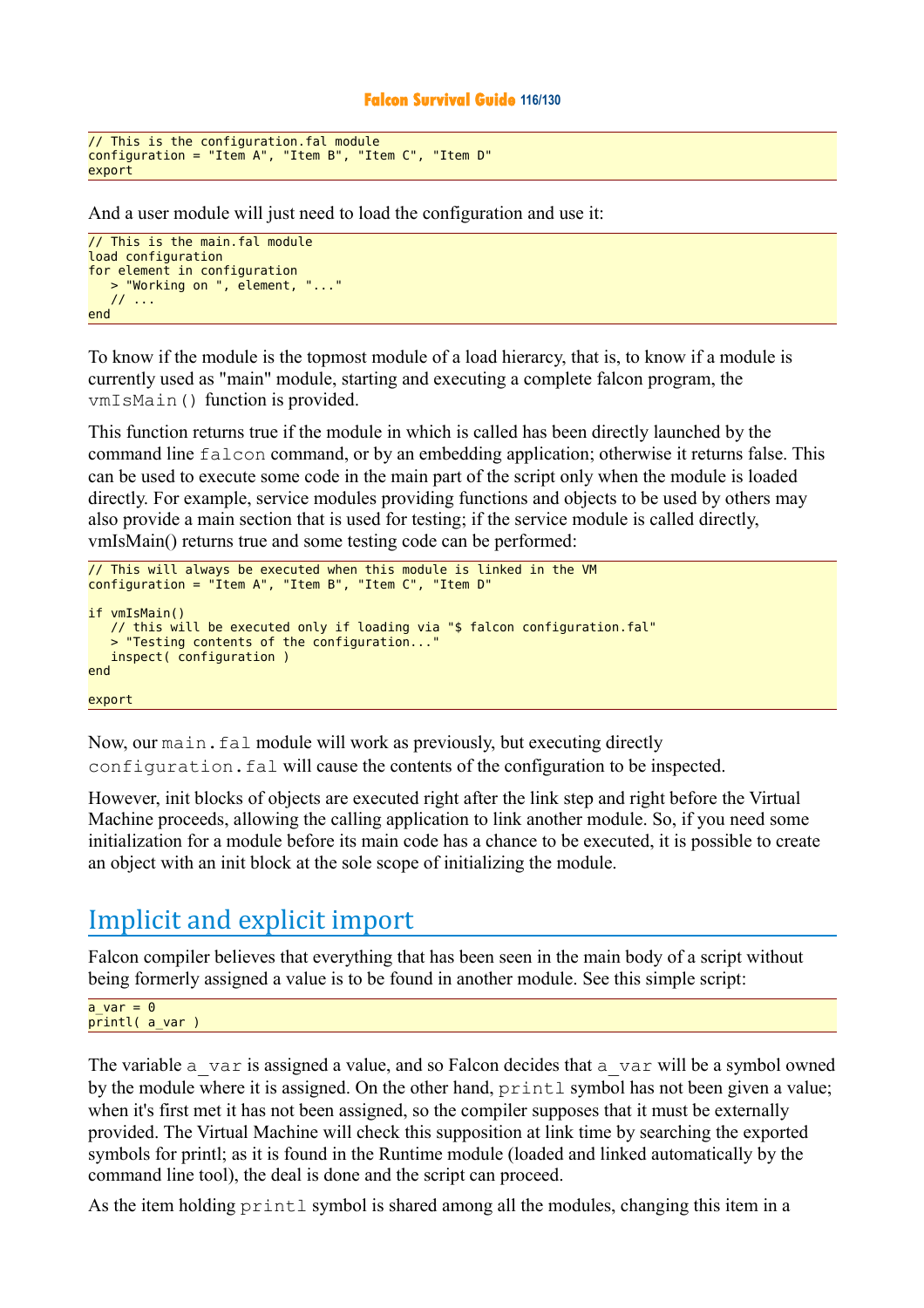#### **Falcon Survival Guide 116/130**

```
// This is the configuration.fal module 
configuration = "Item A", "Item B", "Item C", "Item D" 
export
```
And a user module will just need to load the configuration and use it:

```
// This is the main.fal module 
load configuration
for element in configuration
   > "Working on ", element, "..."
    // ...
end
```
To know if the module is the topmost module of a load hierarcy, that is, to know if a module is currently used as "main" module, starting and executing a complete falcon program, the vmIsMain() function is provided.

This function returns true if the module in which is called has been directly launched by the command line falcon command, or by an embedding application; otherwise it returns false. This can be used to execute some code in the main part of the script only when the module is loaded directly. For example, service modules providing functions and objects to be used by others may also provide a main section that is used for testing; if the service module is called directly, vmIsMain() returns true and some testing code can be performed:

```
// This will always be executed when this module is linked in the VM 
configuration = "Item A", "Item B", "Item C", "Item D" 
if vmIsMain() 
    // this will be executed only if loading via "$ falcon configuration.fal"
    "Testing contents of the configuration...
    inspect( configuration )
end 
export
```
Now, our main.fal module will work as previously, but executing directly configuration.fal will cause the contents of the configuration to be inspected.

However, init blocks of objects are executed right after the link step and right before the Virtual Machine proceeds, allowing the calling application to link another module. So, if you need some initialization for a module before its main code has a chance to be executed, it is possible to create an object with an init block at the sole scope of initializing the module.

# Implicit and explicit import

Falcon compiler believes that everything that has been seen in the main body of a script without being formerly assigned a value is to be found in another module. See this simple script:

a var =  $\theta$ printl( a\_var )

The variable  $a$  var is assigned a value, and so Falcon decides that  $a$  var will be a symbol owned by the module where it is assigned. On the other hand, printl symbol has not been given a value; when it's first met it has not been assigned, so the compiler supposes that it must be externally provided. The Virtual Machine will check this supposition at link time by searching the exported symbols for printl; as it is found in the Runtime module (loaded and linked automatically by the command line tool), the deal is done and the script can proceed.

As the item holding  $print \text{ symbol}$  is shared among all the modules, changing this item in a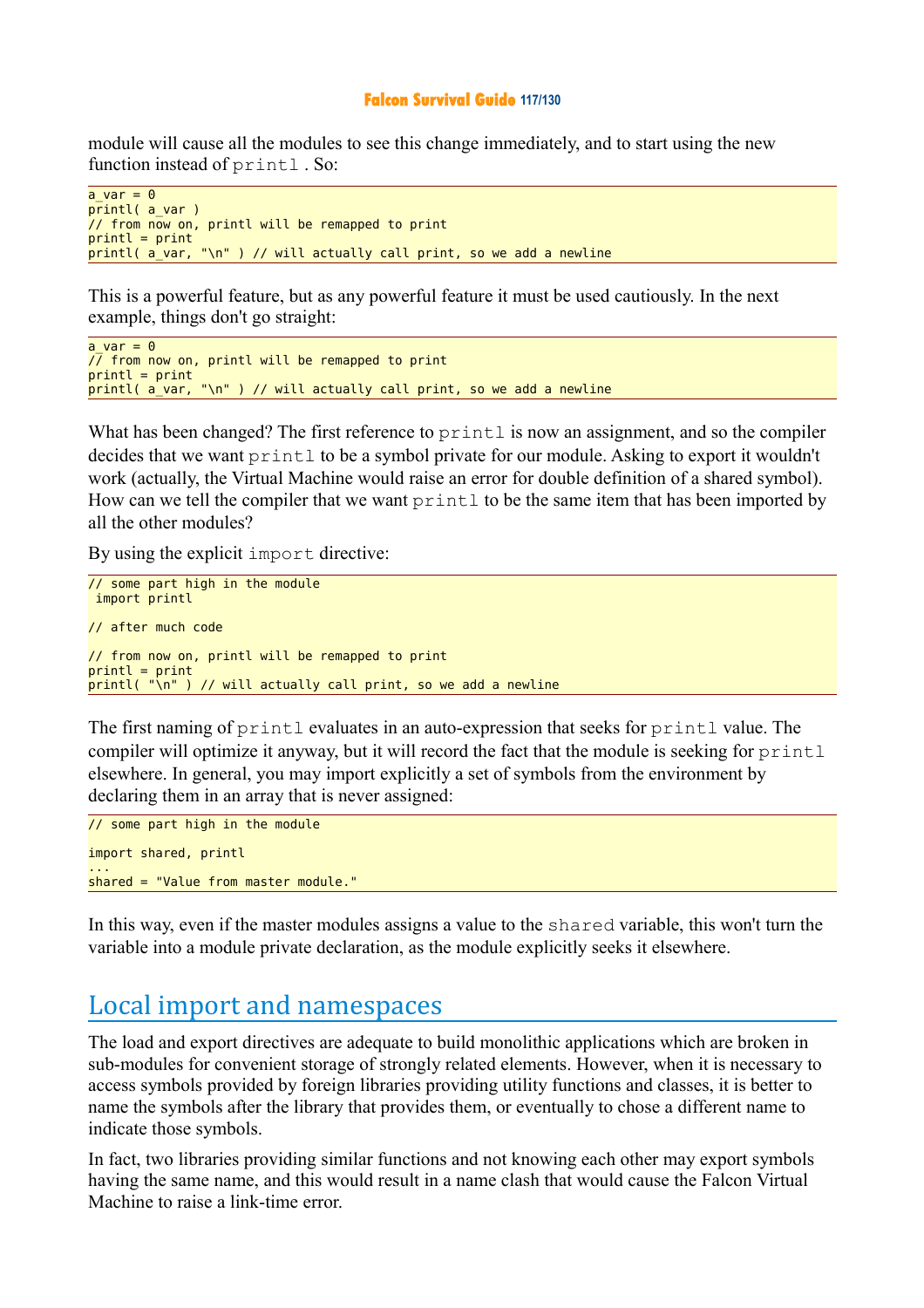#### **Falcon Survival Guide 117/130**

module will cause all the modules to see this change immediately, and to start using the new function instead of printl . So:

```
a var = \theta\overline{print} ( a var )
7/ from now on, printl will be remapped to print
printl = print 
printl( a_var, "\n" ) // will actually call print, so we add a newline
```
This is a powerful feature, but as any powerful feature it must be used cautiously. In the next example, things don't go straight:

```
a var = 0\sqrt{7} from now on, printl will be remapped to print
print = printprint( a var, "n") // will actually call print, so we add a newline
```
What has been changed? The first reference to printl is now an assignment, and so the compiler decides that we want printl to be a symbol private for our module. Asking to export it wouldn't work (actually, the Virtual Machine would raise an error for double definition of a shared symbol). How can we tell the compiler that we want  $\text{print}1$  to be the same item that has been imported by all the other modules?

By using the explicit import directive:

```
// some part high in the module 
 import printl 
// after much code 
// from now on, printl will be remapped to print 
print = printprint( "\n" ) // will actually call print, so we add a newline
```
The first naming of printl evaluates in an auto-expression that seeks for printl value. The compiler will optimize it anyway, but it will record the fact that the module is seeking for printl elsewhere. In general, you may import explicitly a set of symbols from the environment by declaring them in an array that is never assigned:

```
// some part high in the module 
import shared, printl
... 
shared = "Value from master module."
```
In this way, even if the master modules assigns a value to the shared variable, this won't turn the variable into a module private declaration, as the module explicitly seeks it elsewhere.

## Local import and namespaces

The load and export directives are adequate to build monolithic applications which are broken in sub-modules for convenient storage of strongly related elements. However, when it is necessary to access symbols provided by foreign libraries providing utility functions and classes, it is better to name the symbols after the library that provides them, or eventually to chose a different name to indicate those symbols.

In fact, two libraries providing similar functions and not knowing each other may export symbols having the same name, and this would result in a name clash that would cause the Falcon Virtual Machine to raise a link-time error.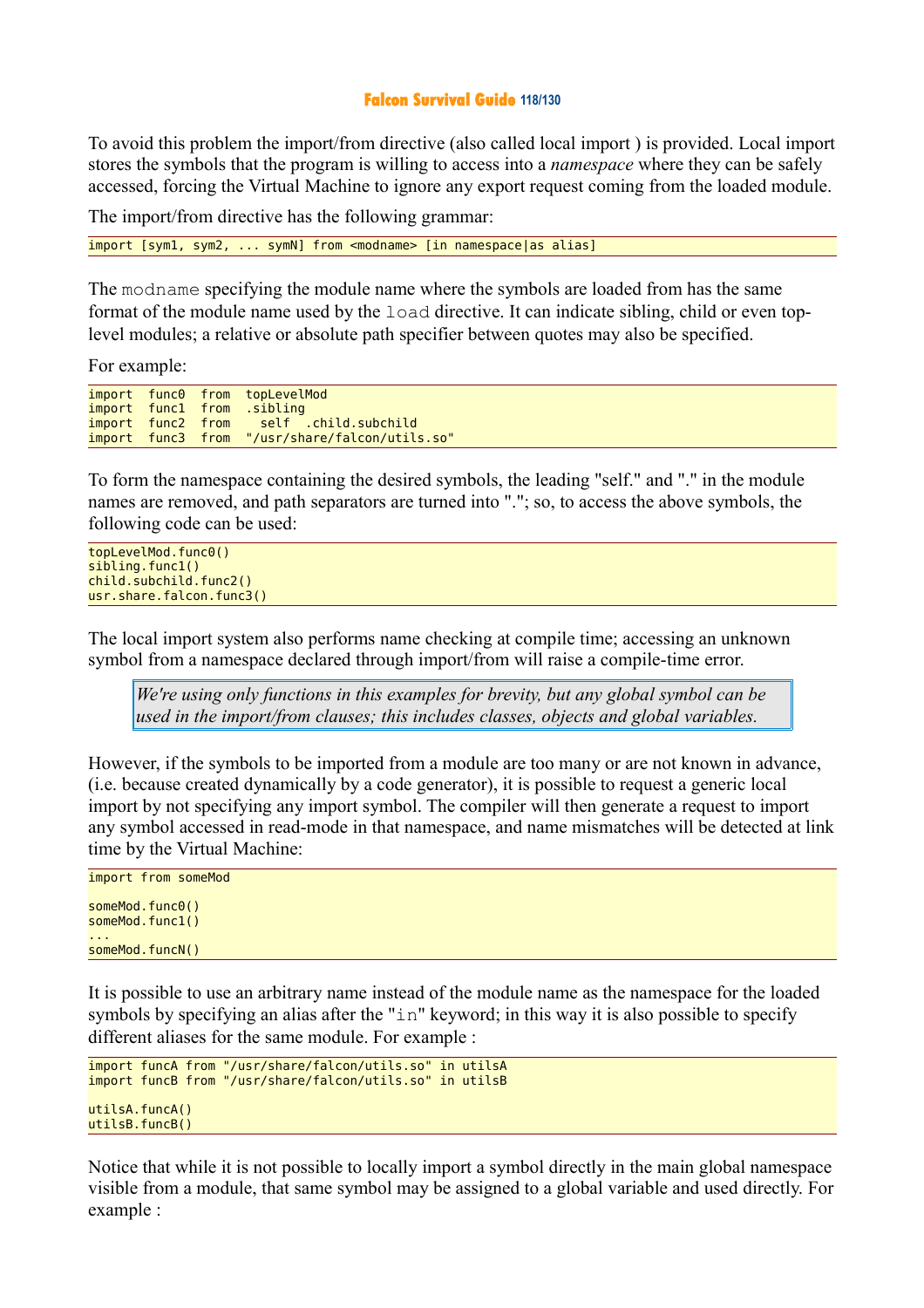#### **Falcon Survival Guide 118/130**

To avoid this problem the import/from directive (also called local import ) is provided. Local import stores the symbols that the program is willing to access into a *namespace* where they can be safely accessed, forcing the Virtual Machine to ignore any export request coming from the loaded module.

The import/from directive has the following grammar:

import [sym1, sym2, ... symN] from <modname> [in namespace|as alias]

The modname specifying the module name where the symbols are loaded from has the same format of the module name used by the load directive. It can indicate sibling, child or even toplevel modules; a relative or absolute path specifier between quotes may also be specified.

For example:

|  | import func0 from topLevelMod                  |
|--|------------------------------------------------|
|  | import funcl from sibling                      |
|  | import func2 from self .child.subchild         |
|  | import func3 from "/usr/share/falcon/utils.so" |

To form the namespace containing the desired symbols, the leading "self." and "." in the module names are removed, and path separators are turned into "."; so, to access the above symbols, the following code can be used:

```
topLevelMod.func0() 
sibling.func1()
child.subchild.func2()
usr.share.falcon.func3()
```
The local import system also performs name checking at compile time; accessing an unknown symbol from a namespace declared through import/from will raise a compile-time error.

*We're using only functions in this examples for brevity, but any global symbol can be used in the import/from clauses; this includes classes, objects and global variables.* 

However, if the symbols to be imported from a module are too many or are not known in advance, (i.e. because created dynamically by a code generator), it is possible to request a generic local import by not specifying any import symbol. The compiler will then generate a request to import any symbol accessed in read-mode in that namespace, and name mismatches will be detected at link time by the Virtual Machine:

```
import from someMod 
someMod.func0()
someMod.func1()
... 
someMod.funcN()
```
It is possible to use an arbitrary name instead of the module name as the namespace for the loaded symbols by specifying an alias after the "in" keyword; in this way it is also possible to specify different aliases for the same module. For example :

```
import funcA from "/usr/share/falcon/utils.so" in utilsA 
import funcB from "/usr/share/falcon/utils.so" in utilsB 
u \cdot \text{diag}(A)utilsB.funcB()
```
Notice that while it is not possible to locally import a symbol directly in the main global namespace visible from a module, that same symbol may be assigned to a global variable and used directly. For example :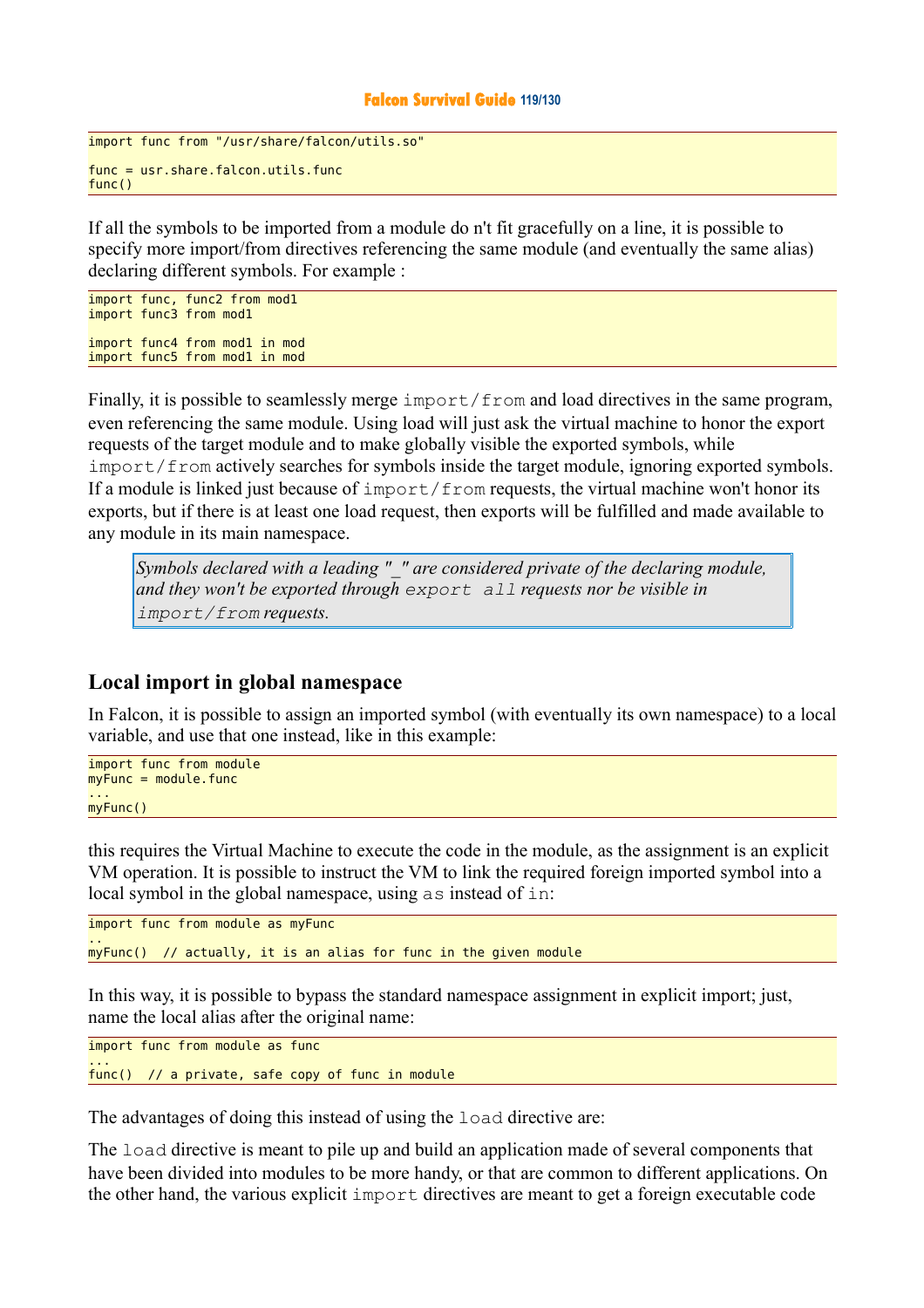#### **Falcon Survival Guide 119/130**

```
import func from "/usr/share/falcon/utils.so" 
func = usr.share.falcon.utils.func 
func()
```
If all the symbols to be imported from a module do n't fit gracefully on a line, it is possible to specify more import/from directives referencing the same module (and eventually the same alias) declaring different symbols. For example :

```
import func, func2 from mod1 
import func3 from mod1 
import func4 from mod1 in mod 
import func5 from mod1 in mod
```
Finally, it is possible to seamlessly merge import  $/$  from and load directives in the same program, even referencing the same module. Using load will just ask the virtual machine to honor the export requests of the target module and to make globally visible the exported symbols, while import/from actively searches for symbols inside the target module, ignoring exported symbols. If a module is linked just because of import/from requests, the virtual machine won't honor its exports, but if there is at least one load request, then exports will be fulfilled and made available to any module in its main namespace.

*Symbols declared with a leading "\_" are considered private of the declaring module, and they won't be exported through export all requests nor be visible in import/from requests.* 

### **Local import in global namespace**

In Falcon, it is possible to assign an imported symbol (with eventually its own namespace) to a local variable, and use that one instead, like in this example:

```
import func from module
myFunc = module.find... 
myFunc()
```
this requires the Virtual Machine to execute the code in the module, as the assignment is an explicit VM operation. It is possible to instruct the VM to link the required foreign imported symbol into a local symbol in the global namespace, using as instead of in:

```
import func from module as myFunc
.. 
myFunc() // actually, it is an alias for func in the given module
```
In this way, it is possible to bypass the standard namespace assignment in explicit import; just, name the local alias after the original name:

import func from module as func ... func() // a private, safe copy of func in module

The advantages of doing this instead of using the load directive are:

The load directive is meant to pile up and build an application made of several components that have been divided into modules to be more handy, or that are common to different applications. On the other hand, the various explicit import directives are meant to get a foreign executable code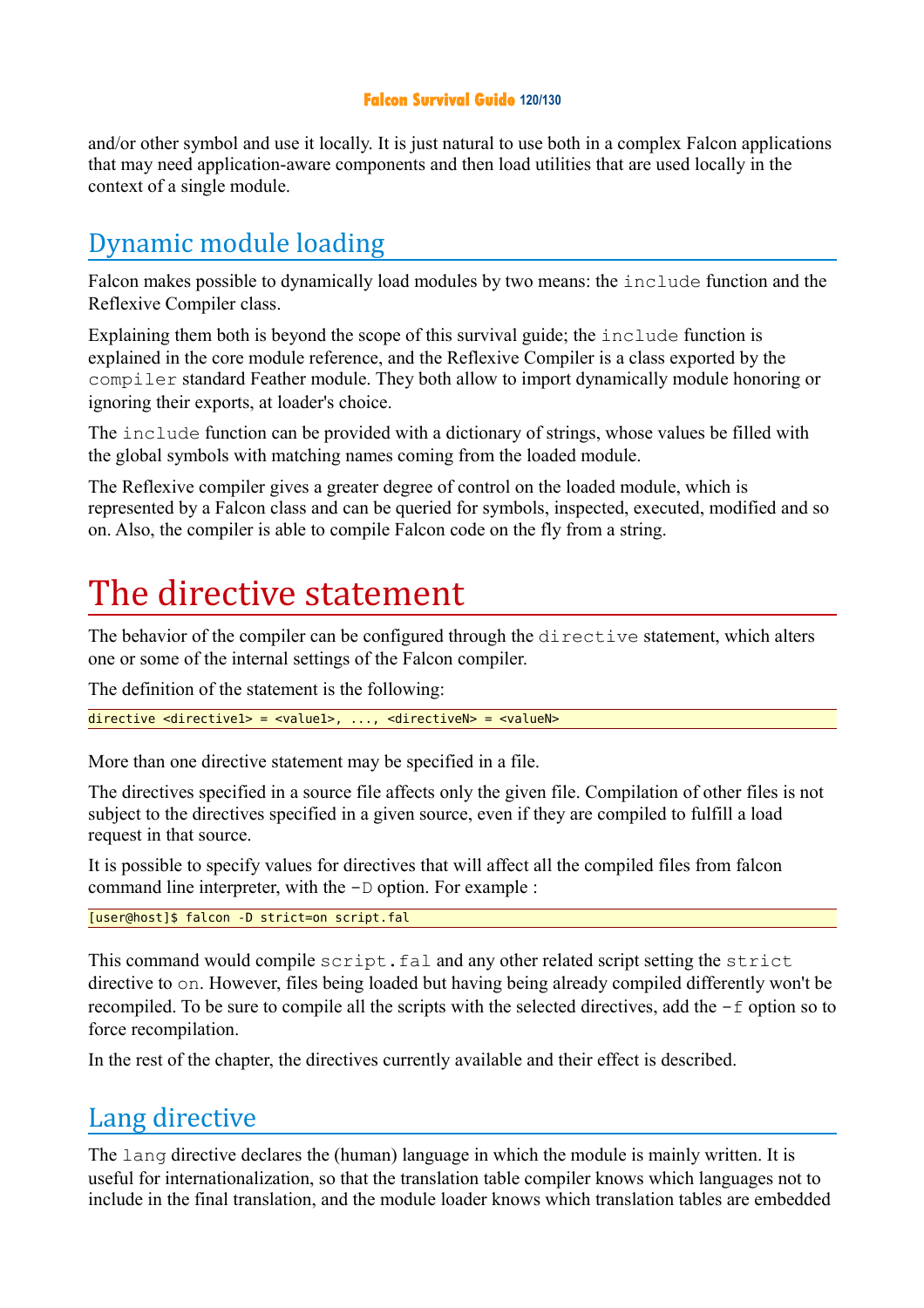### **Falcon Survival Guide 120/130**

and/or other symbol and use it locally. It is just natural to use both in a complex Falcon applications that may need application-aware components and then load utilities that are used locally in the context of a single module.

# Dynamic module loading

Falcon makes possible to dynamically load modules by two means: the include function and the Reflexive Compiler class.

Explaining them both is beyond the scope of this survival guide; the include function is explained in the core module reference, and the Reflexive Compiler is a class exported by the compiler standard Feather module. They both allow to import dynamically module honoring or ignoring their exports, at loader's choice.

The include function can be provided with a dictionary of strings, whose values be filled with the global symbols with matching names coming from the loaded module.

The Reflexive compiler gives a greater degree of control on the loaded module, which is represented by a Falcon class and can be queried for symbols, inspected, executed, modified and so on. Also, the compiler is able to compile Falcon code on the fly from a string.

# The directive statement

The behavior of the compiler can be configured through the directive statement, which alters one or some of the internal settings of the Falcon compiler.

The definition of the statement is the following:

 $\frac{d}{dx}$  directive <directive1> = <valueN> = <valueN>

More than one directive statement may be specified in a file.

The directives specified in a source file affects only the given file. Compilation of other files is not subject to the directives specified in a given source, even if they are compiled to fulfill a load request in that source.

It is possible to specify values for directives that will affect all the compiled files from falcon command line interpreter, with the -D option. For example :

[user@host]\$ falcon -D strict=on script.fal

This command would compile script.fal and any other related script setting the strict directive to on. However, files being loaded but having being already compiled differently won't be recompiled. To be sure to compile all the scripts with the selected directives, add the -f option so to force recompilation.

In the rest of the chapter, the directives currently available and their effect is described.

# Lang directive

The lang directive declares the (human) language in which the module is mainly written. It is useful for internationalization, so that the translation table compiler knows which languages not to include in the final translation, and the module loader knows which translation tables are embedded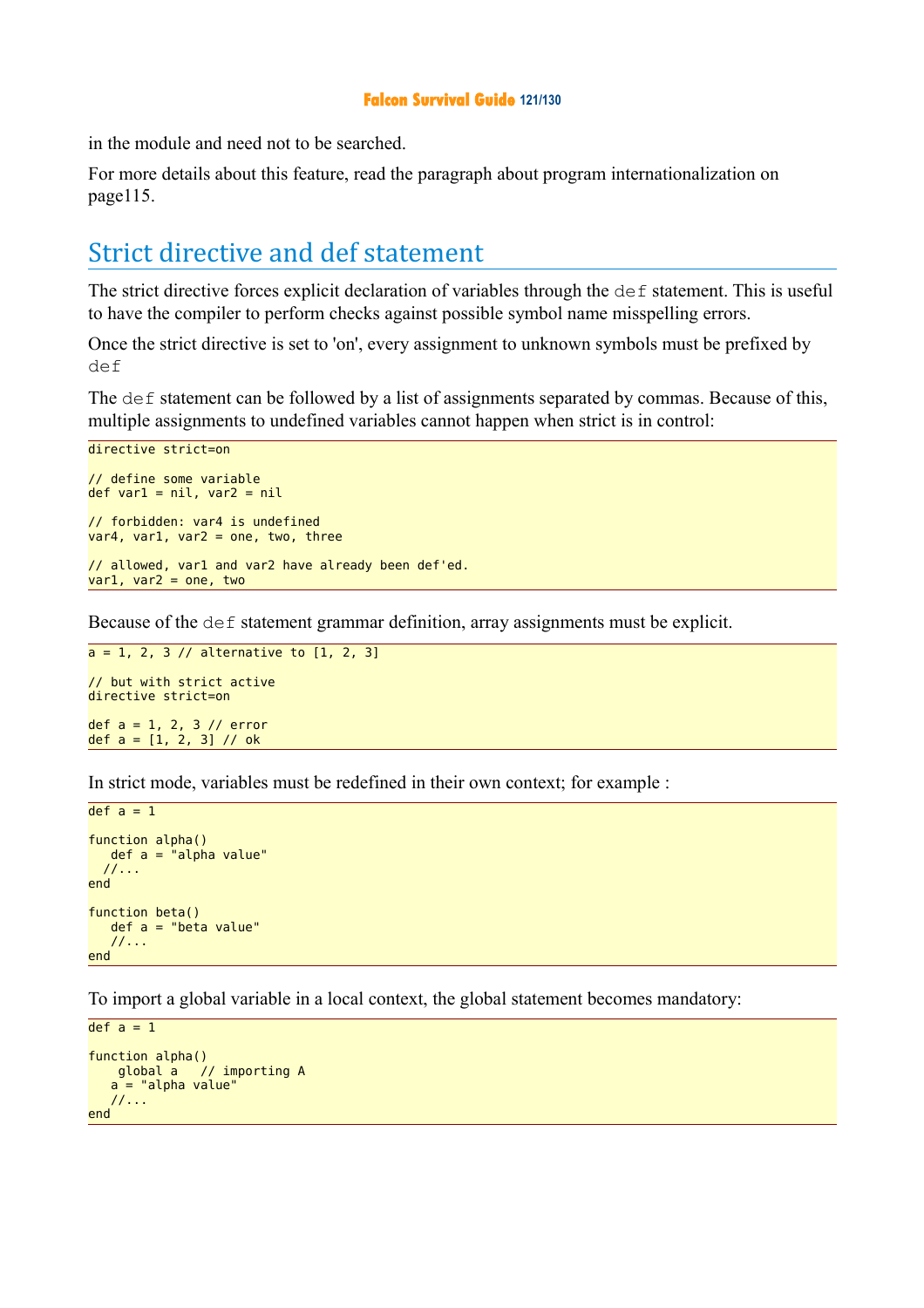#### **Falcon Survival Guide 121/130**

in the module and need not to be searched.

For more details about this feature, read the paragraph about program internationalization on page115.

# Strict directive and def statement

The strict directive forces explicit declaration of variables through the def statement. This is useful to have the compiler to perform checks against possible symbol name misspelling errors.

Once the strict directive is set to 'on', every assignment to unknown symbols must be prefixed by def

The def statement can be followed by a list of assignments separated by commas. Because of this, multiple assignments to undefined variables cannot happen when strict is in control:

```
directive strict=on
// define some variable 
def var1 = nil, var2 = nil// forbidden: var4 is undefined 
var4, var1, var2 = one, two, three
// allowed, var1 and var2 have already been def'ed. 
var1, var2 = one, two
```
Because of the def statement grammar definition, array assignments must be explicit.

```
a = 1, 2, 3 // alternative to [1, 2, 3]// but with strict active 
directive strict=on
def a = 1, 2, 3 // error
def a = [1, 2, 3] // ok
```
In strict mode, variables must be redefined in their own context; for example :

```
def a = 1function alpha()
   def a = "alpha value"
   //...
end 
function beta()
    def a = "beta value"
    //...
end
```
To import a global variable in a local context, the global statement becomes mandatory:

```
def a = 1function alpha()
    global a // importing A
   a = "alpha value"
    //...
end
```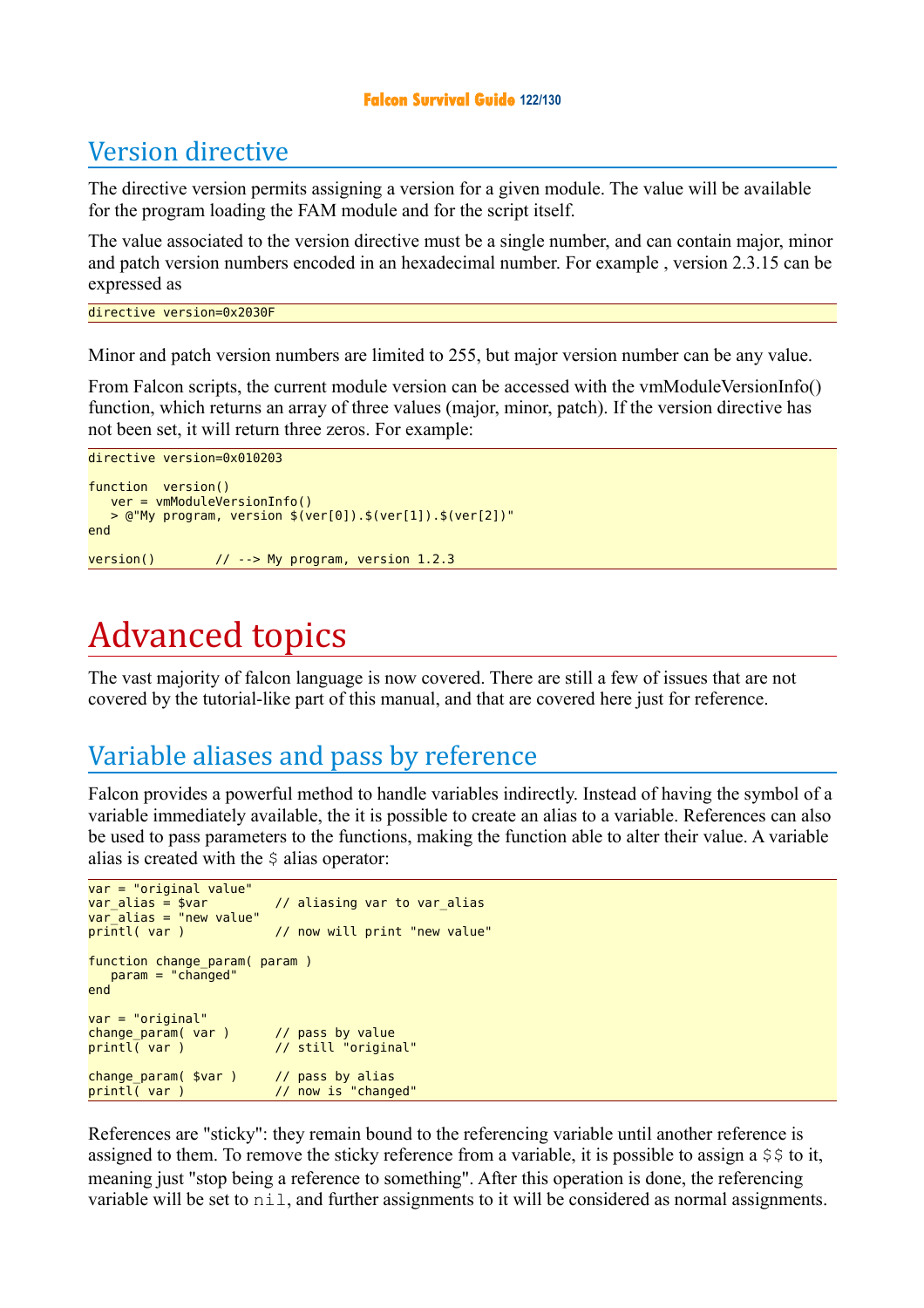#### **Falcon Survival Guide 122/130**

# Version directive

The directive version permits assigning a version for a given module. The value will be available for the program loading the FAM module and for the script itself.

The value associated to the version directive must be a single number, and can contain major, minor and patch version numbers encoded in an hexadecimal number. For example , version 2.3.15 can be expressed as

```
directive version=0x2030F
```
Minor and patch version numbers are limited to 255, but major version number can be any value.

From Falcon scripts, the current module version can be accessed with the vmModuleVersionInfo() function, which returns an array of three values (major, minor, patch). If the version directive has not been set, it will return three zeros. For example:

```
directive version=0x010203 
function version() 
   ver = vmModuleVersionInfo()
   > @"My program, version $(ver[0]).$(ver[1]).$(ver[2])"
end 
version() // --> My program, version 1.2.3
```
# Advanced topics

The vast majority of falcon language is now covered. There are still a few of issues that are not covered by the tutorial-like part of this manual, and that are covered here just for reference.

# Variable aliases and pass by reference

Falcon provides a powerful method to handle variables indirectly. Instead of having the symbol of a variable immediately available, the it is possible to create an alias to a variable. References can also be used to pass parameters to the functions, making the function able to alter their value. A variable alias is created with the  $\frac{1}{2}$  alias operator:

```
var = "original value"<br>var alias = $var
                                  // aliasing var to var alias
var_alias = "new value" 
printl var ) \frac{1}{2} now will print "new value"
function change_param( param ) 
 param = "changed"
end 
var = "original" 
change_param( var )<br>printl( var )
                                  // pass by value<br>// still "original"
change_param( $var )<br>printl( var )
                                  // pass by alias<br>// now is "changed"
```
References are "sticky": they remain bound to the referencing variable until another reference is assigned to them. To remove the sticky reference from a variable, it is possible to assign a  $\frac{1}{2}$  to it, meaning just "stop being a reference to something". After this operation is done, the referencing variable will be set to  $n$ il, and further assignments to it will be considered as normal assignments.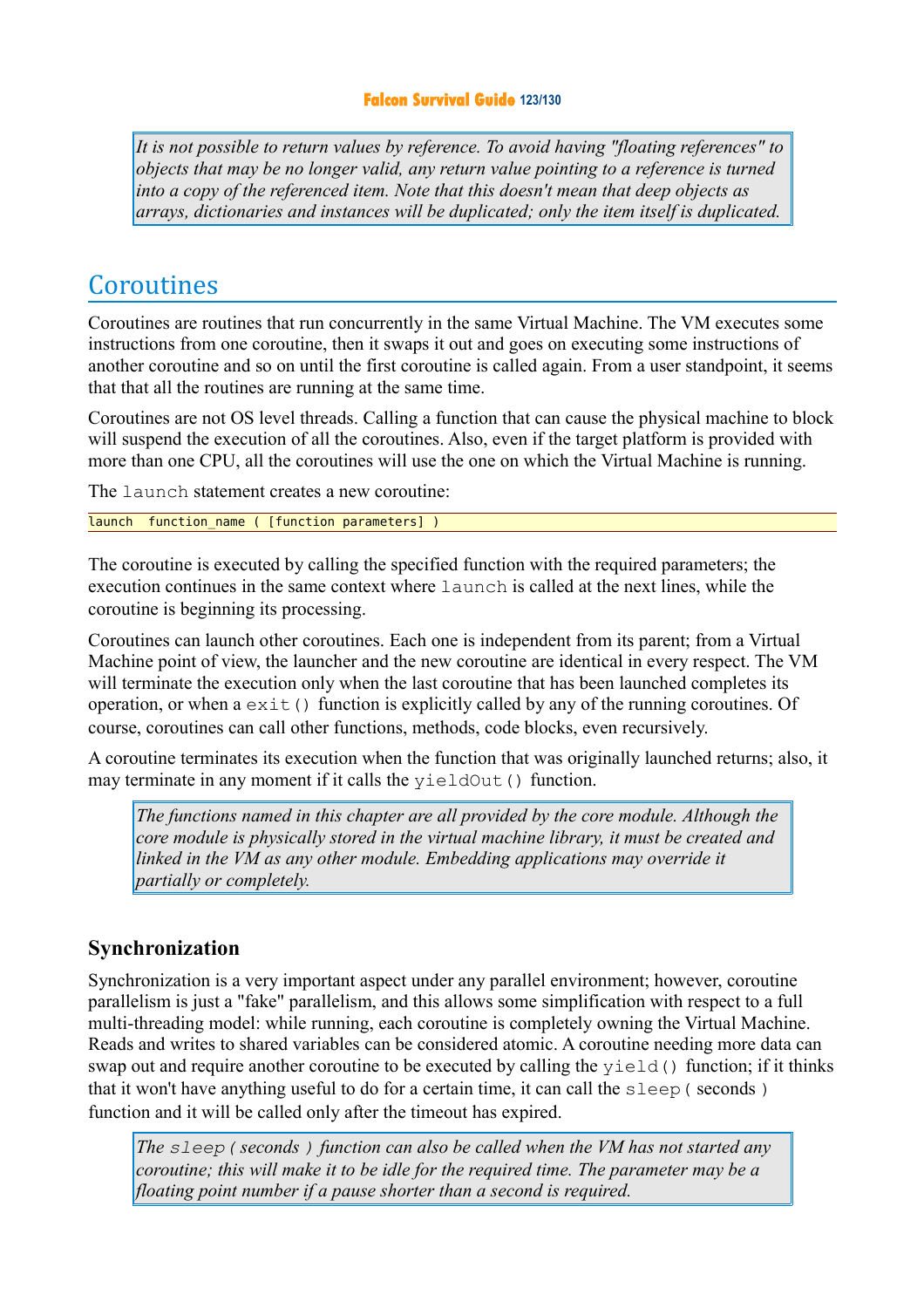*It is not possible to return values by reference. To avoid having "floating references" to objects that may be no longer valid, any return value pointing to a reference is turned into a copy of the referenced item. Note that this doesn't mean that deep objects as arrays, dictionaries and instances will be duplicated; only the item itself is duplicated.* 

# Coroutines

Coroutines are routines that run concurrently in the same Virtual Machine. The VM executes some instructions from one coroutine, then it swaps it out and goes on executing some instructions of another coroutine and so on until the first coroutine is called again. From a user standpoint, it seems that that all the routines are running at the same time.

Coroutines are not OS level threads. Calling a function that can cause the physical machine to block will suspend the execution of all the coroutines. Also, even if the target platform is provided with more than one CPU, all the coroutines will use the one on which the Virtual Machine is running.

The Launch statement creates a new coroutine:

launch function name ( [function parameters] )

The coroutine is executed by calling the specified function with the required parameters; the execution continues in the same context where launch is called at the next lines, while the coroutine is beginning its processing.

Coroutines can launch other coroutines. Each one is independent from its parent; from a Virtual Machine point of view, the launcher and the new coroutine are identical in every respect. The VM will terminate the execution only when the last coroutine that has been launched completes its operation, or when  $a \in x \in (x)$  function is explicitly called by any of the running coroutines. Of course, coroutines can call other functions, methods, code blocks, even recursively.

A coroutine terminates its execution when the function that was originally launched returns; also, it may terminate in any moment if it calls the yieldOut () function.

*The functions named in this chapter are all provided by the core module. Although the core module is physically stored in the virtual machine library, it must be created and linked in the VM as any other module. Embedding applications may override it partially or completely.* 

### **Synchronization**

Synchronization is a very important aspect under any parallel environment; however, coroutine parallelism is just a "fake" parallelism, and this allows some simplification with respect to a full multi-threading model: while running, each coroutine is completely owning the Virtual Machine. Reads and writes to shared variables can be considered atomic. A coroutine needing more data can swap out and require another coroutine to be executed by calling the yield() function; if it thinks that it won't have anything useful to do for a certain time, it can call the sleep( seconds ) function and it will be called only after the timeout has expired.

*The sleep( seconds ) function can also be called when the VM has not started any coroutine; this will make it to be idle for the required time. The parameter may be a floating point number if a pause shorter than a second is required.*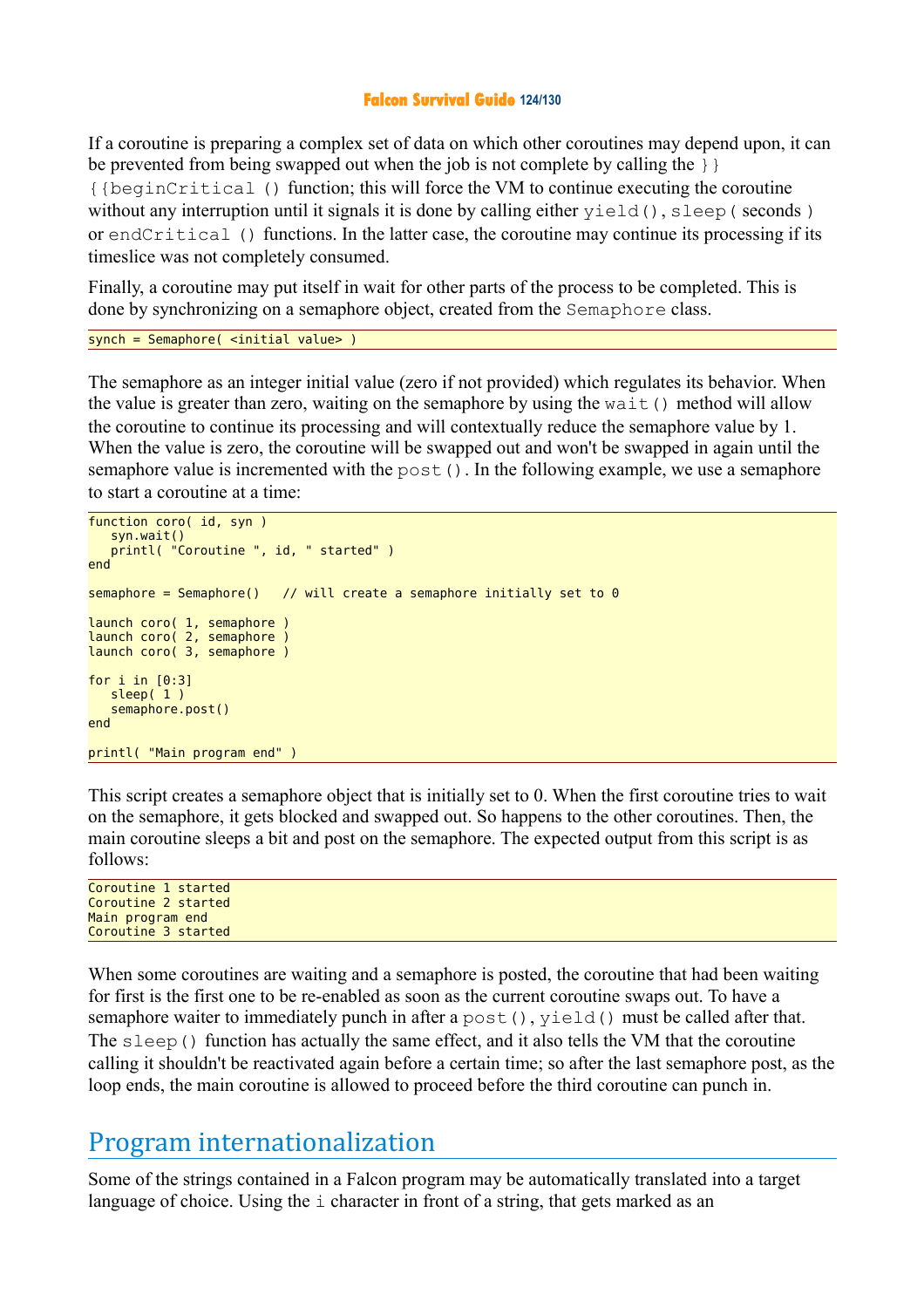#### **Falcon Survival Guide 124/130**

If a coroutine is preparing a complex set of data on which other coroutines may depend upon, it can be prevented from being swapped out when the job is not complete by calling the  $\}$ {{beginCritical () function; this will force the VM to continue executing the coroutine without any interruption until it signals it is done by calling either yield(), sleep(seconds) or endCritical () functions. In the latter case, the coroutine may continue its processing if its timeslice was not completely consumed.

Finally, a coroutine may put itself in wait for other parts of the process to be completed. This is done by synchronizing on a semaphore object, created from the Semaphore class.

```
synch = Semaphore( <initial value> )
```
The semaphore as an integer initial value (zero if not provided) which regulates its behavior. When the value is greater than zero, waiting on the semaphore by using the wait() method will allow the coroutine to continue its processing and will contextually reduce the semaphore value by 1. When the value is zero, the coroutine will be swapped out and won't be swapped in again until the semaphore value is incremented with the post (). In the following example, we use a semaphore to start a coroutine at a time:

```
function coro( id, syn )
    syn.wait()
    printl( "Coroutine ", id, " started" )
end 
semaphore = Semaphore() // will create a semaphore initially set to 0
launch coro( 1, semaphore )
launch coro( 2, semaphore )
launch coro( 3, semaphore )
for i in [0:3]
   sleep(1)
    semaphore.post()
end 
printl( "Main program end" )
```
This script creates a semaphore object that is initially set to 0. When the first coroutine tries to wait on the semaphore, it gets blocked and swapped out. So happens to the other coroutines. Then, the main coroutine sleeps a bit and post on the semaphore. The expected output from this script is as follows:

Coroutine 1 started Coroutine 2 started Main program end Coroutine 3 started

When some coroutines are waiting and a semaphore is posted, the coroutine that had been waiting for first is the first one to be re-enabled as soon as the current coroutine swaps out. To have a semaphore waiter to immediately punch in after a post(), yield() must be called after that. The sleep() function has actually the same effect, and it also tells the VM that the coroutine calling it shouldn't be reactivated again before a certain time; so after the last semaphore post, as the loop ends, the main coroutine is allowed to proceed before the third coroutine can punch in.

# Program internationalization

Some of the strings contained in a Falcon program may be automatically translated into a target language of choice. Using the i character in front of a string, that gets marked as an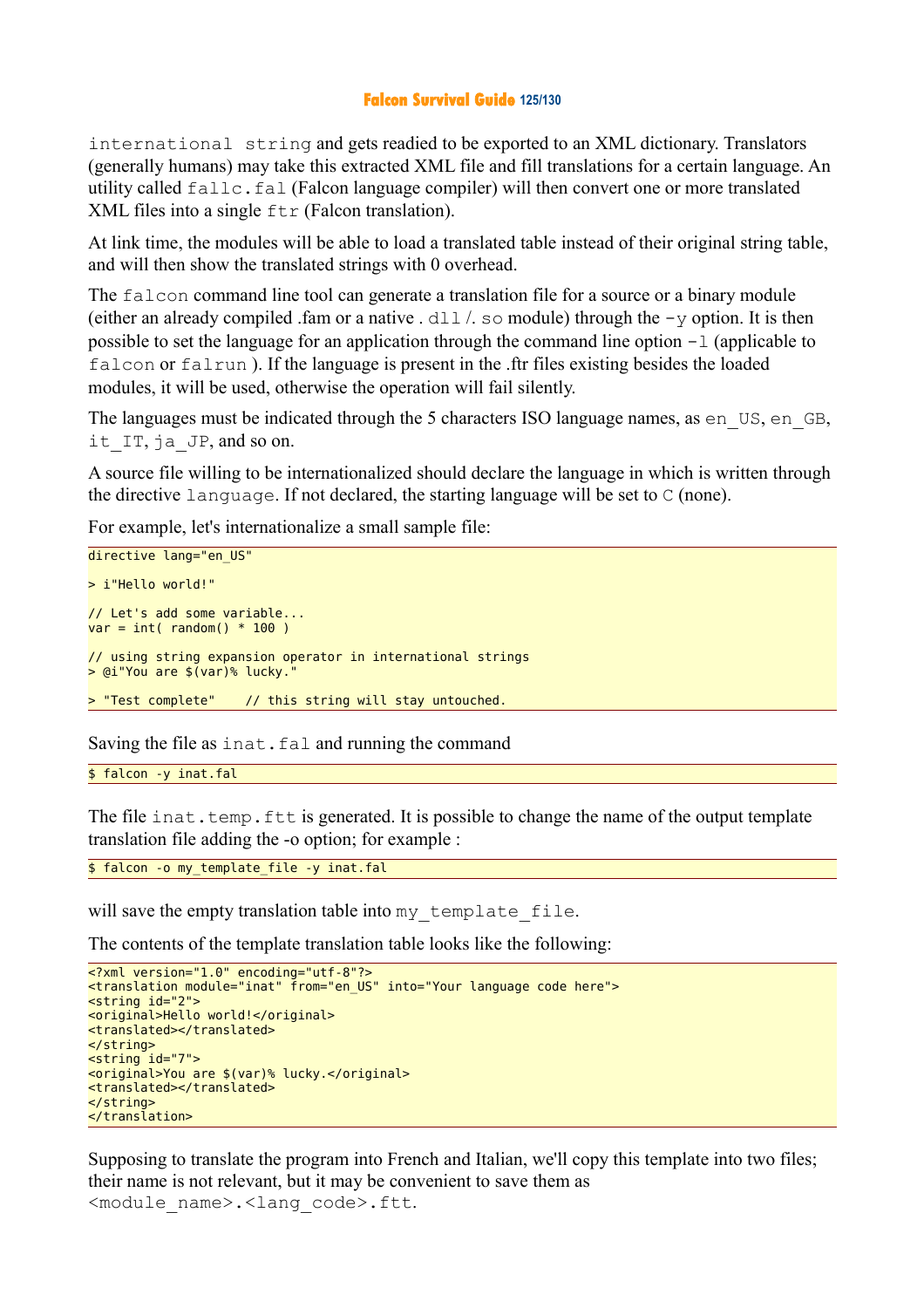#### **Falcon Survival Guide 125/130**

international string and gets readied to be exported to an XML dictionary. Translators (generally humans) may take this extracted XML file and fill translations for a certain language. An utility called fallc.fal (Falcon language compiler) will then convert one or more translated XML files into a single  $ftr$  (Falcon translation).

At link time, the modules will be able to load a translated table instead of their original string table, and will then show the translated strings with 0 overhead.

The falcon command line tool can generate a translation file for a source or a binary module (either an already compiled .fam or a native .  $d11/$ , so module) through the  $-v$  option. It is then possible to set the language for an application through the command line option  $-1$  (applicable to falcon or falrun ). If the language is present in the .ftr files existing besides the loaded modules, it will be used, otherwise the operation will fail silently.

The languages must be indicated through the 5 characters ISO language names, as en\_US, en\_GB, it IT, ja JP, and so on.

A source file willing to be internationalized should declare the language in which is written through the directive language. If not declared, the starting language will be set to C (none).

For example, let's internationalize a small sample file:

```
directive lang="en US"
> i"Hello world!" 
// Let's add some variable... 
var = int( random() * 100)// using string expansion operator in international strings 
> @i"You are \frac{1}{2} (var)% lucky.
> "Test complete" // this string will stay untouched.
```
Saving the file as inat.fal and running the command

\$ falcon -y inat.fal

The file inat.temp.ftt is generated. It is possible to change the name of the output template translation file adding the -o option; for example :

\$ falcon -o my template file -y inat.fal

will save the empty translation table into my\_template\_file.

The contents of the template translation table looks like the following:

```
<?xml version="1.0" encoding="utf-8"?> 
<translation module="inat" from="en_US" into="Your language code here"> 
<string id="2"> 
<original>Hello world!</original> 
<translated></translated> 
</string> 
<string id="7"> 
<original>You are $(var)% lucky.</original> 
<translated></translated> 
</string> 
</translation>
```
Supposing to translate the program into French and Italian, we'll copy this template into two files; their name is not relevant, but it may be convenient to save them as <module\_name>.<lang\_code>.ftt.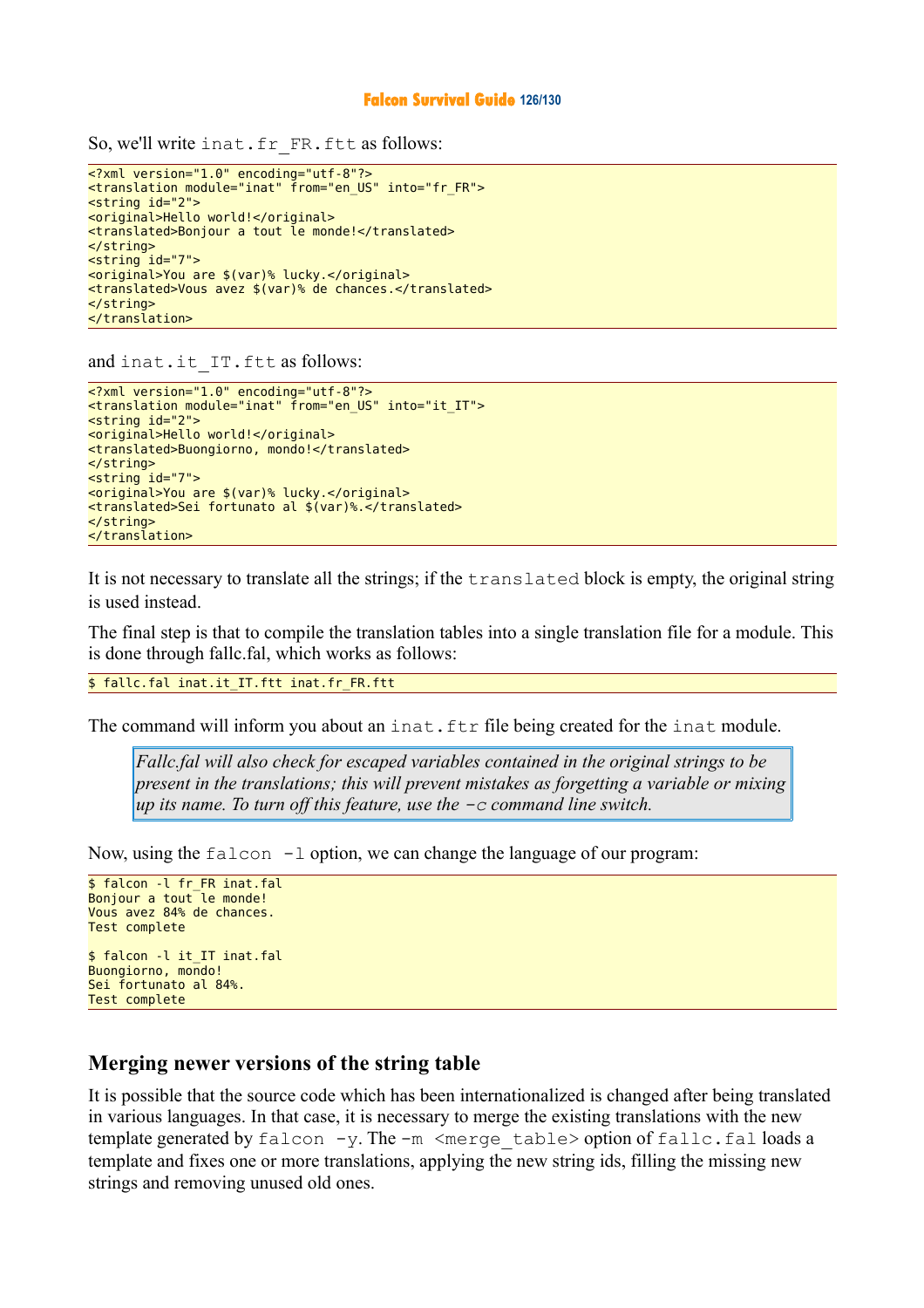So, we'll write inat.fr FR.ftt as follows:

```
<?xml version="1.0" encoding="utf-8"?> 
<translation module="inat" from="en_US" into="fr_FR"> 
<string id="2"> 
<original>Hello world!</original> 
<translated>Bonjour a tout le monde!</translated> 
</string> 
<string id="7"> 
<original>You are $(var)% lucky.</original> 
<translated>Vous avez $(var)% de chances.</translated> 
</string> 
</translation>
```
and inat.it IT.ftt as follows:

```
<?xml version="1.0" encoding="utf-8"?> 
<translation module="inat" from="en_US" into="it_IT"> 
<string id="2"> 
<original>Hello world!</original> 
<translated>Buongiorno, mondo!</translated> 
</string> 
<string id="7"> 
<original>You are $(var)% lucky.</original> 
<translated>Sei fortunato al $(var)%.</translated> 
</string> 
</translation>
```
It is not necessary to translate all the strings; if the translated block is empty, the original string is used instead.

The final step is that to compile the translation tables into a single translation file for a module. This is done through fallc.fal, which works as follows:

\$ fallc.fal inat.it IT.ftt inat.fr FR.ftt

The command will inform you about an inat.ftr file being created for the inat module.

*Fallc.fal will also check for escaped variables contained in the original strings to be present in the translations; this will prevent mistakes as forgetting a variable or mixing up its name. To turn off this feature, use the -c command line switch.*

Now, using the falcon  $-1$  option, we can change the language of our program:

```
$ falcon -l fr FR inat.fal
Bonjour a tout \overline{c} le monde!
Vous avez 84% de chances. 
Test complete 
$ falcon -l it IT inat.fal
Buongiorno, mondo! 
Sei fortunato al 84%. 
Test complete
```
### **Merging newer versions of the string table**

It is possible that the source code which has been internationalized is changed after being translated in various languages. In that case, it is necessary to merge the existing translations with the new template generated by  $f$ alcon  $-y$ . The  $-m$   $\leq$  merge  $table$  > option of  $fallc.fal$  loads a template and fixes one or more translations, applying the new string ids, filling the missing new strings and removing unused old ones.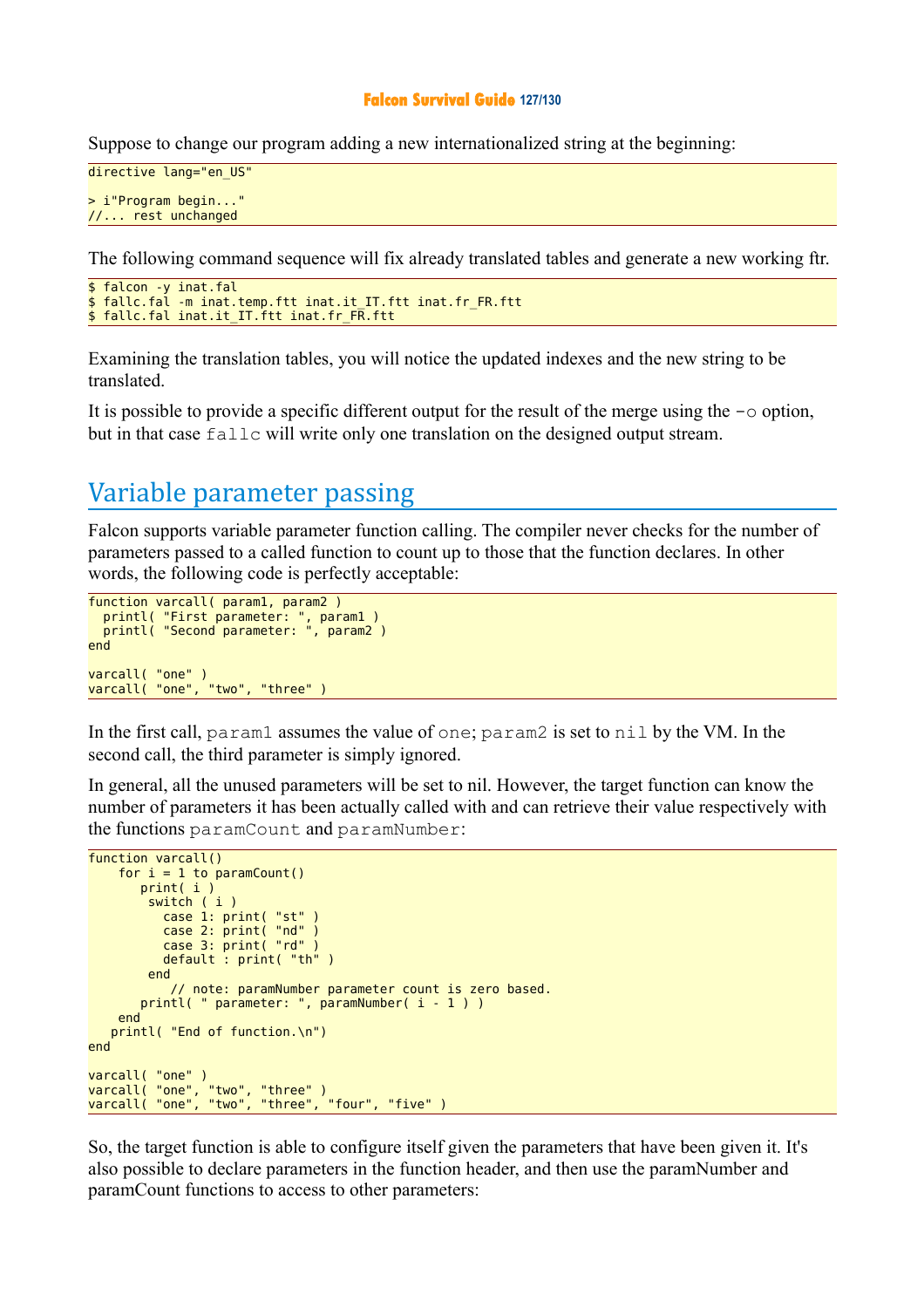#### **Falcon Survival Guide 127/130**

Suppose to change our program adding a new internationalized string at the beginning:

```
directive lang="en_US"
> i"Program begin..." 
//... rest unchanged
```
The following command sequence will fix already translated tables and generate a new working ftr.

```
$ falcon -y inat.fal
$ fallc.fal -m inat.temp.ftt inat.it IT.ftt inat.fr FR.ftt
$ fallc.fal inat.it_IT.ftt inat.fr FR.ftt
```
Examining the translation tables, you will notice the updated indexes and the new string to be translated.

It is possible to provide a specific different output for the result of the merge using the  $-\infty$  option, but in that case fallc will write only one translation on the designed output stream.

# Variable parameter passing

Falcon supports variable parameter function calling. The compiler never checks for the number of parameters passed to a called function to count up to those that the function declares. In other words, the following code is perfectly acceptable:

```
function varcall( param1, param2 )
 printl( "First parameter: ", param1 )
 printl( "Second parameter: ", param2 )
end 
varcall( "one" ) 
varcall( "one", "two", "three" )
```
In the first call, param1 assumes the value of one; param2 is set to nil by the VM. In the second call, the third parameter is simply ignored.

In general, all the unused parameters will be set to nil. However, the target function can know the number of parameters it has been actually called with and can retrieve their value respectively with the functions paramCount and paramNumber:

```
function varcall()
   for i = 1 to paramCount()
       print( i )
         switch ( i )
 case 1: print( "st" )
 case 2: print( "nd" )
           case 3: print( "rd" )
           default : print( "th" )
         end 
            // note: paramNumber parameter count is zero based. 
       printl( " parameter: ", paramNumber( i - 1 ) )
    end 
    printl( "End of function.\n")
end 
varcall( "one" ) 
varcall( "one", "two", "three" ) 
varcall( "one", "two", "three", "four", "five" )
```
So, the target function is able to configure itself given the parameters that have been given it. It's also possible to declare parameters in the function header, and then use the paramNumber and paramCount functions to access to other parameters: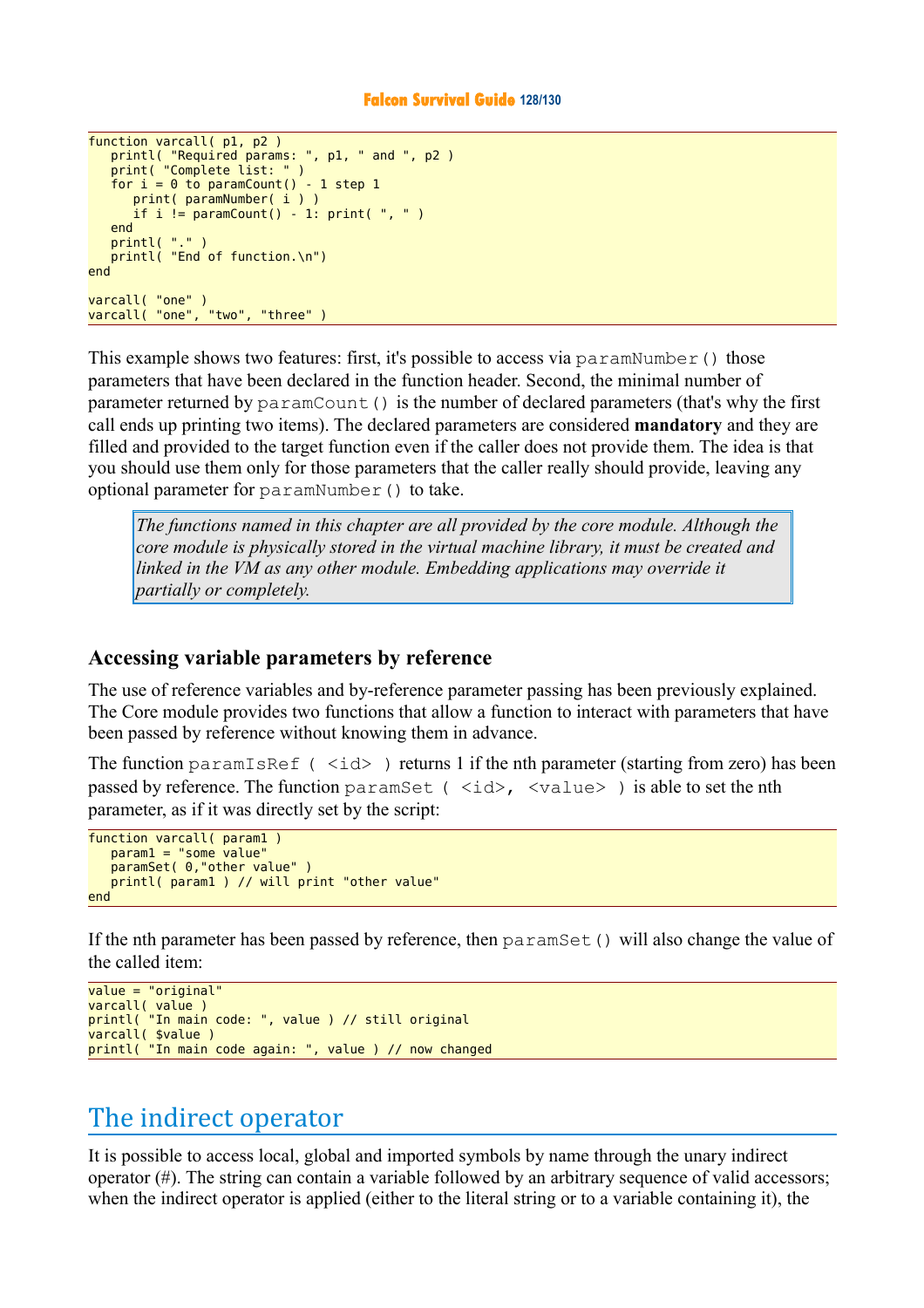#### **Falcon Survival Guide 128/130**

```
function varcall( p1, p2 )
 printl( "Required params: ", p1, " and ", p2 )
 print( "Complete list: " )
   for i = 0 to paramCount() - 1 step 1
       print( paramNumber( i ) )
      if i != paramCount() - 1: print( ", " )
    end 
    printl( "." )
   printl( "End of function.\n")
end 
varcall( "one" ) 
varcall( "one", "two", "three" )
```
This example shows two features: first, it's possible to access via paramNumber() those parameters that have been declared in the function header. Second, the minimal number of parameter returned by  $paramCount()$  is the number of declared parameters (that's why the first call ends up printing two items). The declared parameters are considered **mandatory** and they are filled and provided to the target function even if the caller does not provide them. The idea is that you should use them only for those parameters that the caller really should provide, leaving any optional parameter for paramNumber() to take.

*The functions named in this chapter are all provided by the core module. Although the core module is physically stored in the virtual machine library, it must be created and linked in the VM as any other module. Embedding applications may override it partially or completely.* 

### **Accessing variable parameters by reference**

The use of reference variables and by-reference parameter passing has been previously explained. The Core module provides two functions that allow a function to interact with parameters that have been passed by reference without knowing them in advance.

The function paramIsRef ( $\langle i d \rangle$ ) returns 1 if the nth parameter (starting from zero) has been passed by reference. The function paramSet ( $\langle$ id>,  $\langle$ value>) is able to set the nth parameter, as if it was directly set by the script:

```
function varcall( param1
    param1 = "some value"
    paramSet( 0,"other value" )
    printl( param1 ) // will print "other value"
end
```
If the nth parameter has been passed by reference, then  $\text{paramSet}$  () will also change the value of the called item:

```
value = "original" 
varcall( value ) 
printl( "In main code: ", value ) // still original 
varcall( $value ) 
printl( "In main code again: ", value ) // now changed
```
# The indirect operator

It is possible to access local, global and imported symbols by name through the unary indirect operator  $(\#)$ . The string can contain a variable followed by an arbitrary sequence of valid accessors; when the indirect operator is applied (either to the literal string or to a variable containing it), the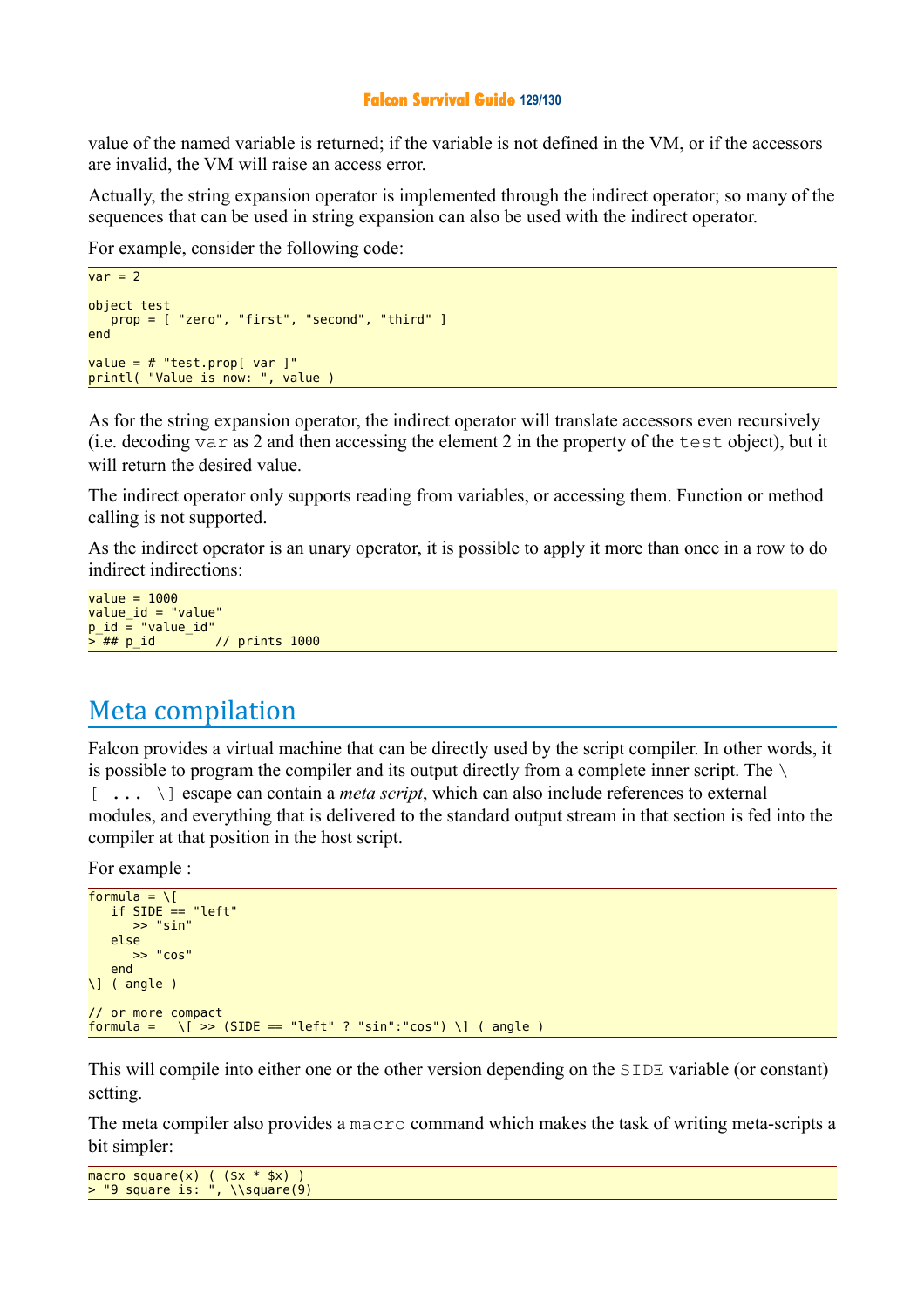#### **Falcon Survival Guide 129/130**

value of the named variable is returned; if the variable is not defined in the VM, or if the accessors are invalid, the VM will raise an access error.

Actually, the string expansion operator is implemented through the indirect operator; so many of the sequences that can be used in string expansion can also be used with the indirect operator.

For example, consider the following code:

```
var = 2object test
   prop = [ "zero", "first", "second", "third" ]
end 
value = # "test.pop[ var ]"printl( "Value is now: ", value )
```
As for the string expansion operator, the indirect operator will translate accessors even recursively (i.e. decoding var as 2 and then accessing the element 2 in the property of the test object), but it will return the desired value.

The indirect operator only supports reading from variables, or accessing them. Function or method calling is not supported.

As the indirect operator is an unary operator, it is possible to apply it more than once in a row to do indirect indirections:

```
value = 1000value_id = "value" 
p id = "value id"
> ## p_id // prints 1000
```
# Meta compilation

Falcon provides a virtual machine that can be directly used by the script compiler. In other words, it is possible to program the compiler and its output directly from a complete inner script. The  $\setminus$ [ ... \] escape can contain a *meta script*, which can also include references to external modules, and everything that is delivered to the standard output stream in that section is fed into the compiler at that position in the host script.

For example :

```
formula = \iota[
    if SIDE == "left"
        >> "sin"
     else
         >> "cos"
     end
\] ( angle )
// or more compact 
formula = \left\langle \right| \rightarrow (SIDE == "left" ? "sin":"cos") \left\langle \right| ( angle )
```
This will compile into either one or the other version depending on the SIDE variable (or constant) setting.

The meta compiler also provides a macro command which makes the task of writing meta-scripts a bit simpler:

macro square(x) ( (\$x \* \$x) ) > "9 square is: ", \\square(9)